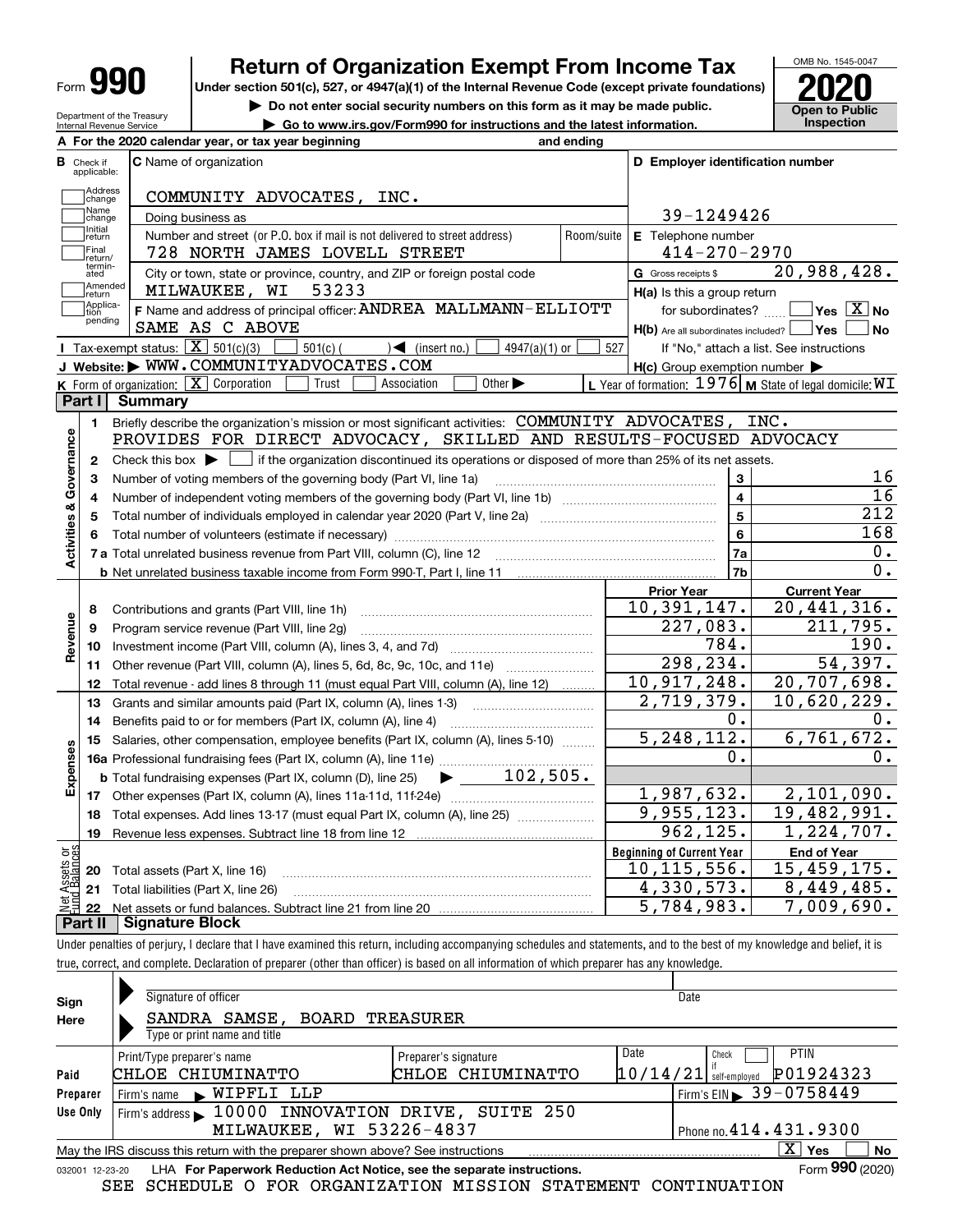| Form |  |
|------|--|
|------|--|

Department of the Treasury Internal Revenue Service

## **Return of Organization Exempt From Income Tax**

**Under section 501(c), 527, or 4947(a)(1) of the Internal Revenue Code (except private foundations) 2020**

**| Do not enter social security numbers on this form as it may be made public.**

**| Go to www.irs.gov/Form990 for instructions and the latest information. Inspection**



|                         |                             | A For the 2020 calendar year, or tax year beginning                                                                                                 | and ending |                                                                       |                                                             |
|-------------------------|-----------------------------|-----------------------------------------------------------------------------------------------------------------------------------------------------|------------|-----------------------------------------------------------------------|-------------------------------------------------------------|
| в                       | Check if<br>applicable:     | <b>C</b> Name of organization                                                                                                                       |            | D Employer identification number                                      |                                                             |
|                         | Address<br>change           | COMMUNITY ADVOCATES, INC.                                                                                                                           |            |                                                                       |                                                             |
|                         | Name<br>change              | Doing business as                                                                                                                                   |            | 39-1249426                                                            |                                                             |
|                         | Initial<br>return           | Number and street (or P.O. box if mail is not delivered to street address)                                                                          | Room/suite | <b>E</b> Telephone number                                             |                                                             |
|                         | Final<br>return/            | 728 NORTH JAMES LOVELL STREET                                                                                                                       |            | $414 - 270 - 2970$                                                    |                                                             |
|                         | termin-<br>ated             | City or town, state or province, country, and ZIP or foreign postal code                                                                            |            | G Gross receipts \$                                                   | 20,988,428.                                                 |
|                         | Amended<br>return           | 53233<br>MILWAUKEE, WI                                                                                                                              |            | $H(a)$ is this a group return                                         |                                                             |
|                         | Applica-<br>tion<br>pending | F Name and address of principal officer: ANDREA MALLMANN-ELLIOTT<br>SAME AS C ABOVE                                                                 |            | for subordinates?<br>$H(b)$ Are all subordinates included? $\Box$ Yes | $\sqrt{}$ Yes $\sqrt{}$ X $\sqrt{}$ No<br>∣ No              |
|                         |                             | Tax-exempt status: $\boxed{\mathbf{X}}$ 501(c)(3)<br>$501(c)$ (<br>$\sqrt{\bullet}$ (insert no.)<br>$4947(a)(1)$ or                                 | 527        |                                                                       | If "No," attach a list. See instructions                    |
|                         |                             | J Website: WWW.COMMUNITYADVOCATES.COM                                                                                                               |            | $H(c)$ Group exemption number $\blacktriangleright$                   |                                                             |
|                         |                             | K Form of organization: X Corporation<br>Trust<br>Other $\blacktriangleright$<br>Association                                                        |            |                                                                       | L Year of formation: $1976$ M State of legal domicile: $WT$ |
|                         | Part I                      | Summary                                                                                                                                             |            |                                                                       |                                                             |
|                         | 1.                          | Briefly describe the organization's mission or most significant activities: COMMUNITY ADVOCATES,                                                    |            |                                                                       | INC.                                                        |
| Activities & Governance |                             | PROVIDES FOR DIRECT ADVOCACY, SKILLED AND RESULTS-FOCUSED ADVOCACY                                                                                  |            |                                                                       |                                                             |
|                         | $\mathbf{2}$                | Check this box $\blacktriangleright$ $\blacksquare$ if the organization discontinued its operations or disposed of more than 25% of its net assets. |            |                                                                       |                                                             |
|                         | 3                           | Number of voting members of the governing body (Part VI, line 1a)                                                                                   |            | 3                                                                     | 16                                                          |
|                         | 4                           |                                                                                                                                                     |            | $\overline{4}$                                                        | $\overline{16}$                                             |
|                         | 5                           |                                                                                                                                                     |            | $\overline{5}$                                                        | 212                                                         |
|                         |                             |                                                                                                                                                     |            | 6                                                                     | 168                                                         |
|                         |                             |                                                                                                                                                     |            | 7a                                                                    | О.                                                          |
|                         |                             | <b>b</b> Net unrelated business taxable income from Form 990-T, Part I, line 11 <i>maching communional communional</i>                              |            | 7b                                                                    | 0.                                                          |
|                         |                             |                                                                                                                                                     |            | <b>Prior Year</b>                                                     | <b>Current Year</b>                                         |
|                         | 8                           | Contributions and grants (Part VIII, line 1h)                                                                                                       |            | $\overline{10, 391, 147}$ .                                           | 20,441,316.                                                 |
| Revenue                 | 9                           | Program service revenue (Part VIII, line 2g)                                                                                                        |            | 227,083.                                                              | 211,795.                                                    |
|                         | 10                          |                                                                                                                                                     |            | 784.                                                                  | 190.                                                        |
|                         | 11                          | Other revenue (Part VIII, column (A), lines 5, 6d, 8c, 9c, 10c, and 11e)                                                                            |            | 298, 234.                                                             | 54,397.                                                     |
|                         | 12                          | Total revenue - add lines 8 through 11 (must equal Part VIII, column (A), line 12)                                                                  |            | 10,917,248.                                                           | $\overline{20,707}$ , 698.                                  |
|                         | 13                          | Grants and similar amounts paid (Part IX, column (A), lines 1-3)                                                                                    |            | 2,719,379.                                                            | $\overline{10}$ , 620, 229.                                 |
|                         | 14                          | Benefits paid to or for members (Part IX, column (A), line 4)                                                                                       |            | 0.                                                                    | О.                                                          |
|                         | 15                          | Salaries, other compensation, employee benefits (Part IX, column (A), lines 5-10)                                                                   |            | 5, 248, 112.                                                          | 6,761,672.                                                  |
| Expenses                |                             |                                                                                                                                                     |            | 0.                                                                    | $0$ .                                                       |
|                         |                             | 102,505.<br><b>b</b> Total fundraising expenses (Part IX, column (D), line 25)<br>$\blacktriangleright$ and $\blacktriangleright$                   |            | 1,987,632.                                                            |                                                             |
|                         |                             |                                                                                                                                                     |            | 9,955,123.                                                            | 2,101,090.<br>19,482,991.                                   |
|                         | 18                          |                                                                                                                                                     |            | 962, 125.                                                             | 1,224,707.                                                  |
|                         | 19                          |                                                                                                                                                     |            |                                                                       |                                                             |
| ಕ್ಷ                     |                             |                                                                                                                                                     |            | <b>Beginning of Current Year</b><br>10, 115, 556.                     | <b>End of Year</b><br>15,459,175.                           |
| <b>Assets</b><br>Ralanc |                             | 20 Total assets (Part X, line 16)                                                                                                                   |            | 4,330,573.                                                            | 8,449,485.                                                  |
|                         |                             | 21 Total liabilities (Part X, line 26)                                                                                                              |            | 5,784,983.                                                            | 7,009,690.                                                  |
|                         | 22<br>Part II               | <b>Signature Block</b>                                                                                                                              |            |                                                                       |                                                             |

Under penalties of perjury, I declare that I have examined this return, including accompanying schedules and statements, and to the best of my knowledge and belief, it is true, correct, and complete. Declaration of preparer (other than officer) is based on all information of which preparer has any knowledge.

| Sign<br>Here                                                                                      |                                                                                                              | Signature of officer<br>SANDRA SAMSE, BOARD TREASURER      |          | Date                       |  |  |
|---------------------------------------------------------------------------------------------------|--------------------------------------------------------------------------------------------------------------|------------------------------------------------------------|----------|----------------------------|--|--|
|                                                                                                   |                                                                                                              | Type or print name and title                               |          |                            |  |  |
|                                                                                                   |                                                                                                              | Date<br>Print/Type preparer's name<br>Preparer's signature |          | <b>PTIN</b><br>Check       |  |  |
| Paid                                                                                              |                                                                                                              | CHLOE CHIUMINATTO<br>CHLOE CHIUMINATTO                     | 10/14/21 | P01924323<br>self-emploved |  |  |
| Preparer                                                                                          |                                                                                                              | Firm's name WIPFLI LLP                                     |          | Firm's EIN 39-0758449      |  |  |
| Use Only                                                                                          | Firm's address 10000 INNOVATION DRIVE, SUITE 250                                                             |                                                            |          |                            |  |  |
|                                                                                                   |                                                                                                              | MILWAUKEE, WI 53226-4837                                   |          | Phone no. 414.431.9300     |  |  |
| x<br>No<br>Yes<br>May the IRS discuss this return with the preparer shown above? See instructions |                                                                                                              |                                                            |          |                            |  |  |
|                                                                                                   | Form 990 (2020)<br>LHA For Paperwork Reduction Act Notice, see the separate instructions.<br>032001 12-23-20 |                                                            |          |                            |  |  |

SEE SCHEDULE O FOR ORGANIZATION MISSION STATEMENT CONTINUATION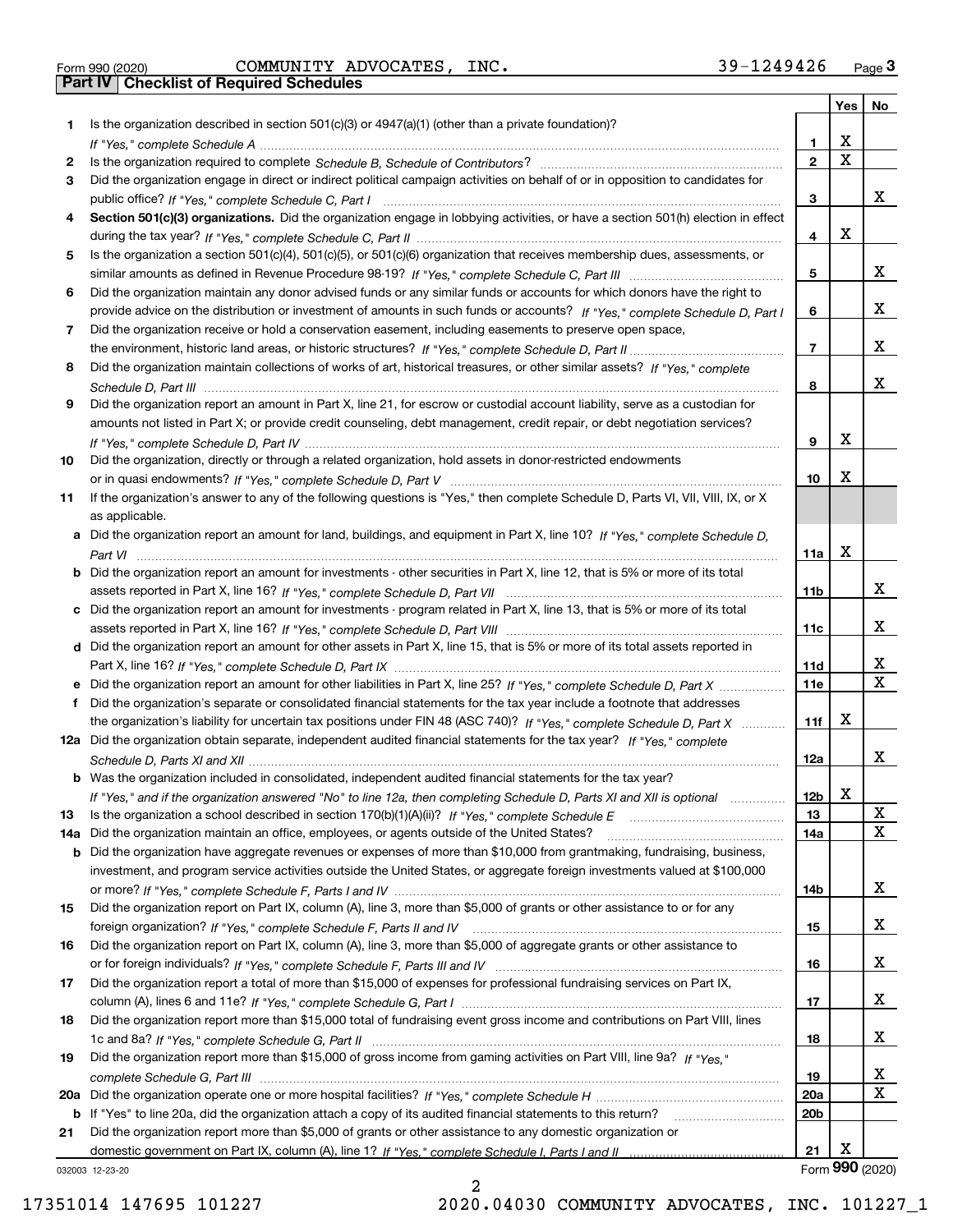|  | Form 990 (2020) |
|--|-----------------|

Form 990 (2020) COMMUNITY ADVOCATES,INC. 39-1249426 <sub>Page</sub> 3<br>Part IV | Checklist of Required Schedules

|     |                                                                                                                                                                                                                                                           |                   | Yes | No              |
|-----|-----------------------------------------------------------------------------------------------------------------------------------------------------------------------------------------------------------------------------------------------------------|-------------------|-----|-----------------|
| 1.  | Is the organization described in section $501(c)(3)$ or $4947(a)(1)$ (other than a private foundation)?                                                                                                                                                   |                   |     |                 |
|     |                                                                                                                                                                                                                                                           | 1.                | X   |                 |
| 2   |                                                                                                                                                                                                                                                           | $\overline{2}$    | X   |                 |
| 3   | Did the organization engage in direct or indirect political campaign activities on behalf of or in opposition to candidates for                                                                                                                           |                   |     |                 |
|     |                                                                                                                                                                                                                                                           | 3                 |     | х               |
| 4   | Section 501(c)(3) organizations. Did the organization engage in lobbying activities, or have a section 501(h) election in effect                                                                                                                          |                   |     |                 |
|     |                                                                                                                                                                                                                                                           | 4                 | X   |                 |
| 5   | Is the organization a section 501(c)(4), 501(c)(5), or 501(c)(6) organization that receives membership dues, assessments, or                                                                                                                              |                   |     | х               |
|     |                                                                                                                                                                                                                                                           | 5                 |     |                 |
| 6   | Did the organization maintain any donor advised funds or any similar funds or accounts for which donors have the right to<br>provide advice on the distribution or investment of amounts in such funds or accounts? If "Yes," complete Schedule D, Part I | 6                 |     | х               |
| 7   | Did the organization receive or hold a conservation easement, including easements to preserve open space,                                                                                                                                                 |                   |     |                 |
|     |                                                                                                                                                                                                                                                           | $\overline{7}$    |     | х               |
| 8   | Did the organization maintain collections of works of art, historical treasures, or other similar assets? If "Yes," complete                                                                                                                              |                   |     |                 |
|     |                                                                                                                                                                                                                                                           | 8                 |     | х               |
| 9   | Did the organization report an amount in Part X, line 21, for escrow or custodial account liability, serve as a custodian for                                                                                                                             |                   |     |                 |
|     | amounts not listed in Part X; or provide credit counseling, debt management, credit repair, or debt negotiation services?                                                                                                                                 |                   |     |                 |
|     |                                                                                                                                                                                                                                                           | 9                 | X   |                 |
| 10  | Did the organization, directly or through a related organization, hold assets in donor-restricted endowments                                                                                                                                              |                   |     |                 |
|     |                                                                                                                                                                                                                                                           | 10                | X   |                 |
| 11  | If the organization's answer to any of the following questions is "Yes," then complete Schedule D, Parts VI, VIII, VIII, IX, or X                                                                                                                         |                   |     |                 |
|     | as applicable.                                                                                                                                                                                                                                            |                   |     |                 |
|     | a Did the organization report an amount for land, buildings, and equipment in Part X, line 10? If "Yes," complete Schedule D,                                                                                                                             |                   |     |                 |
|     |                                                                                                                                                                                                                                                           | 11a               | X   |                 |
|     | <b>b</b> Did the organization report an amount for investments - other securities in Part X, line 12, that is 5% or more of its total                                                                                                                     |                   |     |                 |
|     |                                                                                                                                                                                                                                                           | 11 <sub>b</sub>   |     | х               |
|     | c Did the organization report an amount for investments - program related in Part X, line 13, that is 5% or more of its total                                                                                                                             |                   |     |                 |
|     |                                                                                                                                                                                                                                                           | 11c               |     | х               |
|     | d Did the organization report an amount for other assets in Part X, line 15, that is 5% or more of its total assets reported in                                                                                                                           |                   |     | х               |
|     |                                                                                                                                                                                                                                                           | <b>11d</b><br>11e |     | $\mathbf X$     |
|     | e Did the organization report an amount for other liabilities in Part X, line 25? If "Yes," complete Schedule D, Part X                                                                                                                                   |                   |     |                 |
|     | Did the organization's separate or consolidated financial statements for the tax year include a footnote that addresses<br>the organization's liability for uncertain tax positions under FIN 48 (ASC 740)? If "Yes," complete Schedule D, Part X         | 11f               | х   |                 |
|     | 12a Did the organization obtain separate, independent audited financial statements for the tax year? If "Yes," complete                                                                                                                                   |                   |     |                 |
|     |                                                                                                                                                                                                                                                           | <b>12a</b>        |     | х               |
|     | <b>b</b> Was the organization included in consolidated, independent audited financial statements for the tax year?                                                                                                                                        |                   |     |                 |
|     | If "Yes," and if the organization answered "No" to line 12a, then completing Schedule D, Parts XI and XII is optional metallion                                                                                                                           | 12b               | X   |                 |
| 13  |                                                                                                                                                                                                                                                           | 13                |     | X               |
| 14a | Did the organization maintain an office, employees, or agents outside of the United States?                                                                                                                                                               | 14a               |     | х               |
|     | <b>b</b> Did the organization have aggregate revenues or expenses of more than \$10,000 from grantmaking, fundraising, business,                                                                                                                          |                   |     |                 |
|     | investment, and program service activities outside the United States, or aggregate foreign investments valued at \$100,000                                                                                                                                |                   |     |                 |
|     |                                                                                                                                                                                                                                                           | 14b               |     | x               |
| 15  | Did the organization report on Part IX, column (A), line 3, more than \$5,000 of grants or other assistance to or for any                                                                                                                                 |                   |     |                 |
|     |                                                                                                                                                                                                                                                           | 15                |     | x               |
| 16  | Did the organization report on Part IX, column (A), line 3, more than \$5,000 of aggregate grants or other assistance to                                                                                                                                  |                   |     |                 |
|     |                                                                                                                                                                                                                                                           | 16                |     | x               |
| 17  | Did the organization report a total of more than \$15,000 of expenses for professional fundraising services on Part IX,                                                                                                                                   |                   |     |                 |
|     |                                                                                                                                                                                                                                                           | 17                |     | x               |
| 18  | Did the organization report more than \$15,000 total of fundraising event gross income and contributions on Part VIII, lines                                                                                                                              | 18                |     | x               |
| 19  | Did the organization report more than \$15,000 of gross income from gaming activities on Part VIII, line 9a? If "Yes."                                                                                                                                    |                   |     |                 |
|     |                                                                                                                                                                                                                                                           | 19                |     | X               |
|     |                                                                                                                                                                                                                                                           | 20a               |     | X               |
|     | b If "Yes" to line 20a, did the organization attach a copy of its audited financial statements to this return?                                                                                                                                            | 20 <sub>b</sub>   |     |                 |
| 21  | Did the organization report more than \$5,000 of grants or other assistance to any domestic organization or                                                                                                                                               |                   |     |                 |
|     |                                                                                                                                                                                                                                                           | 21                | х   |                 |
|     | 032003 12-23-20                                                                                                                                                                                                                                           |                   |     | Form 990 (2020) |

032003 12-23-20

2 17351014 147695 101227 2020.04030 COMMUNITY ADVOCATES, INC. 101227\_1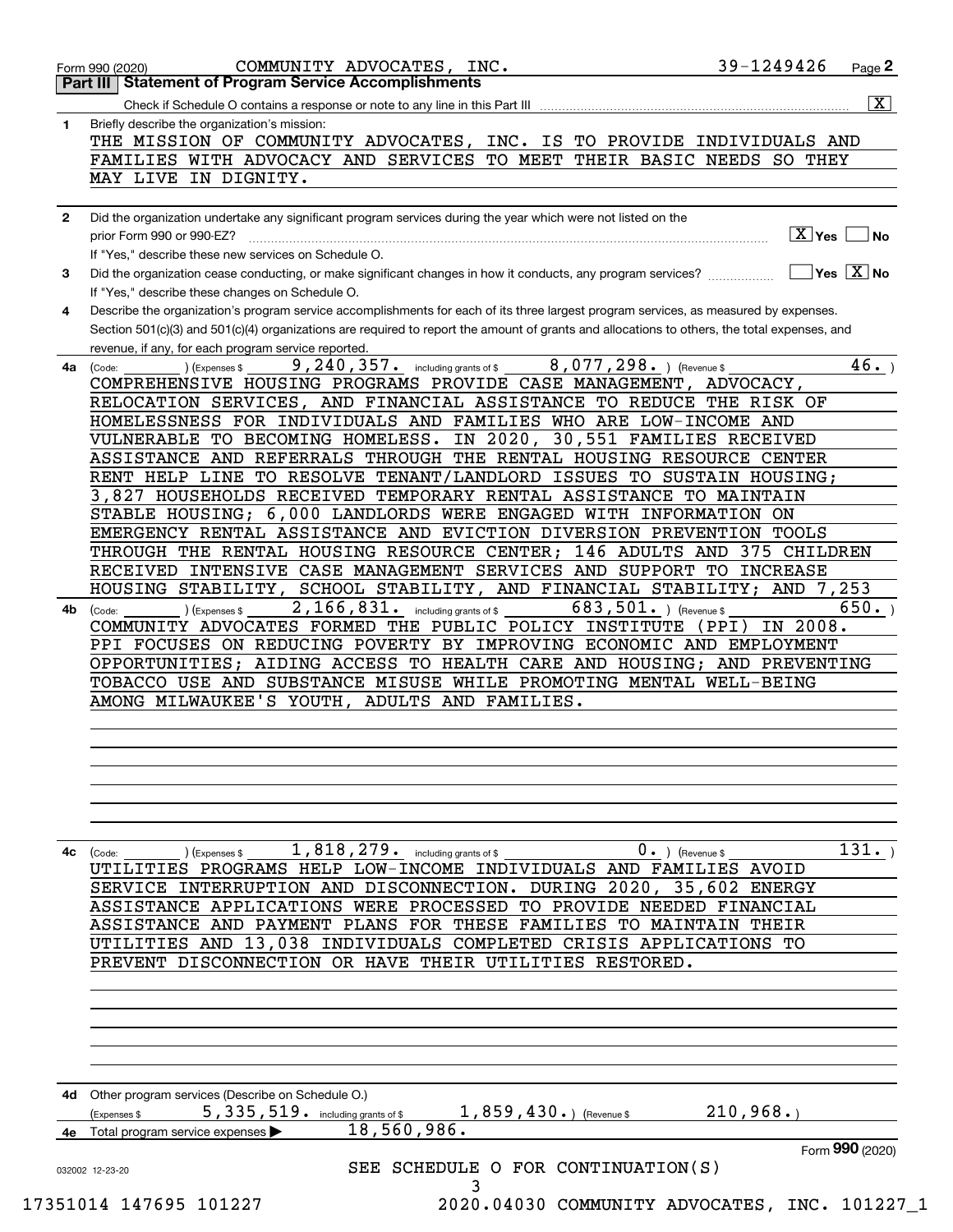|              | $\overline{\mathbf{x}}$                                                                                                                      |
|--------------|----------------------------------------------------------------------------------------------------------------------------------------------|
| 1.           | Briefly describe the organization's mission:                                                                                                 |
|              | THE MISSION OF COMMUNITY ADVOCATES, INC. IS TO PROVIDE INDIVIDUALS AND                                                                       |
|              | FAMILIES WITH ADVOCACY AND SERVICES TO MEET THEIR BASIC NEEDS SO THEY                                                                        |
|              |                                                                                                                                              |
|              | MAY LIVE IN DIGNITY.                                                                                                                         |
|              |                                                                                                                                              |
| $\mathbf{2}$ | Did the organization undertake any significant program services during the year which were not listed on the<br>$\boxed{\text{X}}$ Yes<br>No |
|              | prior Form 990 or 990-EZ?<br>If "Yes." describe these new services on Schedule O.                                                            |
|              | $\boxed{\phantom{1}}$ Yes $\boxed{\text{X}}$ No                                                                                              |
| 3            | Did the organization cease conducting, or make significant changes in how it conducts, any program services?                                 |
|              | If "Yes," describe these changes on Schedule O.                                                                                              |
| 4            | Describe the organization's program service accomplishments for each of its three largest program services, as measured by expenses.         |
|              | Section 501(c)(3) and 501(c)(4) organizations are required to report the amount of grants and allocations to others, the total expenses, and |
|              | revenue, if any, for each program service reported.<br>$8,077,298.$ ) (Revenue \$                                                            |
| 4a           | $9$ , $240$ , $357$ . including grants of \$<br>46.<br>) (Expenses \$<br>(Code:                                                              |
|              | COMPREHENSIVE HOUSING PROGRAMS PROVIDE CASE MANAGEMENT, ADVOCACY,                                                                            |
|              | RELOCATION SERVICES, AND FINANCIAL ASSISTANCE TO REDUCE THE RISK OF                                                                          |
|              | HOMELESSNESS FOR INDIVIDUALS AND FAMILIES WHO ARE LOW-INCOME AND                                                                             |
|              | VULNERABLE TO BECOMING HOMELESS. IN 2020, 30,551 FAMILIES RECEIVED                                                                           |
|              | ASSISTANCE AND REFERRALS THROUGH THE RENTAL HOUSING RESOURCE CENTER                                                                          |
|              | RENT HELP LINE TO RESOLVE TENANT/LANDLORD ISSUES TO SUSTAIN HOUSING;                                                                         |
|              | 3,827 HOUSEHOLDS RECEIVED TEMPORARY RENTAL ASSISTANCE TO MAINTAIN                                                                            |
|              | STABLE HOUSING; 6,000 LANDLORDS WERE ENGAGED WITH INFORMATION ON                                                                             |
|              | EMERGENCY RENTAL ASSISTANCE AND EVICTION DIVERSION PREVENTION TOOLS                                                                          |
|              | THROUGH THE RENTAL HOUSING RESOURCE CENTER; 146 ADULTS AND 375 CHILDREN                                                                      |
|              | RECEIVED INTENSIVE CASE MANAGEMENT SERVICES AND SUPPORT TO INCREASE                                                                          |
|              | HOUSING STABILITY, SCHOOL STABILITY, AND FINANCIAL STABILITY; AND<br>7,253                                                                   |
| 4b           | 2, 166, 831. including grants of \$<br>683, 501. $($ Revenue \$<br>650.<br>) (Expenses \$<br>(Code:                                          |
|              | COMMUNITY ADVOCATES FORMED THE PUBLIC POLICY INSTITUTE (PPI)<br>IN 2008.                                                                     |
|              | PPI FOCUSES ON REDUCING POVERTY BY IMPROVING ECONOMIC AND EMPLOYMENT                                                                         |
|              | OPPORTUNITIES; AIDING ACCESS TO HEALTH CARE AND HOUSING; AND PREVENTING                                                                      |
|              | TOBACCO USE AND SUBSTANCE MISUSE WHILE PROMOTING MENTAL WELL-BEING                                                                           |
|              | AMONG MILWAUKEE'S YOUTH, ADULTS AND FAMILIES.                                                                                                |
|              |                                                                                                                                              |
|              |                                                                                                                                              |
|              |                                                                                                                                              |
|              |                                                                                                                                              |
|              |                                                                                                                                              |
|              |                                                                                                                                              |
|              |                                                                                                                                              |
|              |                                                                                                                                              |
|              | 131.<br>$1,818,279$ $\cdot$ including grants of \$<br>$0 \cdot$ ) (Revenue \$<br>(Expenses \$<br>(Code:                                      |
|              | UTILITIES PROGRAMS HELP LOW-INCOME INDIVIDUALS AND FAMILIES AVOID                                                                            |
| 4c           | SERVICE INTERRUPTION AND DISCONNECTION. DURING 2020, 35,602 ENERGY                                                                           |
|              | ASSISTANCE APPLICATIONS WERE PROCESSED TO PROVIDE NEEDED FINANCIAL                                                                           |
|              | ASSISTANCE AND PAYMENT PLANS FOR THESE FAMILIES TO MAINTAIN THEIR                                                                            |
|              | UTILITIES AND 13,038 INDIVIDUALS COMPLETED CRISIS APPLICATIONS TO                                                                            |
|              | PREVENT DISCONNECTION OR HAVE THEIR UTILITIES RESTORED.                                                                                      |
|              |                                                                                                                                              |
|              |                                                                                                                                              |
|              |                                                                                                                                              |
|              |                                                                                                                                              |
|              |                                                                                                                                              |
|              |                                                                                                                                              |
|              | 4d Other program services (Describe on Schedule O.)                                                                                          |
|              | 210,968.<br>$1,859,430.$ (Revenue \$<br>5, 335, 519. including grants of \$<br>(Expenses \$                                                  |
|              | 18,560,986.<br>Total program service expenses                                                                                                |
|              | Form 990 (2020)                                                                                                                              |
|              | SEE SCHEDULE O FOR CONTINUATION(S)<br>032002 12-23-20                                                                                        |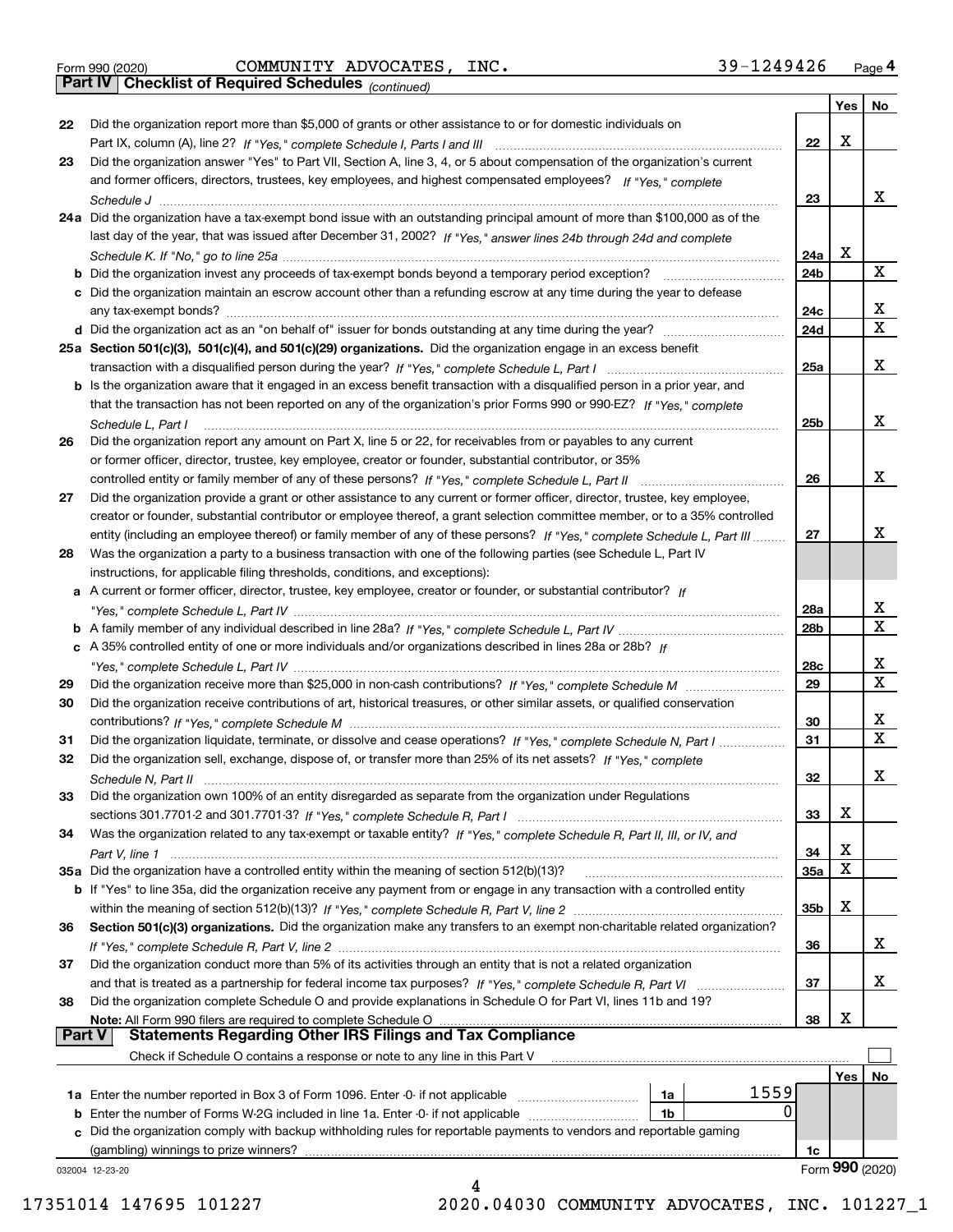|  | Form 990 (2020) |
|--|-----------------|
|  |                 |

*(continued)*

|               |                                                                                                                                   |                 | Yes | No              |
|---------------|-----------------------------------------------------------------------------------------------------------------------------------|-----------------|-----|-----------------|
| 22            | Did the organization report more than \$5,000 of grants or other assistance to or for domestic individuals on                     |                 |     |                 |
|               |                                                                                                                                   | 22              | x   |                 |
| 23            | Did the organization answer "Yes" to Part VII, Section A, line 3, 4, or 5 about compensation of the organization's current        |                 |     |                 |
|               | and former officers, directors, trustees, key employees, and highest compensated employees? If "Yes," complete                    |                 |     |                 |
|               |                                                                                                                                   | 23              |     | x               |
|               | 24a Did the organization have a tax-exempt bond issue with an outstanding principal amount of more than \$100,000 as of the       |                 |     |                 |
|               | last day of the year, that was issued after December 31, 2002? If "Yes," answer lines 24b through 24d and complete                |                 |     |                 |
|               |                                                                                                                                   | 24a             | х   |                 |
|               | <b>b</b> Did the organization invest any proceeds of tax-exempt bonds beyond a temporary period exception?                        | 24b             |     | x               |
|               | c Did the organization maintain an escrow account other than a refunding escrow at any time during the year to defease            |                 |     |                 |
|               | any tax-exempt bonds?                                                                                                             | 24c             |     | X               |
|               | d Did the organization act as an "on behalf of" issuer for bonds outstanding at any time during the year?                         | 24d             |     | $\mathbf X$     |
|               | 25a Section 501(c)(3), 501(c)(4), and 501(c)(29) organizations. Did the organization engage in an excess benefit                  |                 |     |                 |
|               |                                                                                                                                   | 25a             |     | х               |
|               | b Is the organization aware that it engaged in an excess benefit transaction with a disqualified person in a prior year, and      |                 |     |                 |
|               |                                                                                                                                   |                 |     |                 |
|               | that the transaction has not been reported on any of the organization's prior Forms 990 or 990-EZ? If "Yes," complete             |                 |     | х               |
|               | Schedule L, Part I                                                                                                                | 25 <sub>b</sub> |     |                 |
| 26            | Did the organization report any amount on Part X, line 5 or 22, for receivables from or payables to any current                   |                 |     |                 |
|               | or former officer, director, trustee, key employee, creator or founder, substantial contributor, or 35%                           |                 |     |                 |
|               |                                                                                                                                   | 26              |     | х               |
| 27            | Did the organization provide a grant or other assistance to any current or former officer, director, trustee, key employee,       |                 |     |                 |
|               | creator or founder, substantial contributor or employee thereof, a grant selection committee member, or to a 35% controlled       |                 |     |                 |
|               | entity (including an employee thereof) or family member of any of these persons? If "Yes," complete Schedule L, Part III          | 27              |     | х               |
| 28            | Was the organization a party to a business transaction with one of the following parties (see Schedule L, Part IV                 |                 |     |                 |
|               | instructions, for applicable filing thresholds, conditions, and exceptions):                                                      |                 |     |                 |
|               | a A current or former officer, director, trustee, key employee, creator or founder, or substantial contributor? If                |                 |     |                 |
|               |                                                                                                                                   | 28a             |     | x               |
|               |                                                                                                                                   | 28 <sub>b</sub> |     | $\mathbf X$     |
|               | c A 35% controlled entity of one or more individuals and/or organizations described in lines 28a or 28b? If                       |                 |     |                 |
|               |                                                                                                                                   | 28c             |     | х               |
| 29            |                                                                                                                                   | 29              |     | $\mathbf X$     |
| 30            | Did the organization receive contributions of art, historical treasures, or other similar assets, or qualified conservation       |                 |     |                 |
|               |                                                                                                                                   | 30              |     | x               |
| 31            | Did the organization liquidate, terminate, or dissolve and cease operations? If "Yes," complete Schedule N, Part I                | 31              |     | $\mathbf x$     |
| 32            | Did the organization sell, exchange, dispose of, or transfer more than 25% of its net assets? If "Yes," complete                  |                 |     |                 |
|               | Schedule N, Part II                                                                                                               | 32              |     | х               |
| 33            | Did the organization own 100% of an entity disregarded as separate from the organization under Regulations                        |                 |     |                 |
|               |                                                                                                                                   | 33              | х   |                 |
| 34            | Was the organization related to any tax-exempt or taxable entity? If "Yes," complete Schedule R, Part II, III, or IV, and         |                 |     |                 |
|               |                                                                                                                                   | 34              | х   |                 |
|               | 35a Did the organization have a controlled entity within the meaning of section 512(b)(13)?                                       | 35a             | х   |                 |
|               | b If "Yes" to line 35a, did the organization receive any payment from or engage in any transaction with a controlled entity       |                 |     |                 |
|               |                                                                                                                                   | 35b             | х   |                 |
| 36            | Section 501(c)(3) organizations. Did the organization make any transfers to an exempt non-charitable related organization?        |                 |     |                 |
|               |                                                                                                                                   |                 |     | X               |
|               |                                                                                                                                   | 36              |     |                 |
| 37            | Did the organization conduct more than 5% of its activities through an entity that is not a related organization                  |                 |     |                 |
|               | and that is treated as a partnership for federal income tax purposes? If "Yes," complete Schedule R, Part VI                      | 37              |     | x               |
| 38            | Did the organization complete Schedule O and provide explanations in Schedule O for Part VI, lines 11b and 19?                    |                 |     |                 |
| <b>Part V</b> | Note: All Form 990 filers are required to complete Schedule O<br><b>Statements Regarding Other IRS Filings and Tax Compliance</b> | 38              | х   |                 |
|               |                                                                                                                                   |                 |     |                 |
|               | Check if Schedule O contains a response or note to any line in this Part V                                                        |                 |     |                 |
|               |                                                                                                                                   |                 | Yes | No              |
|               | 1559<br>1a Enter the number reported in Box 3 of Form 1096. Enter -0- if not applicable<br>1a                                     |                 |     |                 |
|               | 0<br><b>b</b> Enter the number of Forms W-2G included in line 1a. Enter -0- if not applicable<br>1b                               |                 |     |                 |
|               | c Did the organization comply with backup withholding rules for reportable payments to vendors and reportable gaming              |                 |     |                 |
|               | (gambling) winnings to prize winners?                                                                                             | 1c              |     |                 |
|               | 032004 12-23-20                                                                                                                   |                 |     | Form 990 (2020) |
|               |                                                                                                                                   |                 |     |                 |

17351014 147695 101227 2020.04030 COMMUNITY ADVOCATES, INC. 101227\_1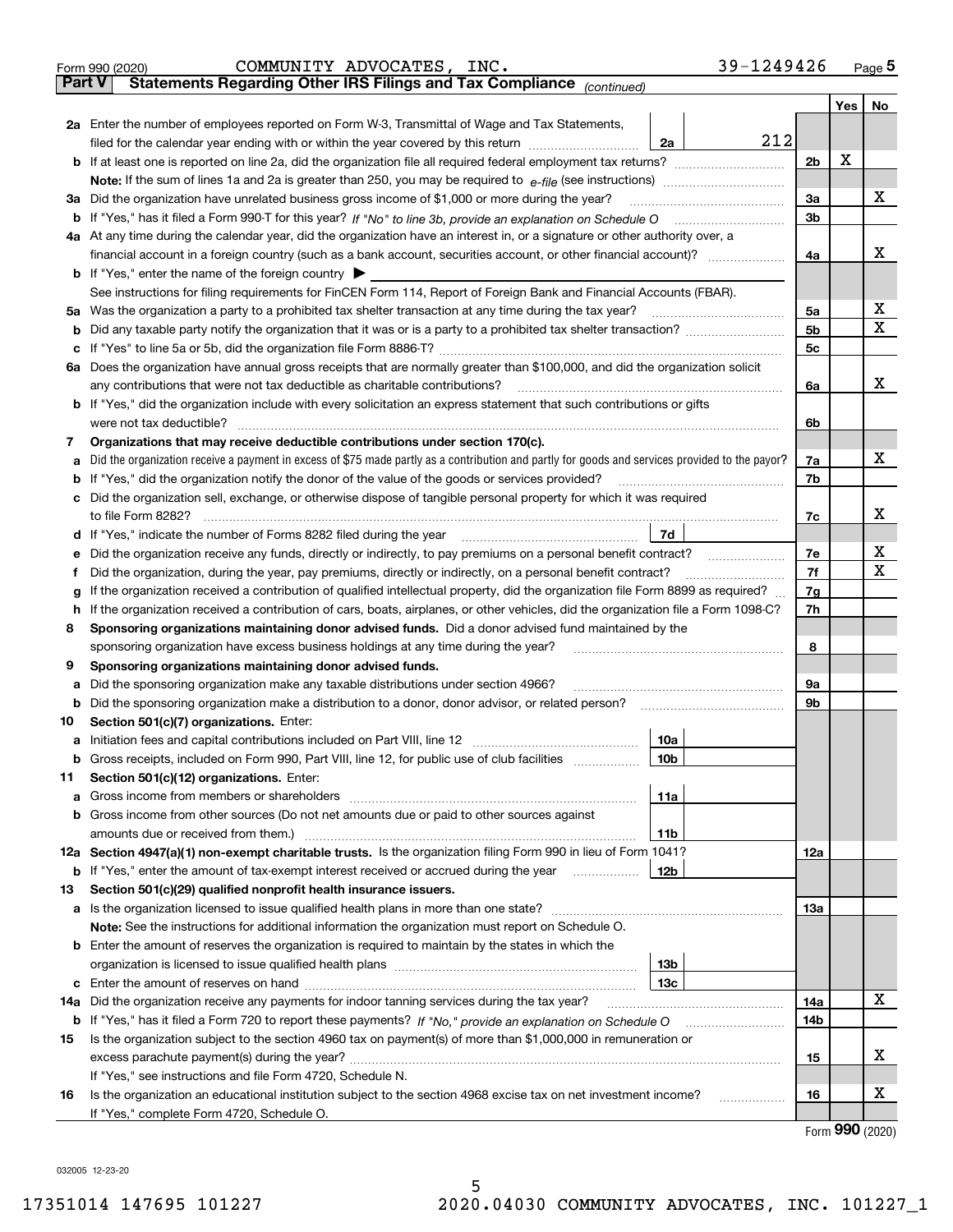| <b>Part V</b> | 39-1249426<br>COMMUNITY ADVOCATES, INC.<br>Form 990 (2020)<br>Statements Regarding Other IRS Filings and Tax Compliance (continued)                                                        |                |                      | Page $5$ |  |
|---------------|--------------------------------------------------------------------------------------------------------------------------------------------------------------------------------------------|----------------|----------------------|----------|--|
|               |                                                                                                                                                                                            |                | Yes                  | No       |  |
|               | 2a Enter the number of employees reported on Form W-3, Transmittal of Wage and Tax Statements,                                                                                             |                |                      |          |  |
|               | 212<br>filed for the calendar year ending with or within the year covered by this return [11] [11] filed for the calendar year ending with or within the year covered by this return<br>2a |                |                      |          |  |
|               |                                                                                                                                                                                            |                |                      |          |  |
|               |                                                                                                                                                                                            |                |                      |          |  |
|               | 3a Did the organization have unrelated business gross income of \$1,000 or more during the year?                                                                                           | 3a             |                      | x        |  |
|               | b If "Yes," has it filed a Form 990-T for this year? If "No" to line 3b, provide an explanation on Schedule O                                                                              |                |                      |          |  |
|               | 4a At any time during the calendar year, did the organization have an interest in, or a signature or other authority over, a                                                               |                |                      |          |  |
|               | financial account in a foreign country (such as a bank account, securities account, or other financial account)?                                                                           | 4a             |                      | x        |  |
|               | <b>b</b> If "Yes," enter the name of the foreign country $\blacktriangleright$                                                                                                             |                |                      |          |  |
|               | See instructions for filing requirements for FinCEN Form 114, Report of Foreign Bank and Financial Accounts (FBAR).                                                                        |                |                      |          |  |
|               | 5a Was the organization a party to a prohibited tax shelter transaction at any time during the tax year?                                                                                   | 5a             |                      | X        |  |
|               |                                                                                                                                                                                            | 5 <sub>b</sub> |                      | X        |  |
| c             |                                                                                                                                                                                            | 5c             |                      |          |  |
|               | 6a Does the organization have annual gross receipts that are normally greater than \$100,000, and did the organization solicit                                                             |                |                      |          |  |
|               | any contributions that were not tax deductible as charitable contributions?                                                                                                                | 6a             |                      | x        |  |
|               | <b>b</b> If "Yes," did the organization include with every solicitation an express statement that such contributions or gifts                                                              |                |                      |          |  |
|               | were not tax deductible?                                                                                                                                                                   | 6b             |                      |          |  |
| 7             | Organizations that may receive deductible contributions under section 170(c).                                                                                                              |                |                      |          |  |
| a             | Did the organization receive a payment in excess of \$75 made partly as a contribution and partly for goods and services provided to the payor?                                            | 7a             |                      | x        |  |
| b             | If "Yes," did the organization notify the donor of the value of the goods or services provided?                                                                                            | 7b             |                      |          |  |
|               | c Did the organization sell, exchange, or otherwise dispose of tangible personal property for which it was required                                                                        |                |                      |          |  |
|               | to file Form 8282?                                                                                                                                                                         | 7c             |                      | х        |  |
|               | 7d<br>d If "Yes," indicate the number of Forms 8282 filed during the year                                                                                                                  |                |                      | х        |  |
| е             | Did the organization receive any funds, directly or indirectly, to pay premiums on a personal benefit contract?                                                                            | 7e             |                      | X        |  |
| f             | Did the organization, during the year, pay premiums, directly or indirectly, on a personal benefit contract?                                                                               | 7f<br>7g       |                      |          |  |
|               | If the organization received a contribution of qualified intellectual property, did the organization file Form 8899 as required?<br>g                                                      |                |                      |          |  |
| h.            | If the organization received a contribution of cars, boats, airplanes, or other vehicles, did the organization file a Form 1098-C?                                                         | 7h             |                      |          |  |
|               | Sponsoring organizations maintaining donor advised funds. Did a donor advised fund maintained by the<br>8                                                                                  |                |                      |          |  |
| 9             | sponsoring organization have excess business holdings at any time during the year?<br>Sponsoring organizations maintaining donor advised funds.                                            | 8              |                      |          |  |
| а             | Did the sponsoring organization make any taxable distributions under section 4966?                                                                                                         | <b>9a</b>      |                      |          |  |
| b             | Did the sponsoring organization make a distribution to a donor, donor advisor, or related person?                                                                                          | 9b             |                      |          |  |
| 10            | Section 501(c)(7) organizations. Enter:                                                                                                                                                    |                |                      |          |  |
|               | 10a                                                                                                                                                                                        |                |                      |          |  |
|               | b Gross receipts, included on Form 990, Part VIII, line 12, for public use of club facilities<br>10b                                                                                       |                |                      |          |  |
| 11            | Section 501(c)(12) organizations. Enter:                                                                                                                                                   |                |                      |          |  |
| а             | 11a                                                                                                                                                                                        |                |                      |          |  |
| b             | Gross income from other sources (Do not net amounts due or paid to other sources against                                                                                                   |                |                      |          |  |
|               | amounts due or received from them.)<br>11b                                                                                                                                                 |                |                      |          |  |
|               | 12a Section 4947(a)(1) non-exempt charitable trusts. Is the organization filing Form 990 in lieu of Form 1041?                                                                             | 12a            |                      |          |  |
|               | <b>b</b> If "Yes," enter the amount of tax-exempt interest received or accrued during the year<br>12b                                                                                      |                |                      |          |  |
| 13            | Section 501(c)(29) qualified nonprofit health insurance issuers.                                                                                                                           |                |                      |          |  |
|               |                                                                                                                                                                                            | 13a            |                      |          |  |
|               | Note: See the instructions for additional information the organization must report on Schedule O.                                                                                          |                |                      |          |  |
|               | <b>b</b> Enter the amount of reserves the organization is required to maintain by the states in which the                                                                                  |                |                      |          |  |
|               | 13 <sub>b</sub>                                                                                                                                                                            |                |                      |          |  |
|               | 13с                                                                                                                                                                                        |                |                      |          |  |
| 14a           | Did the organization receive any payments for indoor tanning services during the tax year?                                                                                                 | 14a            |                      | х        |  |
|               |                                                                                                                                                                                            | 14b            |                      |          |  |
| 15            | Is the organization subject to the section 4960 tax on payment(s) of more than \$1,000,000 in remuneration or                                                                              |                |                      |          |  |
|               |                                                                                                                                                                                            | 15             |                      | х        |  |
|               | If "Yes," see instructions and file Form 4720, Schedule N.                                                                                                                                 |                |                      |          |  |
| 16            | Is the organization an educational institution subject to the section 4968 excise tax on net investment income?<br>.                                                                       | 16             |                      | х        |  |
|               | If "Yes," complete Form 4720, Schedule O.                                                                                                                                                  |                | $000 \; \mathrm{mm}$ |          |  |

Form (2020) **990**

032005 12-23-20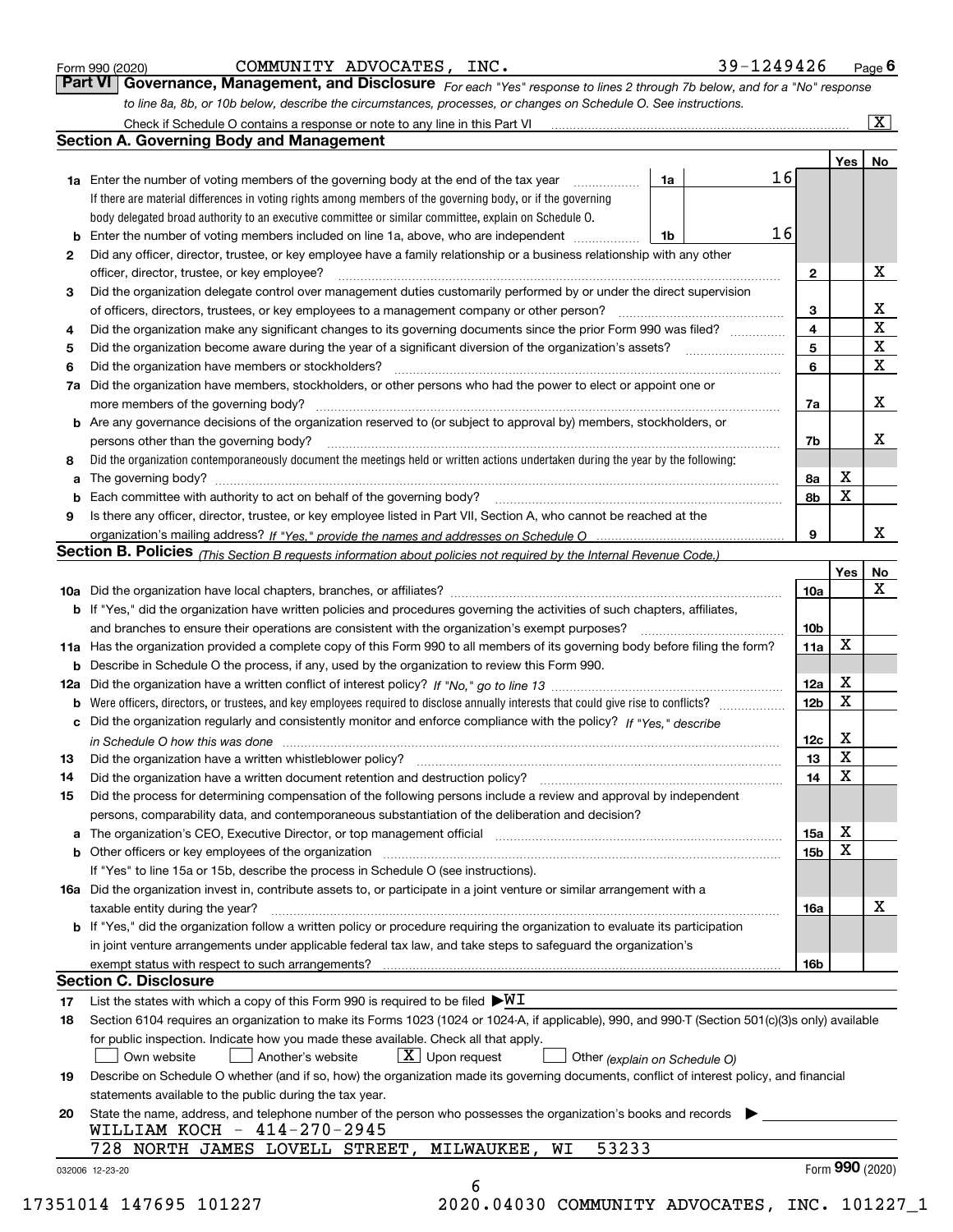|  | Form 990 (2020) |
|--|-----------------|
|  |                 |

COMMUNITY ADVOCATES, INC. 39-1249426 Page 6

Check if Schedule O contains a response or note to any line in this Part VI

 $\boxed{\text{X}}$ 

*For each "Yes" response to lines 2 through 7b below, and for a "No" response to line 8a, 8b, or 10b below, describe the circumstances, processes, or changes on Schedule O. See instructions.* Form 990 (2020) **COMMUNITY ADVOCATES, INC.** 39-1249426 Page 6<br>**Part VI Governance, Management, and Disclosure** For each "Yes" response to lines 2 through 7b below, and for a "No" response

| $\mathbf{2}$<br>3<br>4<br>5<br>6<br>8<br>a<br>9 | 1a Enter the number of voting members of the governing body at the end of the tax year<br>If there are material differences in voting rights among members of the governing body, or if the governing<br>body delegated broad authority to an executive committee or similar committee, explain on Schedule O.<br>Did any officer, director, trustee, or key employee have a family relationship or a business relationship with any other<br>officer, director, trustee, or key employee?<br>Did the organization delegate control over management duties customarily performed by or under the direct supervision<br>Did the organization make any significant changes to its governing documents since the prior Form 990 was filed?<br>Did the organization have members or stockholders?<br>7a Did the organization have members, stockholders, or other persons who had the power to elect or appoint one or<br><b>b</b> Are any governance decisions of the organization reserved to (or subject to approval by) members, stockholders, or<br>persons other than the governing body?<br>Did the organization contemporaneously document the meetings held or written actions undertaken during the year by the following:<br>Is there any officer, director, trustee, or key employee listed in Part VII, Section A, who cannot be reached at the | 16<br>1a<br>16<br>1b          | $\mathbf{2}$<br>3<br>4<br>5<br>6<br>7a<br>7b |      | X<br>X<br>$\overline{\textbf{X}}$<br>$\overline{\textbf{X}}$<br>$\mathbf X$ |
|-------------------------------------------------|----------------------------------------------------------------------------------------------------------------------------------------------------------------------------------------------------------------------------------------------------------------------------------------------------------------------------------------------------------------------------------------------------------------------------------------------------------------------------------------------------------------------------------------------------------------------------------------------------------------------------------------------------------------------------------------------------------------------------------------------------------------------------------------------------------------------------------------------------------------------------------------------------------------------------------------------------------------------------------------------------------------------------------------------------------------------------------------------------------------------------------------------------------------------------------------------------------------------------------------------------------------------------------------------------------------------------------------------------------|-------------------------------|----------------------------------------------|------|-----------------------------------------------------------------------------|
|                                                 |                                                                                                                                                                                                                                                                                                                                                                                                                                                                                                                                                                                                                                                                                                                                                                                                                                                                                                                                                                                                                                                                                                                                                                                                                                                                                                                                                          |                               |                                              |      |                                                                             |
|                                                 |                                                                                                                                                                                                                                                                                                                                                                                                                                                                                                                                                                                                                                                                                                                                                                                                                                                                                                                                                                                                                                                                                                                                                                                                                                                                                                                                                          |                               |                                              |      |                                                                             |
|                                                 |                                                                                                                                                                                                                                                                                                                                                                                                                                                                                                                                                                                                                                                                                                                                                                                                                                                                                                                                                                                                                                                                                                                                                                                                                                                                                                                                                          |                               |                                              |      |                                                                             |
|                                                 |                                                                                                                                                                                                                                                                                                                                                                                                                                                                                                                                                                                                                                                                                                                                                                                                                                                                                                                                                                                                                                                                                                                                                                                                                                                                                                                                                          |                               |                                              |      |                                                                             |
|                                                 |                                                                                                                                                                                                                                                                                                                                                                                                                                                                                                                                                                                                                                                                                                                                                                                                                                                                                                                                                                                                                                                                                                                                                                                                                                                                                                                                                          |                               |                                              |      |                                                                             |
|                                                 |                                                                                                                                                                                                                                                                                                                                                                                                                                                                                                                                                                                                                                                                                                                                                                                                                                                                                                                                                                                                                                                                                                                                                                                                                                                                                                                                                          |                               |                                              |      |                                                                             |
|                                                 |                                                                                                                                                                                                                                                                                                                                                                                                                                                                                                                                                                                                                                                                                                                                                                                                                                                                                                                                                                                                                                                                                                                                                                                                                                                                                                                                                          |                               |                                              |      |                                                                             |
|                                                 |                                                                                                                                                                                                                                                                                                                                                                                                                                                                                                                                                                                                                                                                                                                                                                                                                                                                                                                                                                                                                                                                                                                                                                                                                                                                                                                                                          |                               |                                              |      |                                                                             |
|                                                 |                                                                                                                                                                                                                                                                                                                                                                                                                                                                                                                                                                                                                                                                                                                                                                                                                                                                                                                                                                                                                                                                                                                                                                                                                                                                                                                                                          |                               |                                              |      |                                                                             |
|                                                 |                                                                                                                                                                                                                                                                                                                                                                                                                                                                                                                                                                                                                                                                                                                                                                                                                                                                                                                                                                                                                                                                                                                                                                                                                                                                                                                                                          |                               |                                              |      |                                                                             |
|                                                 |                                                                                                                                                                                                                                                                                                                                                                                                                                                                                                                                                                                                                                                                                                                                                                                                                                                                                                                                                                                                                                                                                                                                                                                                                                                                                                                                                          |                               |                                              |      |                                                                             |
|                                                 |                                                                                                                                                                                                                                                                                                                                                                                                                                                                                                                                                                                                                                                                                                                                                                                                                                                                                                                                                                                                                                                                                                                                                                                                                                                                                                                                                          |                               |                                              |      |                                                                             |
|                                                 |                                                                                                                                                                                                                                                                                                                                                                                                                                                                                                                                                                                                                                                                                                                                                                                                                                                                                                                                                                                                                                                                                                                                                                                                                                                                                                                                                          |                               |                                              |      | X                                                                           |
|                                                 |                                                                                                                                                                                                                                                                                                                                                                                                                                                                                                                                                                                                                                                                                                                                                                                                                                                                                                                                                                                                                                                                                                                                                                                                                                                                                                                                                          |                               |                                              |      |                                                                             |
|                                                 |                                                                                                                                                                                                                                                                                                                                                                                                                                                                                                                                                                                                                                                                                                                                                                                                                                                                                                                                                                                                                                                                                                                                                                                                                                                                                                                                                          |                               |                                              |      | х                                                                           |
|                                                 |                                                                                                                                                                                                                                                                                                                                                                                                                                                                                                                                                                                                                                                                                                                                                                                                                                                                                                                                                                                                                                                                                                                                                                                                                                                                                                                                                          |                               |                                              |      |                                                                             |
|                                                 |                                                                                                                                                                                                                                                                                                                                                                                                                                                                                                                                                                                                                                                                                                                                                                                                                                                                                                                                                                                                                                                                                                                                                                                                                                                                                                                                                          |                               | 8a                                           | X    |                                                                             |
|                                                 |                                                                                                                                                                                                                                                                                                                                                                                                                                                                                                                                                                                                                                                                                                                                                                                                                                                                                                                                                                                                                                                                                                                                                                                                                                                                                                                                                          |                               | 8b                                           | X    |                                                                             |
|                                                 |                                                                                                                                                                                                                                                                                                                                                                                                                                                                                                                                                                                                                                                                                                                                                                                                                                                                                                                                                                                                                                                                                                                                                                                                                                                                                                                                                          |                               |                                              |      |                                                                             |
|                                                 |                                                                                                                                                                                                                                                                                                                                                                                                                                                                                                                                                                                                                                                                                                                                                                                                                                                                                                                                                                                                                                                                                                                                                                                                                                                                                                                                                          |                               | 9                                            |      | х                                                                           |
|                                                 |                                                                                                                                                                                                                                                                                                                                                                                                                                                                                                                                                                                                                                                                                                                                                                                                                                                                                                                                                                                                                                                                                                                                                                                                                                                                                                                                                          |                               |                                              |      |                                                                             |
|                                                 | Section B. Policies (This Section B requests information about policies not required by the Internal Revenue Code.)                                                                                                                                                                                                                                                                                                                                                                                                                                                                                                                                                                                                                                                                                                                                                                                                                                                                                                                                                                                                                                                                                                                                                                                                                                      |                               |                                              | Yes∣ | No                                                                          |
|                                                 |                                                                                                                                                                                                                                                                                                                                                                                                                                                                                                                                                                                                                                                                                                                                                                                                                                                                                                                                                                                                                                                                                                                                                                                                                                                                                                                                                          |                               |                                              |      | X                                                                           |
|                                                 |                                                                                                                                                                                                                                                                                                                                                                                                                                                                                                                                                                                                                                                                                                                                                                                                                                                                                                                                                                                                                                                                                                                                                                                                                                                                                                                                                          |                               | 10a                                          |      |                                                                             |
|                                                 | <b>b</b> If "Yes," did the organization have written policies and procedures governing the activities of such chapters, affiliates,                                                                                                                                                                                                                                                                                                                                                                                                                                                                                                                                                                                                                                                                                                                                                                                                                                                                                                                                                                                                                                                                                                                                                                                                                      |                               |                                              |      |                                                                             |
|                                                 |                                                                                                                                                                                                                                                                                                                                                                                                                                                                                                                                                                                                                                                                                                                                                                                                                                                                                                                                                                                                                                                                                                                                                                                                                                                                                                                                                          |                               | 10 <sub>b</sub>                              | X    |                                                                             |
|                                                 | 11a Has the organization provided a complete copy of this Form 990 to all members of its governing body before filing the form?                                                                                                                                                                                                                                                                                                                                                                                                                                                                                                                                                                                                                                                                                                                                                                                                                                                                                                                                                                                                                                                                                                                                                                                                                          |                               | 11a                                          |      |                                                                             |
|                                                 | <b>b</b> Describe in Schedule O the process, if any, used by the organization to review this Form 990.                                                                                                                                                                                                                                                                                                                                                                                                                                                                                                                                                                                                                                                                                                                                                                                                                                                                                                                                                                                                                                                                                                                                                                                                                                                   |                               |                                              |      |                                                                             |
|                                                 |                                                                                                                                                                                                                                                                                                                                                                                                                                                                                                                                                                                                                                                                                                                                                                                                                                                                                                                                                                                                                                                                                                                                                                                                                                                                                                                                                          |                               | 12a                                          | X    |                                                                             |
| b                                               |                                                                                                                                                                                                                                                                                                                                                                                                                                                                                                                                                                                                                                                                                                                                                                                                                                                                                                                                                                                                                                                                                                                                                                                                                                                                                                                                                          |                               | 12b                                          | X    |                                                                             |
|                                                 | c Did the organization regularly and consistently monitor and enforce compliance with the policy? If "Yes," describe                                                                                                                                                                                                                                                                                                                                                                                                                                                                                                                                                                                                                                                                                                                                                                                                                                                                                                                                                                                                                                                                                                                                                                                                                                     |                               |                                              |      |                                                                             |
|                                                 |                                                                                                                                                                                                                                                                                                                                                                                                                                                                                                                                                                                                                                                                                                                                                                                                                                                                                                                                                                                                                                                                                                                                                                                                                                                                                                                                                          |                               | 12c                                          | х    |                                                                             |
| 13                                              |                                                                                                                                                                                                                                                                                                                                                                                                                                                                                                                                                                                                                                                                                                                                                                                                                                                                                                                                                                                                                                                                                                                                                                                                                                                                                                                                                          |                               | 13                                           | X    |                                                                             |
| 14                                              | Did the organization have a written document retention and destruction policy? manufactured and the organization have a written document retention and destruction policy?                                                                                                                                                                                                                                                                                                                                                                                                                                                                                                                                                                                                                                                                                                                                                                                                                                                                                                                                                                                                                                                                                                                                                                               |                               | 14                                           | X    |                                                                             |
| 15                                              | Did the process for determining compensation of the following persons include a review and approval by independent                                                                                                                                                                                                                                                                                                                                                                                                                                                                                                                                                                                                                                                                                                                                                                                                                                                                                                                                                                                                                                                                                                                                                                                                                                       |                               |                                              |      |                                                                             |
|                                                 | persons, comparability data, and contemporaneous substantiation of the deliberation and decision?                                                                                                                                                                                                                                                                                                                                                                                                                                                                                                                                                                                                                                                                                                                                                                                                                                                                                                                                                                                                                                                                                                                                                                                                                                                        |                               |                                              |      |                                                                             |
|                                                 | The organization's CEO, Executive Director, or top management official [111] [11] manument content of the organization's CEO, Executive Director, or top management official [11] manument content of the organization of the                                                                                                                                                                                                                                                                                                                                                                                                                                                                                                                                                                                                                                                                                                                                                                                                                                                                                                                                                                                                                                                                                                                            |                               | 15a                                          | X    |                                                                             |
|                                                 | <b>b</b> Other officers or key employees of the organization                                                                                                                                                                                                                                                                                                                                                                                                                                                                                                                                                                                                                                                                                                                                                                                                                                                                                                                                                                                                                                                                                                                                                                                                                                                                                             |                               | 15 <sub>b</sub>                              | X    |                                                                             |
|                                                 | If "Yes" to line 15a or 15b, describe the process in Schedule O (see instructions).                                                                                                                                                                                                                                                                                                                                                                                                                                                                                                                                                                                                                                                                                                                                                                                                                                                                                                                                                                                                                                                                                                                                                                                                                                                                      |                               |                                              |      |                                                                             |
|                                                 | 16a Did the organization invest in, contribute assets to, or participate in a joint venture or similar arrangement with a                                                                                                                                                                                                                                                                                                                                                                                                                                                                                                                                                                                                                                                                                                                                                                                                                                                                                                                                                                                                                                                                                                                                                                                                                                |                               |                                              |      |                                                                             |
|                                                 | taxable entity during the year?                                                                                                                                                                                                                                                                                                                                                                                                                                                                                                                                                                                                                                                                                                                                                                                                                                                                                                                                                                                                                                                                                                                                                                                                                                                                                                                          |                               | 16a                                          |      | X                                                                           |
|                                                 | b If "Yes," did the organization follow a written policy or procedure requiring the organization to evaluate its participation                                                                                                                                                                                                                                                                                                                                                                                                                                                                                                                                                                                                                                                                                                                                                                                                                                                                                                                                                                                                                                                                                                                                                                                                                           |                               |                                              |      |                                                                             |
|                                                 | in joint venture arrangements under applicable federal tax law, and take steps to safeguard the organization's                                                                                                                                                                                                                                                                                                                                                                                                                                                                                                                                                                                                                                                                                                                                                                                                                                                                                                                                                                                                                                                                                                                                                                                                                                           |                               |                                              |      |                                                                             |
|                                                 | exempt status with respect to such arrangements?                                                                                                                                                                                                                                                                                                                                                                                                                                                                                                                                                                                                                                                                                                                                                                                                                                                                                                                                                                                                                                                                                                                                                                                                                                                                                                         |                               | 16b                                          |      |                                                                             |
|                                                 | <b>Section C. Disclosure</b>                                                                                                                                                                                                                                                                                                                                                                                                                                                                                                                                                                                                                                                                                                                                                                                                                                                                                                                                                                                                                                                                                                                                                                                                                                                                                                                             |                               |                                              |      |                                                                             |
| 17                                              | List the states with which a copy of this Form 990 is required to be filed $\blacktriangleright\!\!\mathsf{W}\mathsf{I}$                                                                                                                                                                                                                                                                                                                                                                                                                                                                                                                                                                                                                                                                                                                                                                                                                                                                                                                                                                                                                                                                                                                                                                                                                                 |                               |                                              |      |                                                                             |
| 18                                              | Section 6104 requires an organization to make its Forms 1023 (1024 or 1024-A, if applicable), 990, and 990-T (Section 501(c)(3)s only) available                                                                                                                                                                                                                                                                                                                                                                                                                                                                                                                                                                                                                                                                                                                                                                                                                                                                                                                                                                                                                                                                                                                                                                                                         |                               |                                              |      |                                                                             |
|                                                 | for public inspection. Indicate how you made these available. Check all that apply.                                                                                                                                                                                                                                                                                                                                                                                                                                                                                                                                                                                                                                                                                                                                                                                                                                                                                                                                                                                                                                                                                                                                                                                                                                                                      |                               |                                              |      |                                                                             |
|                                                 | $X$ Upon request<br>Another's website<br>Own website                                                                                                                                                                                                                                                                                                                                                                                                                                                                                                                                                                                                                                                                                                                                                                                                                                                                                                                                                                                                                                                                                                                                                                                                                                                                                                     | Other (explain on Schedule O) |                                              |      |                                                                             |
| 19                                              | Describe on Schedule O whether (and if so, how) the organization made its governing documents, conflict of interest policy, and financial                                                                                                                                                                                                                                                                                                                                                                                                                                                                                                                                                                                                                                                                                                                                                                                                                                                                                                                                                                                                                                                                                                                                                                                                                |                               |                                              |      |                                                                             |
|                                                 | statements available to the public during the tax year.                                                                                                                                                                                                                                                                                                                                                                                                                                                                                                                                                                                                                                                                                                                                                                                                                                                                                                                                                                                                                                                                                                                                                                                                                                                                                                  |                               |                                              |      |                                                                             |
|                                                 |                                                                                                                                                                                                                                                                                                                                                                                                                                                                                                                                                                                                                                                                                                                                                                                                                                                                                                                                                                                                                                                                                                                                                                                                                                                                                                                                                          |                               |                                              |      |                                                                             |
| 20                                              | State the name, address, and telephone number of the person who possesses the organization's books and records<br>WILLIAM KOCH - 414-270-2945                                                                                                                                                                                                                                                                                                                                                                                                                                                                                                                                                                                                                                                                                                                                                                                                                                                                                                                                                                                                                                                                                                                                                                                                            |                               |                                              |      |                                                                             |
|                                                 | 53233<br>728 NORTH JAMES LOVELL STREET, MILWAUKEE,                                                                                                                                                                                                                                                                                                                                                                                                                                                                                                                                                                                                                                                                                                                                                                                                                                                                                                                                                                                                                                                                                                                                                                                                                                                                                                       |                               |                                              |      |                                                                             |
|                                                 | WI                                                                                                                                                                                                                                                                                                                                                                                                                                                                                                                                                                                                                                                                                                                                                                                                                                                                                                                                                                                                                                                                                                                                                                                                                                                                                                                                                       |                               |                                              |      |                                                                             |
| 032006 12-23-20                                 |                                                                                                                                                                                                                                                                                                                                                                                                                                                                                                                                                                                                                                                                                                                                                                                                                                                                                                                                                                                                                                                                                                                                                                                                                                                                                                                                                          |                               |                                              |      | Form 990 (2020)                                                             |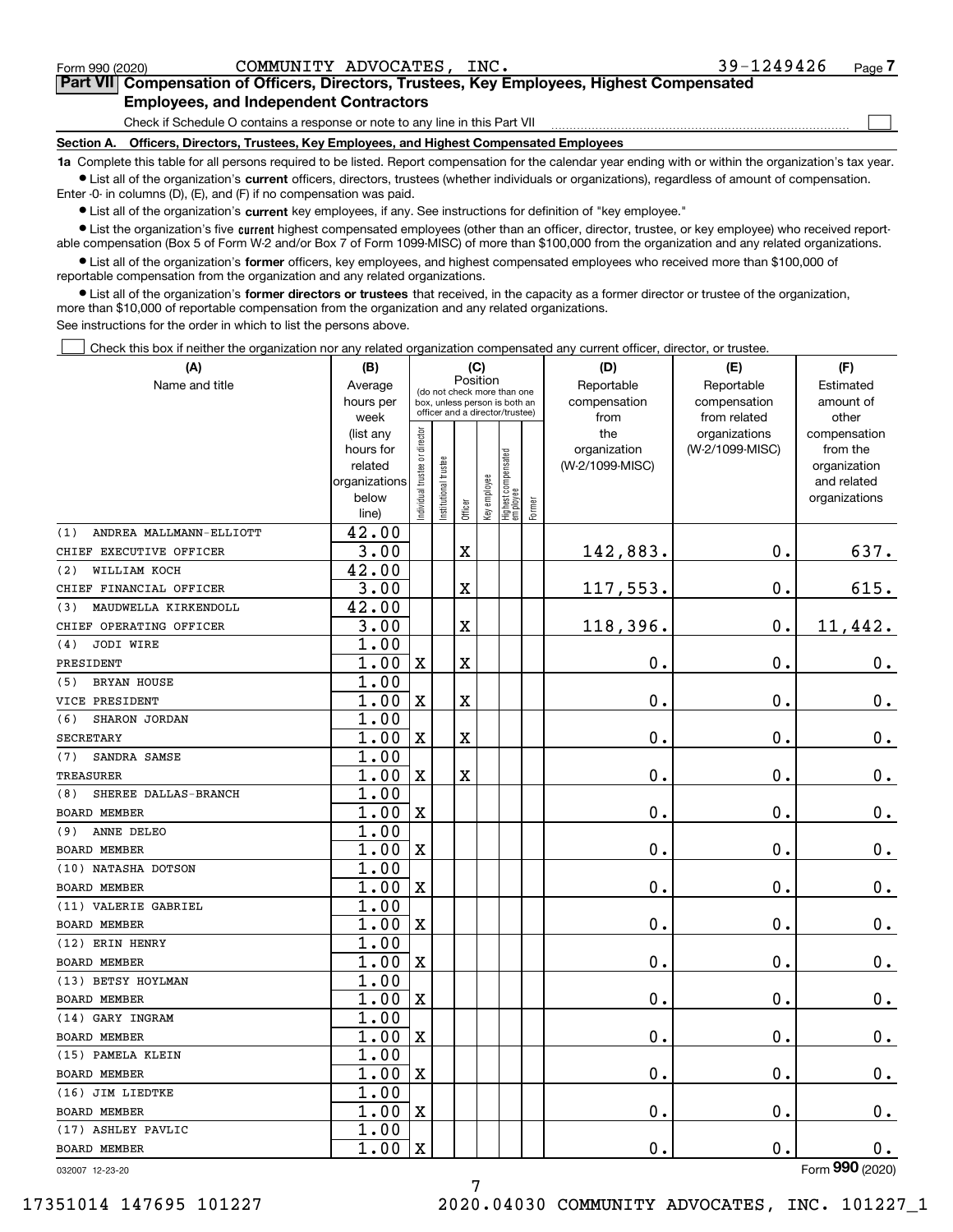|  | Form 990 (2020) |
|--|-----------------|
|  |                 |

 $\mathcal{L}^{\text{max}}$ 

## **7Part VII Compensation of Officers, Directors, Trustees, Key Employees, Highest Compensated Employees, and Independent Contractors**

Check if Schedule O contains a response or note to any line in this Part VII

**Section A. Officers, Directors, Trustees, Key Employees, and Highest Compensated Employees**

**1a**  Complete this table for all persons required to be listed. Report compensation for the calendar year ending with or within the organization's tax year. **•** List all of the organization's current officers, directors, trustees (whether individuals or organizations), regardless of amount of compensation.

Enter -0- in columns (D), (E), and (F) if no compensation was paid.

 $\bullet$  List all of the organization's  $\,$ current key employees, if any. See instructions for definition of "key employee."

**•** List the organization's five current highest compensated employees (other than an officer, director, trustee, or key employee) who received reportable compensation (Box 5 of Form W-2 and/or Box 7 of Form 1099-MISC) of more than \$100,000 from the organization and any related organizations.

**•** List all of the organization's former officers, key employees, and highest compensated employees who received more than \$100,000 of reportable compensation from the organization and any related organizations.

**former directors or trustees**  ¥ List all of the organization's that received, in the capacity as a former director or trustee of the organization, more than \$10,000 of reportable compensation from the organization and any related organizations.

See instructions for the order in which to list the persons above.

Check this box if neither the organization nor any related organization compensated any current officer, director, or trustee.  $\mathcal{L}^{\text{max}}$ 

| Position<br>Reportable<br>Name and title<br>Average<br>Reportable<br>(do not check more than one              | Estimated                |
|---------------------------------------------------------------------------------------------------------------|--------------------------|
|                                                                                                               |                          |
| hours per<br>compensation<br>compensation<br>box, unless person is both an<br>officer and a director/trustee) | amount of                |
| from related<br>week<br>from                                                                                  | other                    |
| (list any<br>the<br>organizations<br>(W-2/1099-MISC)<br>hours for<br>organization                             | compensation<br>from the |
| related<br>(W-2/1099-MISC)                                                                                    | organization             |
| organizations                                                                                                 | and related              |
| ndividual trustee or director<br>nstitutional trustee<br>Key employee<br>below                                | organizations            |
| Highest compensated<br> employee<br>Former<br>Officer<br>line)                                                |                          |
| 42.00<br>ANDREA MALLMANN-ELLIOTT<br>(1)                                                                       |                          |
| 3.00<br>$\mathbf X$<br>142,883.<br>$\mathbf 0$ .<br>CHIEF EXECUTIVE OFFICER                                   | 637.                     |
| 42.00<br>(2)<br>WILLIAM KOCH                                                                                  |                          |
| 3.00<br>117,553.<br>$\mathbf 0$ .<br>$\mathbf X$<br>CHIEF FINANCIAL OFFICER                                   | 615.                     |
| 42.00<br>MAUDWELLA KIRKENDOLL<br>(3)                                                                          |                          |
| 3.00<br>$\mathbf X$<br>118,396.<br>0.<br>CHIEF OPERATING OFFICER                                              | 11,442.                  |
| 1.00<br>JODI WIRE<br>(4)                                                                                      |                          |
| 1.00<br>$\overline{\text{X}}$<br>$\mathbf X$<br>$\mathbf 0$ .<br>0.<br>PRESIDENT                              | $\mathbf 0$ .            |
| 1.00<br><b>BRYAN HOUSE</b><br>(5)                                                                             |                          |
| 1.00<br>$\mathbf X$<br>$\rm X$<br>$\mathbf 0$ .<br>0.<br>VICE PRESIDENT                                       | $0_{.}$                  |
| 1.00<br>SHARON JORDAN<br>(6)                                                                                  |                          |
| $\mathbf{0}$ .<br>1.00<br>$\overline{\mathbf{X}}$<br>$\mathbf X$<br>0.<br><b>SECRETARY</b>                    | $0_{.}$                  |
| 1.00<br>SANDRA SAMSE<br>(7)                                                                                   |                          |
| $\overline{\textbf{X}}$<br>1.00<br>$\mathbf X$<br>0.<br>0.<br><b>TREASURER</b>                                | $0_{.}$                  |
| 1.00<br>SHEREE DALLAS-BRANCH<br>(8)                                                                           |                          |
| $\mathbf 0$ .<br>$\mathbf 0$ .<br>1.00<br>$\overline{\mathbf{X}}$<br><b>BOARD MEMBER</b>                      | $0_{.}$                  |
| 1.00<br>ANNE DELEO<br>(9)                                                                                     |                          |
| $\overline{\mathbf{X}}$<br>$\mathbf 0$ .<br>$\mathbf 0$ .<br>1.00<br><b>BOARD MEMBER</b>                      | $\mathbf 0$ .            |
| 1.00<br>(10) NATASHA DOTSON                                                                                   |                          |
| $\mathbf 0$ .<br>1.00<br>$\overline{\mathbf{X}}$<br>$\mathbf 0$ .<br><b>BOARD MEMBER</b>                      | $0_{.}$                  |
| 1.00<br>(11) VALERIE GABRIEL                                                                                  |                          |
| 0.<br>$\mathbf 0$ .<br>1.00<br>$\overline{\mathbf{X}}$<br><b>BOARD MEMBER</b>                                 | $0_{.}$                  |
| 1.00<br>(12) ERIN HENRY                                                                                       |                          |
| $\mathbf 0$ .<br>1.00<br>$\overline{\textbf{X}}$<br>0.<br><b>BOARD MEMBER</b>                                 | $\mathbf 0$ .            |
| 1.00<br>(13) BETSY HOYLMAN                                                                                    |                          |
| $\mathbf X$<br>0.<br>0.<br>1.00<br><b>BOARD MEMBER</b>                                                        | $\mathbf 0$ .            |
| 1.00<br>(14) GARY INGRAM                                                                                      |                          |
| $\mathbf X$<br>0.<br>$\mathbf 0$ .<br>1.00<br><b>BOARD MEMBER</b>                                             | 0.                       |
| 1.00<br>(15) PAMELA KLEIN                                                                                     |                          |
| $\overline{\textbf{X}}$<br>0.<br>$\mathbf 0$ .<br>1.00<br><b>BOARD MEMBER</b>                                 | $\mathbf 0$ .            |
| 1.00<br>(16) JIM LIEDTKE                                                                                      |                          |
| 0.<br>1.00<br>$\mathbf X$<br>0.<br><b>BOARD MEMBER</b>                                                        | 0.                       |
| 1.00<br>(17) ASHLEY PAVLIC                                                                                    |                          |
| $\overline{\textbf{X}}$<br>0.<br>1.00<br>$\mathbf{0}$ .<br><b>BOARD MEMBER</b>                                | 0.<br>nnn.               |

032007 12-23-20

Form (2020) **990**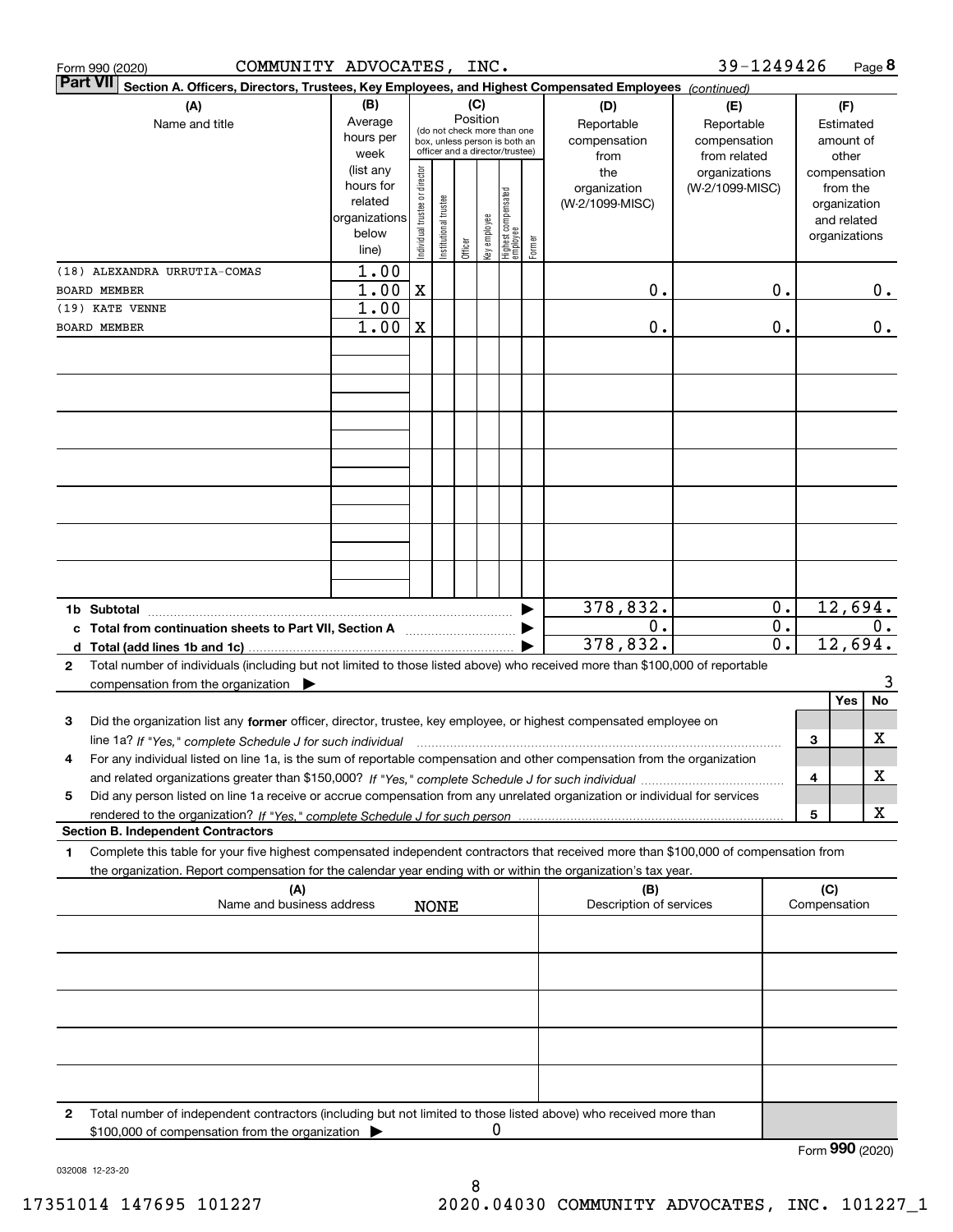| COMMUNITY ADVOCATES, INC.<br>Form 990 (2020)                                                                                                                                                             |                                                                              |                                |                                                              |                 |              |                                  |        |                                                | 39-1249426                                       |                  |                     |                                                                                   | Page 8    |
|----------------------------------------------------------------------------------------------------------------------------------------------------------------------------------------------------------|------------------------------------------------------------------------------|--------------------------------|--------------------------------------------------------------|-----------------|--------------|----------------------------------|--------|------------------------------------------------|--------------------------------------------------|------------------|---------------------|-----------------------------------------------------------------------------------|-----------|
| <b>Part VII</b><br>Section A. Officers, Directors, Trustees, Key Employees, and Highest Compensated Employees (continued)<br>(A)<br>Name and title                                                       | (B)<br>Average<br>hours per                                                  |                                | (do not check more than one<br>box, unless person is both an | (C)<br>Position |              |                                  |        | (D)<br>Reportable<br>compensation              | (E)<br>Reportable<br>compensation                |                  |                     | (F)<br>Estimated<br>amount of                                                     |           |
|                                                                                                                                                                                                          | week<br>(list any<br>hours for<br>related<br>organizations<br>below<br>line) | Individual trustee or director | officer and a director/trustee)<br>In stitutional trustee    | Officer         | Key employee | Highest compensated<br> employee | Former | from<br>the<br>organization<br>(W-2/1099-MISC) | from related<br>organizations<br>(W-2/1099-MISC) |                  |                     | other<br>compensation<br>from the<br>organization<br>and related<br>organizations |           |
| (18) ALEXANDRA URRUTIA-COMAS                                                                                                                                                                             | 1.00                                                                         |                                |                                                              |                 |              |                                  |        |                                                |                                                  |                  |                     |                                                                                   |           |
| <b>BOARD MEMBER</b><br>(19) KATE VENNE                                                                                                                                                                   | 1.00<br>1.00                                                                 | X                              |                                                              |                 |              |                                  |        | $\mathfrak o$ .                                |                                                  | 0.               |                     |                                                                                   | 0.        |
| <b>BOARD MEMBER</b>                                                                                                                                                                                      | 1.00                                                                         | $\mathbf X$                    |                                                              |                 |              |                                  |        | 0.                                             |                                                  | 0.               |                     |                                                                                   | $0$ .     |
|                                                                                                                                                                                                          |                                                                              |                                |                                                              |                 |              |                                  |        |                                                |                                                  |                  |                     |                                                                                   |           |
|                                                                                                                                                                                                          |                                                                              |                                |                                                              |                 |              |                                  |        |                                                |                                                  |                  |                     |                                                                                   |           |
|                                                                                                                                                                                                          |                                                                              |                                |                                                              |                 |              |                                  |        |                                                |                                                  |                  |                     |                                                                                   |           |
|                                                                                                                                                                                                          |                                                                              |                                |                                                              |                 |              |                                  |        |                                                |                                                  |                  |                     |                                                                                   |           |
|                                                                                                                                                                                                          |                                                                              |                                |                                                              |                 |              |                                  |        |                                                |                                                  |                  |                     |                                                                                   |           |
| 1b Subtotal<br>c Total from continuation sheets to Part VII, Section A [111] [120] [20]                                                                                                                  |                                                                              |                                |                                                              |                 |              |                                  | ▶      | 378,832.<br>0.                                 |                                                  | $0$ .<br>$0$ .   |                     | 12,694.                                                                           | $0$ .     |
|                                                                                                                                                                                                          |                                                                              |                                |                                                              |                 |              |                                  |        | 378,832.                                       |                                                  | $\overline{0}$ . |                     | 12,694.                                                                           |           |
| Total number of individuals (including but not limited to those listed above) who received more than \$100,000 of reportable<br>$\mathbf{2}$<br>compensation from the organization $\blacktriangleright$ |                                                                              |                                |                                                              |                 |              |                                  |        |                                                |                                                  |                  |                     |                                                                                   | 3         |
| Did the organization list any former officer, director, trustee, key employee, or highest compensated employee on<br>3                                                                                   |                                                                              |                                |                                                              |                 |              |                                  |        |                                                |                                                  |                  |                     | Yes                                                                               | <b>No</b> |
| line 1a? If "Yes," complete Schedule J for such individual manufactured contained and the 1a? If "Yes," complete Schedule J for such individual                                                          |                                                                              |                                |                                                              |                 |              |                                  |        |                                                |                                                  |                  | 3                   |                                                                                   | х         |
| For any individual listed on line 1a, is the sum of reportable compensation and other compensation from the organization<br>4                                                                            |                                                                              |                                |                                                              |                 |              |                                  |        |                                                |                                                  |                  | 4                   |                                                                                   | х         |
| Did any person listed on line 1a receive or accrue compensation from any unrelated organization or individual for services<br>5                                                                          |                                                                              |                                |                                                              |                 |              |                                  |        |                                                |                                                  |                  |                     |                                                                                   |           |
| <b>Section B. Independent Contractors</b>                                                                                                                                                                |                                                                              |                                |                                                              |                 |              |                                  |        |                                                |                                                  |                  | 5                   |                                                                                   | x         |
| Complete this table for your five highest compensated independent contractors that received more than \$100,000 of compensation from<br>1                                                                |                                                                              |                                |                                                              |                 |              |                                  |        |                                                |                                                  |                  |                     |                                                                                   |           |
| the organization. Report compensation for the calendar year ending with or within the organization's tax year.<br>(A)<br>Name and business address                                                       |                                                                              |                                | <b>NONE</b>                                                  |                 |              |                                  |        | (B)<br>Description of services                 |                                                  |                  | (C)<br>Compensation |                                                                                   |           |
|                                                                                                                                                                                                          |                                                                              |                                |                                                              |                 |              |                                  |        |                                                |                                                  |                  |                     |                                                                                   |           |
|                                                                                                                                                                                                          |                                                                              |                                |                                                              |                 |              |                                  |        |                                                |                                                  |                  |                     |                                                                                   |           |
|                                                                                                                                                                                                          |                                                                              |                                |                                                              |                 |              |                                  |        |                                                |                                                  |                  |                     |                                                                                   |           |
|                                                                                                                                                                                                          |                                                                              |                                |                                                              |                 |              |                                  |        |                                                |                                                  |                  |                     |                                                                                   |           |
| Total number of independent contractors (including but not limited to those listed above) who received more than<br>2<br>\$100,000 of compensation from the organization >                               |                                                                              |                                |                                                              |                 | O            |                                  |        |                                                |                                                  |                  | Form 990 (2020)     |                                                                                   |           |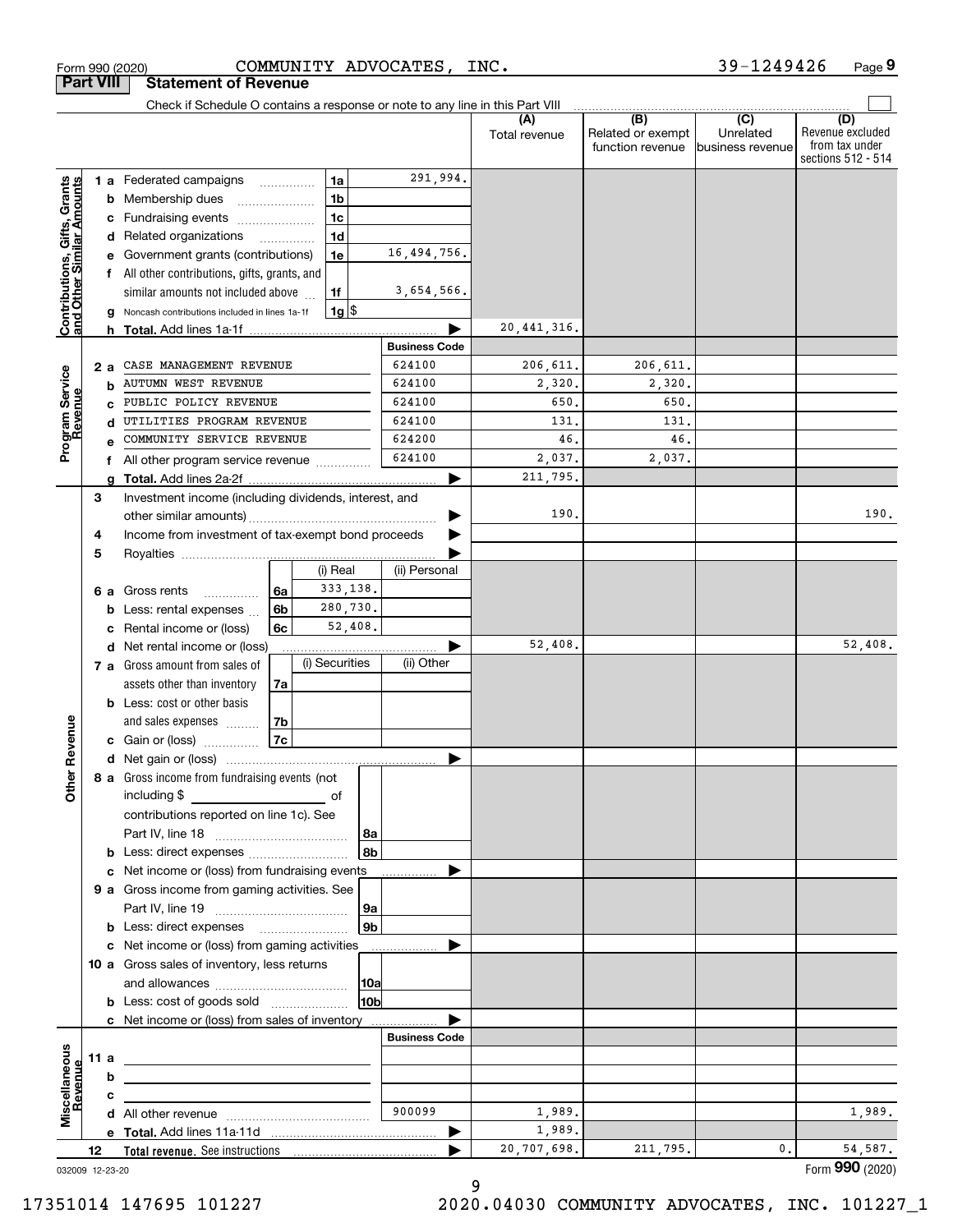|                                                           |        |    | COMMUNITY ADVOCATES,<br>Form 990 (2020)                                                   |                 |                      | INC.                 |                                              | 39-1249426                                      | Page 9                                                          |
|-----------------------------------------------------------|--------|----|-------------------------------------------------------------------------------------------|-----------------|----------------------|----------------------|----------------------------------------------|-------------------------------------------------|-----------------------------------------------------------------|
| <b>Part VIII</b>                                          |        |    | <b>Statement of Revenue</b>                                                               |                 |                      |                      |                                              |                                                 |                                                                 |
|                                                           |        |    | Check if Schedule O contains a response or note to any line in this Part VIII             |                 |                      |                      |                                              |                                                 |                                                                 |
|                                                           |        |    |                                                                                           |                 |                      | (A)<br>Total revenue | (B)<br>Related or exempt<br>function revenue | $\overline{C}$<br>Unrelated<br>business revenue | (D)<br>Revenue excluded<br>from tax under<br>sections 512 - 514 |
|                                                           |        |    | 1a<br><b>1 a</b> Federated campaigns                                                      |                 | 291,994.             |                      |                                              |                                                 |                                                                 |
| Contributions, Gifts, Grants<br>and Other Similar Amounts |        | b  | 1 <sub>b</sub><br>Membership dues                                                         |                 |                      |                      |                                              |                                                 |                                                                 |
|                                                           |        | с  | 1c<br>Fundraising events                                                                  |                 |                      |                      |                                              |                                                 |                                                                 |
|                                                           |        |    | 1 <sub>d</sub><br>d Related organizations                                                 |                 |                      |                      |                                              |                                                 |                                                                 |
|                                                           |        | е  | Government grants (contributions)<br>1e                                                   |                 | 16, 494, 756.        |                      |                                              |                                                 |                                                                 |
|                                                           |        | f  | All other contributions, gifts, grants, and                                               |                 |                      |                      |                                              |                                                 |                                                                 |
|                                                           |        |    | 1f<br>similar amounts not included above                                                  |                 | 3,654,566.           |                      |                                              |                                                 |                                                                 |
|                                                           |        | g  | Noncash contributions included in lines 1a-1f                                             | $1g$ \$         |                      |                      |                                              |                                                 |                                                                 |
|                                                           |        | h. | <b>Total.</b> Add lines 1a-1f                                                             |                 |                      | 20, 441, 316.        |                                              |                                                 |                                                                 |
|                                                           |        |    |                                                                                           |                 | <b>Business Code</b> |                      |                                              |                                                 |                                                                 |
|                                                           | 2 a    |    | CASE MANAGEMENT REVENUE                                                                   |                 | 624100               | 206,611.             | 206,611.                                     |                                                 |                                                                 |
| Program Service<br>Revenue                                |        | b  | <b>AUTUMN WEST REVENUE</b>                                                                |                 | 624100               | 2,320.               | 2,320.                                       |                                                 |                                                                 |
|                                                           |        | C  | PUBLIC POLICY REVENUE                                                                     |                 | 624100               | 650                  | 650.                                         |                                                 |                                                                 |
|                                                           |        | d  | UTILITIES PROGRAM REVENUE                                                                 |                 | 624100               | 131,                 | 131.                                         |                                                 |                                                                 |
|                                                           |        | e  | COMMUNITY SERVICE REVENUE                                                                 |                 | 624200               | 46.                  | 46.                                          |                                                 |                                                                 |
|                                                           |        | f  | All other program service revenue                                                         |                 | 624100               | 2,037.               | 2,037.                                       |                                                 |                                                                 |
|                                                           |        | g  |                                                                                           |                 |                      | 211,795.             |                                              |                                                 |                                                                 |
|                                                           | 3      |    | Investment income (including dividends, interest, and                                     |                 |                      |                      |                                              |                                                 |                                                                 |
|                                                           |        |    |                                                                                           |                 |                      | 190.                 |                                              |                                                 | 190.                                                            |
|                                                           | 4      |    | Income from investment of tax-exempt bond proceeds                                        |                 |                      |                      |                                              |                                                 |                                                                 |
|                                                           | 5      |    |                                                                                           |                 |                      |                      |                                              |                                                 |                                                                 |
|                                                           |        |    | (i) Real                                                                                  |                 | (ii) Personal        |                      |                                              |                                                 |                                                                 |
|                                                           |        |    | 6a<br>6 a Gross rents                                                                     | 333,138.        |                      |                      |                                              |                                                 |                                                                 |
|                                                           |        | b  | .<br>6b<br>Less: rental expenses                                                          | 280,730.        |                      |                      |                                              |                                                 |                                                                 |
|                                                           |        | c  | Rental income or (loss)<br>6c                                                             | 52,408.         |                      |                      |                                              |                                                 |                                                                 |
|                                                           |        | d  | Net rental income or (loss)                                                               |                 |                      | 52,408.              |                                              |                                                 | 52,408.                                                         |
|                                                           |        |    | (i) Securities<br>7 a Gross amount from sales of                                          |                 | (ii) Other           |                      |                                              |                                                 |                                                                 |
|                                                           |        |    | assets other than inventory<br>7a                                                         |                 |                      |                      |                                              |                                                 |                                                                 |
|                                                           |        |    | <b>b</b> Less: cost or other basis                                                        |                 |                      |                      |                                              |                                                 |                                                                 |
|                                                           |        |    | 7b<br>and sales expenses                                                                  |                 |                      |                      |                                              |                                                 |                                                                 |
| evenue                                                    |        |    | 7c<br>c Gain or (loss)                                                                    |                 |                      |                      |                                              |                                                 |                                                                 |
|                                                           |        |    |                                                                                           |                 |                      |                      |                                              |                                                 |                                                                 |
|                                                           |        |    |                                                                                           |                 |                      |                      |                                              |                                                 |                                                                 |
| Other R                                                   |        |    | 8 a Gross income from fundraising events (not<br>including \$                             |                 |                      |                      |                                              |                                                 |                                                                 |
|                                                           |        |    | <b>Example 19</b> September 2016                                                          |                 |                      |                      |                                              |                                                 |                                                                 |
|                                                           |        |    | contributions reported on line 1c). See                                                   |                 |                      |                      |                                              |                                                 |                                                                 |
|                                                           |        |    |                                                                                           | 8a<br>8b        |                      |                      |                                              |                                                 |                                                                 |
|                                                           |        |    | <b>b</b> Less: direct expenses <i></i>                                                    |                 |                      |                      |                                              |                                                 |                                                                 |
|                                                           |        | с  | Net income or (loss) from fundraising events                                              |                 |                      |                      |                                              |                                                 |                                                                 |
|                                                           |        |    | 9 a Gross income from gaming activities. See                                              |                 |                      |                      |                                              |                                                 |                                                                 |
|                                                           |        |    |                                                                                           | 9a              |                      |                      |                                              |                                                 |                                                                 |
|                                                           |        |    | <b>b</b> Less: direct expenses <b>manually</b>                                            | 9 <sub>b</sub>  |                      |                      |                                              |                                                 |                                                                 |
|                                                           |        |    | c Net income or (loss) from gaming activities                                             |                 |                      |                      |                                              |                                                 |                                                                 |
|                                                           |        |    | 10 a Gross sales of inventory, less returns                                               |                 |                      |                      |                                              |                                                 |                                                                 |
|                                                           |        |    |                                                                                           | 10a             |                      |                      |                                              |                                                 |                                                                 |
|                                                           |        |    | <b>b</b> Less: cost of goods sold                                                         | 10 <sub>b</sub> |                      |                      |                                              |                                                 |                                                                 |
|                                                           |        |    | <b>c</b> Net income or (loss) from sales of inventory                                     |                 |                      |                      |                                              |                                                 |                                                                 |
|                                                           |        |    |                                                                                           |                 | <b>Business Code</b> |                      |                                              |                                                 |                                                                 |
| Miscellaneous                                             | 11 $a$ |    | the control of the control of the control of the control of the control of the control of |                 |                      |                      |                                              |                                                 |                                                                 |
| evenue                                                    |        | b  |                                                                                           |                 |                      |                      |                                              |                                                 |                                                                 |
|                                                           |        | с  |                                                                                           |                 | 900099               |                      |                                              |                                                 |                                                                 |
|                                                           |        |    |                                                                                           |                 |                      | 1,989.               |                                              |                                                 | 1,989.                                                          |
|                                                           |        |    |                                                                                           |                 | ▶                    | 1,989.               |                                              |                                                 |                                                                 |
|                                                           | 12     |    |                                                                                           |                 |                      | 20,707,698.          | 211,795.                                     | 0.                                              | 54,587.                                                         |
| 032009 12-23-20                                           |        |    |                                                                                           |                 |                      |                      |                                              |                                                 | Form 990 (2020)                                                 |

032009 12-23-20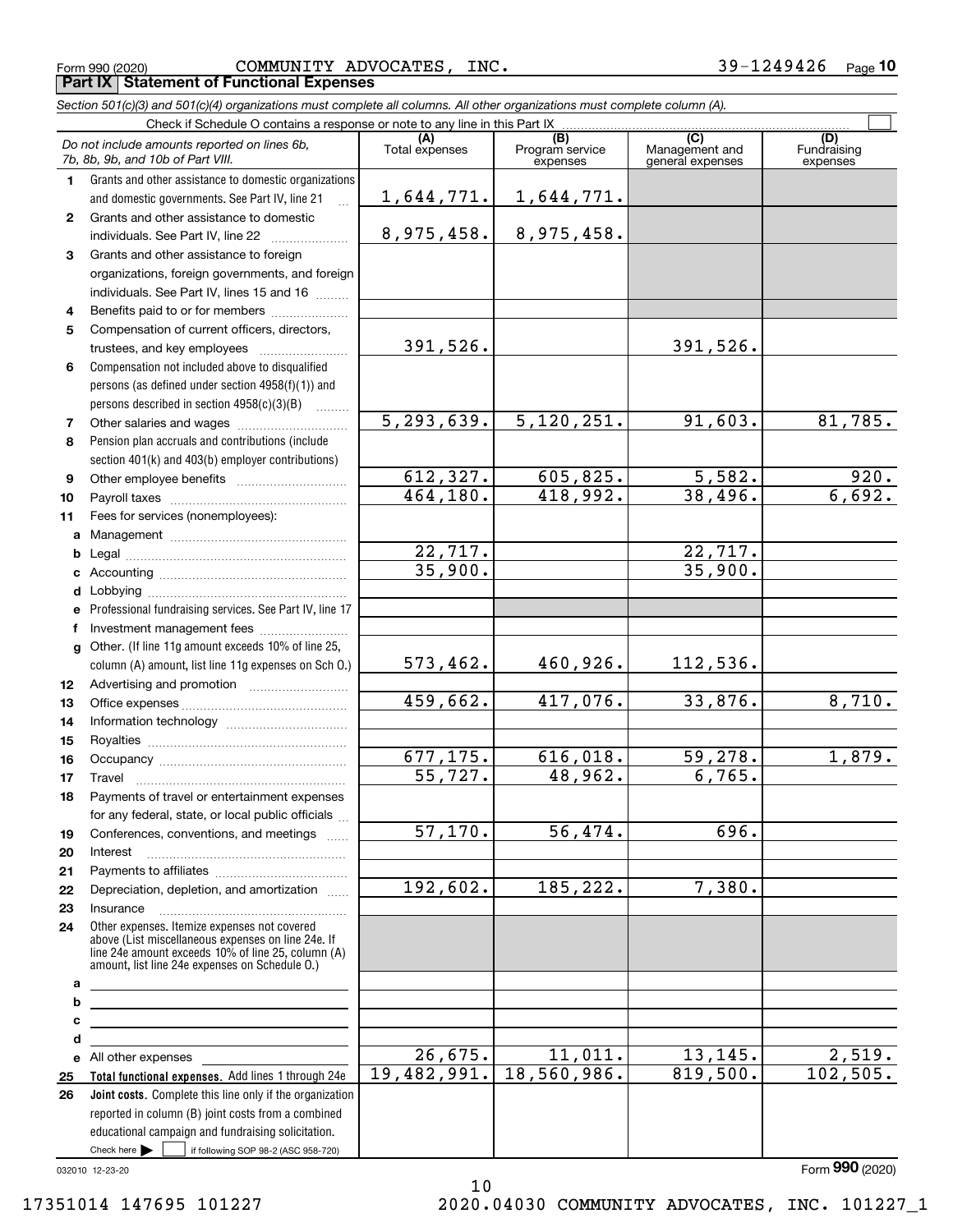Form 990 (2020) Page COMMUNITY ADVOCATES, INC. 39-1249426 **Part IX Statement of Functional Expenses**

*Section 501(c)(3) and 501(c)(4) organizations must complete all columns. All other organizations must complete column (A).*

|              | Check if Schedule O contains a response or note to any line in this Part IX                                                                                                                                |                         |                                    |                                           |                                |  |  |  |  |
|--------------|------------------------------------------------------------------------------------------------------------------------------------------------------------------------------------------------------------|-------------------------|------------------------------------|-------------------------------------------|--------------------------------|--|--|--|--|
|              | Do not include amounts reported on lines 6b,<br>7b, 8b, 9b, and 10b of Part VIII.                                                                                                                          | Total expenses          | (B)<br>Program service<br>expenses | (C)<br>Management and<br>general expenses | (D)<br>Fundraising<br>expenses |  |  |  |  |
| 1.           | Grants and other assistance to domestic organizations                                                                                                                                                      |                         |                                    |                                           |                                |  |  |  |  |
|              | and domestic governments. See Part IV, line 21                                                                                                                                                             | 1,644,771.              | 1,644,771.                         |                                           |                                |  |  |  |  |
| $\mathbf{2}$ | Grants and other assistance to domestic                                                                                                                                                                    |                         |                                    |                                           |                                |  |  |  |  |
|              | individuals. See Part IV, line 22                                                                                                                                                                          | 8,975,458.              | 8,975,458.                         |                                           |                                |  |  |  |  |
| 3            | Grants and other assistance to foreign                                                                                                                                                                     |                         |                                    |                                           |                                |  |  |  |  |
|              | organizations, foreign governments, and foreign                                                                                                                                                            |                         |                                    |                                           |                                |  |  |  |  |
|              | individuals. See Part IV, lines 15 and 16                                                                                                                                                                  |                         |                                    |                                           |                                |  |  |  |  |
| 4            | Benefits paid to or for members                                                                                                                                                                            |                         |                                    |                                           |                                |  |  |  |  |
| 5            | Compensation of current officers, directors,                                                                                                                                                               |                         |                                    |                                           |                                |  |  |  |  |
|              |                                                                                                                                                                                                            | 391,526.                |                                    | 391,526.                                  |                                |  |  |  |  |
| 6            | Compensation not included above to disqualified                                                                                                                                                            |                         |                                    |                                           |                                |  |  |  |  |
|              | persons (as defined under section 4958(f)(1)) and                                                                                                                                                          |                         |                                    |                                           |                                |  |  |  |  |
|              | persons described in section $4958(c)(3)(B)$                                                                                                                                                               |                         |                                    |                                           |                                |  |  |  |  |
| 7            |                                                                                                                                                                                                            | 5, 293, 639.            | 5, 120, 251.                       | 91,603.                                   | 81,785.                        |  |  |  |  |
| 8            | Pension plan accruals and contributions (include                                                                                                                                                           |                         |                                    |                                           |                                |  |  |  |  |
|              | section 401(k) and 403(b) employer contributions)                                                                                                                                                          |                         |                                    |                                           |                                |  |  |  |  |
| 9            |                                                                                                                                                                                                            | 612,327.                | 605,825.                           | 5,582.                                    | 920.<br>6,692.                 |  |  |  |  |
| 10           |                                                                                                                                                                                                            | 464, 180.               | 418,992.                           | 38,496.                                   |                                |  |  |  |  |
| 11           | Fees for services (nonemployees):                                                                                                                                                                          |                         |                                    |                                           |                                |  |  |  |  |
| a            |                                                                                                                                                                                                            |                         |                                    |                                           |                                |  |  |  |  |
| b            |                                                                                                                                                                                                            | $\frac{22,717}{35,900}$ |                                    | 22,717.<br>$\overline{35,900}$ .          |                                |  |  |  |  |
| c            |                                                                                                                                                                                                            |                         |                                    |                                           |                                |  |  |  |  |
| d            | Professional fundraising services. See Part IV, line 17                                                                                                                                                    |                         |                                    |                                           |                                |  |  |  |  |
| e<br>f       | Investment management fees                                                                                                                                                                                 |                         |                                    |                                           |                                |  |  |  |  |
| g            | Other. (If line 11g amount exceeds 10% of line 25,                                                                                                                                                         |                         |                                    |                                           |                                |  |  |  |  |
|              | column (A) amount, list line 11g expenses on Sch O.)                                                                                                                                                       | 573,462.                | 460,926.                           | 112,536.                                  |                                |  |  |  |  |
| 12           |                                                                                                                                                                                                            |                         |                                    |                                           |                                |  |  |  |  |
| 13           |                                                                                                                                                                                                            | 459,662.                | 417,076.                           | 33,876.                                   | 8,710.                         |  |  |  |  |
| 14           |                                                                                                                                                                                                            |                         |                                    |                                           |                                |  |  |  |  |
| 15           |                                                                                                                                                                                                            |                         |                                    |                                           |                                |  |  |  |  |
| 16           |                                                                                                                                                                                                            | 677, 175.               | 616,018.                           | 59,278.                                   | 1,879.                         |  |  |  |  |
| 17           | Travel                                                                                                                                                                                                     | 55,727.                 | 48,962.                            | 6,765.                                    |                                |  |  |  |  |
| 18           | Payments of travel or entertainment expenses                                                                                                                                                               |                         |                                    |                                           |                                |  |  |  |  |
|              | for any federal, state, or local public officials                                                                                                                                                          |                         |                                    |                                           |                                |  |  |  |  |
| 19           | Conferences, conventions, and meetings                                                                                                                                                                     | 57,170.                 | 56,474.                            | 696.                                      |                                |  |  |  |  |
| 20           | Interest                                                                                                                                                                                                   |                         |                                    |                                           |                                |  |  |  |  |
| 21           |                                                                                                                                                                                                            |                         |                                    |                                           |                                |  |  |  |  |
| 22           | Depreciation, depletion, and amortization                                                                                                                                                                  | 192,602.                | 185,222.                           | 7,380.                                    |                                |  |  |  |  |
| 23           | Insurance                                                                                                                                                                                                  |                         |                                    |                                           |                                |  |  |  |  |
| 24           | Other expenses. Itemize expenses not covered<br>above (List miscellaneous expenses on line 24e. If<br>line 24e amount exceeds 10% of line 25, column (A)<br>amount, list line 24e expenses on Schedule O.) |                         |                                    |                                           |                                |  |  |  |  |
| а            | <u> 1989 - Johann Barn, fransk politik (d. 1989)</u>                                                                                                                                                       |                         |                                    |                                           |                                |  |  |  |  |
| b            | <u> 1989 - Johann Barn, mars eta bat erroman erroman erroman erroman erroman erroman erroman erroman erroman err</u>                                                                                       |                         |                                    |                                           |                                |  |  |  |  |
| c            |                                                                                                                                                                                                            |                         |                                    |                                           |                                |  |  |  |  |
| d            |                                                                                                                                                                                                            |                         |                                    |                                           |                                |  |  |  |  |
| е            | All other expenses                                                                                                                                                                                         | 26,675.                 | <u> 11,011.</u>                    | 13, 145.                                  | 2,519.                         |  |  |  |  |
| 25           | Total functional expenses. Add lines 1 through 24e                                                                                                                                                         | 19,482,991.             | 18,560,986.                        | 819,500.                                  | 102, 505.                      |  |  |  |  |
| 26           | Joint costs. Complete this line only if the organization                                                                                                                                                   |                         |                                    |                                           |                                |  |  |  |  |
|              | reported in column (B) joint costs from a combined                                                                                                                                                         |                         |                                    |                                           |                                |  |  |  |  |
|              | educational campaign and fundraising solicitation.                                                                                                                                                         |                         |                                    |                                           |                                |  |  |  |  |
|              | Check here $\blacktriangleright$<br>if following SOP 98-2 (ASC 958-720)                                                                                                                                    |                         |                                    |                                           |                                |  |  |  |  |

10

032010 12-23-20

Form (2020) **990**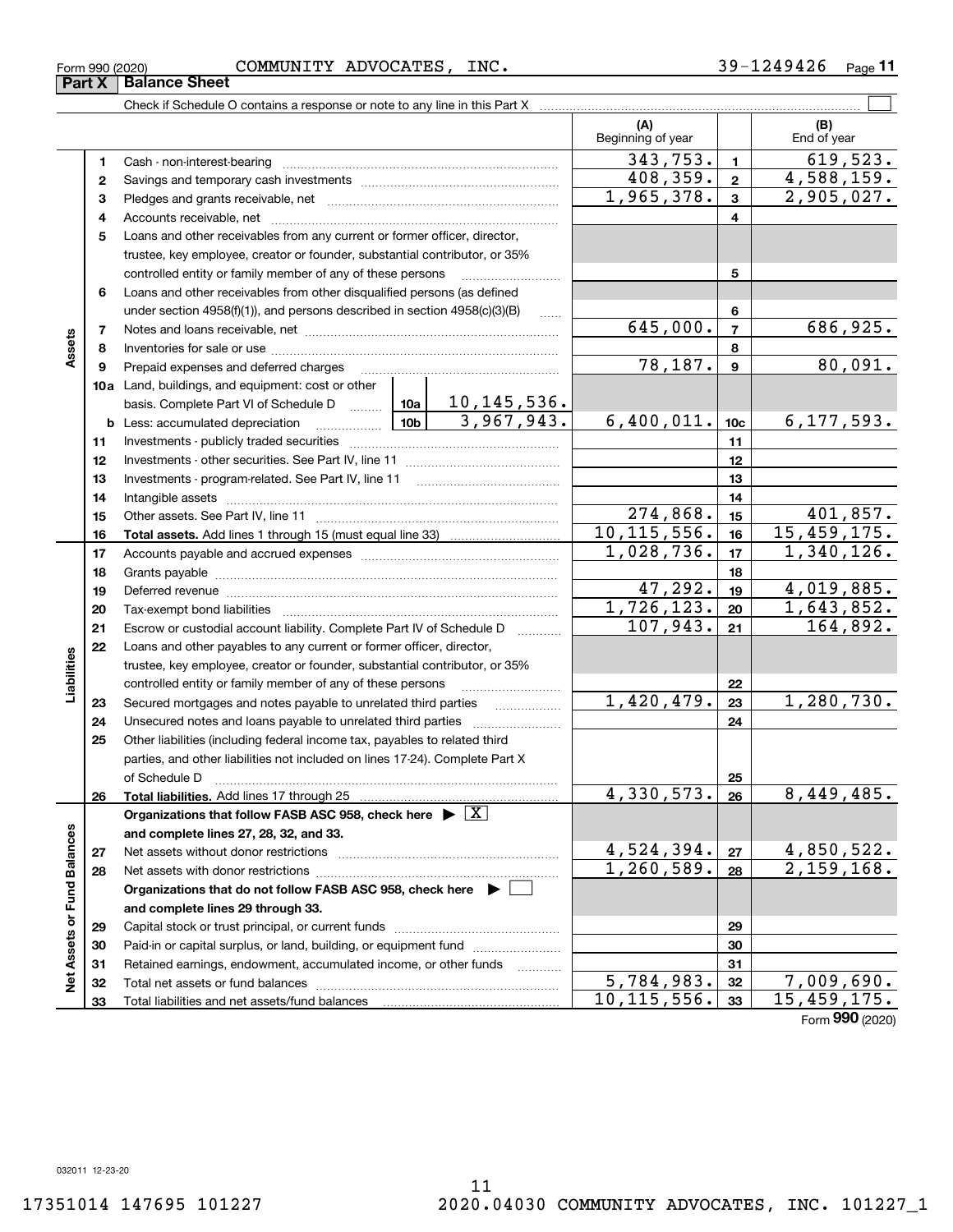**Part X Balance Sheet**<br>**Part X Balance Sheet** 

#### Form 990 (2020) Page COMMUNITY ADVOCATES, INC. 39-1249426

**11**

|                             |          |                                                                                                                                                                                                                 |  |                  | (A)<br>Beginning of year |                  | (B)<br>End of year                |
|-----------------------------|----------|-----------------------------------------------------------------------------------------------------------------------------------------------------------------------------------------------------------------|--|------------------|--------------------------|------------------|-----------------------------------|
|                             | 1        |                                                                                                                                                                                                                 |  |                  | 343,753.                 | $\blacksquare$   | 619,523.                          |
|                             | 2        |                                                                                                                                                                                                                 |  |                  | 408, 359.                | $\mathbf 2$      | 4,588,159.                        |
|                             | з        |                                                                                                                                                                                                                 |  |                  | 1,965,378.               | $\mathbf{3}$     | 2,905,027.                        |
|                             | 4        |                                                                                                                                                                                                                 |  |                  |                          | 4                |                                   |
|                             | 5        | Loans and other receivables from any current or former officer, director,                                                                                                                                       |  |                  |                          |                  |                                   |
|                             |          | trustee, key employee, creator or founder, substantial contributor, or 35%                                                                                                                                      |  |                  |                          |                  |                                   |
|                             |          | controlled entity or family member of any of these persons                                                                                                                                                      |  |                  |                          | 5                |                                   |
|                             | 6        | Loans and other receivables from other disqualified persons (as defined                                                                                                                                         |  |                  |                          |                  |                                   |
|                             |          | under section 4958(f)(1)), and persons described in section 4958(c)(3)(B)                                                                                                                                       |  | 1.1.1.1          |                          | 6                |                                   |
|                             | 7        |                                                                                                                                                                                                                 |  |                  | 645,000.                 | $\overline{7}$   | 686,925.                          |
| Assets                      | 8        |                                                                                                                                                                                                                 |  |                  |                          | 8                |                                   |
|                             | 9        | Prepaid expenses and deferred charges                                                                                                                                                                           |  |                  | 78,187.                  | $\boldsymbol{9}$ | 80,091.                           |
|                             |          | 10a Land, buildings, and equipment: cost or other                                                                                                                                                               |  |                  |                          |                  |                                   |
|                             |          | basis. Complete Part VI of Schedule D    10a   10, 145, 536.                                                                                                                                                    |  |                  |                          |                  |                                   |
|                             |          |                                                                                                                                                                                                                 |  | $10b$ 3,967,943. | 6,400,011.               | 10 <sub>c</sub>  | 6, 177, 593.                      |
|                             | 11       |                                                                                                                                                                                                                 |  |                  |                          | 11               |                                   |
|                             | 12       |                                                                                                                                                                                                                 |  |                  |                          | 12               |                                   |
|                             | 13       |                                                                                                                                                                                                                 |  |                  |                          | 13               |                                   |
|                             | 14       |                                                                                                                                                                                                                 |  |                  | 274,868.                 | 14               | 401,857.                          |
|                             | 15       |                                                                                                                                                                                                                 |  |                  | 10, 115, 556.            | 15<br>16         | 15,459,175.                       |
|                             | 16<br>17 |                                                                                                                                                                                                                 |  |                  | 1,028,736.               | 17               | 1,340,126.                        |
|                             | 18       |                                                                                                                                                                                                                 |  | 18               |                          |                  |                                   |
|                             | 19       |                                                                                                                                                                                                                 |  | 47,292.          | 19                       | 4,019,885.       |                                   |
|                             | 20       |                                                                                                                                                                                                                 |  |                  | 1,726,123.               | 20               | 1,643,852.                        |
|                             | 21       | Escrow or custodial account liability. Complete Part IV of Schedule D                                                                                                                                           |  |                  | 107,943.                 | 21               | 164,892.                          |
|                             | 22       | Loans and other payables to any current or former officer, director,                                                                                                                                            |  |                  |                          |                  |                                   |
| Liabilities                 |          | trustee, key employee, creator or founder, substantial contributor, or 35%                                                                                                                                      |  |                  |                          |                  |                                   |
|                             |          | controlled entity or family member of any of these persons                                                                                                                                                      |  |                  |                          | 22               |                                   |
|                             | 23       | Secured mortgages and notes payable to unrelated third parties                                                                                                                                                  |  |                  | 1,420,479.               | 23               | 1,280,730.                        |
|                             | 24       | Unsecured notes and loans payable to unrelated third parties                                                                                                                                                    |  |                  |                          | 24               |                                   |
|                             | 25       | Other liabilities (including federal income tax, payables to related third                                                                                                                                      |  |                  |                          |                  |                                   |
|                             |          | parties, and other liabilities not included on lines 17-24). Complete Part X                                                                                                                                    |  |                  |                          |                  |                                   |
|                             |          | of Schedule D <b>Example 20 Contract 20 Contract 20 Contract 20 <b>Contract 20 Contract 20 Contract 20 Contract 20 Contract 20 Contract 20 Contract 20 Contract 20 Contract 20 Contract 20 Contract 20</b> </b> |  |                  |                          | 25               |                                   |
|                             | 26       |                                                                                                                                                                                                                 |  |                  | $\overline{4,330,573.}$  | 26               | 8,449,485.                        |
|                             |          | Organizations that follow FASB ASC 958, check here $\blacktriangleright \boxed{X}$                                                                                                                              |  |                  |                          |                  |                                   |
|                             |          | and complete lines 27, 28, 32, and 33.                                                                                                                                                                          |  |                  |                          |                  |                                   |
|                             | 27       |                                                                                                                                                                                                                 |  |                  | 4,524,394.               | 27               | 4,850,522.                        |
|                             | 28       |                                                                                                                                                                                                                 |  |                  | 1, 260, 589.             | 28               | $\overline{2,159,168}$ .          |
|                             |          | Organizations that do not follow FASB ASC 958, check here $\blacktriangleright$                                                                                                                                 |  |                  |                          |                  |                                   |
|                             |          | and complete lines 29 through 33.                                                                                                                                                                               |  |                  |                          |                  |                                   |
|                             | 29       |                                                                                                                                                                                                                 |  |                  |                          | 29               |                                   |
|                             | 30       | Paid-in or capital surplus, or land, building, or equipment fund                                                                                                                                                |  |                  |                          | 30               |                                   |
| Net Assets or Fund Balances | 31       | Retained earnings, endowment, accumulated income, or other funds                                                                                                                                                |  |                  |                          | 31               |                                   |
|                             | 32       |                                                                                                                                                                                                                 |  |                  | $\overline{5,784,983}$ . | 32               | 7,009,690.                        |
|                             | 33       |                                                                                                                                                                                                                 |  |                  | 10, 115, 556.            | 33               | 15,459,175.<br>$F_{2}$ 000 (0000) |

Form (2020) **990**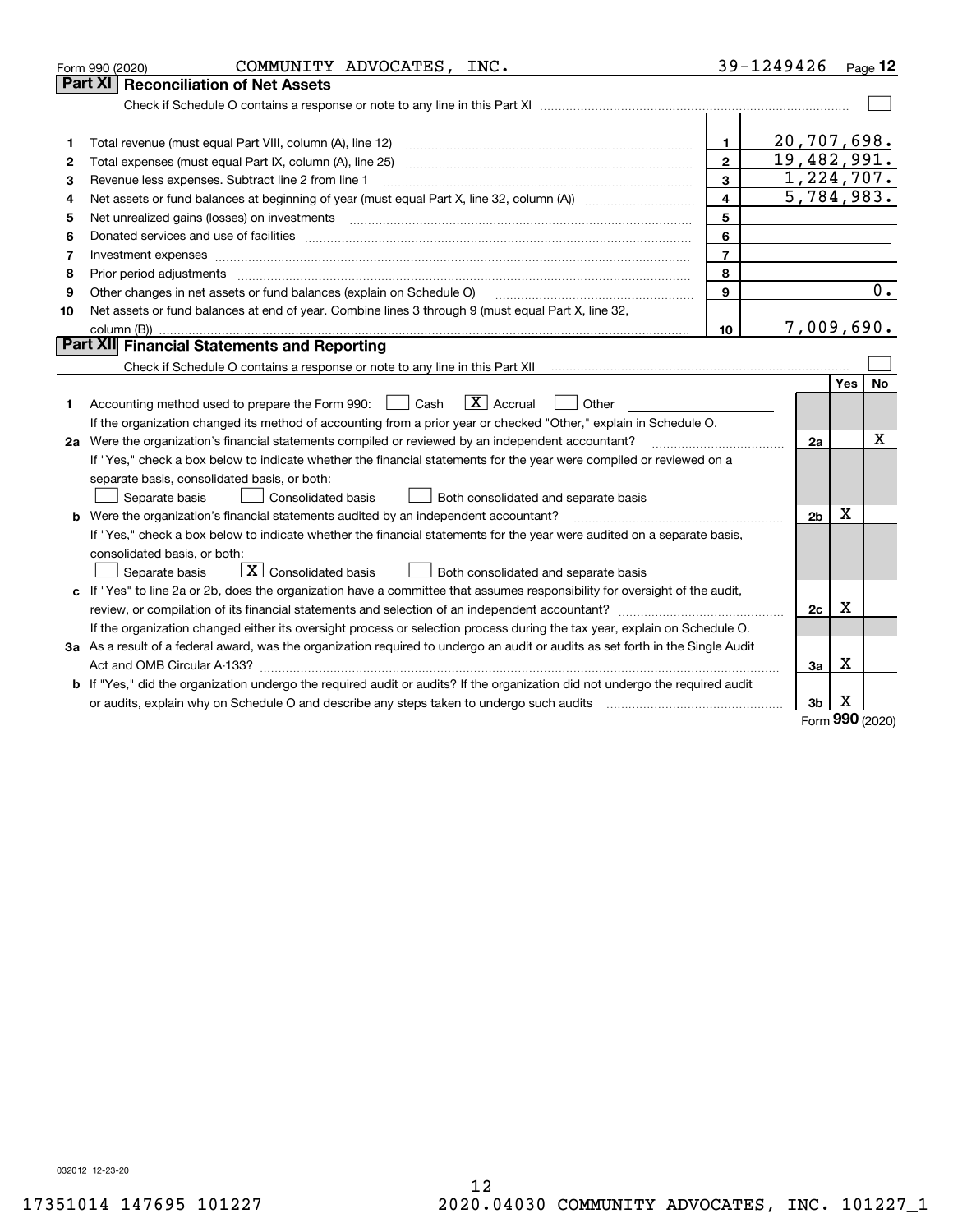|    | COMMUNITY ADVOCATES, INC.<br>Form 990 (2020)                                                                                                                                                                                                                                                                                                                                                                                                                               |                | 39-1249426                 |                 | $_{\text{Page}}$ 12 |
|----|----------------------------------------------------------------------------------------------------------------------------------------------------------------------------------------------------------------------------------------------------------------------------------------------------------------------------------------------------------------------------------------------------------------------------------------------------------------------------|----------------|----------------------------|-----------------|---------------------|
|    | <b>Part XI   Reconciliation of Net Assets</b>                                                                                                                                                                                                                                                                                                                                                                                                                              |                |                            |                 |                     |
|    |                                                                                                                                                                                                                                                                                                                                                                                                                                                                            |                |                            |                 |                     |
|    |                                                                                                                                                                                                                                                                                                                                                                                                                                                                            |                |                            |                 |                     |
| 1  | Total revenue (must equal Part VIII, column (A), line 12)                                                                                                                                                                                                                                                                                                                                                                                                                  | 1.             | 20,707,698.                |                 |                     |
| 2  |                                                                                                                                                                                                                                                                                                                                                                                                                                                                            | $\mathbf{2}$   | 19,482,991.                |                 |                     |
| з  | Revenue less expenses. Subtract line 2 from line 1                                                                                                                                                                                                                                                                                                                                                                                                                         | 3              | 1,224,707.                 |                 |                     |
| 4  |                                                                                                                                                                                                                                                                                                                                                                                                                                                                            | 4              | $\overline{5}$ , 784, 983. |                 |                     |
| 5  | Net unrealized gains (losses) on investments<br>$\overline{a_1, \ldots, a_n, \ldots, a_n, \ldots, a_n, \ldots, a_n, \ldots, a_n, \ldots, a_n, \ldots, a_n, \ldots, a_n, \ldots, a_n, \ldots, a_n, \ldots, a_n, \ldots, a_n, \ldots, a_n, \ldots, a_n, \ldots, a_n, \ldots, a_n, \ldots, a_n, \ldots, a_n, \ldots, a_n, \ldots, a_n, \ldots, a_n, \ldots, a_n, \ldots, a_n, \ldots, a_n, \ldots, a_n, \ldots, a_n, \ldots, a_n, \ldots, a_n, \ldots, a_n, \ldots, a_n, \ld$ | 5              |                            |                 |                     |
| 6  |                                                                                                                                                                                                                                                                                                                                                                                                                                                                            | 6              |                            |                 |                     |
| 7  |                                                                                                                                                                                                                                                                                                                                                                                                                                                                            | $\overline{7}$ |                            |                 |                     |
| 8  | Prior period adjustments material contents and content of the content of the content of the content of the content of the content of the content of the content of the content of the content of the content of the content of                                                                                                                                                                                                                                             | 8              |                            |                 |                     |
| 9  | Other changes in net assets or fund balances (explain on Schedule O)                                                                                                                                                                                                                                                                                                                                                                                                       | 9              |                            |                 | 0.                  |
| 10 | Net assets or fund balances at end of year. Combine lines 3 through 9 (must equal Part X, line 32,                                                                                                                                                                                                                                                                                                                                                                         |                |                            |                 |                     |
|    | column (B)).                                                                                                                                                                                                                                                                                                                                                                                                                                                               | 10             | 7,009,690.                 |                 |                     |
|    | Part XII Financial Statements and Reporting                                                                                                                                                                                                                                                                                                                                                                                                                                |                |                            |                 |                     |
|    |                                                                                                                                                                                                                                                                                                                                                                                                                                                                            |                |                            |                 |                     |
|    |                                                                                                                                                                                                                                                                                                                                                                                                                                                                            |                |                            | <b>Yes</b>      | No                  |
| 1  | $\boxed{\mathbf{X}}$ Accrual<br>Accounting method used to prepare the Form 990: <u>June</u> Cash<br>Other                                                                                                                                                                                                                                                                                                                                                                  |                |                            |                 |                     |
|    | If the organization changed its method of accounting from a prior year or checked "Other," explain in Schedule O.                                                                                                                                                                                                                                                                                                                                                          |                |                            |                 |                     |
|    | 2a Were the organization's financial statements compiled or reviewed by an independent accountant?                                                                                                                                                                                                                                                                                                                                                                         |                | 2a                         |                 | х                   |
|    | If "Yes," check a box below to indicate whether the financial statements for the year were compiled or reviewed on a                                                                                                                                                                                                                                                                                                                                                       |                |                            |                 |                     |
|    | separate basis, consolidated basis, or both:                                                                                                                                                                                                                                                                                                                                                                                                                               |                |                            |                 |                     |
|    | Separate basis<br><b>Consolidated basis</b><br>Both consolidated and separate basis                                                                                                                                                                                                                                                                                                                                                                                        |                |                            |                 |                     |
|    | <b>b</b> Were the organization's financial statements audited by an independent accountant?                                                                                                                                                                                                                                                                                                                                                                                |                | 2 <sub>b</sub>             | X               |                     |
|    | If "Yes," check a box below to indicate whether the financial statements for the year were audited on a separate basis,                                                                                                                                                                                                                                                                                                                                                    |                |                            |                 |                     |
|    | consolidated basis, or both:                                                                                                                                                                                                                                                                                                                                                                                                                                               |                |                            |                 |                     |
|    | $\overline{X}$ Consolidated basis<br>Separate basis<br>Both consolidated and separate basis                                                                                                                                                                                                                                                                                                                                                                                |                |                            |                 |                     |
|    | c If "Yes" to line 2a or 2b, does the organization have a committee that assumes responsibility for oversight of the audit,                                                                                                                                                                                                                                                                                                                                                |                |                            |                 |                     |
|    |                                                                                                                                                                                                                                                                                                                                                                                                                                                                            |                | 2c                         | х               |                     |
|    | If the organization changed either its oversight process or selection process during the tax year, explain on Schedule O.                                                                                                                                                                                                                                                                                                                                                  |                |                            |                 |                     |
|    | 3a As a result of a federal award, was the organization required to undergo an audit or audits as set forth in the Single Audit                                                                                                                                                                                                                                                                                                                                            |                |                            |                 |                     |
|    |                                                                                                                                                                                                                                                                                                                                                                                                                                                                            |                | За                         | х               |                     |
| b  | If "Yes," did the organization undergo the required audit or audits? If the organization did not undergo the required audit                                                                                                                                                                                                                                                                                                                                                |                |                            |                 |                     |
|    |                                                                                                                                                                                                                                                                                                                                                                                                                                                                            |                | 3b                         | х<br><b>nnn</b> |                     |

Form (2020) **990**

032012 12-23-20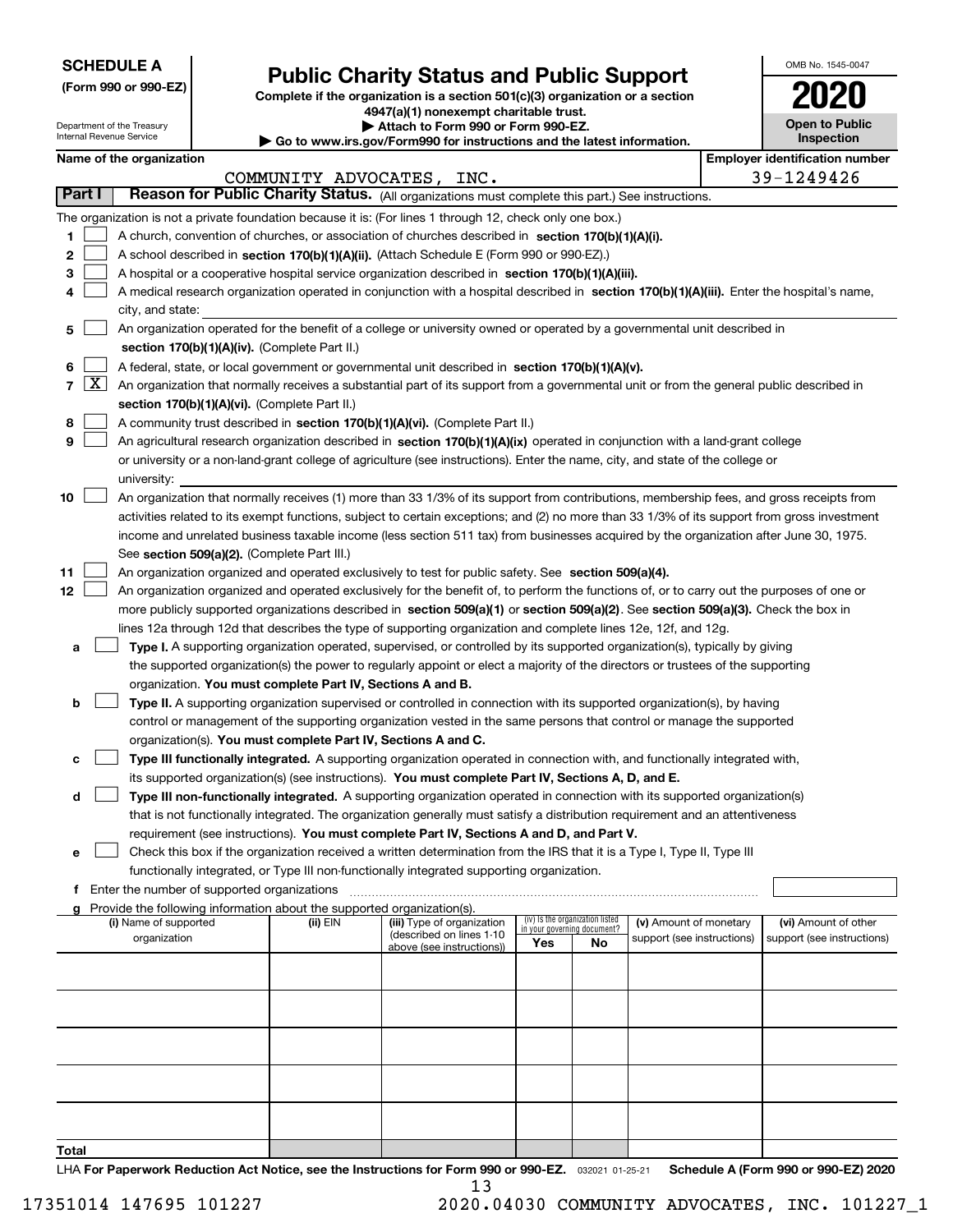| <b>SCHEDULE A</b> |
|-------------------|
|-------------------|

Department of the Treasury Internal Revenue Service

**(Form 990 or 990-EZ)**

# **Public Charity Status and Public Support**

**Complete if the organization is a section 501(c)(3) organization or a section 4947(a)(1) nonexempt charitable trust.**

**| Attach to Form 990 or Form 990-EZ.** 

**| Go to www.irs.gov/Form990 for instructions and the latest information.**

| OMB No. 1545-0047                   |
|-------------------------------------|
| 020                                 |
| <b>Open to Public</b><br>Inspection |

|  | Name of the organization |
|--|--------------------------|
|--|--------------------------|

|  |  |   |  |  | lloyer identification numb |  |
|--|--|---|--|--|----------------------------|--|
|  |  | . |  |  |                            |  |

|        | Name of the organization<br><b>Employer identification number</b>                                                                          |                                                                                                                                                                                                                          |          |                                                       |                             |                                 |                            |  |                            |  |  |
|--------|--------------------------------------------------------------------------------------------------------------------------------------------|--------------------------------------------------------------------------------------------------------------------------------------------------------------------------------------------------------------------------|----------|-------------------------------------------------------|-----------------------------|---------------------------------|----------------------------|--|----------------------------|--|--|
|        |                                                                                                                                            |                                                                                                                                                                                                                          |          | COMMUNITY ADVOCATES, INC.                             |                             |                                 |                            |  | 39-1249426                 |  |  |
| Part I |                                                                                                                                            | Reason for Public Charity Status. (All organizations must complete this part.) See instructions.                                                                                                                         |          |                                                       |                             |                                 |                            |  |                            |  |  |
|        |                                                                                                                                            | The organization is not a private foundation because it is: (For lines 1 through 12, check only one box.)                                                                                                                |          |                                                       |                             |                                 |                            |  |                            |  |  |
| 1      |                                                                                                                                            | A church, convention of churches, or association of churches described in section 170(b)(1)(A)(i).                                                                                                                       |          |                                                       |                             |                                 |                            |  |                            |  |  |
| 2      | A school described in section 170(b)(1)(A)(ii). (Attach Schedule E (Form 990 or 990-EZ).)                                                  |                                                                                                                                                                                                                          |          |                                                       |                             |                                 |                            |  |                            |  |  |
| 3      | A hospital or a cooperative hospital service organization described in section $170(b)(1)(A)(iii)$ .                                       |                                                                                                                                                                                                                          |          |                                                       |                             |                                 |                            |  |                            |  |  |
| 4      | A medical research organization operated in conjunction with a hospital described in section 170(b)(1)(A)(iii). Enter the hospital's name, |                                                                                                                                                                                                                          |          |                                                       |                             |                                 |                            |  |                            |  |  |
|        |                                                                                                                                            | city, and state:                                                                                                                                                                                                         |          |                                                       |                             |                                 |                            |  |                            |  |  |
| 5      | An organization operated for the benefit of a college or university owned or operated by a governmental unit described in                  |                                                                                                                                                                                                                          |          |                                                       |                             |                                 |                            |  |                            |  |  |
|        | section 170(b)(1)(A)(iv). (Complete Part II.)                                                                                              |                                                                                                                                                                                                                          |          |                                                       |                             |                                 |                            |  |                            |  |  |
| 6      | A federal, state, or local government or governmental unit described in section 170(b)(1)(A)(v).                                           |                                                                                                                                                                                                                          |          |                                                       |                             |                                 |                            |  |                            |  |  |
| 7      | $\lfloor x \rfloor$                                                                                                                        | An organization that normally receives a substantial part of its support from a governmental unit or from the general public described in                                                                                |          |                                                       |                             |                                 |                            |  |                            |  |  |
|        |                                                                                                                                            | section 170(b)(1)(A)(vi). (Complete Part II.)                                                                                                                                                                            |          |                                                       |                             |                                 |                            |  |                            |  |  |
| 8      |                                                                                                                                            | A community trust described in section 170(b)(1)(A)(vi). (Complete Part II.)                                                                                                                                             |          |                                                       |                             |                                 |                            |  |                            |  |  |
| 9      |                                                                                                                                            | An agricultural research organization described in section 170(b)(1)(A)(ix) operated in conjunction with a land-grant college                                                                                            |          |                                                       |                             |                                 |                            |  |                            |  |  |
|        |                                                                                                                                            | or university or a non-land-grant college of agriculture (see instructions). Enter the name, city, and state of the college or                                                                                           |          |                                                       |                             |                                 |                            |  |                            |  |  |
|        |                                                                                                                                            | university:                                                                                                                                                                                                              |          |                                                       |                             |                                 |                            |  |                            |  |  |
| 10     |                                                                                                                                            | An organization that normally receives (1) more than 33 1/3% of its support from contributions, membership fees, and gross receipts from                                                                                 |          |                                                       |                             |                                 |                            |  |                            |  |  |
|        |                                                                                                                                            | activities related to its exempt functions, subject to certain exceptions; and (2) no more than 33 1/3% of its support from gross investment                                                                             |          |                                                       |                             |                                 |                            |  |                            |  |  |
|        |                                                                                                                                            | income and unrelated business taxable income (less section 511 tax) from businesses acquired by the organization after June 30, 1975.                                                                                    |          |                                                       |                             |                                 |                            |  |                            |  |  |
|        |                                                                                                                                            | See section 509(a)(2). (Complete Part III.)                                                                                                                                                                              |          |                                                       |                             |                                 |                            |  |                            |  |  |
| 11     |                                                                                                                                            | An organization organized and operated exclusively to test for public safety. See section 509(a)(4).                                                                                                                     |          |                                                       |                             |                                 |                            |  |                            |  |  |
| 12     |                                                                                                                                            | An organization organized and operated exclusively for the benefit of, to perform the functions of, or to carry out the purposes of one or                                                                               |          |                                                       |                             |                                 |                            |  |                            |  |  |
|        |                                                                                                                                            | more publicly supported organizations described in section 509(a)(1) or section 509(a)(2). See section 509(a)(3). Check the box in                                                                                       |          |                                                       |                             |                                 |                            |  |                            |  |  |
|        |                                                                                                                                            | lines 12a through 12d that describes the type of supporting organization and complete lines 12e, 12f, and 12g.                                                                                                           |          |                                                       |                             |                                 |                            |  |                            |  |  |
| a      |                                                                                                                                            | Type I. A supporting organization operated, supervised, or controlled by its supported organization(s), typically by giving                                                                                              |          |                                                       |                             |                                 |                            |  |                            |  |  |
|        |                                                                                                                                            | the supported organization(s) the power to regularly appoint or elect a majority of the directors or trustees of the supporting                                                                                          |          |                                                       |                             |                                 |                            |  |                            |  |  |
|        |                                                                                                                                            | organization. You must complete Part IV, Sections A and B.                                                                                                                                                               |          |                                                       |                             |                                 |                            |  |                            |  |  |
| b      |                                                                                                                                            | Type II. A supporting organization supervised or controlled in connection with its supported organization(s), by having                                                                                                  |          |                                                       |                             |                                 |                            |  |                            |  |  |
|        |                                                                                                                                            | control or management of the supporting organization vested in the same persons that control or manage the supported                                                                                                     |          |                                                       |                             |                                 |                            |  |                            |  |  |
|        |                                                                                                                                            | organization(s). You must complete Part IV, Sections A and C.                                                                                                                                                            |          |                                                       |                             |                                 |                            |  |                            |  |  |
| c      |                                                                                                                                            | Type III functionally integrated. A supporting organization operated in connection with, and functionally integrated with,                                                                                               |          |                                                       |                             |                                 |                            |  |                            |  |  |
|        |                                                                                                                                            | its supported organization(s) (see instructions). You must complete Part IV, Sections A, D, and E.                                                                                                                       |          |                                                       |                             |                                 |                            |  |                            |  |  |
| d      |                                                                                                                                            | Type III non-functionally integrated. A supporting organization operated in connection with its supported organization(s)                                                                                                |          |                                                       |                             |                                 |                            |  |                            |  |  |
|        |                                                                                                                                            | that is not functionally integrated. The organization generally must satisfy a distribution requirement and an attentiveness<br>requirement (see instructions). You must complete Part IV, Sections A and D, and Part V. |          |                                                       |                             |                                 |                            |  |                            |  |  |
|        |                                                                                                                                            | Check this box if the organization received a written determination from the IRS that it is a Type I, Type II, Type III                                                                                                  |          |                                                       |                             |                                 |                            |  |                            |  |  |
|        |                                                                                                                                            | functionally integrated, or Type III non-functionally integrated supporting organization.                                                                                                                                |          |                                                       |                             |                                 |                            |  |                            |  |  |
|        |                                                                                                                                            | f Enter the number of supported organizations                                                                                                                                                                            |          |                                                       |                             |                                 |                            |  |                            |  |  |
|        |                                                                                                                                            | g Provide the following information about the supported organization(s).                                                                                                                                                 |          |                                                       |                             |                                 |                            |  |                            |  |  |
|        |                                                                                                                                            | (i) Name of supported                                                                                                                                                                                                    | (ii) EIN | (iii) Type of organization                            | in your governing document? | (iv) Is the organization listed | (v) Amount of monetary     |  | (vi) Amount of other       |  |  |
|        |                                                                                                                                            | organization                                                                                                                                                                                                             |          | (described on lines 1-10<br>above (see instructions)) | Yes                         | No                              | support (see instructions) |  | support (see instructions) |  |  |
|        |                                                                                                                                            |                                                                                                                                                                                                                          |          |                                                       |                             |                                 |                            |  |                            |  |  |
|        |                                                                                                                                            |                                                                                                                                                                                                                          |          |                                                       |                             |                                 |                            |  |                            |  |  |
|        |                                                                                                                                            |                                                                                                                                                                                                                          |          |                                                       |                             |                                 |                            |  |                            |  |  |
|        |                                                                                                                                            |                                                                                                                                                                                                                          |          |                                                       |                             |                                 |                            |  |                            |  |  |
|        |                                                                                                                                            |                                                                                                                                                                                                                          |          |                                                       |                             |                                 |                            |  |                            |  |  |
|        |                                                                                                                                            |                                                                                                                                                                                                                          |          |                                                       |                             |                                 |                            |  |                            |  |  |
|        |                                                                                                                                            |                                                                                                                                                                                                                          |          |                                                       |                             |                                 |                            |  |                            |  |  |
|        |                                                                                                                                            |                                                                                                                                                                                                                          |          |                                                       |                             |                                 |                            |  |                            |  |  |
|        |                                                                                                                                            |                                                                                                                                                                                                                          |          |                                                       |                             |                                 |                            |  |                            |  |  |
|        |                                                                                                                                            |                                                                                                                                                                                                                          |          |                                                       |                             |                                 |                            |  |                            |  |  |
| Total  |                                                                                                                                            |                                                                                                                                                                                                                          |          |                                                       |                             |                                 |                            |  |                            |  |  |

LHA For Paperwork Reduction Act Notice, see the Instructions for Form 990 or 990-EZ. <sub>032021</sub> o1-25-21 Schedule A (Form 990 or 990-EZ) 2020 13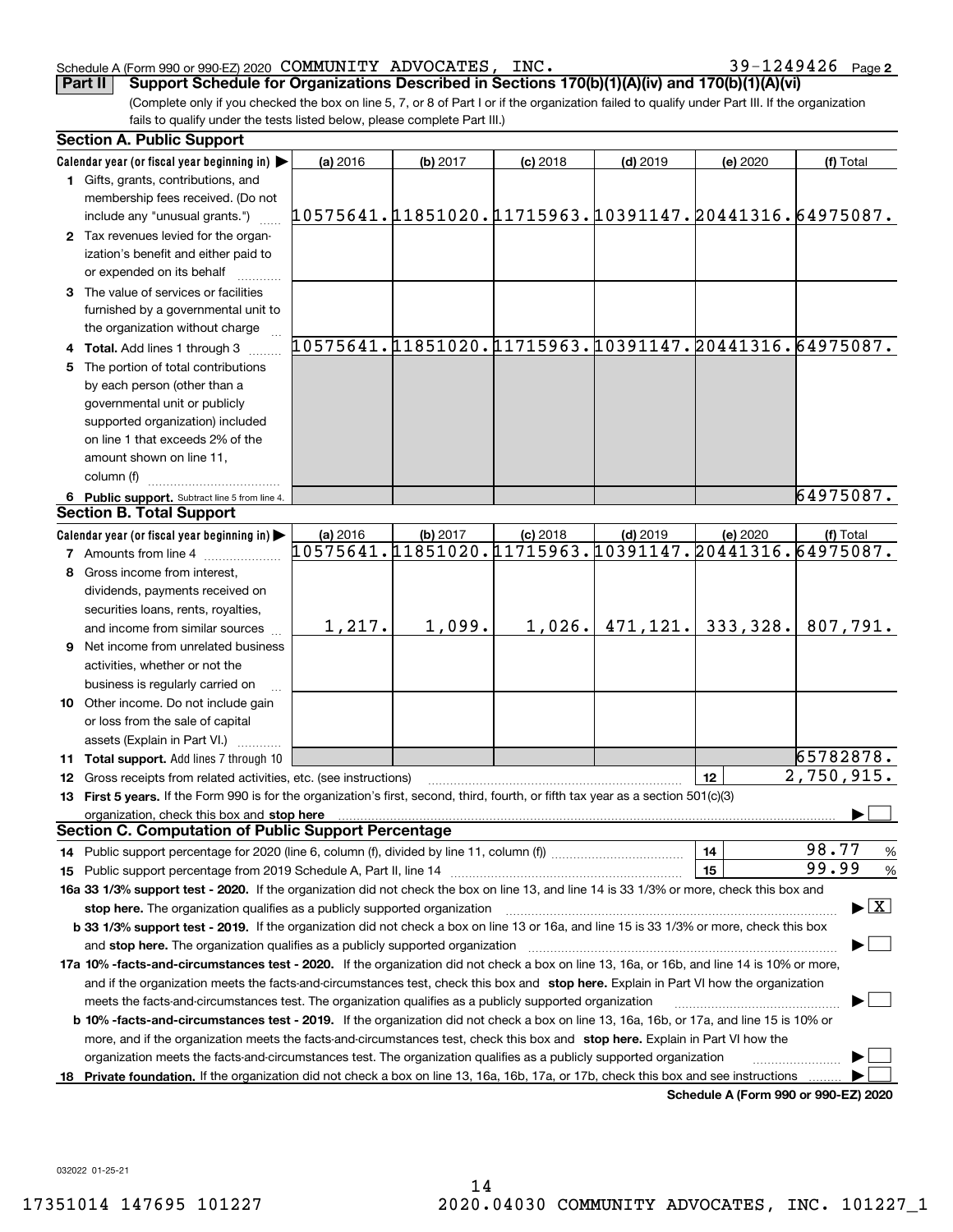#### Schedule A (Form 990 or 990-EZ) 2020 COMMUNITY ADVOCATES,INC。 39-IZ494Z6 Page COMMUNITY ADVOCATES, INC. 39-1249426

39-1249426 Page 2

(Complete only if you checked the box on line 5, 7, or 8 of Part I or if the organization failed to qualify under Part III. If the organization fails to qualify under the tests listed below, please complete Part III.) **Part II Support Schedule for Organizations Described in Sections 170(b)(1)(A)(iv) and 170(b)(1)(A)(vi)**

|    | <b>Section A. Public Support</b>                                                                                                                                                                                                                           |                                                        |          |            |            |                                                        |                                         |
|----|------------------------------------------------------------------------------------------------------------------------------------------------------------------------------------------------------------------------------------------------------------|--------------------------------------------------------|----------|------------|------------|--------------------------------------------------------|-----------------------------------------|
|    | Calendar year (or fiscal year beginning in)                                                                                                                                                                                                                | (a) 2016                                               | (b) 2017 | $(c)$ 2018 | $(d)$ 2019 | (e) 2020                                               | (f) Total                               |
|    | 1 Gifts, grants, contributions, and<br>membership fees received. (Do not                                                                                                                                                                                   |                                                        |          |            |            |                                                        |                                         |
|    | include any "unusual grants.")                                                                                                                                                                                                                             | 10575641.11851020.11715963.10391147.20441316.64975087. |          |            |            |                                                        |                                         |
|    | 2 Tax revenues levied for the organ-<br>ization's benefit and either paid to<br>or expended on its behalf                                                                                                                                                  |                                                        |          |            |            |                                                        |                                         |
|    | 3 The value of services or facilities<br>furnished by a governmental unit to                                                                                                                                                                               |                                                        |          |            |            |                                                        |                                         |
|    | the organization without charge                                                                                                                                                                                                                            | 10575641.11851020.11715963.10391147.20441316.64975087. |          |            |            |                                                        |                                         |
|    | 4 Total. Add lines 1 through 3<br>5 The portion of total contributions                                                                                                                                                                                     |                                                        |          |            |            |                                                        |                                         |
|    | by each person (other than a<br>governmental unit or publicly<br>supported organization) included<br>on line 1 that exceeds 2% of the<br>amount shown on line 11,                                                                                          |                                                        |          |            |            |                                                        |                                         |
|    | column (f)                                                                                                                                                                                                                                                 |                                                        |          |            |            |                                                        |                                         |
|    | 6 Public support. Subtract line 5 from line 4.                                                                                                                                                                                                             |                                                        |          |            |            |                                                        | 64975087.                               |
|    | <b>Section B. Total Support</b>                                                                                                                                                                                                                            |                                                        |          |            |            |                                                        |                                         |
|    | Calendar year (or fiscal year beginning in)                                                                                                                                                                                                                | (a) 2016                                               | (b) 2017 | $(c)$ 2018 | $(d)$ 2019 | (e) 2020                                               | (f) Total                               |
|    | <b>7</b> Amounts from line 4                                                                                                                                                                                                                               |                                                        |          |            |            | 10575641.11851020.11715963.10391147.20441316.64975087. |                                         |
|    | 8 Gross income from interest,<br>dividends, payments received on                                                                                                                                                                                           |                                                        |          |            |            |                                                        |                                         |
|    | securities loans, rents, royalties,                                                                                                                                                                                                                        |                                                        |          |            | 471,121.   |                                                        |                                         |
|    | and income from similar sources                                                                                                                                                                                                                            | 1,217.                                                 | 1,099.   | 1,026.     |            | 333,328.                                               | 807,791.                                |
|    | <b>9</b> Net income from unrelated business                                                                                                                                                                                                                |                                                        |          |            |            |                                                        |                                         |
|    | activities, whether or not the                                                                                                                                                                                                                             |                                                        |          |            |            |                                                        |                                         |
|    | business is regularly carried on                                                                                                                                                                                                                           |                                                        |          |            |            |                                                        |                                         |
|    | <b>10</b> Other income. Do not include gain                                                                                                                                                                                                                |                                                        |          |            |            |                                                        |                                         |
|    | or loss from the sale of capital                                                                                                                                                                                                                           |                                                        |          |            |            |                                                        |                                         |
|    | assets (Explain in Part VI.)                                                                                                                                                                                                                               |                                                        |          |            |            |                                                        | 65782878.                               |
|    | <b>11 Total support.</b> Add lines 7 through 10                                                                                                                                                                                                            |                                                        |          |            |            |                                                        | 2,750,915.                              |
|    | 12 Gross receipts from related activities, etc. (see instructions)                                                                                                                                                                                         |                                                        |          |            |            | 12                                                     |                                         |
|    | 13 First 5 years. If the Form 990 is for the organization's first, second, third, fourth, or fifth tax year as a section 501(c)(3)                                                                                                                         |                                                        |          |            |            |                                                        |                                         |
|    | organization, check this box and stop here<br><b>Section C. Computation of Public Support Percentage</b>                                                                                                                                                   |                                                        |          |            |            |                                                        |                                         |
|    |                                                                                                                                                                                                                                                            |                                                        |          |            |            | 14                                                     | 98.77<br>$\frac{9}{6}$                  |
|    |                                                                                                                                                                                                                                                            |                                                        |          |            |            | 15                                                     | 99.99<br>%                              |
|    | 16a 33 1/3% support test - 2020. If the organization did not check the box on line 13, and line 14 is 33 1/3% or more, check this box and                                                                                                                  |                                                        |          |            |            |                                                        |                                         |
|    | stop here. The organization qualifies as a publicly supported organization                                                                                                                                                                                 |                                                        |          |            |            |                                                        | $\blacktriangleright$ $\vert$ X $\vert$ |
|    | b 33 1/3% support test - 2019. If the organization did not check a box on line 13 or 16a, and line 15 is 33 1/3% or more, check this box                                                                                                                   |                                                        |          |            |            |                                                        |                                         |
|    | and stop here. The organization qualifies as a publicly supported organization                                                                                                                                                                             |                                                        |          |            |            |                                                        |                                         |
|    | 17a 10% -facts-and-circumstances test - 2020. If the organization did not check a box on line 13, 16a, or 16b, and line 14 is 10% or more,                                                                                                                 |                                                        |          |            |            |                                                        |                                         |
|    |                                                                                                                                                                                                                                                            |                                                        |          |            |            |                                                        |                                         |
|    | and if the organization meets the facts-and-circumstances test, check this box and stop here. Explain in Part VI how the organization                                                                                                                      |                                                        |          |            |            |                                                        |                                         |
|    | meets the facts-and-circumstances test. The organization qualifies as a publicly supported organization                                                                                                                                                    |                                                        |          |            |            |                                                        |                                         |
|    | <b>b 10% -facts-and-circumstances test - 2019.</b> If the organization did not check a box on line 13, 16a, 16b, or 17a, and line 15 is 10% or                                                                                                             |                                                        |          |            |            |                                                        |                                         |
|    | more, and if the organization meets the facts-and-circumstances test, check this box and stop here. Explain in Part VI how the                                                                                                                             |                                                        |          |            |            |                                                        |                                         |
| 18 | organization meets the facts-and-circumstances test. The organization qualifies as a publicly supported organization<br>Private foundation. If the organization did not check a box on line 13, 16a, 16b, 17a, or 17b, check this box and see instructions |                                                        |          |            |            |                                                        |                                         |
|    |                                                                                                                                                                                                                                                            |                                                        |          |            |            |                                                        | Schedule A (Form 990 or 990-EZ) 2020    |

**Schedule A (Form 990 or 990-EZ) 2020**

032022 01-25-21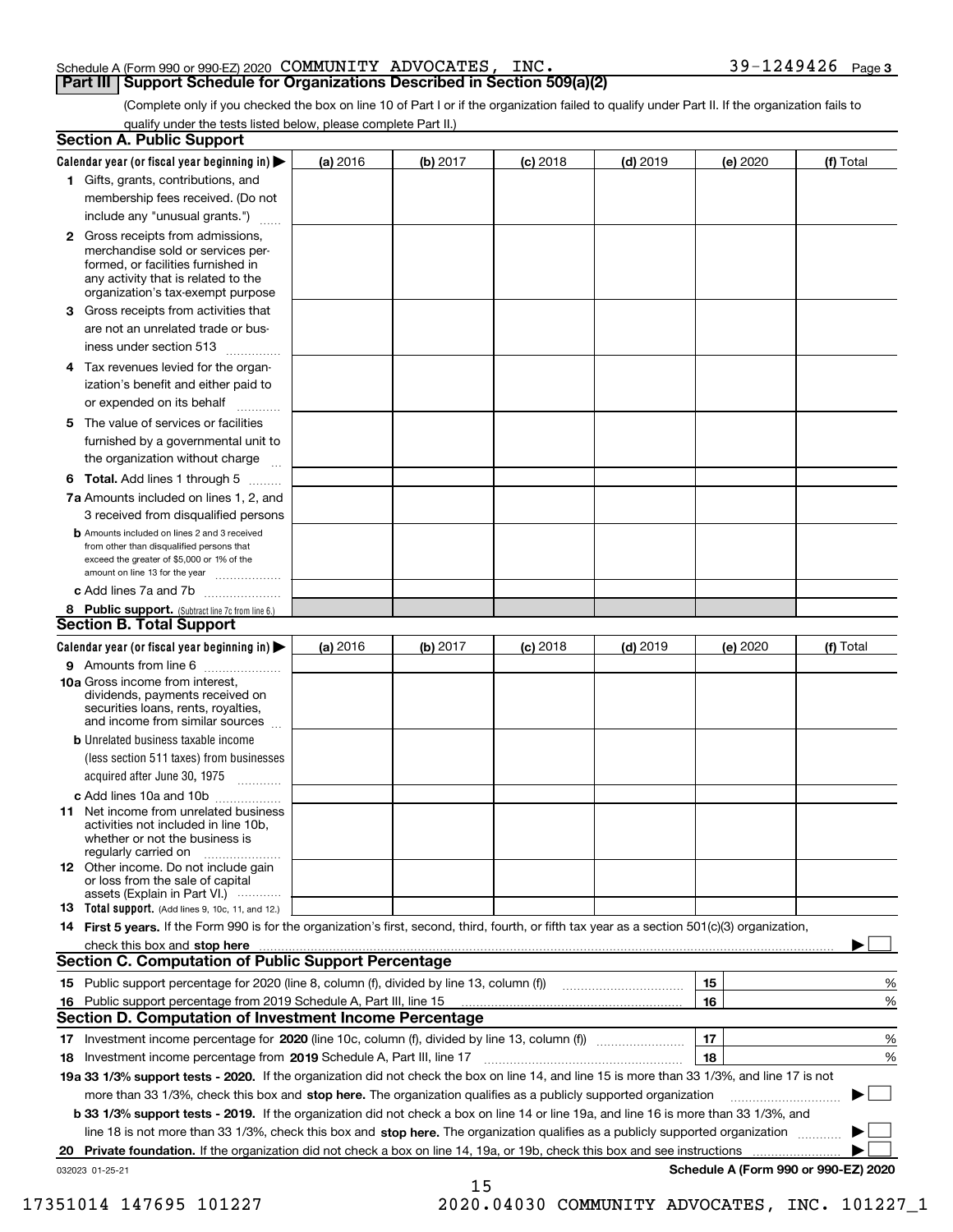#### Schedule A (Form 990 or 990-EZ) 2020 Page COMMUNITY ADVOCATES, INC. 39-1249426

(Complete only if you checked the box on line 10 of Part I or if the organization failed to qualify under Part II. If the organization fails to qualify under the tests listed below, please complete Part II.)

| <b>Section A. Public Support</b>                                                                                                                                                                                               |          |          |                 |            |          |                                      |
|--------------------------------------------------------------------------------------------------------------------------------------------------------------------------------------------------------------------------------|----------|----------|-----------------|------------|----------|--------------------------------------|
| Calendar year (or fiscal year beginning in) $\blacktriangleright$                                                                                                                                                              | (a) 2016 | (b) 2017 | $(c)$ 2018      | $(d)$ 2019 | (e) 2020 | (f) Total                            |
| 1 Gifts, grants, contributions, and                                                                                                                                                                                            |          |          |                 |            |          |                                      |
| membership fees received. (Do not                                                                                                                                                                                              |          |          |                 |            |          |                                      |
| include any "unusual grants.")                                                                                                                                                                                                 |          |          |                 |            |          |                                      |
| <b>2</b> Gross receipts from admissions,<br>merchandise sold or services per-<br>formed, or facilities furnished in<br>any activity that is related to the<br>organization's tax-exempt purpose                                |          |          |                 |            |          |                                      |
| 3 Gross receipts from activities that                                                                                                                                                                                          |          |          |                 |            |          |                                      |
| are not an unrelated trade or bus-                                                                                                                                                                                             |          |          |                 |            |          |                                      |
| iness under section 513                                                                                                                                                                                                        |          |          |                 |            |          |                                      |
| 4 Tax revenues levied for the organ-                                                                                                                                                                                           |          |          |                 |            |          |                                      |
| ization's benefit and either paid to                                                                                                                                                                                           |          |          |                 |            |          |                                      |
| or expended on its behalf<br>.                                                                                                                                                                                                 |          |          |                 |            |          |                                      |
| 5 The value of services or facilities<br>furnished by a governmental unit to                                                                                                                                                   |          |          |                 |            |          |                                      |
| the organization without charge                                                                                                                                                                                                |          |          |                 |            |          |                                      |
| <b>6 Total.</b> Add lines 1 through 5                                                                                                                                                                                          |          |          |                 |            |          |                                      |
| 7a Amounts included on lines 1, 2, and<br>3 received from disqualified persons                                                                                                                                                 |          |          |                 |            |          |                                      |
| <b>b</b> Amounts included on lines 2 and 3 received<br>from other than disqualified persons that<br>exceed the greater of \$5,000 or 1% of the<br>amount on line 13 for the year                                               |          |          |                 |            |          |                                      |
| c Add lines 7a and 7b                                                                                                                                                                                                          |          |          |                 |            |          |                                      |
| 8 Public support. (Subtract line 7c from line 6.)<br>Section B. Total Support                                                                                                                                                  |          |          |                 |            |          |                                      |
| Calendar year (or fiscal year beginning in)                                                                                                                                                                                    | (a) 2016 | (b) 2017 | <b>(c)</b> 2018 | $(d)$ 2019 | (e) 2020 | (f) Total                            |
| 9 Amounts from line 6                                                                                                                                                                                                          |          |          |                 |            |          |                                      |
| <b>10a</b> Gross income from interest,<br>dividends, payments received on<br>securities loans, rents, royalties,<br>and income from similar sources                                                                            |          |          |                 |            |          |                                      |
| <b>b</b> Unrelated business taxable income                                                                                                                                                                                     |          |          |                 |            |          |                                      |
| (less section 511 taxes) from businesses                                                                                                                                                                                       |          |          |                 |            |          |                                      |
| acquired after June 30, 1975                                                                                                                                                                                                   |          |          |                 |            |          |                                      |
| c Add lines 10a and 10b                                                                                                                                                                                                        |          |          |                 |            |          |                                      |
| 11 Net income from unrelated business<br>activities not included in line 10b,<br>whether or not the business is<br>regularly carried on                                                                                        |          |          |                 |            |          |                                      |
| 12 Other income. Do not include gain<br>or loss from the sale of capital<br>assets (Explain in Part VI.)                                                                                                                       |          |          |                 |            |          |                                      |
| <b>13</b> Total support. (Add lines 9, 10c, 11, and 12.)                                                                                                                                                                       |          |          |                 |            |          |                                      |
| 14 First 5 years. If the Form 990 is for the organization's first, second, third, fourth, or fifth tax year as a section 501(c)(3) organization,                                                                               |          |          |                 |            |          |                                      |
| check this box and stop here with the communication of the contract of the contract of the contract of the contract of the contract of the contract of the contract of the contract of the contract of the contract of the con |          |          |                 |            |          |                                      |
| <b>Section C. Computation of Public Support Percentage</b>                                                                                                                                                                     |          |          |                 |            |          |                                      |
|                                                                                                                                                                                                                                |          |          |                 |            | 15       | %                                    |
| 16 Public support percentage from 2019 Schedule A, Part III, line 15                                                                                                                                                           |          |          |                 |            | 16       | %                                    |
| Section D. Computation of Investment Income Percentage                                                                                                                                                                         |          |          |                 |            |          |                                      |
| 17 Investment income percentage for 2020 (line 10c, column (f), divided by line 13, column (f))                                                                                                                                |          |          |                 |            | 17       | %                                    |
| 18 Investment income percentage from 2019 Schedule A, Part III, line 17                                                                                                                                                        |          |          |                 |            | 18       | %                                    |
| 19a 33 1/3% support tests - 2020. If the organization did not check the box on line 14, and line 15 is more than 33 1/3%, and line 17 is not                                                                                   |          |          |                 |            |          |                                      |
| more than 33 1/3%, check this box and stop here. The organization qualifies as a publicly supported organization                                                                                                               |          |          |                 |            |          |                                      |
| b 33 1/3% support tests - 2019. If the organization did not check a box on line 14 or line 19a, and line 16 is more than 33 1/3%, and                                                                                          |          |          |                 |            |          |                                      |
| line 18 is not more than 33 1/3%, check this box and stop here. The organization qualifies as a publicly supported organization                                                                                                |          |          |                 |            |          |                                      |
| 20 Private foundation. If the organization did not check a box on line 14, 19a, or 19b, check this box and see instructions                                                                                                    |          |          |                 |            |          | .                                    |
| 032023 01-25-21                                                                                                                                                                                                                |          |          |                 |            |          | Schedule A (Form 990 or 990-EZ) 2020 |
|                                                                                                                                                                                                                                |          | 15       |                 |            |          |                                      |

17351014 147695 101227 2020.04030 COMMUNITY ADVOCATES, INC. 101227\_1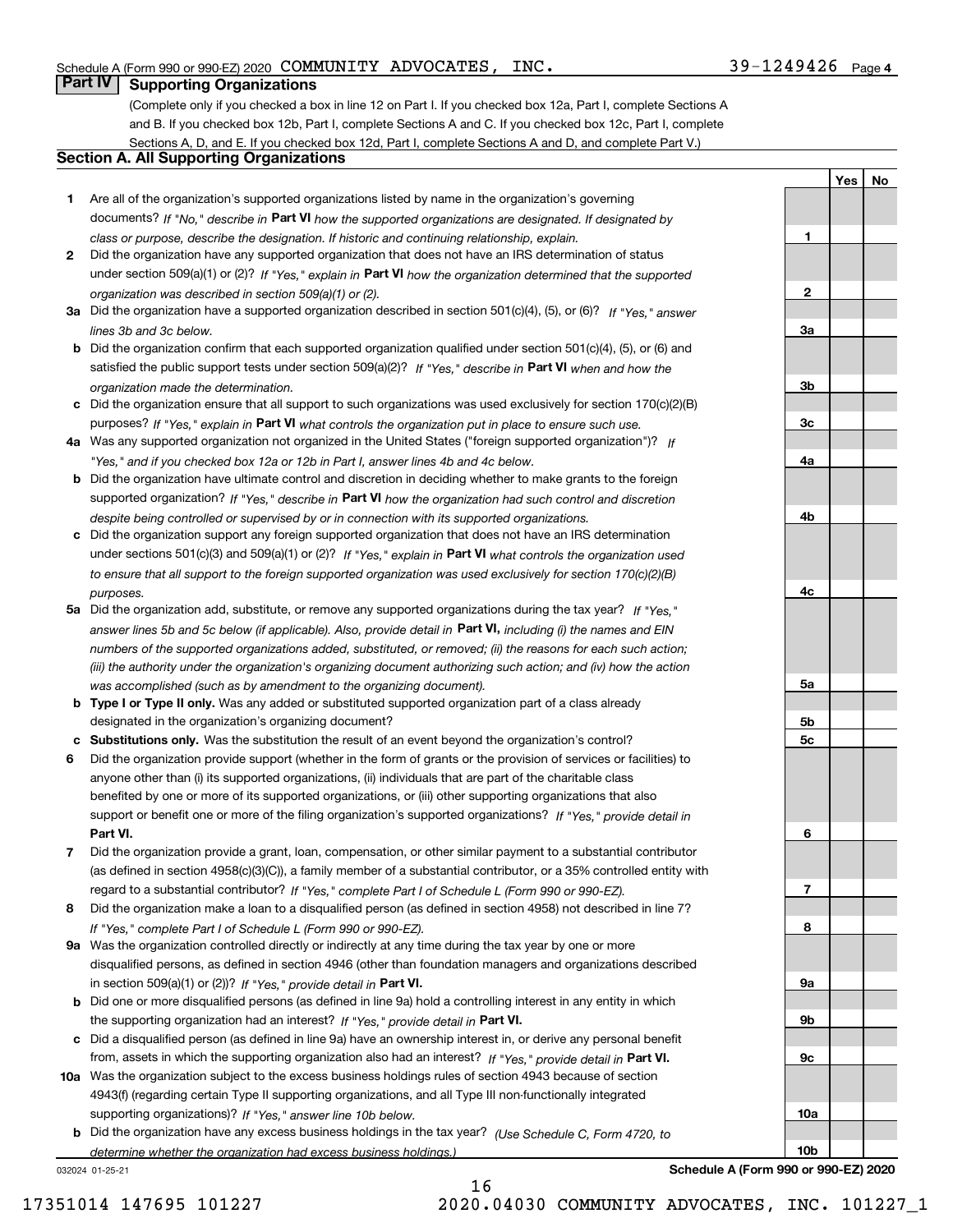**1**

**2**

**YesNo**

### **Part IV Supporting Organizations**

(Complete only if you checked a box in line 12 on Part I. If you checked box 12a, Part I, complete Sections A and B. If you checked box 12b, Part I, complete Sections A and C. If you checked box 12c, Part I, complete Sections A, D, and E. If you checked box 12d, Part I, complete Sections A and D, and complete Part V.)

#### **Section A. All Supporting Organizations**

- **1** Are all of the organization's supported organizations listed by name in the organization's governing documents? If "No," describe in **Part VI** how the supported organizations are designated. If designated by *class or purpose, describe the designation. If historic and continuing relationship, explain.*
- **2** Did the organization have any supported organization that does not have an IRS determination of status under section 509(a)(1) or (2)? If "Yes," explain in Part VI how the organization determined that the supported *organization was described in section 509(a)(1) or (2).*
- **3a** Did the organization have a supported organization described in section 501(c)(4), (5), or (6)? If "Yes," answer *lines 3b and 3c below.*
- **b** Did the organization confirm that each supported organization qualified under section 501(c)(4), (5), or (6) and satisfied the public support tests under section 509(a)(2)? If "Yes," describe in **Part VI** when and how the *organization made the determination.*
- **c**Did the organization ensure that all support to such organizations was used exclusively for section 170(c)(2)(B) purposes? If "Yes," explain in **Part VI** what controls the organization put in place to ensure such use.
- **4a***If* Was any supported organization not organized in the United States ("foreign supported organization")? *"Yes," and if you checked box 12a or 12b in Part I, answer lines 4b and 4c below.*
- **b** Did the organization have ultimate control and discretion in deciding whether to make grants to the foreign supported organization? If "Yes," describe in **Part VI** how the organization had such control and discretion *despite being controlled or supervised by or in connection with its supported organizations.*
- **c** Did the organization support any foreign supported organization that does not have an IRS determination under sections 501(c)(3) and 509(a)(1) or (2)? If "Yes," explain in **Part VI** what controls the organization used *to ensure that all support to the foreign supported organization was used exclusively for section 170(c)(2)(B) purposes.*
- **5a** Did the organization add, substitute, or remove any supported organizations during the tax year? If "Yes," answer lines 5b and 5c below (if applicable). Also, provide detail in **Part VI,** including (i) the names and EIN *numbers of the supported organizations added, substituted, or removed; (ii) the reasons for each such action; (iii) the authority under the organization's organizing document authorizing such action; and (iv) how the action was accomplished (such as by amendment to the organizing document).*
- **b** Type I or Type II only. Was any added or substituted supported organization part of a class already designated in the organization's organizing document?
- **cSubstitutions only.**  Was the substitution the result of an event beyond the organization's control?
- **6** Did the organization provide support (whether in the form of grants or the provision of services or facilities) to **Part VI.** *If "Yes," provide detail in* support or benefit one or more of the filing organization's supported organizations? anyone other than (i) its supported organizations, (ii) individuals that are part of the charitable class benefited by one or more of its supported organizations, or (iii) other supporting organizations that also
- **7**Did the organization provide a grant, loan, compensation, or other similar payment to a substantial contributor *If "Yes," complete Part I of Schedule L (Form 990 or 990-EZ).* regard to a substantial contributor? (as defined in section 4958(c)(3)(C)), a family member of a substantial contributor, or a 35% controlled entity with
- **8** Did the organization make a loan to a disqualified person (as defined in section 4958) not described in line 7? *If "Yes," complete Part I of Schedule L (Form 990 or 990-EZ).*
- **9a** Was the organization controlled directly or indirectly at any time during the tax year by one or more in section 509(a)(1) or (2))? If "Yes," *provide detail in* <code>Part VI.</code> disqualified persons, as defined in section 4946 (other than foundation managers and organizations described
- **b** Did one or more disqualified persons (as defined in line 9a) hold a controlling interest in any entity in which the supporting organization had an interest? If "Yes," provide detail in P**art VI**.
- **c**Did a disqualified person (as defined in line 9a) have an ownership interest in, or derive any personal benefit from, assets in which the supporting organization also had an interest? If "Yes," provide detail in P**art VI.**
- **10a** Was the organization subject to the excess business holdings rules of section 4943 because of section supporting organizations)? If "Yes," answer line 10b below. 4943(f) (regarding certain Type II supporting organizations, and all Type III non-functionally integrated
- **b** Did the organization have any excess business holdings in the tax year? (Use Schedule C, Form 4720, to *determine whether the organization had excess business holdings.)*

032024 01-25-21

**3a3b3c4a4b4c5a 5b5c6789a 9b9c10a10b**

**Schedule A (Form 990 or 990-EZ) 2020**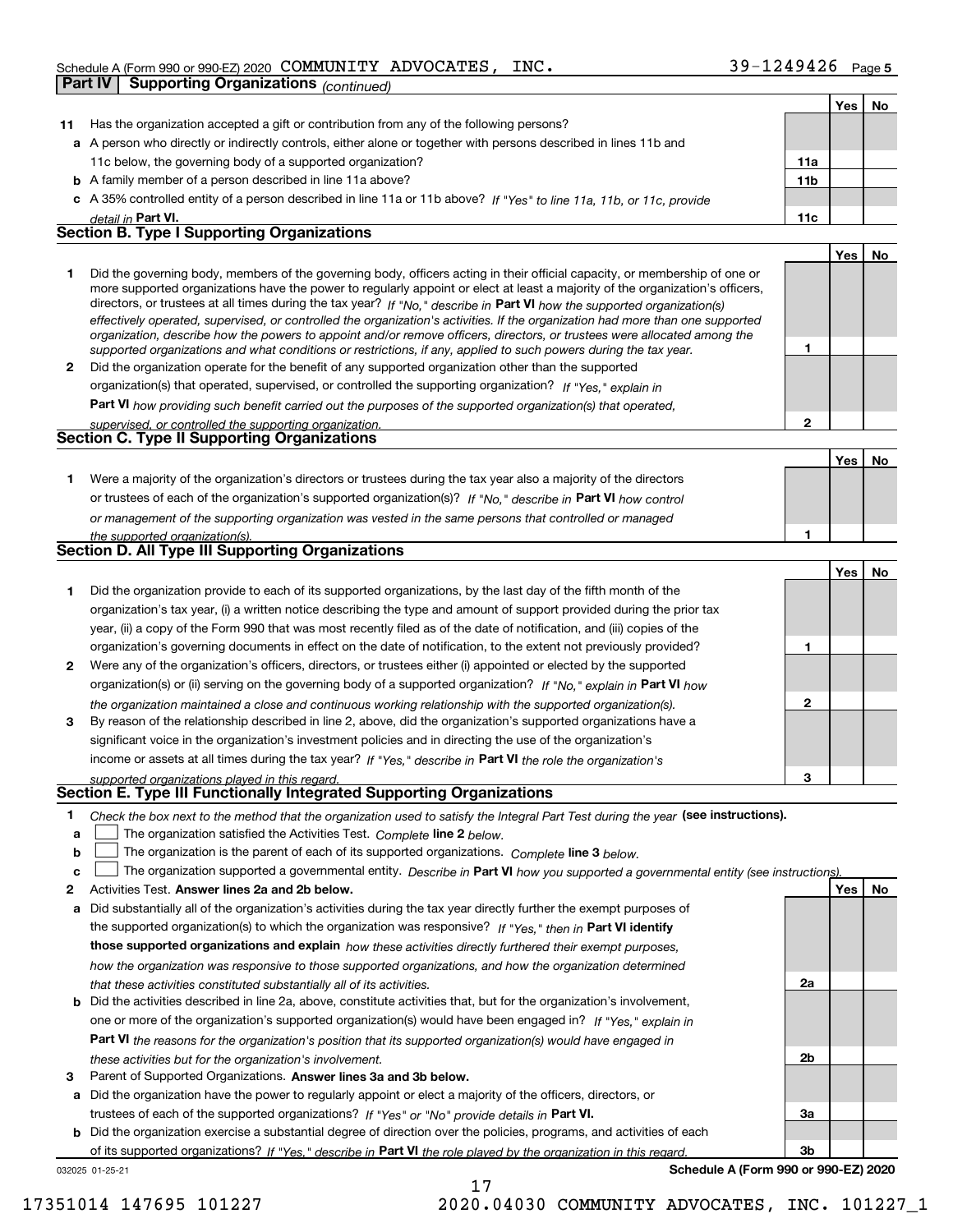| Part IV | <b>Supporting Organizations (continued)</b>                                                                                                                                                                                                              |                 |     |    |
|---------|----------------------------------------------------------------------------------------------------------------------------------------------------------------------------------------------------------------------------------------------------------|-----------------|-----|----|
|         |                                                                                                                                                                                                                                                          |                 | Yes | No |
| 11      | Has the organization accepted a gift or contribution from any of the following persons?                                                                                                                                                                  |                 |     |    |
|         | a A person who directly or indirectly controls, either alone or together with persons described in lines 11b and                                                                                                                                         |                 |     |    |
|         | 11c below, the governing body of a supported organization?                                                                                                                                                                                               | 11a             |     |    |
|         | <b>b</b> A family member of a person described in line 11a above?                                                                                                                                                                                        | 11 <sub>b</sub> |     |    |
|         | c A 35% controlled entity of a person described in line 11a or 11b above? If "Yes" to line 11a, 11b, or 11c, provide                                                                                                                                     |                 |     |    |
|         | detail in Part VI.                                                                                                                                                                                                                                       | 11c             |     |    |
|         | <b>Section B. Type I Supporting Organizations</b>                                                                                                                                                                                                        |                 |     |    |
|         |                                                                                                                                                                                                                                                          |                 | Yes | No |
| 1       | Did the governing body, members of the governing body, officers acting in their official capacity, or membership of one or                                                                                                                               |                 |     |    |
|         | more supported organizations have the power to regularly appoint or elect at least a majority of the organization's officers,<br>directors, or trustees at all times during the tax year? If "No," describe in Part VI how the supported organization(s) |                 |     |    |
|         | effectively operated, supervised, or controlled the organization's activities. If the organization had more than one supported                                                                                                                           |                 |     |    |
|         | organization, describe how the powers to appoint and/or remove officers, directors, or trustees were allocated among the                                                                                                                                 |                 |     |    |
|         | supported organizations and what conditions or restrictions, if any, applied to such powers during the tax year.                                                                                                                                         | 1               |     |    |
| 2       | Did the organization operate for the benefit of any supported organization other than the supported                                                                                                                                                      |                 |     |    |
|         | organization(s) that operated, supervised, or controlled the supporting organization? If "Yes," explain in                                                                                                                                               |                 |     |    |
|         | Part VI how providing such benefit carried out the purposes of the supported organization(s) that operated,                                                                                                                                              |                 |     |    |
|         | supervised, or controlled the supporting organization.<br>Section C. Type II Supporting Organizations                                                                                                                                                    | $\overline{2}$  |     |    |
|         |                                                                                                                                                                                                                                                          |                 | Yes | No |
| 1.      | Were a majority of the organization's directors or trustees during the tax year also a majority of the directors                                                                                                                                         |                 |     |    |
|         | or trustees of each of the organization's supported organization(s)? If "No," describe in Part VI how control                                                                                                                                            |                 |     |    |
|         | or management of the supporting organization was vested in the same persons that controlled or managed                                                                                                                                                   |                 |     |    |
|         | the supported organization(s).                                                                                                                                                                                                                           | 1               |     |    |
|         | Section D. All Type III Supporting Organizations                                                                                                                                                                                                         |                 |     |    |
|         |                                                                                                                                                                                                                                                          |                 | Yes | No |
| 1       | Did the organization provide to each of its supported organizations, by the last day of the fifth month of the                                                                                                                                           |                 |     |    |
|         | organization's tax year, (i) a written notice describing the type and amount of support provided during the prior tax                                                                                                                                    |                 |     |    |
|         | year, (ii) a copy of the Form 990 that was most recently filed as of the date of notification, and (iii) copies of the                                                                                                                                   |                 |     |    |
|         | organization's governing documents in effect on the date of notification, to the extent not previously provided?                                                                                                                                         | 1               |     |    |
| 2       | Were any of the organization's officers, directors, or trustees either (i) appointed or elected by the supported                                                                                                                                         |                 |     |    |
|         | organization(s) or (ii) serving on the governing body of a supported organization? If "No." explain in <b>Part VI</b> how                                                                                                                                |                 |     |    |
|         | the organization maintained a close and continuous working relationship with the supported organization(s).                                                                                                                                              | 2               |     |    |
| 3       | By reason of the relationship described in line 2, above, did the organization's supported organizations have a                                                                                                                                          |                 |     |    |
|         | significant voice in the organization's investment policies and in directing the use of the organization's                                                                                                                                               |                 |     |    |
|         | income or assets at all times during the tax year? If "Yes," describe in Part VI the role the organization's                                                                                                                                             |                 |     |    |
|         | supported organizations played in this regard.<br>Section E. Type III Functionally Integrated Supporting Organizations                                                                                                                                   |                 |     |    |
|         |                                                                                                                                                                                                                                                          |                 |     |    |
| 1.      | Check the box next to the method that the organization used to satisfy the Integral Part Test during the year (see instructions).                                                                                                                        |                 |     |    |
| a<br>b  | The organization satisfied the Activities Test. Complete line 2 below.<br>The organization is the parent of each of its supported organizations. Complete line 3 below.                                                                                  |                 |     |    |
| c       | The organization supported a governmental entity. Describe in Part VI how you supported a governmental entity (see instructions).                                                                                                                        |                 |     |    |
| 2       | Activities Test. Answer lines 2a and 2b below.                                                                                                                                                                                                           |                 | Yes | No |
| a       | Did substantially all of the organization's activities during the tax year directly further the exempt purposes of                                                                                                                                       |                 |     |    |
|         | the supported organization(s) to which the organization was responsive? If "Yes." then in Part VI identify                                                                                                                                               |                 |     |    |
|         | those supported organizations and explain how these activities directly furthered their exempt purposes,                                                                                                                                                 |                 |     |    |
|         | how the organization was responsive to those supported organizations, and how the organization determined                                                                                                                                                |                 |     |    |
|         | that these activities constituted substantially all of its activities.                                                                                                                                                                                   | 2a              |     |    |
| b       | Did the activities described in line 2a, above, constitute activities that, but for the organization's involvement,                                                                                                                                      |                 |     |    |
|         | one or more of the organization's supported organization(s) would have been engaged in? If "Yes," explain in                                                                                                                                             |                 |     |    |
|         | <b>Part VI</b> the reasons for the organization's position that its supported organization(s) would have engaged in                                                                                                                                      |                 |     |    |
|         | these activities but for the organization's involvement.                                                                                                                                                                                                 | 2b              |     |    |
| з       | Parent of Supported Organizations. Answer lines 3a and 3b below.                                                                                                                                                                                         |                 |     |    |

**a** Did the organization have the power to regularly appoint or elect a majority of the officers, directors, or trustees of each of the supported organizations? If "Yes" or "No" provide details in **Part VI.** 

**b** Did the organization exercise a substantial degree of direction over the policies, programs, and activities of each of its supported organizations? If "Yes," describe in Part VI the role played by the organization in this regard.

17

032025 01-25-21

**Schedule A (Form 990 or 990-EZ) 2020**

**3a**

**3b**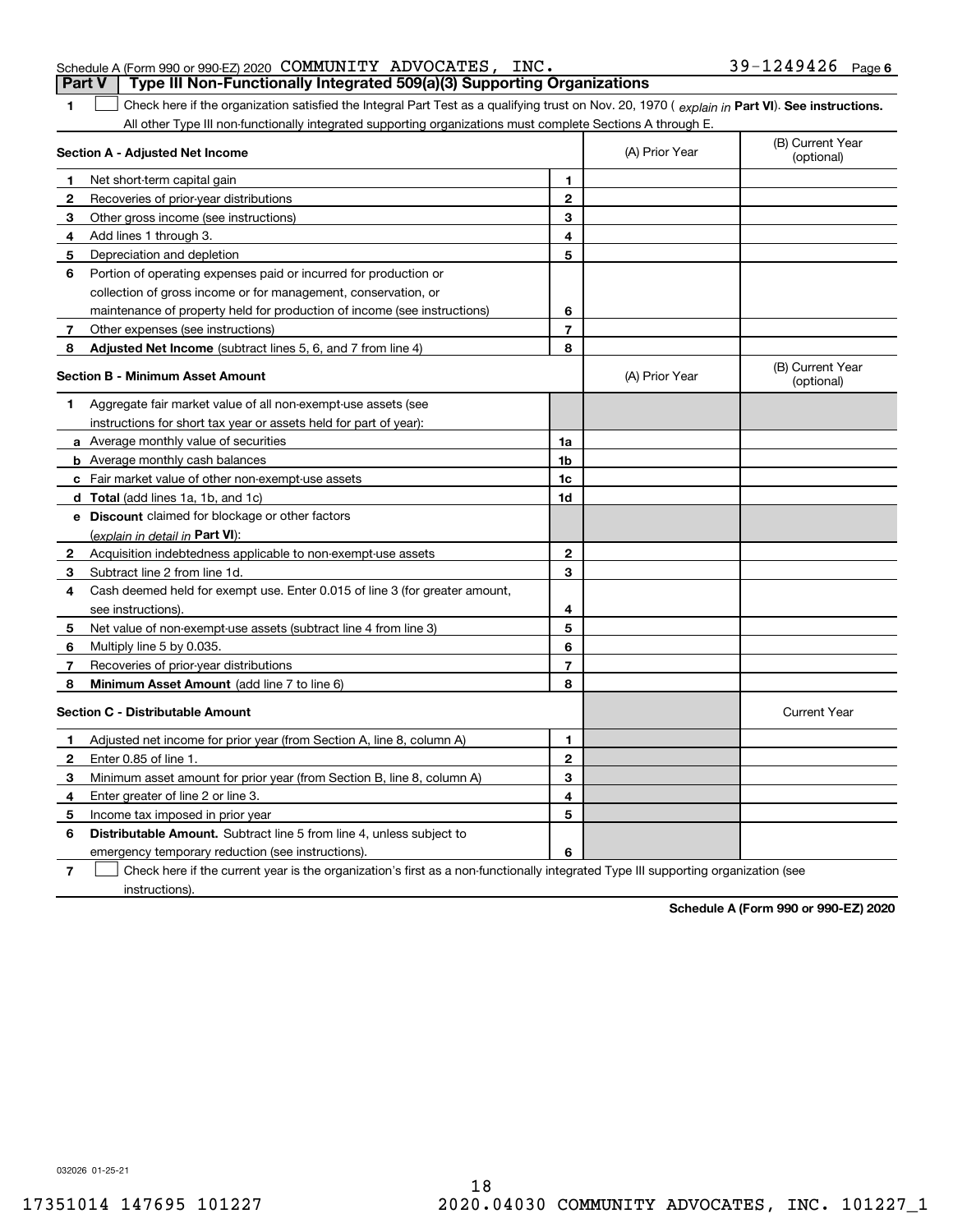**1**

#### Schedule A (Form 990 or 990-EZ) 2020 Page COMMUNITY ADVOCATES, INC. 39-1249426 **Part V Type III Non-Functionally Integrated 509(a)(3) Supporting Organizations**

1 Check here if the organization satisfied the Integral Part Test as a qualifying trust on Nov. 20, 1970 (explain in Part VI). See instructions. All other Type III non-functionally integrated supporting organizations must complete Sections A through E.

|   | Section A - Adjusted Net Income                                                                                                   |                | (A) Prior Year | (B) Current Year<br>(optional) |
|---|-----------------------------------------------------------------------------------------------------------------------------------|----------------|----------------|--------------------------------|
| 1 | Net short-term capital gain                                                                                                       | 1.             |                |                                |
| 2 | Recoveries of prior-year distributions                                                                                            | $\overline{2}$ |                |                                |
| 3 | Other gross income (see instructions)                                                                                             | 3              |                |                                |
| 4 | Add lines 1 through 3.                                                                                                            | 4              |                |                                |
| 5 | Depreciation and depletion                                                                                                        | 5              |                |                                |
| 6 | Portion of operating expenses paid or incurred for production or                                                                  |                |                |                                |
|   | collection of gross income or for management, conservation, or                                                                    |                |                |                                |
|   | maintenance of property held for production of income (see instructions)                                                          | 6              |                |                                |
| 7 | Other expenses (see instructions)                                                                                                 | $\overline{7}$ |                |                                |
| 8 | <b>Adjusted Net Income</b> (subtract lines 5, 6, and 7 from line 4)                                                               | 8              |                |                                |
|   | <b>Section B - Minimum Asset Amount</b>                                                                                           |                | (A) Prior Year | (B) Current Year<br>(optional) |
| 1 | Aggregate fair market value of all non-exempt-use assets (see                                                                     |                |                |                                |
|   | instructions for short tax year or assets held for part of year):                                                                 |                |                |                                |
|   | <b>a</b> Average monthly value of securities                                                                                      | 1a             |                |                                |
|   | <b>b</b> Average monthly cash balances                                                                                            | 1b             |                |                                |
|   | <b>c</b> Fair market value of other non-exempt-use assets                                                                         | 1c             |                |                                |
|   | d Total (add lines 1a, 1b, and 1c)                                                                                                | 1d             |                |                                |
|   | e Discount claimed for blockage or other factors                                                                                  |                |                |                                |
|   | (explain in detail in Part VI):                                                                                                   |                |                |                                |
| 2 | Acquisition indebtedness applicable to non-exempt-use assets                                                                      | $\mathbf{2}$   |                |                                |
| 3 | Subtract line 2 from line 1d.                                                                                                     | 3              |                |                                |
| 4 | Cash deemed held for exempt use. Enter 0.015 of line 3 (for greater amount,                                                       |                |                |                                |
|   | see instructions)                                                                                                                 | 4              |                |                                |
| 5 | Net value of non-exempt-use assets (subtract line 4 from line 3)                                                                  | 5              |                |                                |
| 6 | Multiply line 5 by 0.035.                                                                                                         | 6              |                |                                |
| 7 | Recoveries of prior-year distributions                                                                                            | $\overline{7}$ |                |                                |
| 8 | Minimum Asset Amount (add line 7 to line 6)                                                                                       | 8              |                |                                |
|   | <b>Section C - Distributable Amount</b>                                                                                           |                |                | <b>Current Year</b>            |
| 1 | Adjusted net income for prior year (from Section A, line 8, column A)                                                             | 1              |                |                                |
| 2 | Enter 0.85 of line 1.                                                                                                             | $\overline{2}$ |                |                                |
| 3 | Minimum asset amount for prior year (from Section B, line 8, column A)                                                            | 3              |                |                                |
| 4 | Enter greater of line 2 or line 3.                                                                                                | 4              |                |                                |
| 5 | Income tax imposed in prior year                                                                                                  | 5              |                |                                |
| 6 | <b>Distributable Amount.</b> Subtract line 5 from line 4, unless subject to                                                       |                |                |                                |
|   | emergency temporary reduction (see instructions).                                                                                 | 6              |                |                                |
| 7 | Check here if the current year is the organization's first as a non-functionally integrated Type III supporting organization (see |                |                |                                |

instructions).

**Schedule A (Form 990 or 990-EZ) 2020**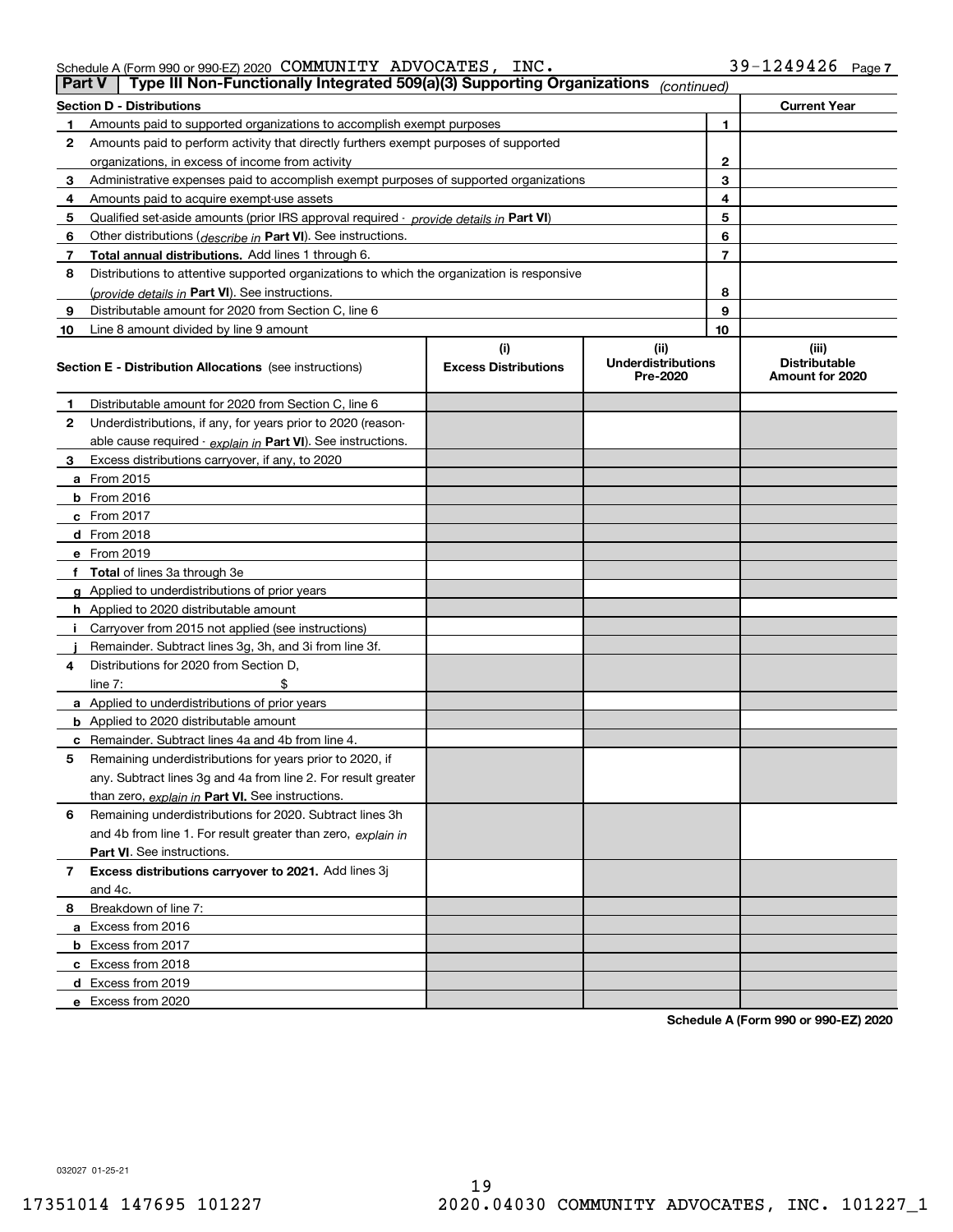|  |  | INC. | $39 - 1249426$ Page 7 |  |
|--|--|------|-----------------------|--|
|  |  |      |                       |  |

| <b>Part V</b>  | Type III Non-Functionally Integrated 509(a)(3) Supporting Organizations                    |                                    | (continued)                                   |                                                  |
|----------------|--------------------------------------------------------------------------------------------|------------------------------------|-----------------------------------------------|--------------------------------------------------|
|                | <b>Section D - Distributions</b>                                                           |                                    |                                               | <b>Current Year</b>                              |
| 1              | Amounts paid to supported organizations to accomplish exempt purposes                      |                                    | 1                                             |                                                  |
| 2              | Amounts paid to perform activity that directly furthers exempt purposes of supported       |                                    |                                               |                                                  |
|                | organizations, in excess of income from activity                                           |                                    | 2                                             |                                                  |
| 3              | Administrative expenses paid to accomplish exempt purposes of supported organizations      |                                    | 3                                             |                                                  |
| 4              | Amounts paid to acquire exempt-use assets                                                  |                                    | 4                                             |                                                  |
| 5              | Qualified set aside amounts (prior IRS approval required - provide details in Part VI)     |                                    | 5                                             |                                                  |
| 6              | Other distributions ( <i>describe in</i> Part VI). See instructions.                       |                                    | 6                                             |                                                  |
| 7              | Total annual distributions. Add lines 1 through 6.                                         |                                    | 7                                             |                                                  |
| 8              | Distributions to attentive supported organizations to which the organization is responsive |                                    |                                               |                                                  |
|                | (provide details in Part VI). See instructions.                                            |                                    | 8                                             |                                                  |
| 9              | Distributable amount for 2020 from Section C, line 6                                       |                                    | 9                                             |                                                  |
| 10             | Line 8 amount divided by line 9 amount                                                     |                                    | 10                                            |                                                  |
|                | <b>Section E - Distribution Allocations</b> (see instructions)                             | (i)<br><b>Excess Distributions</b> | (ii)<br><b>Underdistributions</b><br>Pre-2020 | (iii)<br><b>Distributable</b><br>Amount for 2020 |
| 1              | Distributable amount for 2020 from Section C, line 6                                       |                                    |                                               |                                                  |
| 2              | Underdistributions, if any, for years prior to 2020 (reason-                               |                                    |                                               |                                                  |
|                | able cause required - explain in Part VI). See instructions.                               |                                    |                                               |                                                  |
| 3              | Excess distributions carryover, if any, to 2020                                            |                                    |                                               |                                                  |
|                | a From 2015                                                                                |                                    |                                               |                                                  |
|                | $b$ From 2016                                                                              |                                    |                                               |                                                  |
|                | c From 2017                                                                                |                                    |                                               |                                                  |
|                | <b>d</b> From 2018                                                                         |                                    |                                               |                                                  |
|                | e From 2019                                                                                |                                    |                                               |                                                  |
|                | f Total of lines 3a through 3e                                                             |                                    |                                               |                                                  |
|                | g Applied to underdistributions of prior years                                             |                                    |                                               |                                                  |
|                | <b>h</b> Applied to 2020 distributable amount                                              |                                    |                                               |                                                  |
|                | Carryover from 2015 not applied (see instructions)                                         |                                    |                                               |                                                  |
|                | Remainder. Subtract lines 3g, 3h, and 3i from line 3f.                                     |                                    |                                               |                                                  |
| 4              | Distributions for 2020 from Section D,                                                     |                                    |                                               |                                                  |
|                | line $7:$                                                                                  |                                    |                                               |                                                  |
|                | a Applied to underdistributions of prior years                                             |                                    |                                               |                                                  |
|                | <b>b</b> Applied to 2020 distributable amount                                              |                                    |                                               |                                                  |
|                | c Remainder. Subtract lines 4a and 4b from line 4.                                         |                                    |                                               |                                                  |
| 5              | Remaining underdistributions for years prior to 2020, if                                   |                                    |                                               |                                                  |
|                | any. Subtract lines 3g and 4a from line 2. For result greater                              |                                    |                                               |                                                  |
|                | than zero, explain in Part VI. See instructions.                                           |                                    |                                               |                                                  |
| 6              | Remaining underdistributions for 2020. Subtract lines 3h                                   |                                    |                                               |                                                  |
|                | and 4b from line 1. For result greater than zero, explain in                               |                                    |                                               |                                                  |
|                | <b>Part VI.</b> See instructions.                                                          |                                    |                                               |                                                  |
| $\overline{7}$ | Excess distributions carryover to 2021. Add lines 3j                                       |                                    |                                               |                                                  |
|                | and 4c.                                                                                    |                                    |                                               |                                                  |
| 8              | Breakdown of line 7:                                                                       |                                    |                                               |                                                  |
|                | a Excess from 2016                                                                         |                                    |                                               |                                                  |
|                | <b>b</b> Excess from 2017                                                                  |                                    |                                               |                                                  |
|                | c Excess from 2018                                                                         |                                    |                                               |                                                  |
|                | d Excess from 2019                                                                         |                                    |                                               |                                                  |
|                | e Excess from 2020                                                                         |                                    |                                               |                                                  |

**Schedule A (Form 990 or 990-EZ) 2020**

032027 01-25-21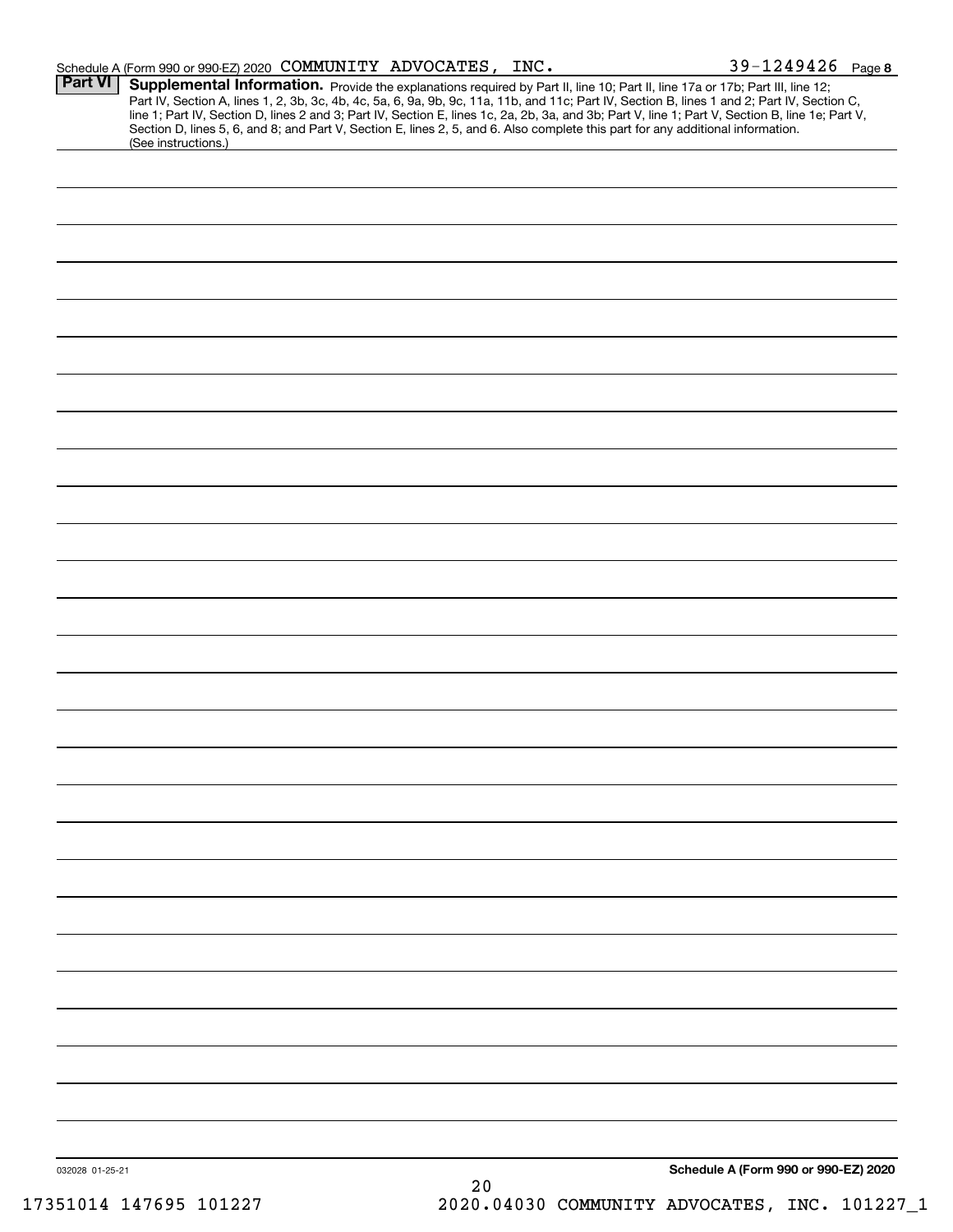|                 | Schedule A (Form 990 or 990-EZ) 2020 COMMUNITY ADVOCATES, INC. |    |                                                                                                                                 | 39-1249426 Page 8                                                                                                                                                                                                                                                                                                                                                                                                                 |
|-----------------|----------------------------------------------------------------|----|---------------------------------------------------------------------------------------------------------------------------------|-----------------------------------------------------------------------------------------------------------------------------------------------------------------------------------------------------------------------------------------------------------------------------------------------------------------------------------------------------------------------------------------------------------------------------------|
| <b>Part VI</b>  |                                                                |    | Section D, lines 5, 6, and 8; and Part V, Section E, lines 2, 5, and 6. Also complete this part for any additional information. | Supplemental Information. Provide the explanations required by Part II, line 10; Part II, line 17a or 17b; Part III, line 12;<br>Part IV, Section A, lines 1, 2, 3b, 3c, 4b, 4c, 5a, 6, 9a, 9b, 9c, 11a, 11b, and 11c; Part IV, Section B, lines 1 and 2; Part IV, Section C,<br>line 1; Part IV, Section D, lines 2 and 3; Part IV, Section E, lines 1c, 2a, 2b, 3a, and 3b; Part V, line 1; Part V, Section B, line 1e; Part V, |
|                 | (See instructions.)                                            |    |                                                                                                                                 |                                                                                                                                                                                                                                                                                                                                                                                                                                   |
|                 |                                                                |    |                                                                                                                                 |                                                                                                                                                                                                                                                                                                                                                                                                                                   |
|                 |                                                                |    |                                                                                                                                 |                                                                                                                                                                                                                                                                                                                                                                                                                                   |
|                 |                                                                |    |                                                                                                                                 |                                                                                                                                                                                                                                                                                                                                                                                                                                   |
|                 |                                                                |    |                                                                                                                                 |                                                                                                                                                                                                                                                                                                                                                                                                                                   |
|                 |                                                                |    |                                                                                                                                 |                                                                                                                                                                                                                                                                                                                                                                                                                                   |
|                 |                                                                |    |                                                                                                                                 |                                                                                                                                                                                                                                                                                                                                                                                                                                   |
|                 |                                                                |    |                                                                                                                                 |                                                                                                                                                                                                                                                                                                                                                                                                                                   |
|                 |                                                                |    |                                                                                                                                 |                                                                                                                                                                                                                                                                                                                                                                                                                                   |
|                 |                                                                |    |                                                                                                                                 |                                                                                                                                                                                                                                                                                                                                                                                                                                   |
|                 |                                                                |    |                                                                                                                                 |                                                                                                                                                                                                                                                                                                                                                                                                                                   |
|                 |                                                                |    |                                                                                                                                 |                                                                                                                                                                                                                                                                                                                                                                                                                                   |
|                 |                                                                |    |                                                                                                                                 |                                                                                                                                                                                                                                                                                                                                                                                                                                   |
|                 |                                                                |    |                                                                                                                                 |                                                                                                                                                                                                                                                                                                                                                                                                                                   |
|                 |                                                                |    |                                                                                                                                 |                                                                                                                                                                                                                                                                                                                                                                                                                                   |
|                 |                                                                |    |                                                                                                                                 |                                                                                                                                                                                                                                                                                                                                                                                                                                   |
|                 |                                                                |    |                                                                                                                                 |                                                                                                                                                                                                                                                                                                                                                                                                                                   |
|                 |                                                                |    |                                                                                                                                 |                                                                                                                                                                                                                                                                                                                                                                                                                                   |
|                 |                                                                |    |                                                                                                                                 |                                                                                                                                                                                                                                                                                                                                                                                                                                   |
|                 |                                                                |    |                                                                                                                                 |                                                                                                                                                                                                                                                                                                                                                                                                                                   |
|                 |                                                                |    |                                                                                                                                 |                                                                                                                                                                                                                                                                                                                                                                                                                                   |
|                 |                                                                |    |                                                                                                                                 |                                                                                                                                                                                                                                                                                                                                                                                                                                   |
|                 |                                                                |    |                                                                                                                                 |                                                                                                                                                                                                                                                                                                                                                                                                                                   |
|                 |                                                                |    |                                                                                                                                 |                                                                                                                                                                                                                                                                                                                                                                                                                                   |
|                 |                                                                |    |                                                                                                                                 |                                                                                                                                                                                                                                                                                                                                                                                                                                   |
|                 |                                                                |    |                                                                                                                                 |                                                                                                                                                                                                                                                                                                                                                                                                                                   |
|                 |                                                                |    |                                                                                                                                 |                                                                                                                                                                                                                                                                                                                                                                                                                                   |
|                 |                                                                |    |                                                                                                                                 |                                                                                                                                                                                                                                                                                                                                                                                                                                   |
|                 |                                                                |    |                                                                                                                                 |                                                                                                                                                                                                                                                                                                                                                                                                                                   |
|                 |                                                                |    |                                                                                                                                 |                                                                                                                                                                                                                                                                                                                                                                                                                                   |
| 032028 01-25-21 |                                                                |    |                                                                                                                                 | Schedule A (Form 990 or 990-EZ) 2020                                                                                                                                                                                                                                                                                                                                                                                              |
|                 |                                                                | 20 |                                                                                                                                 |                                                                                                                                                                                                                                                                                                                                                                                                                                   |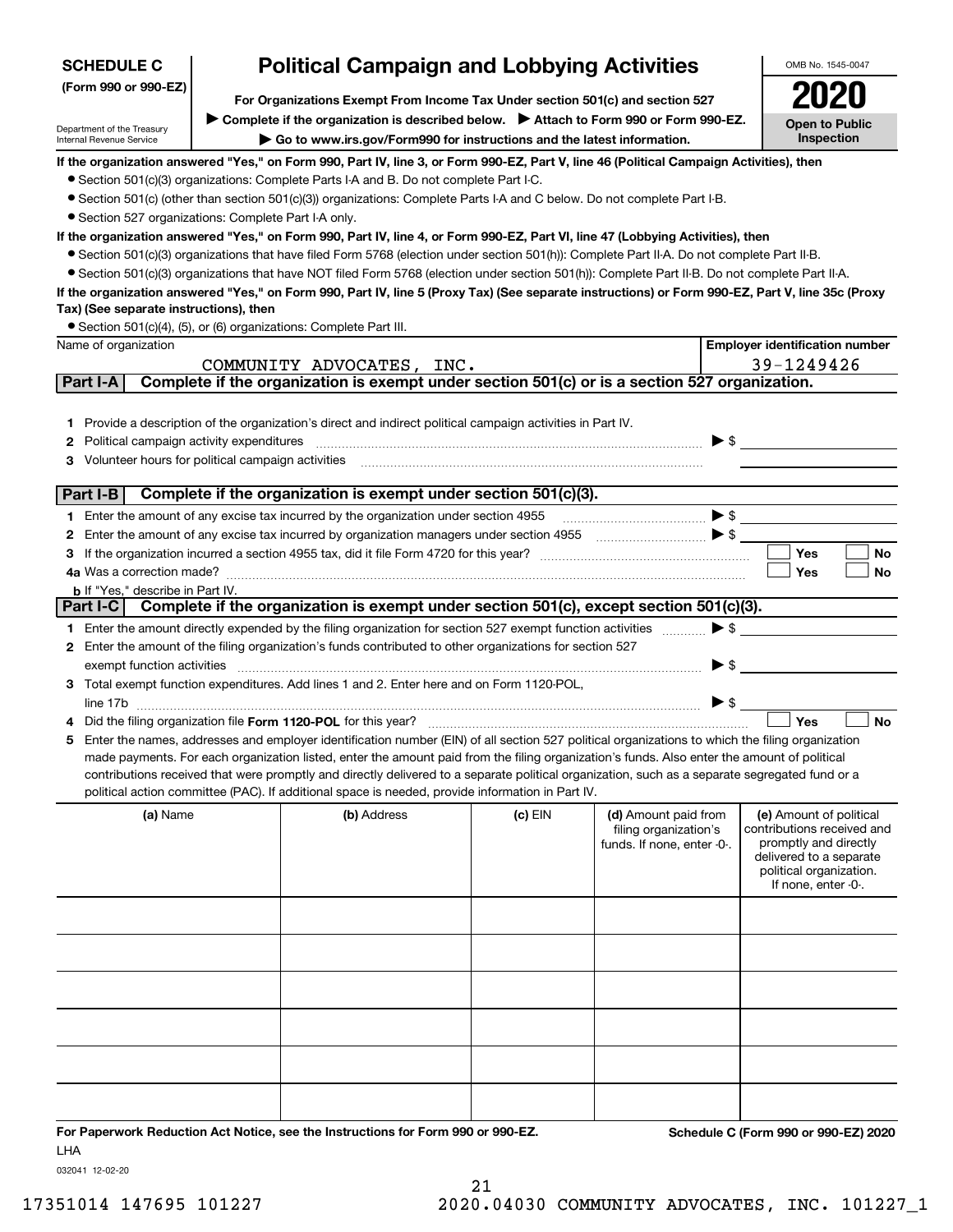| <b>SCHEDULE C</b>                                                    | <b>Political Campaign and Lobbying Activities</b>                                                                                                                                                                                                                                              |         |                                               | OMB No. 1545-0047                                     |
|----------------------------------------------------------------------|------------------------------------------------------------------------------------------------------------------------------------------------------------------------------------------------------------------------------------------------------------------------------------------------|---------|-----------------------------------------------|-------------------------------------------------------|
| (Form 990 or 990-EZ)                                                 | For Organizations Exempt From Income Tax Under section 501(c) and section 527                                                                                                                                                                                                                  |         |                                               |                                                       |
|                                                                      | Complete if the organization is described below. > Attach to Form 990 or Form 990-EZ.                                                                                                                                                                                                          |         |                                               |                                                       |
| Department of the Treasury<br>Internal Revenue Service               | Go to www.irs.gov/Form990 for instructions and the latest information.                                                                                                                                                                                                                         |         |                                               | <b>Open to Public</b><br>Inspection                   |
|                                                                      | If the organization answered "Yes," on Form 990, Part IV, line 3, or Form 990-EZ, Part V, line 46 (Political Campaign Activities), then                                                                                                                                                        |         |                                               |                                                       |
|                                                                      | • Section 501(c)(3) organizations: Complete Parts I-A and B. Do not complete Part I-C.                                                                                                                                                                                                         |         |                                               |                                                       |
|                                                                      | • Section 501(c) (other than section 501(c)(3)) organizations: Complete Parts I-A and C below. Do not complete Part I-B.                                                                                                                                                                       |         |                                               |                                                       |
| • Section 527 organizations: Complete Part I-A only.                 |                                                                                                                                                                                                                                                                                                |         |                                               |                                                       |
|                                                                      | If the organization answered "Yes," on Form 990, Part IV, line 4, or Form 990-EZ, Part VI, line 47 (Lobbying Activities), then                                                                                                                                                                 |         |                                               |                                                       |
|                                                                      | • Section 501(c)(3) organizations that have filed Form 5768 (election under section 501(h)): Complete Part II-A. Do not complete Part II-B.<br>• Section 501(c)(3) organizations that have NOT filed Form 5768 (election under section 501(h)): Complete Part II-B. Do not complete Part II-A. |         |                                               |                                                       |
|                                                                      | If the organization answered "Yes," on Form 990, Part IV, line 5 (Proxy Tax) (See separate instructions) or Form 990-EZ, Part V, line 35c (Proxy                                                                                                                                               |         |                                               |                                                       |
| Tax) (See separate instructions), then                               |                                                                                                                                                                                                                                                                                                |         |                                               |                                                       |
|                                                                      | • Section 501(c)(4), (5), or (6) organizations: Complete Part III.                                                                                                                                                                                                                             |         |                                               |                                                       |
| Name of organization                                                 |                                                                                                                                                                                                                                                                                                |         |                                               | <b>Employer identification number</b>                 |
|                                                                      | COMMUNITY ADVOCATES, INC.                                                                                                                                                                                                                                                                      |         |                                               | 39-1249426                                            |
| Part I-A                                                             | Complete if the organization is exempt under section 501(c) or is a section 527 organization.                                                                                                                                                                                                  |         |                                               |                                                       |
|                                                                      |                                                                                                                                                                                                                                                                                                |         |                                               |                                                       |
| 1.                                                                   | Provide a description of the organization's direct and indirect political campaign activities in Part IV.                                                                                                                                                                                      |         |                                               |                                                       |
| Political campaign activity expenditures<br>2                        |                                                                                                                                                                                                                                                                                                |         | $\blacktriangleright$ \$                      |                                                       |
| Volunteer hours for political campaign activities<br>з               |                                                                                                                                                                                                                                                                                                |         |                                               |                                                       |
|                                                                      |                                                                                                                                                                                                                                                                                                |         |                                               |                                                       |
| Part I-B                                                             | Complete if the organization is exempt under section 501(c)(3).                                                                                                                                                                                                                                |         |                                               |                                                       |
| 1.                                                                   | Enter the amount of any excise tax incurred by the organization under section 4955                                                                                                                                                                                                             |         |                                               | $\blacktriangleright$ \$                              |
| 2                                                                    |                                                                                                                                                                                                                                                                                                |         |                                               |                                                       |
| з                                                                    |                                                                                                                                                                                                                                                                                                |         |                                               | <b>Yes</b><br>No                                      |
| 4a Was a correction made?<br><b>b</b> If "Yes," describe in Part IV. |                                                                                                                                                                                                                                                                                                |         |                                               | Yes<br>No                                             |
| Part I-C                                                             | Complete if the organization is exempt under section 501(c), except section 501(c)(3).                                                                                                                                                                                                         |         |                                               |                                                       |
|                                                                      | 1 Enter the amount directly expended by the filing organization for section 527 exempt function activities                                                                                                                                                                                     |         | $\blacktriangleright$ \$                      |                                                       |
|                                                                      | 2 Enter the amount of the filing organization's funds contributed to other organizations for section 527                                                                                                                                                                                       |         |                                               |                                                       |
| exempt function activities                                           |                                                                                                                                                                                                                                                                                                |         | $\blacktriangleright$ \$                      |                                                       |
|                                                                      | Total exempt function expenditures. Add lines 1 and 2. Enter here and on Form 1120-POL,                                                                                                                                                                                                        |         |                                               |                                                       |
|                                                                      |                                                                                                                                                                                                                                                                                                |         | $\blacktriangleright$ \$                      |                                                       |
|                                                                      | Did the filing organization file Form 1120-POL for this year?                                                                                                                                                                                                                                  |         |                                               | Yes<br><b>No</b>                                      |
| 5                                                                    | Enter the names, addresses and employer identification number (EIN) of all section 527 political organizations to which the filing organization                                                                                                                                                |         |                                               |                                                       |
|                                                                      | made payments. For each organization listed, enter the amount paid from the filing organization's funds. Also enter the amount of political                                                                                                                                                    |         |                                               |                                                       |
|                                                                      | contributions received that were promptly and directly delivered to a separate political organization, such as a separate segregated fund or a                                                                                                                                                 |         |                                               |                                                       |
|                                                                      | political action committee (PAC). If additional space is needed, provide information in Part IV.                                                                                                                                                                                               |         |                                               |                                                       |
| (a) Name                                                             | (b) Address                                                                                                                                                                                                                                                                                    | (c) EIN | (d) Amount paid from<br>filing organization's | (e) Amount of political<br>contributions received and |
|                                                                      |                                                                                                                                                                                                                                                                                                |         | funds. If none, enter -0-.                    | promptly and directly                                 |
|                                                                      |                                                                                                                                                                                                                                                                                                |         |                                               | delivered to a separate                               |
|                                                                      |                                                                                                                                                                                                                                                                                                |         |                                               | political organization.<br>If none, enter -0-.        |
|                                                                      |                                                                                                                                                                                                                                                                                                |         |                                               |                                                       |
|                                                                      |                                                                                                                                                                                                                                                                                                |         |                                               |                                                       |
|                                                                      |                                                                                                                                                                                                                                                                                                |         |                                               |                                                       |
|                                                                      |                                                                                                                                                                                                                                                                                                |         |                                               |                                                       |
|                                                                      |                                                                                                                                                                                                                                                                                                |         |                                               |                                                       |
|                                                                      |                                                                                                                                                                                                                                                                                                |         |                                               |                                                       |
|                                                                      |                                                                                                                                                                                                                                                                                                |         |                                               |                                                       |
|                                                                      |                                                                                                                                                                                                                                                                                                |         |                                               |                                                       |
|                                                                      |                                                                                                                                                                                                                                                                                                |         |                                               |                                                       |
|                                                                      |                                                                                                                                                                                                                                                                                                |         |                                               |                                                       |
|                                                                      |                                                                                                                                                                                                                                                                                                |         |                                               |                                                       |
|                                                                      |                                                                                                                                                                                                                                                                                                |         |                                               |                                                       |
|                                                                      | For Paperwork Reduction Act Notice, see the Instructions for Form 990 or 990-EZ.                                                                                                                                                                                                               |         |                                               | Schedule C (Form 990 or 990-EZ) 2020                  |

032041 12-02-20 LHA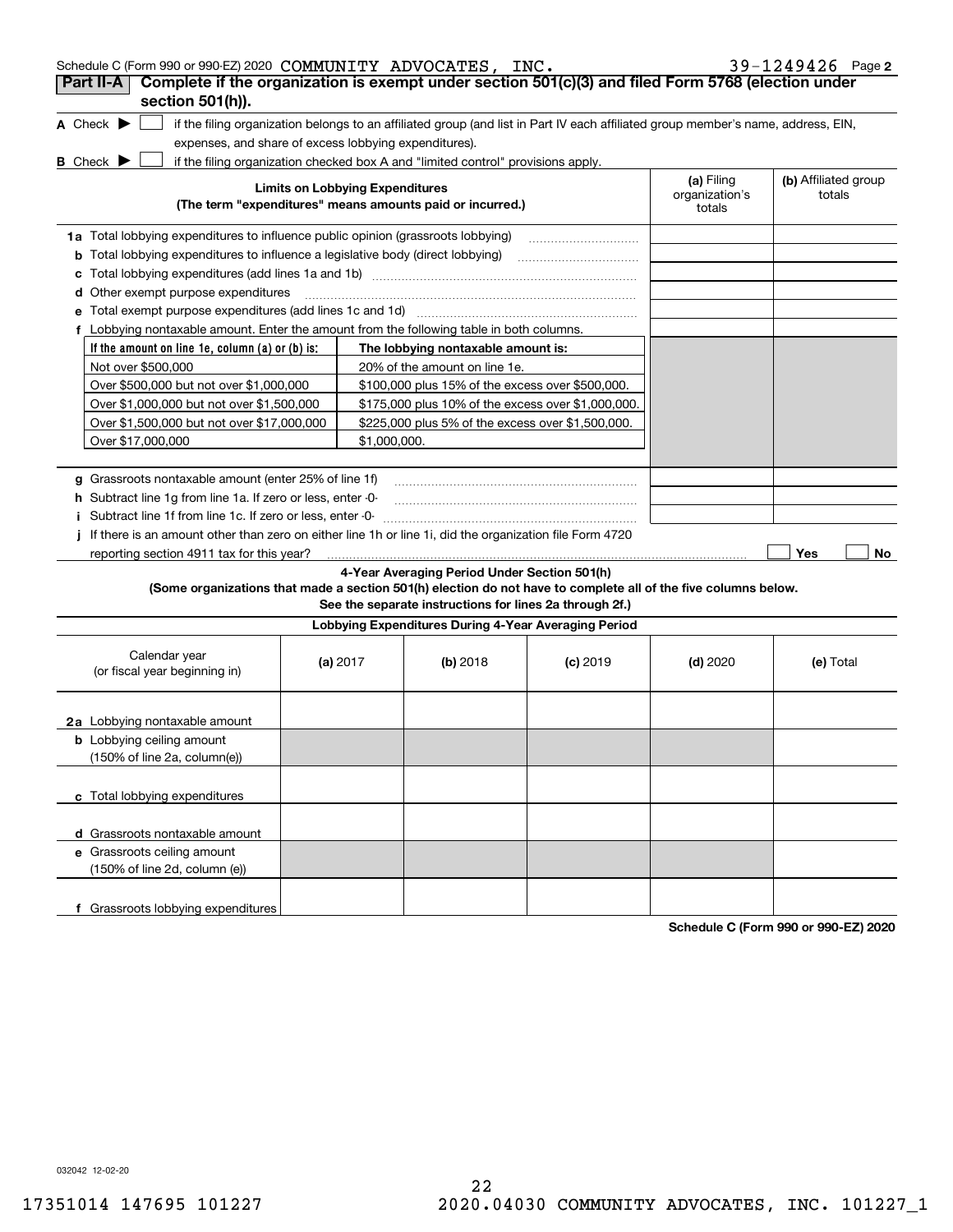| Schedule C (Form 990 or 990-EZ) 2020 COMMUNITY ADVOCATES, INC.                                                                      |                                        |              |                                                                                  |                                                                                                                                   |                              | $39 - 1249426$ Page 2          |
|-------------------------------------------------------------------------------------------------------------------------------------|----------------------------------------|--------------|----------------------------------------------------------------------------------|-----------------------------------------------------------------------------------------------------------------------------------|------------------------------|--------------------------------|
| Complete if the organization is exempt under section 501(c)(3) and filed Form 5768 (election under<br>Part II-A<br>section 501(h)). |                                        |              |                                                                                  |                                                                                                                                   |                              |                                |
| A Check $\blacktriangleright$                                                                                                       |                                        |              |                                                                                  | if the filing organization belongs to an affiliated group (and list in Part IV each affiliated group member's name, address, EIN, |                              |                                |
| expenses, and share of excess lobbying expenditures).                                                                               |                                        |              |                                                                                  |                                                                                                                                   |                              |                                |
| $B$ Check $\blacktriangleright$                                                                                                     |                                        |              | if the filing organization checked box A and "limited control" provisions apply. |                                                                                                                                   |                              |                                |
|                                                                                                                                     | <b>Limits on Lobbying Expenditures</b> |              |                                                                                  |                                                                                                                                   | (a) Filing<br>organization's | (b) Affiliated group<br>totals |
|                                                                                                                                     |                                        |              | (The term "expenditures" means amounts paid or incurred.)                        |                                                                                                                                   | totals                       |                                |
| 1a Total lobbying expenditures to influence public opinion (grassroots lobbying)                                                    |                                        |              |                                                                                  |                                                                                                                                   |                              |                                |
| <b>b</b> Total lobbying expenditures to influence a legislative body (direct lobbying)                                              |                                        |              |                                                                                  |                                                                                                                                   |                              |                                |
| c                                                                                                                                   |                                        |              |                                                                                  |                                                                                                                                   |                              |                                |
| d Other exempt purpose expenditures                                                                                                 |                                        |              |                                                                                  |                                                                                                                                   |                              |                                |
|                                                                                                                                     |                                        |              |                                                                                  |                                                                                                                                   |                              |                                |
| f Lobbying nontaxable amount. Enter the amount from the following table in both columns.                                            |                                        |              |                                                                                  |                                                                                                                                   |                              |                                |
| If the amount on line 1e, column (a) or (b) is:                                                                                     |                                        |              | The lobbying nontaxable amount is:                                               |                                                                                                                                   |                              |                                |
| Not over \$500,000                                                                                                                  |                                        |              | 20% of the amount on line 1e.                                                    |                                                                                                                                   |                              |                                |
| Over \$500,000 but not over \$1,000,000                                                                                             |                                        |              | \$100,000 plus 15% of the excess over \$500,000.                                 |                                                                                                                                   |                              |                                |
| Over \$1,000,000 but not over \$1,500,000                                                                                           |                                        |              | \$175,000 plus 10% of the excess over \$1,000,000.                               |                                                                                                                                   |                              |                                |
| Over \$1,500,000 but not over \$17,000,000                                                                                          |                                        |              | \$225,000 plus 5% of the excess over \$1,500,000.                                |                                                                                                                                   |                              |                                |
| Over \$17,000,000                                                                                                                   |                                        | \$1,000,000. |                                                                                  |                                                                                                                                   |                              |                                |
|                                                                                                                                     |                                        |              |                                                                                  |                                                                                                                                   |                              |                                |
| g Grassroots nontaxable amount (enter 25% of line 1f)                                                                               |                                        |              |                                                                                  |                                                                                                                                   |                              |                                |
| h Subtract line 1g from line 1a. If zero or less, enter -0-                                                                         |                                        |              |                                                                                  |                                                                                                                                   |                              |                                |
| Subtract line 1f from line 1c. If zero or less, enter -0-                                                                           |                                        |              |                                                                                  |                                                                                                                                   |                              |                                |
| If there is an amount other than zero on either line 1h or line 1i, did the organization file Form 4720                             |                                        |              |                                                                                  |                                                                                                                                   |                              |                                |
| reporting section 4911 tax for this year?                                                                                           |                                        |              |                                                                                  |                                                                                                                                   |                              | Yes<br>No                      |
|                                                                                                                                     |                                        |              | 4-Year Averaging Period Under Section 501(h)                                     |                                                                                                                                   |                              |                                |
| (Some organizations that made a section 501(h) election do not have to complete all of the five columns below.                      |                                        |              | See the separate instructions for lines 2a through 2f.)                          |                                                                                                                                   |                              |                                |
|                                                                                                                                     |                                        |              | Lobbying Expenditures During 4-Year Averaging Period                             |                                                                                                                                   |                              |                                |
| Calendar year<br>(or fiscal year beginning in)                                                                                      | (a) $2017$                             |              | (b) 2018                                                                         | $(c)$ 2019                                                                                                                        | $(d)$ 2020                   | (e) Total                      |
| 2a Lobbying nontaxable amount                                                                                                       |                                        |              |                                                                                  |                                                                                                                                   |                              |                                |
| <b>b</b> Lobbying ceiling amount<br>(150% of line 2a, column(e))                                                                    |                                        |              |                                                                                  |                                                                                                                                   |                              |                                |
| c Total lobbying expenditures                                                                                                       |                                        |              |                                                                                  |                                                                                                                                   |                              |                                |
| d Grassroots nontaxable amount                                                                                                      |                                        |              |                                                                                  |                                                                                                                                   |                              |                                |
| e Grassroots ceiling amount<br>(150% of line 2d, column (e))                                                                        |                                        |              |                                                                                  |                                                                                                                                   |                              |                                |
| f Grassroots lobbying expenditures                                                                                                  |                                        |              |                                                                                  |                                                                                                                                   |                              |                                |

**Schedule C (Form 990 or 990-EZ) 2020**

032042 12-02-20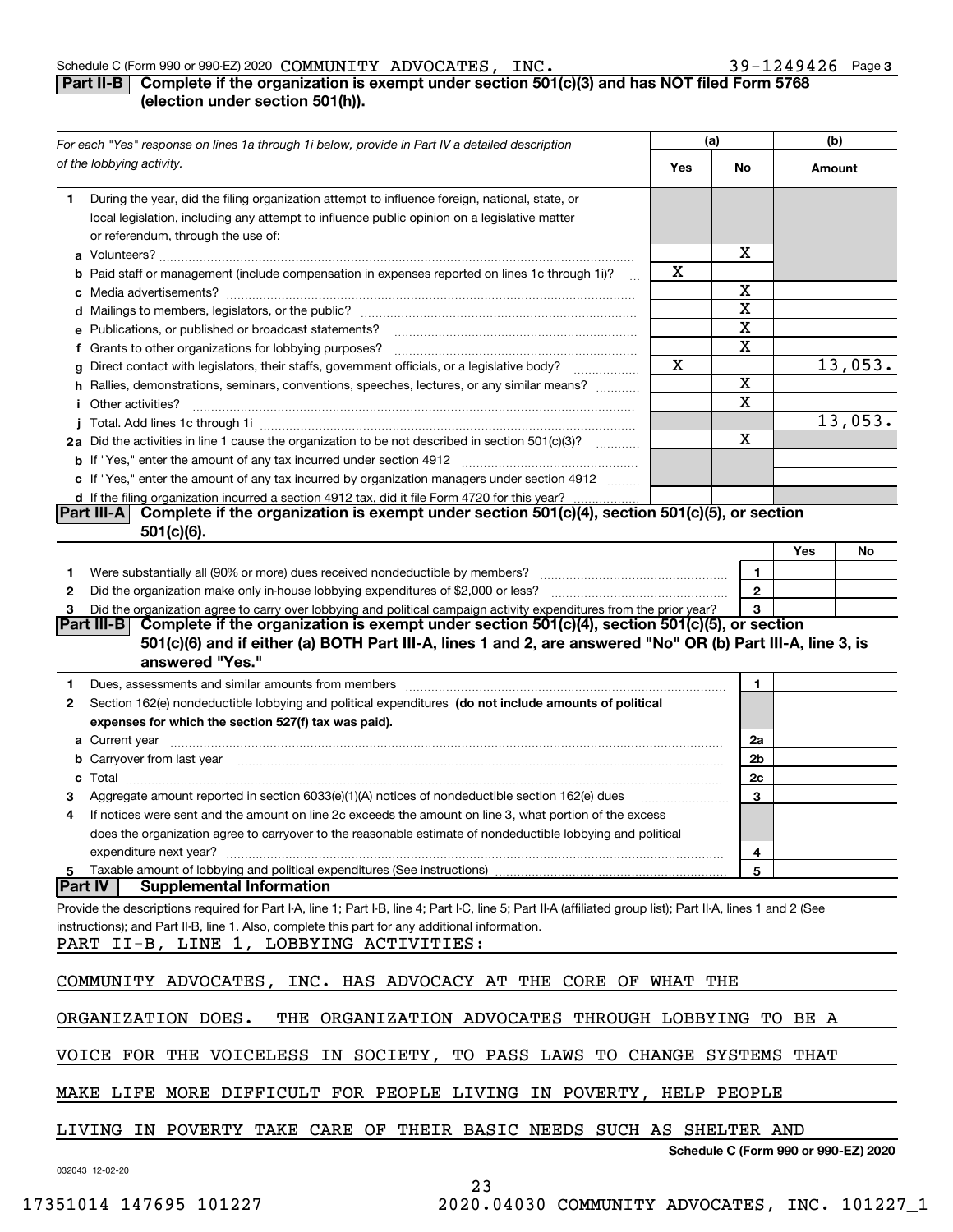#### **Part II-B Complete if the organization is exempt under section 501(c)(3) and has NOT filed Form 5768 (election under section 501(h)).**

|                            | For each "Yes" response on lines 1a through 1i below, provide in Part IV a detailed description                                                                                                                                      |     |                                      |        | (b)     |  |
|----------------------------|--------------------------------------------------------------------------------------------------------------------------------------------------------------------------------------------------------------------------------------|-----|--------------------------------------|--------|---------|--|
| of the lobbying activity.  |                                                                                                                                                                                                                                      | Yes | No                                   | Amount |         |  |
| 1.                         | During the year, did the filing organization attempt to influence foreign, national, state, or<br>local legislation, including any attempt to influence public opinion on a legislative matter<br>or referendum, through the use of: |     |                                      |        |         |  |
|                            |                                                                                                                                                                                                                                      |     | х                                    |        |         |  |
|                            | Paid staff or management (include compensation in expenses reported on lines 1c through 1i)?                                                                                                                                         | X   |                                      |        |         |  |
|                            |                                                                                                                                                                                                                                      |     | X                                    |        |         |  |
|                            |                                                                                                                                                                                                                                      |     | X                                    |        |         |  |
|                            | e Publications, or published or broadcast statements?                                                                                                                                                                                |     | X                                    |        |         |  |
|                            | f Grants to other organizations for lobbying purposes?                                                                                                                                                                               |     | X                                    |        |         |  |
|                            | g Direct contact with legislators, their staffs, government officials, or a legislative body?<br>.                                                                                                                                   | X   |                                      |        | 13,053. |  |
|                            | h Rallies, demonstrations, seminars, conventions, speeches, lectures, or any similar means?                                                                                                                                          |     | X                                    |        |         |  |
| <i>i</i> Other activities? |                                                                                                                                                                                                                                      |     | X                                    |        |         |  |
|                            |                                                                                                                                                                                                                                      |     |                                      |        | 13,053. |  |
|                            | 2a Did the activities in line 1 cause the organization to be not described in section 501(c)(3)?                                                                                                                                     |     | $\mathbf x$                          |        |         |  |
|                            |                                                                                                                                                                                                                                      |     |                                      |        |         |  |
|                            | c If "Yes," enter the amount of any tax incurred by organization managers under section 4912                                                                                                                                         |     |                                      |        |         |  |
|                            | d If the filing organization incurred a section 4912 tax, did it file Form 4720 for this year?                                                                                                                                       |     |                                      |        |         |  |
| Part III-A <br>501(c)(6).  | Complete if the organization is exempt under section 501(c)(4), section 501(c)(5), or section                                                                                                                                        |     |                                      |        |         |  |
|                            |                                                                                                                                                                                                                                      |     |                                      | Yes    | No      |  |
| 1                          |                                                                                                                                                                                                                                      |     | 1.                                   |        |         |  |
| 2                          |                                                                                                                                                                                                                                      |     | $\mathbf{2}$                         |        |         |  |
| з                          | Did the organization agree to carry over lobbying and political campaign activity expenditures from the prior year?                                                                                                                  |     | 3                                    |        |         |  |
|                            | Part III-B Complete if the organization is exempt under section $501(c)(4)$ , section $501(c)(5)$ , or section                                                                                                                       |     |                                      |        |         |  |
|                            | 501(c)(6) and if either (a) BOTH Part III-A, lines 1 and 2, are answered "No" OR (b) Part III-A, line 3, is                                                                                                                          |     |                                      |        |         |  |
|                            | answered "Yes."                                                                                                                                                                                                                      |     |                                      |        |         |  |
| 1                          |                                                                                                                                                                                                                                      |     | 1                                    |        |         |  |
| 2                          | Section 162(e) nondeductible lobbying and political expenditures (do not include amounts of political                                                                                                                                |     |                                      |        |         |  |
|                            | expenses for which the section 527(f) tax was paid).                                                                                                                                                                                 |     |                                      |        |         |  |
| а                          |                                                                                                                                                                                                                                      |     | 2a                                   |        |         |  |
|                            | <b>b</b> Carryover from last year manufactured and content to content the content of the content of the content of the content of the content of the content of the content of the content of the content of the content of the con  |     | 2 <sub>b</sub>                       |        |         |  |
|                            |                                                                                                                                                                                                                                      |     | 2c                                   |        |         |  |
| з                          | Aggregate amount reported in section 6033(e)(1)(A) notices of nondeductible section 162(e) dues                                                                                                                                      |     | 3                                    |        |         |  |
| 4                          | If notices were sent and the amount on line 2c exceeds the amount on line 3, what portion of the excess                                                                                                                              |     |                                      |        |         |  |
|                            | does the organization agree to carryover to the reasonable estimate of nondeductible lobbying and political                                                                                                                          |     |                                      |        |         |  |
| expenditure next year?     | Taxable amount of lobbying and political expenditures (See instructions)                                                                                                                                                             |     | 4                                    |        |         |  |
| 5<br> Part IV              | <b>Supplemental Information</b>                                                                                                                                                                                                      |     | 5                                    |        |         |  |
|                            | Provide the descriptions required for Part I-A, line 1; Part I-B, line 4; Part I-C, line 5; Part II-A (affiliated group list); Part II-A, lines 1 and 2 (See                                                                         |     |                                      |        |         |  |
|                            | instructions); and Part II-B, line 1. Also, complete this part for any additional information.                                                                                                                                       |     |                                      |        |         |  |
|                            | PART II-B, LINE 1, LOBBYING ACTIVITIES:                                                                                                                                                                                              |     |                                      |        |         |  |
|                            | COMMUNITY ADVOCATES, INC. HAS ADVOCACY AT THE CORE OF WHAT THE                                                                                                                                                                       |     |                                      |        |         |  |
| ORGANIZATION DOES.         | THE ORGANIZATION ADVOCATES THROUGH LOBBYING TO BE A                                                                                                                                                                                  |     |                                      |        |         |  |
|                            | VOICE FOR THE VOICELESS<br>IN SOCIETY,<br>TO PASS LAWS TO CHANGE SYSTEMS                                                                                                                                                             |     |                                      | THAT   |         |  |
|                            | MAKE LIFE MORE DIFFICULT FOR PEOPLE LIVING IN POVERTY, HELP PEOPLE                                                                                                                                                                   |     |                                      |        |         |  |
|                            | LIVING IN POVERTY TAKE CARE OF THEIR BASIC NEEDS SUCH AS SHELTER AND                                                                                                                                                                 |     |                                      |        |         |  |
|                            |                                                                                                                                                                                                                                      |     | Schedule C (Form 990 or 990-EZ) 2020 |        |         |  |
| 032043 12-02-20            | າາ                                                                                                                                                                                                                                   |     |                                      |        |         |  |

23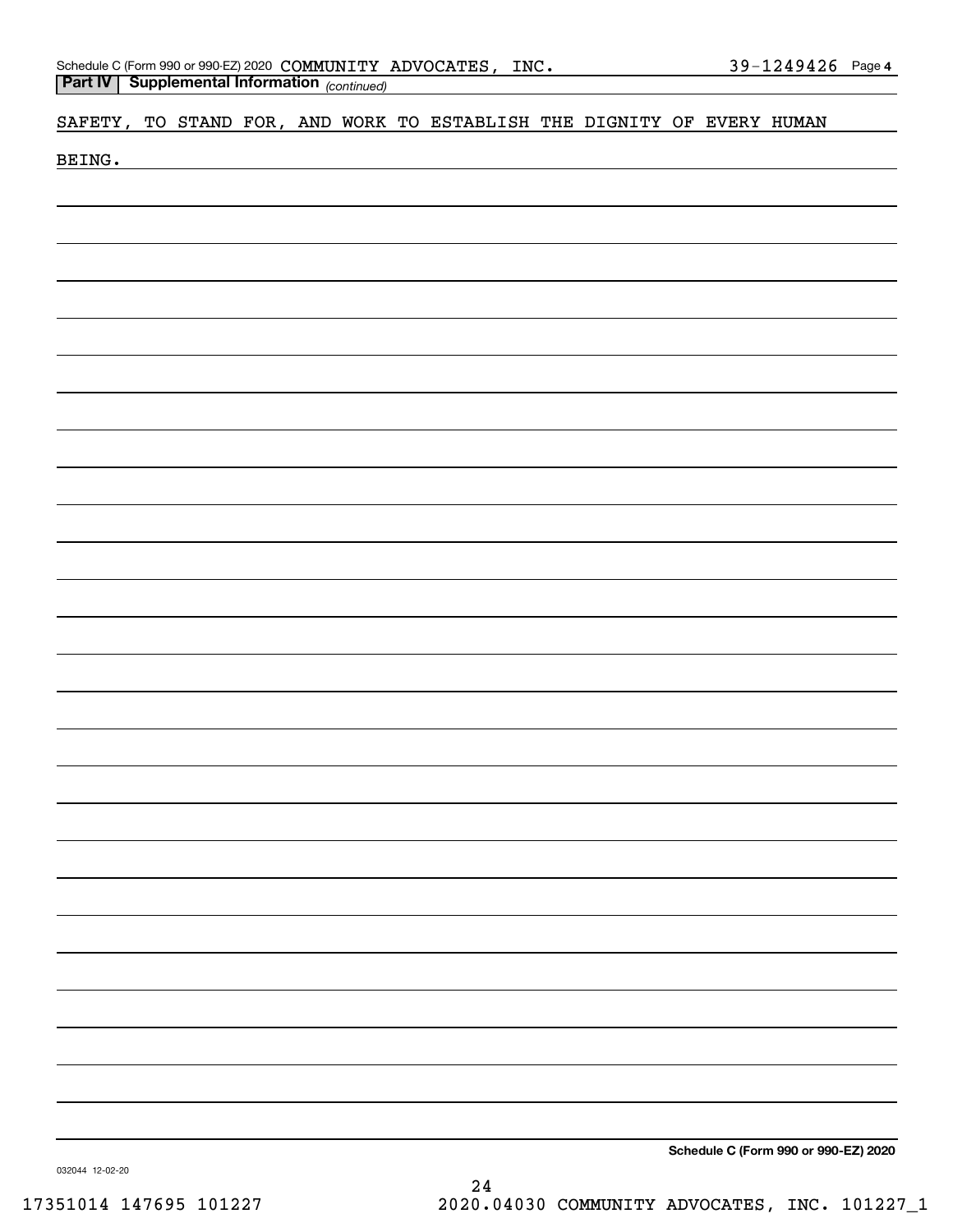| Schedule C (Form 990 or 990-EZ) 2020 COMMUNITY ADVOCATES, INC. |  | $39 - 1249426$ Page 4 |  |
|----------------------------------------------------------------|--|-----------------------|--|
| <b>Part IV Supplemental Information</b> (continued)            |  |                       |  |

SAFETY, TO STAND FOR, AND WORK TO ESTABLISH THE DIGNITY OF EVERY HUMAN

BEING.

**Schedule C (Form 990 or 990-EZ) 2020**

032044 12-02-20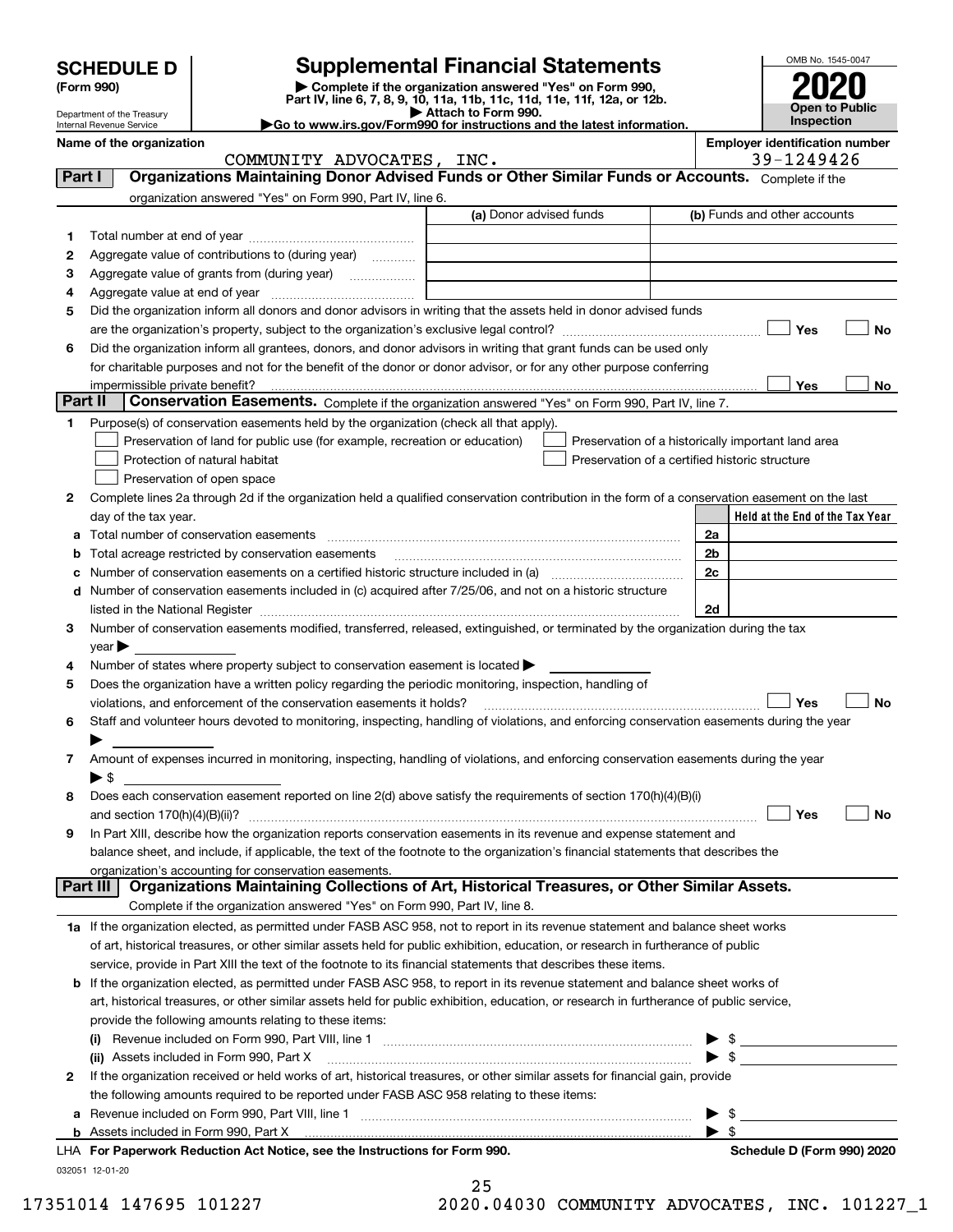|         |                                                                                                                                                         |                                                                                                        | <b>Supplemental Financial Statements</b>                                                                                                                                                                                                            |                          | OMB No. 1545-0047                                  |  |  |  |
|---------|---------------------------------------------------------------------------------------------------------------------------------------------------------|--------------------------------------------------------------------------------------------------------|-----------------------------------------------------------------------------------------------------------------------------------------------------------------------------------------------------------------------------------------------------|--------------------------|----------------------------------------------------|--|--|--|
|         | <b>SCHEDULE D</b><br>(Form 990)                                                                                                                         |                                                                                                        | Complete if the organization answered "Yes" on Form 990,                                                                                                                                                                                            |                          |                                                    |  |  |  |
|         |                                                                                                                                                         |                                                                                                        | Part IV, line 6, 7, 8, 9, 10, 11a, 11b, 11c, 11d, 11e, 11f, 12a, or 12b.                                                                                                                                                                            |                          | Open to Public                                     |  |  |  |
|         | Attach to Form 990.<br>Department of the Treasury<br>Go to www.irs.gov/Form990 for instructions and the latest information.<br>Internal Revenue Service |                                                                                                        |                                                                                                                                                                                                                                                     |                          |                                                    |  |  |  |
|         | Name of the organization                                                                                                                                |                                                                                                        |                                                                                                                                                                                                                                                     |                          | <b>Employer identification number</b>              |  |  |  |
|         |                                                                                                                                                         | COMMUNITY ADVOCATES, INC.                                                                              |                                                                                                                                                                                                                                                     |                          | 39-1249426                                         |  |  |  |
| Part I  |                                                                                                                                                         |                                                                                                        | Organizations Maintaining Donor Advised Funds or Other Similar Funds or Accounts. Complete if the                                                                                                                                                   |                          |                                                    |  |  |  |
|         |                                                                                                                                                         | organization answered "Yes" on Form 990, Part IV, line 6.                                              |                                                                                                                                                                                                                                                     |                          |                                                    |  |  |  |
|         |                                                                                                                                                         |                                                                                                        | (a) Donor advised funds                                                                                                                                                                                                                             |                          | (b) Funds and other accounts                       |  |  |  |
| 1       |                                                                                                                                                         |                                                                                                        |                                                                                                                                                                                                                                                     |                          |                                                    |  |  |  |
| 2       |                                                                                                                                                         | Aggregate value of contributions to (during year)                                                      |                                                                                                                                                                                                                                                     |                          |                                                    |  |  |  |
| 3<br>4  |                                                                                                                                                         |                                                                                                        |                                                                                                                                                                                                                                                     |                          |                                                    |  |  |  |
| 5       |                                                                                                                                                         |                                                                                                        | Did the organization inform all donors and donor advisors in writing that the assets held in donor advised funds                                                                                                                                    |                          |                                                    |  |  |  |
|         |                                                                                                                                                         |                                                                                                        |                                                                                                                                                                                                                                                     |                          | Yes<br>No                                          |  |  |  |
| 6       |                                                                                                                                                         |                                                                                                        | Did the organization inform all grantees, donors, and donor advisors in writing that grant funds can be used only                                                                                                                                   |                          |                                                    |  |  |  |
|         |                                                                                                                                                         |                                                                                                        | for charitable purposes and not for the benefit of the donor or donor advisor, or for any other purpose conferring                                                                                                                                  |                          |                                                    |  |  |  |
|         |                                                                                                                                                         |                                                                                                        |                                                                                                                                                                                                                                                     |                          | Yes<br>No                                          |  |  |  |
| Part II |                                                                                                                                                         |                                                                                                        | Conservation Easements. Complete if the organization answered "Yes" on Form 990, Part IV, line 7.                                                                                                                                                   |                          |                                                    |  |  |  |
| 1       |                                                                                                                                                         | Purpose(s) of conservation easements held by the organization (check all that apply).                  |                                                                                                                                                                                                                                                     |                          |                                                    |  |  |  |
|         |                                                                                                                                                         | Preservation of land for public use (for example, recreation or education)                             |                                                                                                                                                                                                                                                     |                          | Preservation of a historically important land area |  |  |  |
|         |                                                                                                                                                         | Protection of natural habitat                                                                          | Preservation of a certified historic structure                                                                                                                                                                                                      |                          |                                                    |  |  |  |
|         |                                                                                                                                                         | Preservation of open space                                                                             |                                                                                                                                                                                                                                                     |                          |                                                    |  |  |  |
| 2       |                                                                                                                                                         |                                                                                                        | Complete lines 2a through 2d if the organization held a qualified conservation contribution in the form of a conservation easement on the last                                                                                                      |                          |                                                    |  |  |  |
|         | day of the tax year.                                                                                                                                    |                                                                                                        |                                                                                                                                                                                                                                                     |                          | Held at the End of the Tax Year                    |  |  |  |
| a       |                                                                                                                                                         |                                                                                                        |                                                                                                                                                                                                                                                     | 2a                       |                                                    |  |  |  |
| b       |                                                                                                                                                         | Total acreage restricted by conservation easements                                                     |                                                                                                                                                                                                                                                     | 2 <sub>b</sub>           |                                                    |  |  |  |
| c       |                                                                                                                                                         |                                                                                                        |                                                                                                                                                                                                                                                     | 2c                       |                                                    |  |  |  |
| d       |                                                                                                                                                         |                                                                                                        | Number of conservation easements included in (c) acquired after 7/25/06, and not on a historic structure                                                                                                                                            |                          |                                                    |  |  |  |
| 3       |                                                                                                                                                         |                                                                                                        | Number of conservation easements modified, transferred, released, extinguished, or terminated by the organization during the tax                                                                                                                    | 2d                       |                                                    |  |  |  |
|         | $\mathsf{year}$                                                                                                                                         |                                                                                                        |                                                                                                                                                                                                                                                     |                          |                                                    |  |  |  |
| 4       |                                                                                                                                                         | Number of states where property subject to conservation easement is located $\blacktriangleright$      |                                                                                                                                                                                                                                                     |                          |                                                    |  |  |  |
| 5       |                                                                                                                                                         | Does the organization have a written policy regarding the periodic monitoring, inspection, handling of |                                                                                                                                                                                                                                                     |                          |                                                    |  |  |  |
|         |                                                                                                                                                         | violations, and enforcement of the conservation easements it holds?                                    |                                                                                                                                                                                                                                                     |                          | <b>No</b><br>Yes                                   |  |  |  |
| 6       |                                                                                                                                                         |                                                                                                        | Staff and volunteer hours devoted to monitoring, inspecting, handling of violations, and enforcing conservation easements during the year                                                                                                           |                          |                                                    |  |  |  |
|         |                                                                                                                                                         |                                                                                                        |                                                                                                                                                                                                                                                     |                          |                                                    |  |  |  |
| 7       |                                                                                                                                                         |                                                                                                        | Amount of expenses incurred in monitoring, inspecting, handling of violations, and enforcing conservation easements during the year                                                                                                                 |                          |                                                    |  |  |  |
|         | $\blacktriangleright$ \$                                                                                                                                |                                                                                                        |                                                                                                                                                                                                                                                     |                          |                                                    |  |  |  |
| 8       |                                                                                                                                                         |                                                                                                        | Does each conservation easement reported on line 2(d) above satisfy the requirements of section 170(h)(4)(B)(i)                                                                                                                                     |                          |                                                    |  |  |  |
|         |                                                                                                                                                         |                                                                                                        |                                                                                                                                                                                                                                                     |                          | Yes<br>No                                          |  |  |  |
| 9       |                                                                                                                                                         |                                                                                                        | In Part XIII, describe how the organization reports conservation easements in its revenue and expense statement and                                                                                                                                 |                          |                                                    |  |  |  |
|         |                                                                                                                                                         |                                                                                                        | balance sheet, and include, if applicable, the text of the footnote to the organization's financial statements that describes the                                                                                                                   |                          |                                                    |  |  |  |
|         |                                                                                                                                                         | organization's accounting for conservation easements.                                                  |                                                                                                                                                                                                                                                     |                          |                                                    |  |  |  |
|         | Part III                                                                                                                                                |                                                                                                        | Organizations Maintaining Collections of Art, Historical Treasures, or Other Similar Assets.                                                                                                                                                        |                          |                                                    |  |  |  |
|         |                                                                                                                                                         | Complete if the organization answered "Yes" on Form 990, Part IV, line 8.                              |                                                                                                                                                                                                                                                     |                          |                                                    |  |  |  |
|         |                                                                                                                                                         |                                                                                                        | 1a If the organization elected, as permitted under FASB ASC 958, not to report in its revenue statement and balance sheet works                                                                                                                     |                          |                                                    |  |  |  |
|         |                                                                                                                                                         |                                                                                                        | of art, historical treasures, or other similar assets held for public exhibition, education, or research in furtherance of public<br>service, provide in Part XIII the text of the footnote to its financial statements that describes these items. |                          |                                                    |  |  |  |
| b       |                                                                                                                                                         |                                                                                                        | If the organization elected, as permitted under FASB ASC 958, to report in its revenue statement and balance sheet works of                                                                                                                         |                          |                                                    |  |  |  |
|         |                                                                                                                                                         |                                                                                                        | art, historical treasures, or other similar assets held for public exhibition, education, or research in furtherance of public service,                                                                                                             |                          |                                                    |  |  |  |
|         |                                                                                                                                                         | provide the following amounts relating to these items:                                                 |                                                                                                                                                                                                                                                     |                          |                                                    |  |  |  |
|         |                                                                                                                                                         |                                                                                                        |                                                                                                                                                                                                                                                     | \$                       |                                                    |  |  |  |
|         |                                                                                                                                                         | (ii) Assets included in Form 990, Part X                                                               |                                                                                                                                                                                                                                                     |                          |                                                    |  |  |  |
| 2       |                                                                                                                                                         |                                                                                                        | If the organization received or held works of art, historical treasures, or other similar assets for financial gain, provide                                                                                                                        |                          |                                                    |  |  |  |
|         |                                                                                                                                                         | the following amounts required to be reported under FASB ASC 958 relating to these items:              |                                                                                                                                                                                                                                                     |                          |                                                    |  |  |  |
| а       |                                                                                                                                                         |                                                                                                        |                                                                                                                                                                                                                                                     | - \$                     |                                                    |  |  |  |
|         |                                                                                                                                                         |                                                                                                        |                                                                                                                                                                                                                                                     | $\blacktriangleright$ \$ |                                                    |  |  |  |

| LHA For Paperwork Reduction Act Notice, see the Instructions for Form 990 |
|---------------------------------------------------------------------------|
| 032051 12-01-20                                                           |

17351014 147695 101227 2020.04030 COMMUNITY ADVOCATES, INC. 101227\_1

| 25             |  |
|----------------|--|
| 0.04030 COMMIN |  |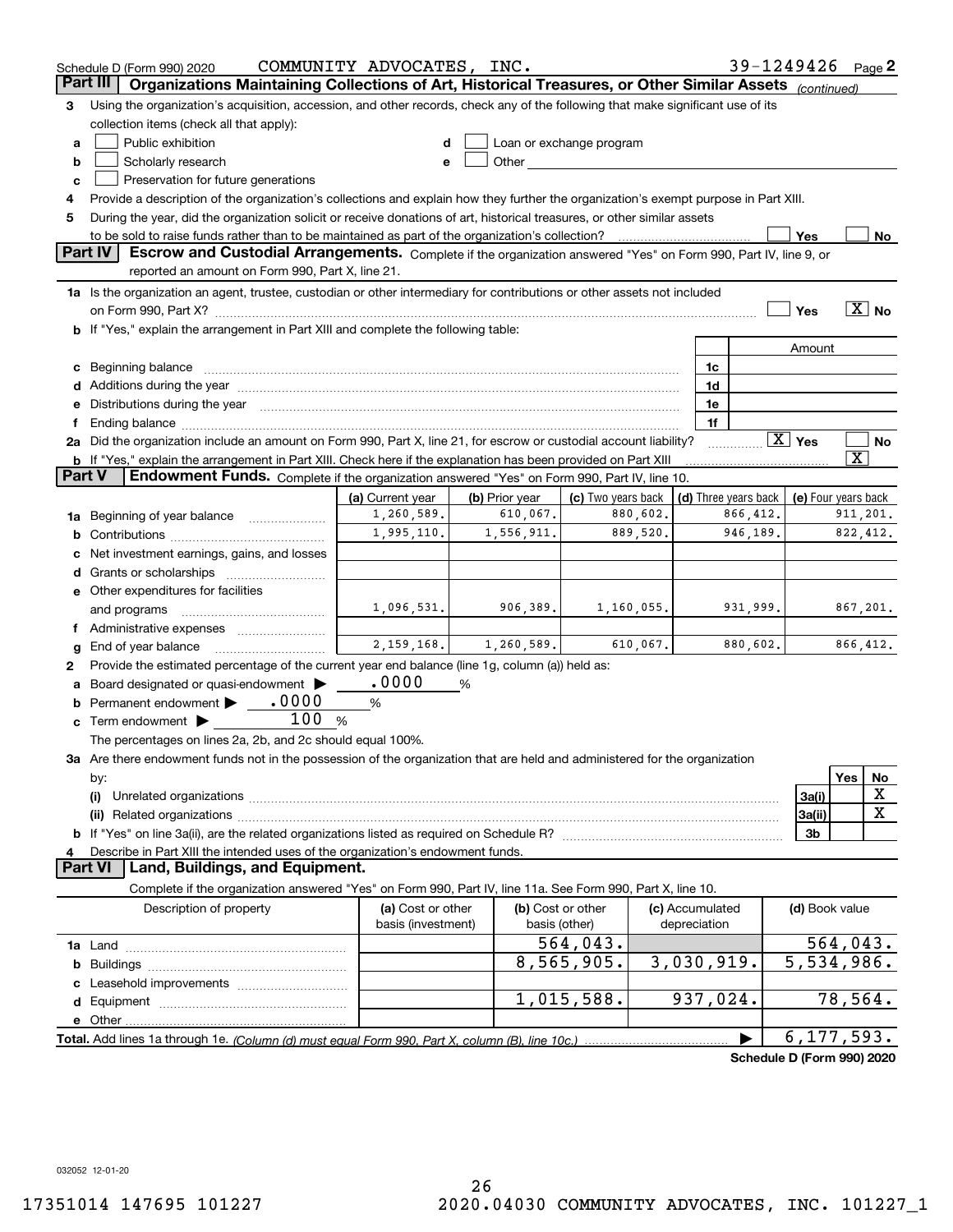|               | Schedule D (Form 990) 2020                                                                                                                                                                                                                           | COMMUNITY ADVOCATES, INC. |                |                          |          |                           |          | 39-1249426 Page 2          |                       |                       |  |  |
|---------------|------------------------------------------------------------------------------------------------------------------------------------------------------------------------------------------------------------------------------------------------------|---------------------------|----------------|--------------------------|----------|---------------------------|----------|----------------------------|-----------------------|-----------------------|--|--|
|               | Part III<br>Organizations Maintaining Collections of Art, Historical Treasures, or Other Similar Assets (continued)                                                                                                                                  |                           |                |                          |          |                           |          |                            |                       |                       |  |  |
| з             | Using the organization's acquisition, accession, and other records, check any of the following that make significant use of its                                                                                                                      |                           |                |                          |          |                           |          |                            |                       |                       |  |  |
|               | collection items (check all that apply):                                                                                                                                                                                                             |                           |                |                          |          |                           |          |                            |                       |                       |  |  |
| a             | Public exhibition                                                                                                                                                                                                                                    |                           |                | Loan or exchange program |          |                           |          |                            |                       |                       |  |  |
| b             | Other the contract of the contract of the contract of the contract of the contract of the contract of the contract of the contract of the contract of the contract of the contract of the contract of the contract of the cont<br>Scholarly research |                           |                |                          |          |                           |          |                            |                       |                       |  |  |
| с             | Preservation for future generations                                                                                                                                                                                                                  |                           |                |                          |          |                           |          |                            |                       |                       |  |  |
| 4             | Provide a description of the organization's collections and explain how they further the organization's exempt purpose in Part XIII.                                                                                                                 |                           |                |                          |          |                           |          |                            |                       |                       |  |  |
| 5             | During the year, did the organization solicit or receive donations of art, historical treasures, or other similar assets                                                                                                                             |                           |                |                          |          |                           |          |                            |                       |                       |  |  |
|               | to be sold to raise funds rather than to be maintained as part of the organization's collection?                                                                                                                                                     |                           |                |                          |          |                           |          | Yes                        |                       | No                    |  |  |
|               | <b>Part IV</b><br>Escrow and Custodial Arrangements. Complete if the organization answered "Yes" on Form 990, Part IV, line 9, or<br>reported an amount on Form 990, Part X, line 21.                                                                |                           |                |                          |          |                           |          |                            |                       |                       |  |  |
|               | 1a Is the organization an agent, trustee, custodian or other intermediary for contributions or other assets not included                                                                                                                             |                           |                |                          |          |                           |          |                            |                       |                       |  |  |
|               | on Form 990, Part X? <b>William Constitution Constitution</b> Construction Construction Construction Constitution Cons                                                                                                                               |                           |                |                          |          |                           |          | Yes                        |                       | $\boxed{\text{X}}$ No |  |  |
|               | <b>b</b> If "Yes," explain the arrangement in Part XIII and complete the following table:                                                                                                                                                            |                           |                |                          |          |                           |          |                            |                       |                       |  |  |
|               |                                                                                                                                                                                                                                                      |                           |                |                          |          |                           |          | Amount                     |                       |                       |  |  |
|               | c Beginning balance measurements and the contract of Beginning balance measurements and the contract of the contract of the contract of the contract of the contract of the contract of the contract of the contract of the co                       |                           |                |                          |          | 1c                        |          |                            |                       |                       |  |  |
|               | d Additions during the year measurements are all an according to the year.                                                                                                                                                                           |                           |                |                          |          | 1d                        |          |                            |                       |                       |  |  |
|               | e Distributions during the year manufactured and an according to the year manufactured and the year manufactur                                                                                                                                       |                           |                |                          |          | 1e                        |          |                            |                       |                       |  |  |
| f.            | Ending balance manufacture contract contract contract contract contract contract contract contract contract contract contract contract contract contract contract contract contract contract contract contract contract contra                       |                           |                |                          |          | 1f                        |          |                            |                       |                       |  |  |
|               | 2a Did the organization include an amount on Form 990, Part X, line 21, for escrow or custodial account liability?                                                                                                                                   |                           |                |                          |          |                           |          | $\boxed{\text{X}}$ Yes     |                       | No                    |  |  |
|               | <b>b</b> If "Yes," explain the arrangement in Part XIII. Check here if the explanation has been provided on Part XIII                                                                                                                                |                           |                |                          |          |                           |          |                            | $\overline{\text{X}}$ |                       |  |  |
| <b>Part V</b> | Endowment Funds. Complete if the organization answered "Yes" on Form 990, Part IV, line 10.                                                                                                                                                          |                           |                |                          |          |                           |          |                            |                       |                       |  |  |
|               |                                                                                                                                                                                                                                                      | (a) Current year          | (b) Prior year | (c) Two years back       |          | (d) Three years back      |          | (e) Four years back        |                       |                       |  |  |
|               | 1a Beginning of year balance                                                                                                                                                                                                                         | 1,260,589.                | 610,067.       |                          | 880,602. |                           | 866,412. |                            | 911,201.              |                       |  |  |
| b             |                                                                                                                                                                                                                                                      | 1,995,110.                | 1,556,911.     |                          | 889,520. |                           | 946,189. |                            | 822, 412.             |                       |  |  |
|               | Net investment earnings, gains, and losses                                                                                                                                                                                                           |                           |                |                          |          |                           |          |                            |                       |                       |  |  |
|               |                                                                                                                                                                                                                                                      |                           |                |                          |          |                           |          |                            |                       |                       |  |  |
|               | e Other expenditures for facilities                                                                                                                                                                                                                  | 1,096,531.                | 906, 389.      | 1,160,055.               |          |                           | 931,999. |                            | 867,201.              |                       |  |  |
|               | and programs                                                                                                                                                                                                                                         |                           |                |                          |          |                           |          |                            |                       |                       |  |  |
|               | f Administrative expenses<br>End of year balance                                                                                                                                                                                                     | 2, 159, 168.              | 1, 260, 589.   |                          | 610,067. |                           | 880,602. |                            | 866,412.              |                       |  |  |
| g<br>2        | Provide the estimated percentage of the current year end balance (line 1g, column (a)) held as:                                                                                                                                                      |                           |                |                          |          |                           |          |                            |                       |                       |  |  |
| а             | Board designated or quasi-endowment                                                                                                                                                                                                                  | .0000                     | %              |                          |          |                           |          |                            |                       |                       |  |  |
|               | <b>b</b> Permanent endowment $\blacktriangleright$ . 0000                                                                                                                                                                                            | $\%$                      |                |                          |          |                           |          |                            |                       |                       |  |  |
|               | 100<br><b>c</b> Term endowment $\blacktriangleright$                                                                                                                                                                                                 | %                         |                |                          |          |                           |          |                            |                       |                       |  |  |
|               | The percentages on lines 2a, 2b, and 2c should equal 100%.                                                                                                                                                                                           |                           |                |                          |          |                           |          |                            |                       |                       |  |  |
|               | 3a Are there endowment funds not in the possession of the organization that are held and administered for the organization                                                                                                                           |                           |                |                          |          |                           |          |                            |                       |                       |  |  |
|               | by:                                                                                                                                                                                                                                                  |                           |                |                          |          |                           |          |                            | Yes                   | No                    |  |  |
|               | (i)                                                                                                                                                                                                                                                  |                           |                |                          |          |                           |          | 3a(i)                      |                       | х                     |  |  |
|               |                                                                                                                                                                                                                                                      |                           |                |                          |          |                           |          | 3a(ii)                     |                       | Χ                     |  |  |
|               |                                                                                                                                                                                                                                                      |                           |                |                          |          |                           |          | 3b                         |                       |                       |  |  |
| 4             | Describe in Part XIII the intended uses of the organization's endowment funds.                                                                                                                                                                       |                           |                |                          |          |                           |          |                            |                       |                       |  |  |
|               | Land, Buildings, and Equipment.<br><b>Part VI</b>                                                                                                                                                                                                    |                           |                |                          |          |                           |          |                            |                       |                       |  |  |
|               | Complete if the organization answered "Yes" on Form 990, Part IV, line 11a. See Form 990, Part X, line 10.                                                                                                                                           |                           |                |                          |          |                           |          |                            |                       |                       |  |  |
|               | Description of property                                                                                                                                                                                                                              | (a) Cost or other         |                | (b) Cost or other        |          | (c) Accumulated           |          | (d) Book value             |                       |                       |  |  |
|               |                                                                                                                                                                                                                                                      | basis (investment)        | basis (other)  |                          |          | depreciation              |          |                            |                       |                       |  |  |
|               |                                                                                                                                                                                                                                                      |                           |                | 564,043.                 |          |                           |          |                            | 564,043.              |                       |  |  |
| b             |                                                                                                                                                                                                                                                      |                           |                | 8,565,905.               |          | $\overline{3,030}$ , 919. |          | $\overline{5,534,986}$ .   |                       |                       |  |  |
|               |                                                                                                                                                                                                                                                      |                           |                |                          |          |                           |          |                            |                       |                       |  |  |
|               |                                                                                                                                                                                                                                                      |                           |                | 1,015,588.               |          | 937,024.                  |          |                            | 78,564.               |                       |  |  |
|               |                                                                                                                                                                                                                                                      |                           |                |                          |          |                           |          |                            |                       |                       |  |  |
|               | Total. Add lines 1a through 1e. (Column (d) must equal Form 990. Part X. column (B). line 10c.)                                                                                                                                                      |                           |                |                          |          |                           |          | 6, 177, 593.               |                       |                       |  |  |
|               |                                                                                                                                                                                                                                                      |                           |                |                          |          |                           |          | Schedule D (Form 990) 2020 |                       |                       |  |  |

032052 12-01-20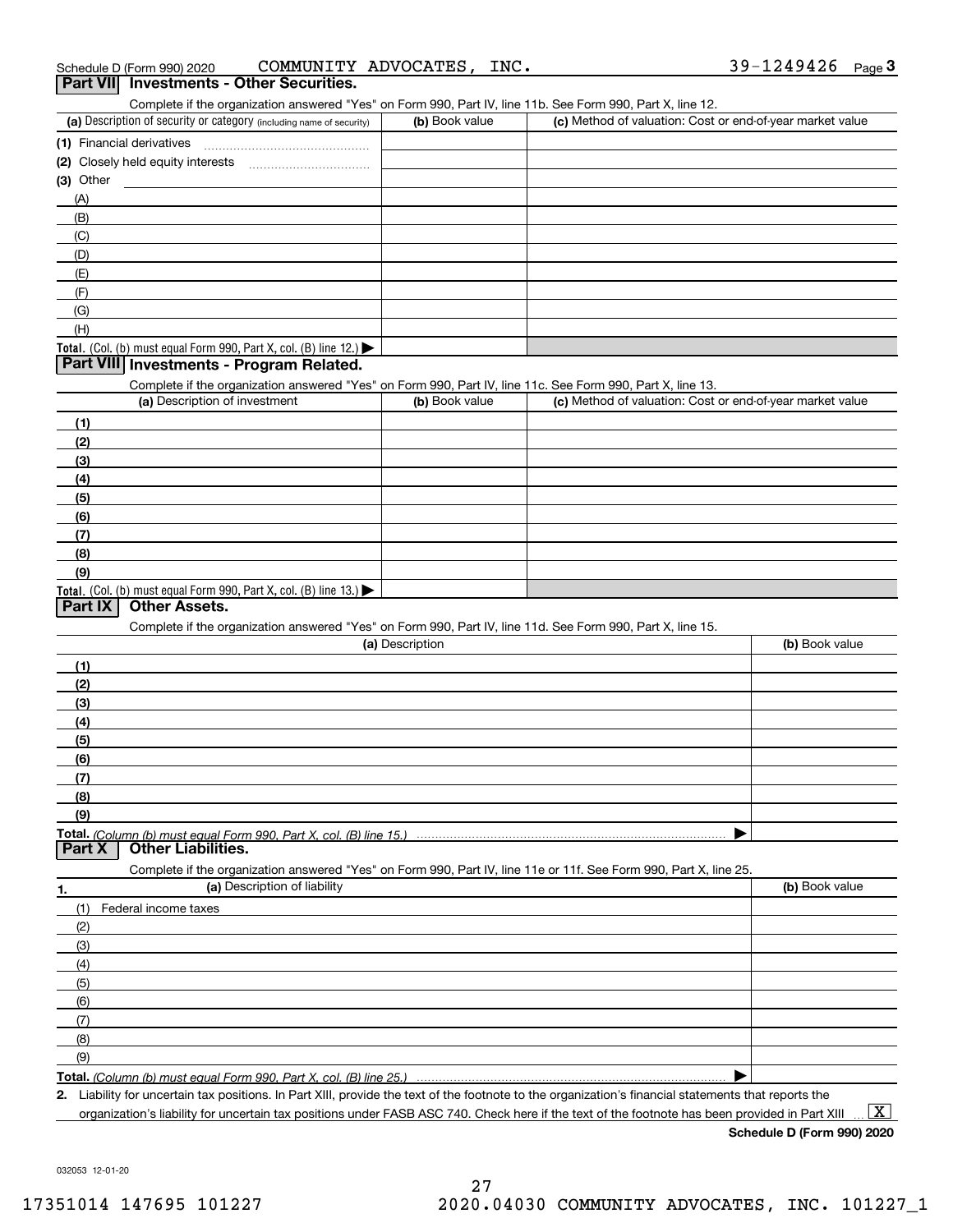|                            | <b>Dart VII</b> Investments - Other Securities |                      |      |            |      |
|----------------------------|------------------------------------------------|----------------------|------|------------|------|
| Schedule D (Form 990) 2020 |                                                | COMMUNITY ADVOCATES, | INC. | 39-1249426 | Page |

| Complete if the organization answered "Yes" on Form 990, Part IV, line 11b. See Form 990, Part X, line 12.<br>(a) Description of security or category (including name of security) | (b) Book value  | (c) Method of valuation: Cost or end-of-year market value |                |
|------------------------------------------------------------------------------------------------------------------------------------------------------------------------------------|-----------------|-----------------------------------------------------------|----------------|
|                                                                                                                                                                                    |                 |                                                           |                |
|                                                                                                                                                                                    |                 |                                                           |                |
| $(3)$ Other                                                                                                                                                                        |                 |                                                           |                |
|                                                                                                                                                                                    |                 |                                                           |                |
| (A)                                                                                                                                                                                |                 |                                                           |                |
| (B)                                                                                                                                                                                |                 |                                                           |                |
| (C)                                                                                                                                                                                |                 |                                                           |                |
| (D)                                                                                                                                                                                |                 |                                                           |                |
| (E)                                                                                                                                                                                |                 |                                                           |                |
| (F)                                                                                                                                                                                |                 |                                                           |                |
| (G)                                                                                                                                                                                |                 |                                                           |                |
| (H)                                                                                                                                                                                |                 |                                                           |                |
| Total. (Col. (b) must equal Form 990, Part X, col. (B) line 12.) $\blacktriangleright$                                                                                             |                 |                                                           |                |
| Part VIII Investments - Program Related.                                                                                                                                           |                 |                                                           |                |
| Complete if the organization answered "Yes" on Form 990, Part IV, line 11c. See Form 990, Part X, line 13.                                                                         |                 |                                                           |                |
| (a) Description of investment                                                                                                                                                      | (b) Book value  | (c) Method of valuation: Cost or end-of-year market value |                |
| (1)                                                                                                                                                                                |                 |                                                           |                |
| (2)                                                                                                                                                                                |                 |                                                           |                |
| (3)                                                                                                                                                                                |                 |                                                           |                |
| (4)                                                                                                                                                                                |                 |                                                           |                |
| (5)                                                                                                                                                                                |                 |                                                           |                |
| (6)                                                                                                                                                                                |                 |                                                           |                |
| (7)                                                                                                                                                                                |                 |                                                           |                |
| (8)                                                                                                                                                                                |                 |                                                           |                |
| (9)                                                                                                                                                                                |                 |                                                           |                |
| <b>Total.</b> (Col. (b) must equal Form 990, Part X, col. (B) line $13.$                                                                                                           |                 |                                                           |                |
| <b>Other Assets.</b><br>Part IX                                                                                                                                                    |                 |                                                           |                |
|                                                                                                                                                                                    |                 |                                                           |                |
| Complete if the organization answered "Yes" on Form 990, Part IV, line 11d. See Form 990, Part X, line 15.                                                                         | (a) Description |                                                           | (b) Book value |
|                                                                                                                                                                                    |                 |                                                           |                |
| (1)                                                                                                                                                                                |                 |                                                           |                |
| (2)                                                                                                                                                                                |                 |                                                           |                |
| (3)                                                                                                                                                                                |                 |                                                           |                |
| (4)                                                                                                                                                                                |                 |                                                           |                |
| (5)                                                                                                                                                                                |                 |                                                           |                |
| (6)                                                                                                                                                                                |                 |                                                           |                |
| (7)                                                                                                                                                                                |                 |                                                           |                |
|                                                                                                                                                                                    |                 |                                                           |                |
| (8)                                                                                                                                                                                |                 |                                                           |                |
| (9)                                                                                                                                                                                |                 |                                                           |                |
|                                                                                                                                                                                    |                 |                                                           |                |
| <b>Other Liabilities.</b>                                                                                                                                                          |                 |                                                           |                |
|                                                                                                                                                                                    |                 |                                                           |                |
| Complete if the organization answered "Yes" on Form 990, Part IV, line 11e or 11f. See Form 990, Part X, line 25.<br>(a) Description of liability                                  |                 |                                                           |                |
|                                                                                                                                                                                    |                 |                                                           | (b) Book value |
| Federal income taxes<br>(1)                                                                                                                                                        |                 |                                                           |                |
| (2)                                                                                                                                                                                |                 |                                                           |                |
| (3)                                                                                                                                                                                |                 |                                                           |                |
| (4)                                                                                                                                                                                |                 |                                                           |                |
| (5)                                                                                                                                                                                |                 |                                                           |                |
| (6)                                                                                                                                                                                |                 |                                                           |                |
| (7)                                                                                                                                                                                |                 |                                                           |                |
| (8)                                                                                                                                                                                |                 |                                                           |                |
| Part X<br>1.<br>(9)                                                                                                                                                                |                 |                                                           |                |

Liability for uncertain tax positions. In Part XIII, provide the text of the footnote to the organization's financial statements that reports the organization's liability for uncertain tax positions under FASB ASC 740. Check here if the text of the footnote has been provided in Part XIII.

**Schedule D (Form 990) 2020**

 $\boxed{\text{X}}$ 

032053 12-01-20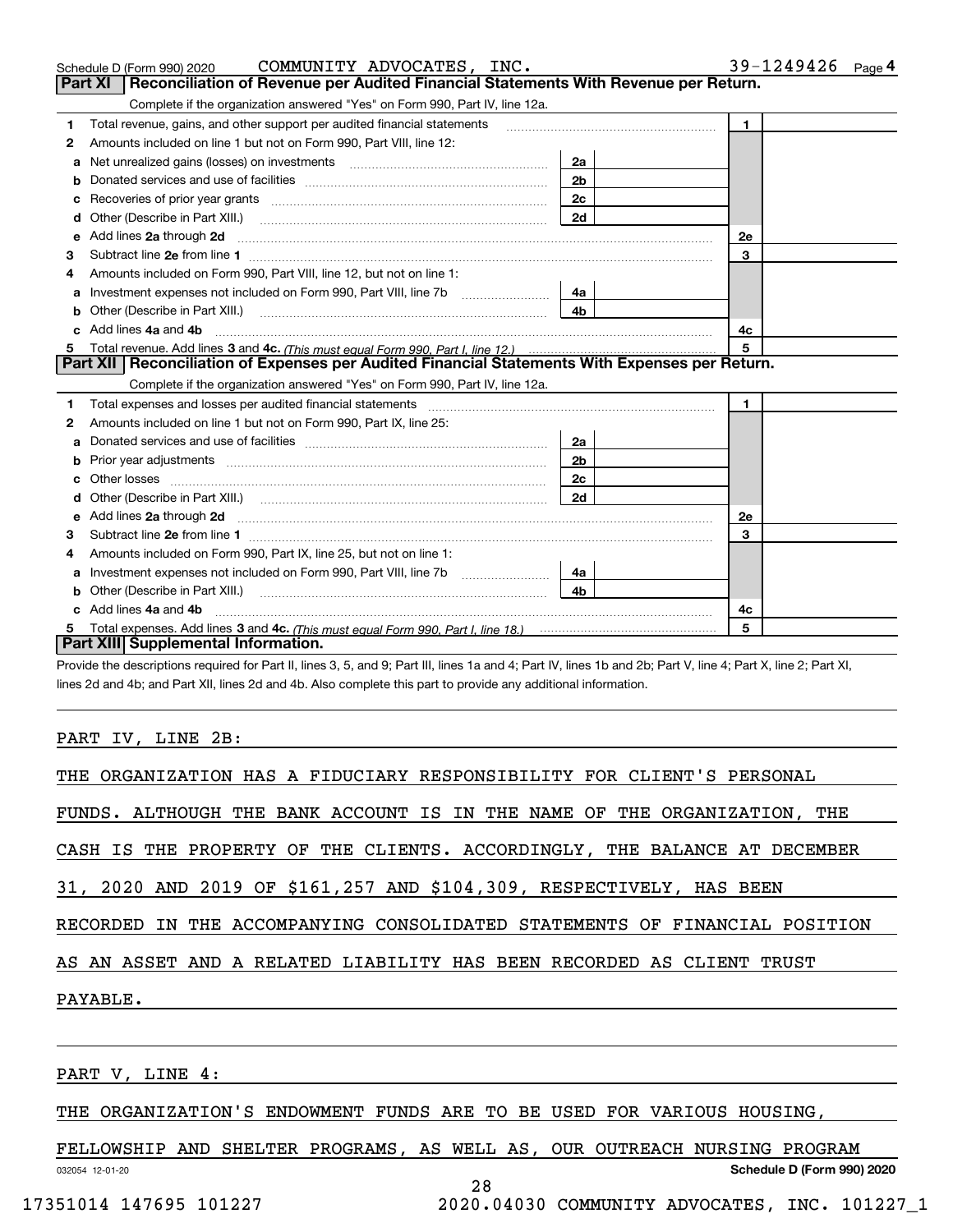|    | COMMUNITY ADVOCATES, INC.<br>Schedule D (Form 990) 2020                                                                                                                                                                             |                | 39-1249426<br>Page 4 |
|----|-------------------------------------------------------------------------------------------------------------------------------------------------------------------------------------------------------------------------------------|----------------|----------------------|
|    | Reconciliation of Revenue per Audited Financial Statements With Revenue per Return.<br>Part XI                                                                                                                                      |                |                      |
|    | Complete if the organization answered "Yes" on Form 990, Part IV, line 12a.                                                                                                                                                         |                |                      |
| 1  | Total revenue, gains, and other support per audited financial statements                                                                                                                                                            |                | $\mathbf{1}$         |
| 2  | Amounts included on line 1 but not on Form 990, Part VIII, line 12:                                                                                                                                                                 |                |                      |
| a  | Net unrealized gains (losses) on investments [11] matter contracts and the unrealized gains (losses) on investments                                                                                                                 | 2a             |                      |
|    |                                                                                                                                                                                                                                     | 2 <sub>b</sub> |                      |
|    |                                                                                                                                                                                                                                     | 2с             |                      |
| d  |                                                                                                                                                                                                                                     | 2d             |                      |
| е  | Add lines 2a through 2d <b>must be a constructed as the constant of the constant of the constant of the construction</b>                                                                                                            |                | <b>2e</b>            |
| 3  |                                                                                                                                                                                                                                     |                | 3                    |
| 4  | Amounts included on Form 990, Part VIII, line 12, but not on line 1:                                                                                                                                                                |                |                      |
|    |                                                                                                                                                                                                                                     | 4a l           |                      |
| b  |                                                                                                                                                                                                                                     | 4 <sub>b</sub> |                      |
| c. | Add lines 4a and 4b                                                                                                                                                                                                                 |                | 4с                   |
| 5  |                                                                                                                                                                                                                                     |                | 5                    |
|    | Part XII   Reconciliation of Expenses per Audited Financial Statements With Expenses per Return.                                                                                                                                    |                |                      |
|    | Complete if the organization answered "Yes" on Form 990, Part IV, line 12a.                                                                                                                                                         |                |                      |
| 1  | Total expenses and losses per audited financial statements [11] [12] contraction control in the statements [13] [13] and the statements [13] [13] and the statements [13] [13] and the statements [13] [13] and the statements      |                | $\mathbf{1}$         |
| 2  | Amounts included on line 1 but not on Form 990, Part IX, line 25:                                                                                                                                                                   |                |                      |
| а  |                                                                                                                                                                                                                                     | 2a l           |                      |
| b  |                                                                                                                                                                                                                                     | 2b             |                      |
|    |                                                                                                                                                                                                                                     | 2c             |                      |
|    | Other (Describe in Part XIII.) (2000) (2000) (2000) (2000) (2000) (2000) (2000) (2000) (2000) (2000) (2000) (2000) (2000) (2000) (2000) (2000) (2000) (2000) (2000) (2000) (2000) (2000) (2000) (2000) (2000) (2000) (2000) (2      | 2d             |                      |
| е  | Add lines 2a through 2d <b>contained a contained a contained a contained a</b> contained a contained a contained a contained a contained a contained a contained a contained a contained a contained a contained a contained a cont |                | 2e                   |
| з  |                                                                                                                                                                                                                                     |                | 3                    |
| 4  | Amounts included on Form 990, Part IX, line 25, but not on line 1:                                                                                                                                                                  |                |                      |
| а  |                                                                                                                                                                                                                                     | 4a l           |                      |
| b  |                                                                                                                                                                                                                                     | 4 <sub>b</sub> |                      |
|    | Add lines 4a and 4b                                                                                                                                                                                                                 |                | 4c                   |
| 5  |                                                                                                                                                                                                                                     |                | 5                    |
|    | Part XIII Supplemental Information.                                                                                                                                                                                                 |                |                      |

Provide the descriptions required for Part II, lines 3, 5, and 9; Part III, lines 1a and 4; Part IV, lines 1b and 2b; Part V, line 4; Part X, line 2; Part XI, lines 2d and 4b; and Part XII, lines 2d and 4b. Also complete this part to provide any additional information.

#### PART IV, LINE 2B:

| THE ORGANIZATION HAS A FIDUCIARY RESPONSIBILITY FOR CLIENT'S PERSONAL      |
|----------------------------------------------------------------------------|
| FUNDS. ALTHOUGH THE BANK ACCOUNT IS IN THE NAME OF THE ORGANIZATION, THE   |
| CASH IS THE PROPERTY OF THE CLIENTS. ACCORDINGLY, THE BALANCE AT DECEMBER  |
| 31, 2020 AND 2019 OF \$161, 257 AND \$104, 309, RESPECTIVELY, HAS BEEN     |
| RECORDED IN THE ACCOMPANYING CONSOLIDATED STATEMENTS OF FINANCIAL POSITION |
| AS AN ASSET AND A RELATED LIABILITY HAS BEEN RECORDED AS CLIENT TRUST      |
| PAYABLE.                                                                   |
|                                                                            |
| PART V, LINE 4:                                                            |
|                                                                            |

THE ORGANIZATION'S ENDOWMENT FUNDS ARE TO BE USED FOR VARIOUS HOUSING,

032054 12-01-20 **Schedule D (Form 990) 2020** FELLOWSHIP AND SHELTER PROGRAMS, AS WELL AS, OUR OUTREACH NURSING PROGRAM 28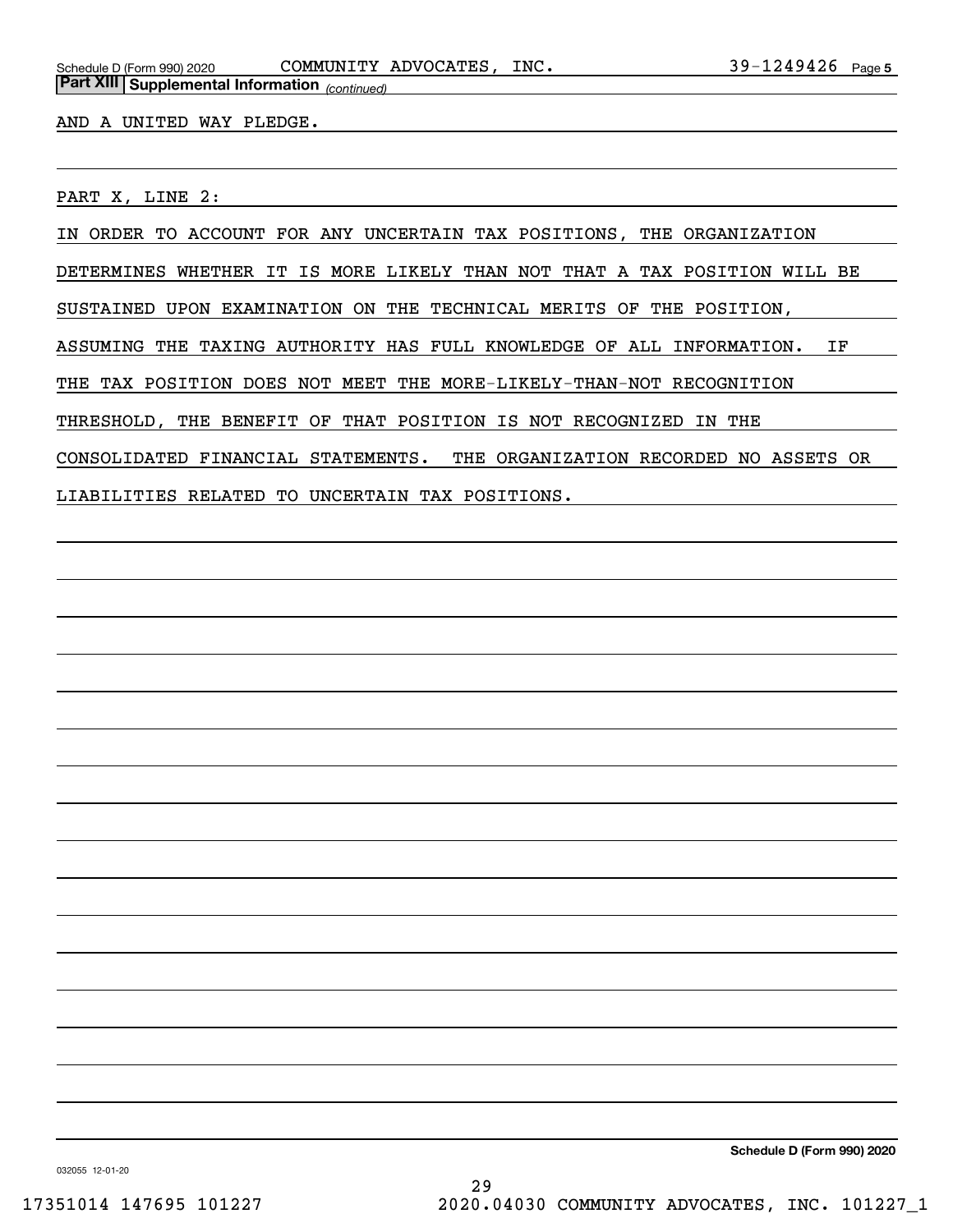AND A UNITED WAY PLEDGE.

PART X, LINE 2:

IN ORDER TO ACCOUNT FOR ANY UNCERTAIN TAX POSITIONS, THE ORGANIZATION

DETERMINES WHETHER IT IS MORE LIKELY THAN NOT THAT A TAX POSITION WILL BE

SUSTAINED UPON EXAMINATION ON THE TECHNICAL MERITS OF THE POSITION,

ASSUMING THE TAXING AUTHORITY HAS FULL KNOWLEDGE OF ALL INFORMATION. IF

THE TAX POSITION DOES NOT MEET THE MORE-LIKELY-THAN-NOT RECOGNITION

THRESHOLD, THE BENEFIT OF THAT POSITION IS NOT RECOGNIZED IN THE

CONSOLIDATED FINANCIAL STATEMENTS. THE ORGANIZATION RECORDED NO ASSETS OR

LIABILITIES RELATED TO UNCERTAIN TAX POSITIONS.

**Schedule D (Form 990) 2020**

032055 12-01-20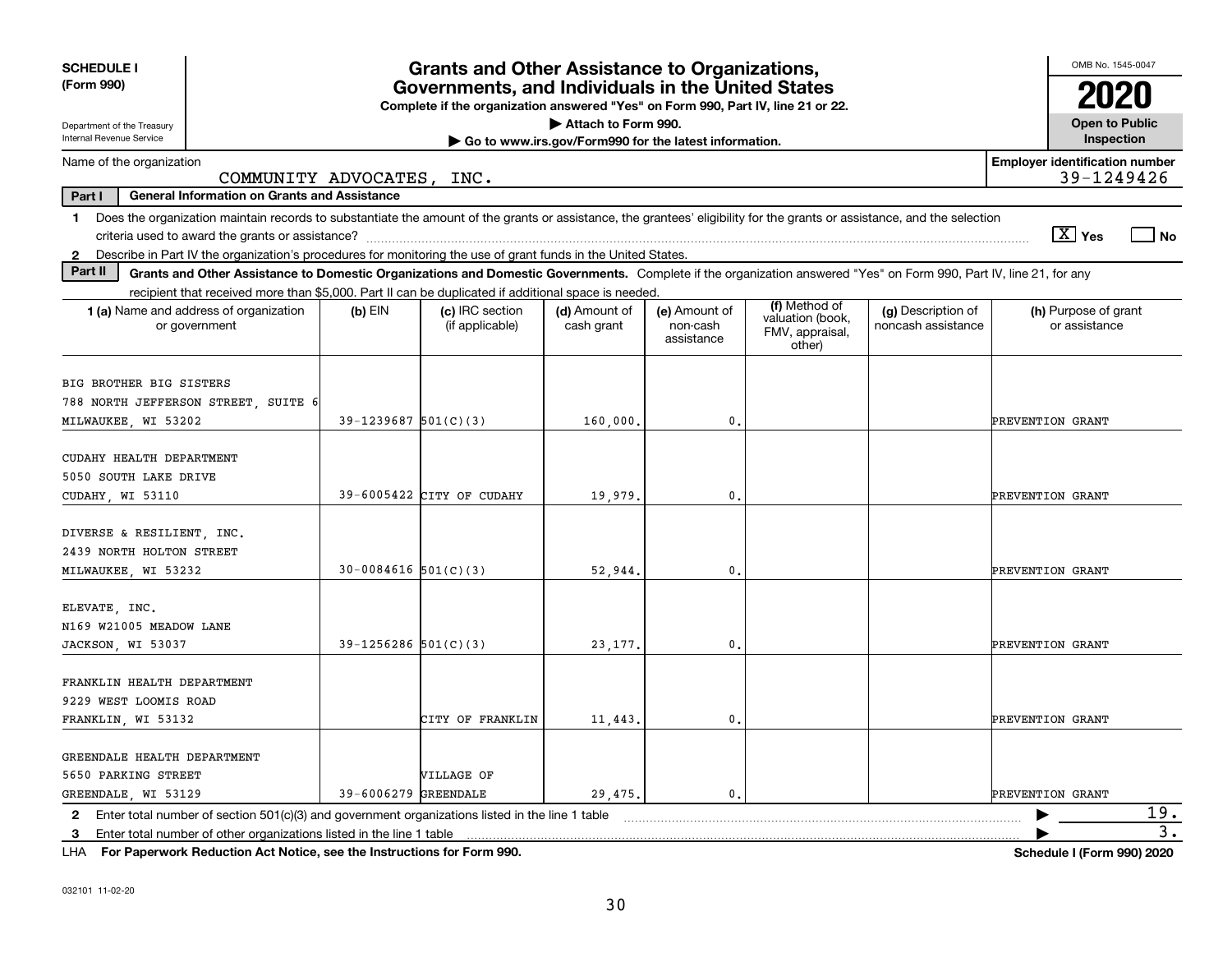| <b>SCHEDULE I</b><br>(Form 990)                                                                                                                                                |                                                                                                                                       | <b>Grants and Other Assistance to Organizations,</b> |                             |                                                       |                                               |                                          |                                       | OMB No. 1545-0047     |  |
|--------------------------------------------------------------------------------------------------------------------------------------------------------------------------------|---------------------------------------------------------------------------------------------------------------------------------------|------------------------------------------------------|-----------------------------|-------------------------------------------------------|-----------------------------------------------|------------------------------------------|---------------------------------------|-----------------------|--|
|                                                                                                                                                                                | Governments, and Individuals in the United States<br>Complete if the organization answered "Yes" on Form 990, Part IV, line 21 or 22. |                                                      |                             |                                                       |                                               |                                          |                                       |                       |  |
| Department of the Treasury                                                                                                                                                     |                                                                                                                                       |                                                      | Attach to Form 990.         |                                                       |                                               |                                          |                                       | <b>Open to Public</b> |  |
| Internal Revenue Service                                                                                                                                                       |                                                                                                                                       |                                                      |                             | Go to www.irs.gov/Form990 for the latest information. |                                               |                                          |                                       | Inspection            |  |
| Name of the organization<br>COMMUNITY ADVOCATES, INC.                                                                                                                          |                                                                                                                                       |                                                      |                             |                                                       |                                               |                                          | <b>Employer identification number</b> | 39-1249426            |  |
| Part I<br><b>General Information on Grants and Assistance</b>                                                                                                                  |                                                                                                                                       |                                                      |                             |                                                       |                                               |                                          |                                       |                       |  |
| Does the organization maintain records to substantiate the amount of the grants or assistance, the grantees' eligibility for the grants or assistance, and the selection<br>1. |                                                                                                                                       |                                                      |                             |                                                       |                                               |                                          | $\boxed{\text{X}}$ Yes                | No                    |  |
| Describe in Part IV the organization's procedures for monitoring the use of grant funds in the United States.<br>$\mathbf{2}$                                                  |                                                                                                                                       |                                                      |                             |                                                       |                                               |                                          |                                       |                       |  |
| Part II<br>Grants and Other Assistance to Domestic Organizations and Domestic Governments. Complete if the organization answered "Yes" on Form 990, Part IV, line 21, for any  |                                                                                                                                       |                                                      |                             |                                                       |                                               |                                          |                                       |                       |  |
| recipient that received more than \$5,000. Part II can be duplicated if additional space is needed.                                                                            |                                                                                                                                       |                                                      |                             |                                                       | (f) Method of                                 |                                          |                                       |                       |  |
| 1 (a) Name and address of organization<br>or government                                                                                                                        | $(b)$ EIN                                                                                                                             | (c) IRC section<br>(if applicable)                   | (d) Amount of<br>cash grant | (e) Amount of<br>non-cash<br>assistance               | valuation (book,<br>FMV, appraisal,<br>other) | (g) Description of<br>noncash assistance | (h) Purpose of grant<br>or assistance |                       |  |
| BIG BROTHER BIG SISTERS                                                                                                                                                        |                                                                                                                                       |                                                      |                             |                                                       |                                               |                                          |                                       |                       |  |
| 788 NORTH JEFFERSON STREET, SUITE 6                                                                                                                                            |                                                                                                                                       |                                                      |                             |                                                       |                                               |                                          |                                       |                       |  |
| MILWAUKEE, WI 53202                                                                                                                                                            | $39-1239687$ $501(C)(3)$                                                                                                              |                                                      | 160,000.                    | 0.                                                    |                                               |                                          | PREVENTION GRANT                      |                       |  |
| CUDAHY HEALTH DEPARTMENT<br>5050 SOUTH LAKE DRIVE<br>CUDAHY, WI 53110                                                                                                          |                                                                                                                                       | 39-6005422 CITY OF CUDAHY                            | 19,979.                     | 0.                                                    |                                               |                                          | PREVENTION GRANT                      |                       |  |
| DIVERSE & RESILIENT, INC.<br>2439 NORTH HOLTON STREET<br>MILWAUKEE, WI 53232                                                                                                   | $30 - 0084616$ 501(C)(3)                                                                                                              |                                                      | 52,944.                     | 0.                                                    |                                               |                                          | PREVENTION GRANT                      |                       |  |
| ELEVATE INC.<br>N169 W21005 MEADOW LANE<br>JACKSON, WI 53037                                                                                                                   | $39-1256286$ 501(C)(3)                                                                                                                |                                                      | 23, 177.                    | $\mathbf{0}$ .                                        |                                               |                                          | PREVENTION GRANT                      |                       |  |
| FRANKLIN HEALTH DEPARTMENT<br>9229 WEST LOOMIS ROAD<br>FRANKLIN, WI 53132                                                                                                      |                                                                                                                                       | CITY OF FRANKLIN                                     | 11,443.                     | 0.                                                    |                                               |                                          | PREVENTION GRANT                      |                       |  |
| GREENDALE HEALTH DEPARTMENT<br>5650 PARKING STREET<br>GREENDALE, WI 53129                                                                                                      | 39-6006279 GREENDALE                                                                                                                  | VILLAGE OF                                           | 29,475.                     | 0.                                                    |                                               |                                          | PREVENTION GRANT                      |                       |  |
| Enter total number of section 501(c)(3) and government organizations listed in the line 1 table<br>$\mathbf{2}$                                                                |                                                                                                                                       |                                                      |                             |                                                       |                                               |                                          |                                       | 19.                   |  |
| Enter total number of other organizations listed in the line 1 table<br>-3                                                                                                     |                                                                                                                                       |                                                      |                             |                                                       |                                               |                                          |                                       | 3.                    |  |

**For Paperwork Reduction Act Notice, see the Instructions for Form 990. Schedule I (Form 990) 2020** LHA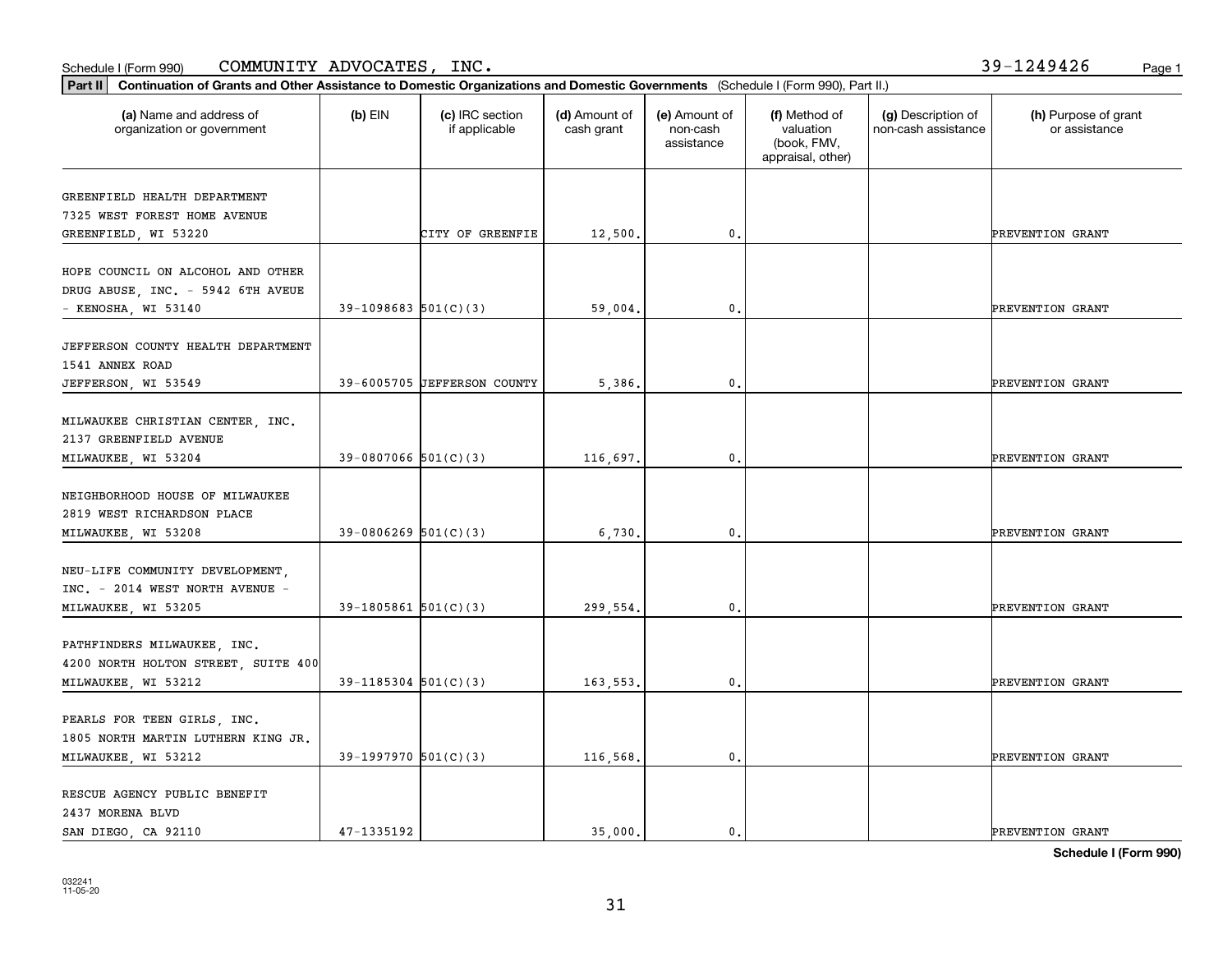#### Schedule I (Form 990) Page 1 COMMUNITY ADVOCATES, INC. 39-1249426

| Part II   Continuation of Grants and Other Assistance to Domestic Organizations and Domestic Governments (Schedule I (Form 990), Part II.) |                          |                                  |                             |                                         |                                                                |                                           |                                       |
|--------------------------------------------------------------------------------------------------------------------------------------------|--------------------------|----------------------------------|-----------------------------|-----------------------------------------|----------------------------------------------------------------|-------------------------------------------|---------------------------------------|
| (a) Name and address of<br>organization or government                                                                                      | $(b)$ EIN                | (c) IRC section<br>if applicable | (d) Amount of<br>cash grant | (e) Amount of<br>non-cash<br>assistance | (f) Method of<br>valuation<br>(book, FMV,<br>appraisal, other) | (g) Description of<br>non-cash assistance | (h) Purpose of grant<br>or assistance |
| GREENFIELD HEALTH DEPARTMENT                                                                                                               |                          |                                  |                             |                                         |                                                                |                                           |                                       |
| 7325 WEST FOREST HOME AVENUE                                                                                                               |                          |                                  |                             |                                         |                                                                |                                           |                                       |
| GREENFIELD, WI 53220                                                                                                                       |                          | CITY OF GREENFIE                 | 12,500.                     | 0.                                      |                                                                |                                           | PREVENTION GRANT                      |
|                                                                                                                                            |                          |                                  |                             |                                         |                                                                |                                           |                                       |
| HOPE COUNCIL ON ALCOHOL AND OTHER                                                                                                          |                          |                                  |                             |                                         |                                                                |                                           |                                       |
| DRUG ABUSE, INC. - 5942 6TH AVEUE<br>$-$ KENOSHA, WI 53140                                                                                 | $39-1098683$ $501(C)(3)$ |                                  | 59,004.                     | 0.                                      |                                                                |                                           | PREVENTION GRANT                      |
|                                                                                                                                            |                          |                                  |                             |                                         |                                                                |                                           |                                       |
| JEFFERSON COUNTY HEALTH DEPARTMENT                                                                                                         |                          |                                  |                             |                                         |                                                                |                                           |                                       |
| 1541 ANNEX ROAD                                                                                                                            |                          |                                  |                             |                                         |                                                                |                                           |                                       |
| JEFFERSON, WI 53549                                                                                                                        |                          | 39-6005705 JEFFERSON COUNTY      | 5,386.                      | 0.                                      |                                                                |                                           | PREVENTION GRANT                      |
|                                                                                                                                            |                          |                                  |                             |                                         |                                                                |                                           |                                       |
| MILWAUKEE CHRISTIAN CENTER, INC.<br>2137 GREENFIELD AVENUE                                                                                 |                          |                                  |                             |                                         |                                                                |                                           |                                       |
| MILWAUKEE, WI 53204                                                                                                                        | 39-0807066 501(C)(3)     |                                  | 116,697.                    | $\mathbf{0}$                            |                                                                |                                           | PREVENTION GRANT                      |
|                                                                                                                                            |                          |                                  |                             |                                         |                                                                |                                           |                                       |
| NEIGHBORHOOD HOUSE OF MILWAUKEE                                                                                                            |                          |                                  |                             |                                         |                                                                |                                           |                                       |
| 2819 WEST RICHARDSON PLACE                                                                                                                 |                          |                                  |                             |                                         |                                                                |                                           |                                       |
| MILWAUKEE, WI 53208                                                                                                                        | $39-0806269$ $501(C)(3)$ |                                  | 6,730                       | 0.                                      |                                                                |                                           | PREVENTION GRANT                      |
|                                                                                                                                            |                          |                                  |                             |                                         |                                                                |                                           |                                       |
| NEU-LIFE COMMUNITY DEVELOPMENT,<br>INC. - 2014 WEST NORTH AVENUE -                                                                         |                          |                                  |                             |                                         |                                                                |                                           |                                       |
| MILWAUKEE, WI 53205                                                                                                                        | $39-1805861$ $501(C)(3)$ |                                  | 299,554.                    | 0.                                      |                                                                |                                           | PREVENTION GRANT                      |
|                                                                                                                                            |                          |                                  |                             |                                         |                                                                |                                           |                                       |
| PATHFINDERS MILWAUKEE, INC.                                                                                                                |                          |                                  |                             |                                         |                                                                |                                           |                                       |
| 4200 NORTH HOLTON STREET, SUITE 400                                                                                                        |                          |                                  |                             |                                         |                                                                |                                           |                                       |
| MILWAUKEE, WI 53212                                                                                                                        | $39-1185304$ $501(C)(3)$ |                                  | 163,553.                    | 0.                                      |                                                                |                                           | PREVENTION GRANT                      |
|                                                                                                                                            |                          |                                  |                             |                                         |                                                                |                                           |                                       |
| PEARLS FOR TEEN GIRLS, INC.<br>1805 NORTH MARTIN LUTHERN KING JR.                                                                          |                          |                                  |                             |                                         |                                                                |                                           |                                       |
| MILWAUKEE, WI 53212                                                                                                                        | 39-1997970 $501(C)(3)$   |                                  | 116,568.                    | $\mathbf{0}$                            |                                                                |                                           | PREVENTION GRANT                      |
|                                                                                                                                            |                          |                                  |                             |                                         |                                                                |                                           |                                       |
| RESCUE AGENCY PUBLIC BENEFIT                                                                                                               |                          |                                  |                             |                                         |                                                                |                                           |                                       |
| 2437 MORENA BLVD                                                                                                                           |                          |                                  |                             |                                         |                                                                |                                           |                                       |
| SAN DIEGO, CA 92110                                                                                                                        | 47-1335192               |                                  | 35,000.                     | $\mathbf{0}$ .                          |                                                                |                                           | PREVENTION GRANT                      |

**Schedule I (Form 990)**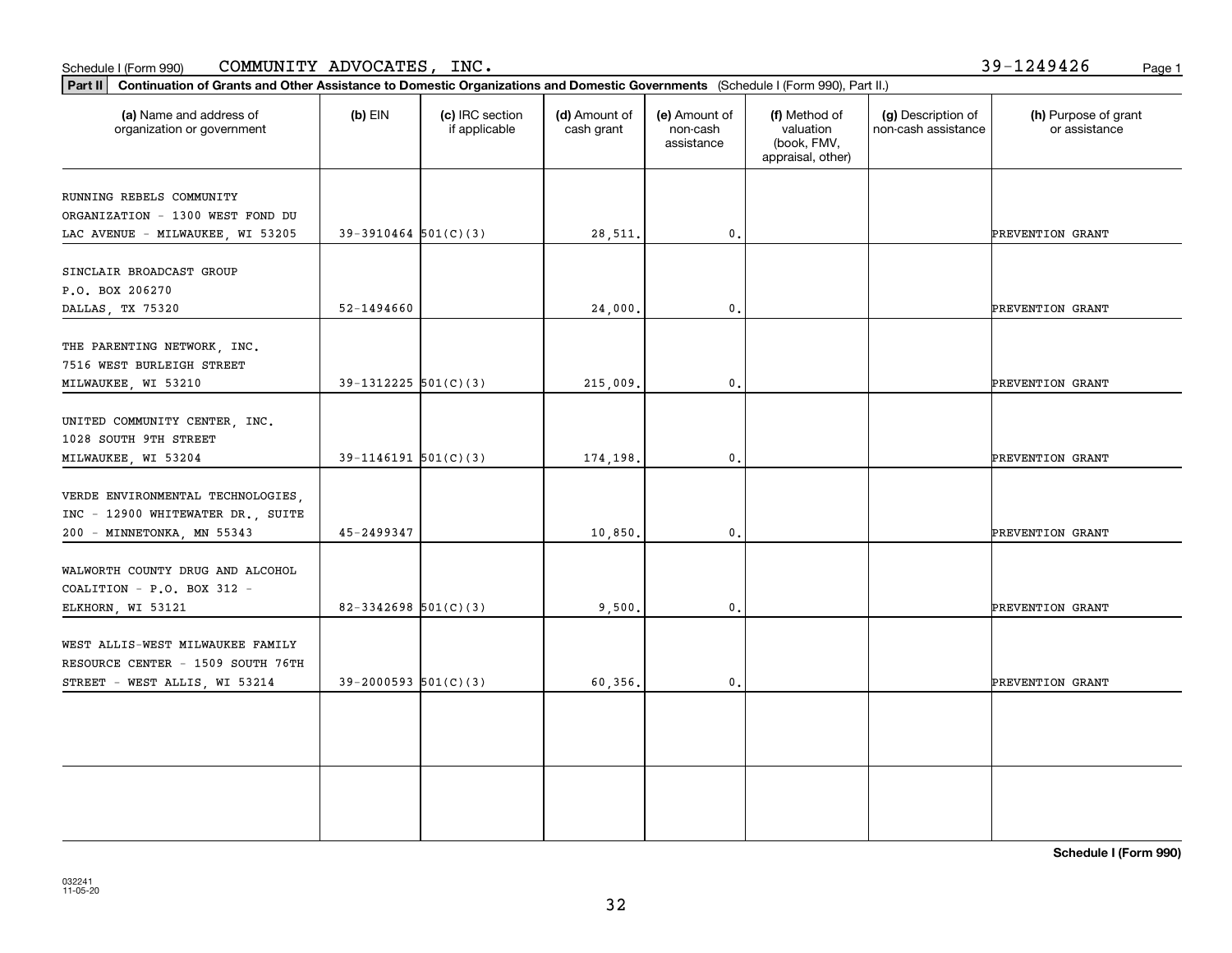| Schedule I (Form 990) | COMMUNITY | ADVOCATES | INC. | - 20 -<br>1249426<br><u>.</u> | Page <sup>-</sup> |
|-----------------------|-----------|-----------|------|-------------------------------|-------------------|
|                       |           |           |      |                               |                   |

| Part II l | (Schedule I (Form 990). Part II.)<br>Continuation of Grants and Other Assistance to Domestic Organizations and Domestic Governments |         |                                  |                             |                                         |                                                                |                                             |                                       |  |  |  |
|-----------|-------------------------------------------------------------------------------------------------------------------------------------|---------|----------------------------------|-----------------------------|-----------------------------------------|----------------------------------------------------------------|---------------------------------------------|---------------------------------------|--|--|--|
|           | (a) Name and address of<br>organization or government                                                                               | (b) EIN | (c) IRC section<br>if applicable | (d) Amount of<br>cash grant | (e) Amount of<br>non-cash<br>assistance | (f) Method of<br>valuation<br>(book, FMV,<br>appraisal, other) | (g) Description of<br>I non-cash assistance | (h) Purpose of grant<br>or assistance |  |  |  |

|                                   |                            |          | assistance       | $1000n$ , $110n$ ,<br>appraisal, other) |                  |
|-----------------------------------|----------------------------|----------|------------------|-----------------------------------------|------------------|
|                                   |                            |          |                  |                                         |                  |
| RUNNING REBELS COMMUNITY          |                            |          |                  |                                         |                  |
| ORGANIZATION - 1300 WEST FOND DU  |                            |          |                  |                                         |                  |
| LAC AVENUE - MILWAUKEE, WI 53205  | $39-3910464$ $501(C)(3)$   | 28,511.  | $\mathbf{0}$ .   |                                         | PREVENTION GRANT |
| SINCLAIR BROADCAST GROUP          |                            |          |                  |                                         |                  |
| P.O. BOX 206270                   |                            |          |                  |                                         |                  |
| DALLAS, TX 75320                  | 52-1494660                 | 24,000.  | $\mathbf{0}$ .   |                                         | PREVENTION GRANT |
|                                   |                            |          |                  |                                         |                  |
| THE PARENTING NETWORK, INC.       |                            |          |                  |                                         |                  |
| 7516 WEST BURLEIGH STREET         |                            |          |                  |                                         |                  |
| MILWAUKEE, WI 53210               | $39-1312225$ 501(C)(3)     | 215,009. | $^{\circ}$ .     |                                         | PREVENTION GRANT |
|                                   |                            |          |                  |                                         |                  |
| UNITED COMMUNITY CENTER, INC.     |                            |          |                  |                                         |                  |
| 1028 SOUTH 9TH STREET             |                            |          |                  |                                         |                  |
| MILWAUKEE, WI 53204               | $39-1146191$ $501(C)(3)$   | 174,198. | $\mathfrak{o}$ . |                                         | PREVENTION GRANT |
|                                   |                            |          |                  |                                         |                  |
| VERDE ENVIRONMENTAL TECHNOLOGIES, |                            |          |                  |                                         |                  |
| INC - 12900 WHITEWATER DR., SUITE |                            |          |                  |                                         |                  |
| 200 - MINNETONKA, MN 55343        | 45-2499347                 | 10,850.  | $\mathfrak{o}$ . |                                         | PREVENTION GRANT |
|                                   |                            |          |                  |                                         |                  |
| WALWORTH COUNTY DRUG AND ALCOHOL  |                            |          |                  |                                         |                  |
| COALITION - P.O. BOX 312 -        |                            |          |                  |                                         |                  |
| ELKHORN, WI 53121                 | $82 - 3342698$ 501(C)(3)   | 9,500.   | $\mathfrak{o}$ . |                                         | PREVENTION GRANT |
| WEST ALLIS-WEST MILWAUKEE FAMILY  |                            |          |                  |                                         |                  |
| RESOURCE CENTER - 1509 SOUTH 76TH |                            |          |                  |                                         |                  |
| STREET - WEST ALLIS, WI 53214     | $39 - 2000593$ $501(C)(3)$ | 60,356.  | $^{\circ}$ .     |                                         | PREVENTION GRANT |
|                                   |                            |          |                  |                                         |                  |
|                                   |                            |          |                  |                                         |                  |
|                                   |                            |          |                  |                                         |                  |
|                                   |                            |          |                  |                                         |                  |
|                                   |                            |          |                  |                                         |                  |
|                                   |                            |          |                  |                                         |                  |
|                                   |                            |          |                  |                                         |                  |
|                                   |                            |          |                  |                                         |                  |

**Schedule I (Form 990)**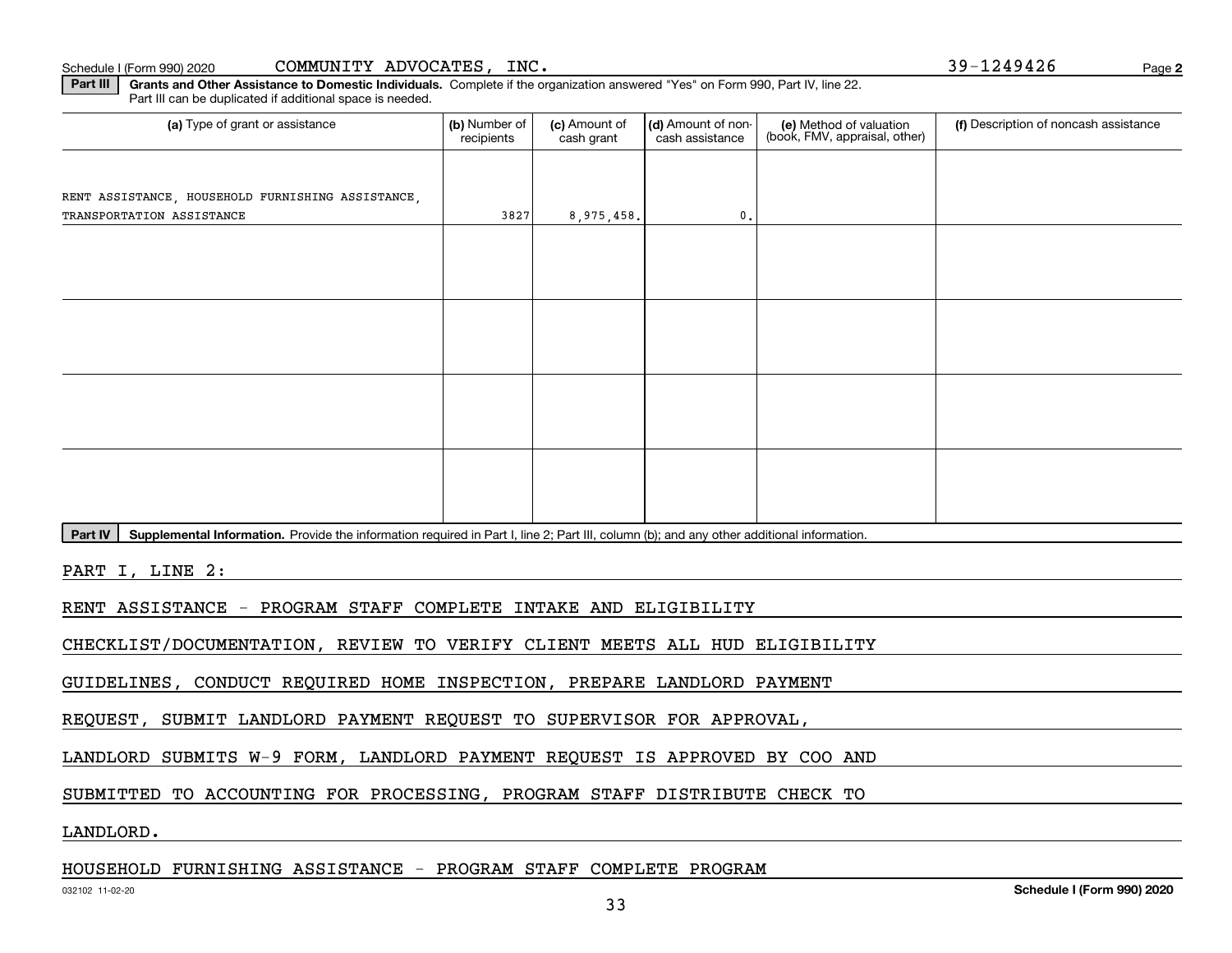Schedule I (Form 990) 2020 Page COMMUNITY ADVOCATES, INC. 39-1249426

**2**

**Part III | Grants and Other Assistance to Domestic Individuals. Complete if the organization answered "Yes" on Form 990, Part IV, line 22.** Part III can be duplicated if additional space is needed.

| (a) Type of grant or assistance                   | (b) Number of<br>recipients | (c) Amount of<br>cash grant | (d) Amount of non-<br>cash assistance | (e) Method of valuation<br>(book, FMV, appraisal, other) | (f) Description of noncash assistance |
|---------------------------------------------------|-----------------------------|-----------------------------|---------------------------------------|----------------------------------------------------------|---------------------------------------|
|                                                   |                             |                             |                                       |                                                          |                                       |
| RENT ASSISTANCE, HOUSEHOLD FURNISHING ASSISTANCE, |                             |                             |                                       |                                                          |                                       |
| TRANSPORTATION ASSISTANCE                         | 3827                        | 8,975,458.                  | $\mathbf{0}$ .                        |                                                          |                                       |
|                                                   |                             |                             |                                       |                                                          |                                       |
|                                                   |                             |                             |                                       |                                                          |                                       |
|                                                   |                             |                             |                                       |                                                          |                                       |
|                                                   |                             |                             |                                       |                                                          |                                       |
|                                                   |                             |                             |                                       |                                                          |                                       |
|                                                   |                             |                             |                                       |                                                          |                                       |
|                                                   |                             |                             |                                       |                                                          |                                       |
|                                                   |                             |                             |                                       |                                                          |                                       |
|                                                   |                             |                             |                                       |                                                          |                                       |
|                                                   |                             |                             |                                       |                                                          |                                       |
|                                                   |                             |                             |                                       |                                                          |                                       |
|                                                   |                             |                             |                                       |                                                          |                                       |
|                                                   |                             |                             |                                       |                                                          |                                       |

Part IV | Supplemental Information. Provide the information required in Part I, line 2; Part III, column (b); and any other additional information.

PART I, LINE 2:

RENT ASSISTANCE - PROGRAM STAFF COMPLETE INTAKE AND ELIGIBILITY

CHECKLIST/DOCUMENTATION, REVIEW TO VERIFY CLIENT MEETS ALL HUD ELIGIBILITY

GUIDELINES, CONDUCT REQUIRED HOME INSPECTION, PREPARE LANDLORD PAYMENT

REQUEST, SUBMIT LANDLORD PAYMENT REQUEST TO SUPERVISOR FOR APPROVAL,

LANDLORD SUBMITS W-9 FORM, LANDLORD PAYMENT REQUEST IS APPROVED BY COO AND

SUBMITTED TO ACCOUNTING FOR PROCESSING, PROGRAM STAFF DISTRIBUTE CHECK TO

LANDLORD.

#### HOUSEHOLD FURNISHING ASSISTANCE - PROGRAM STAFF COMPLETE PROGRAM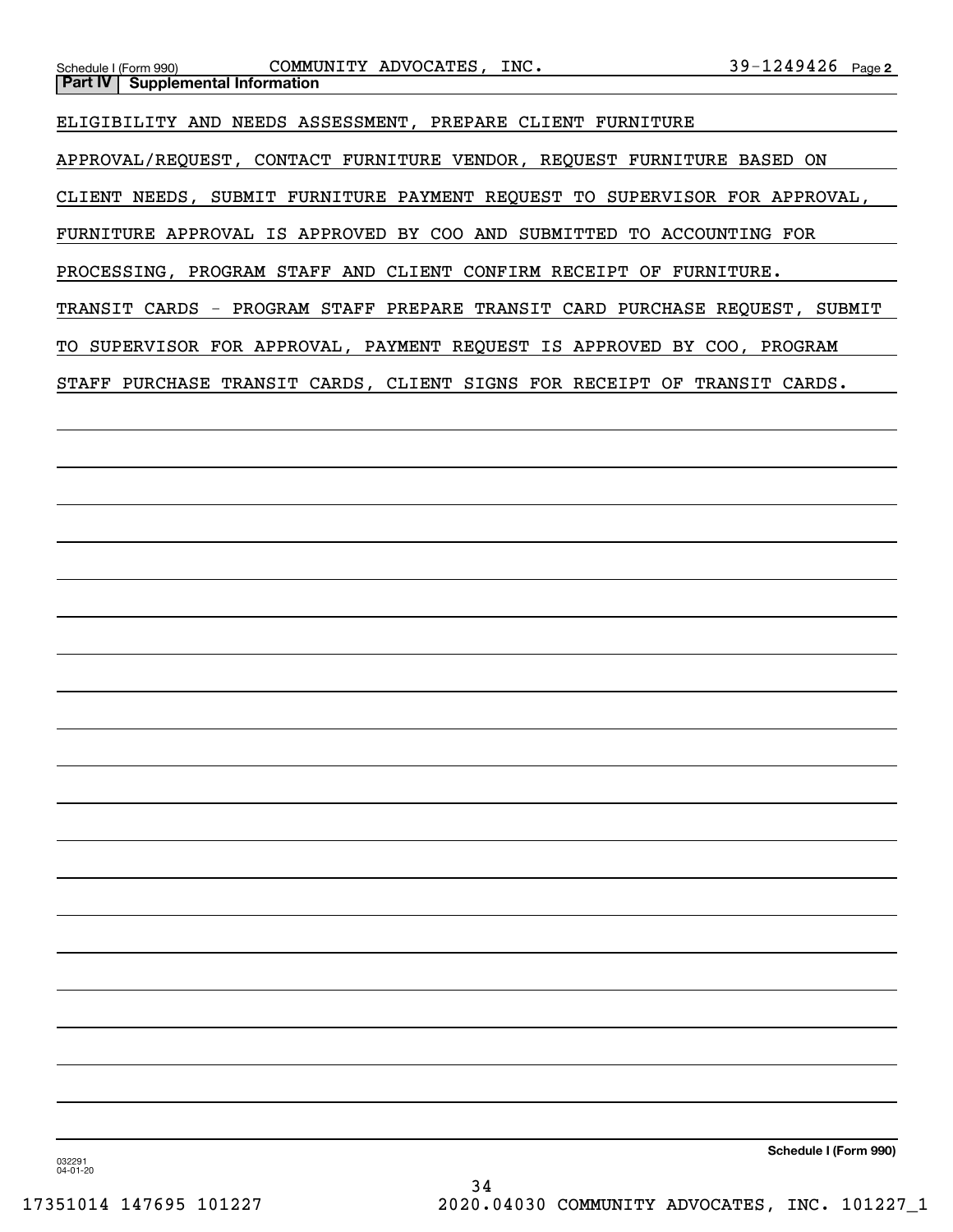| $\ldots$ and $\ldots$                                                       |
|-----------------------------------------------------------------------------|
| ELIGIBILITY AND NEEDS ASSESSMENT, PREPARE CLIENT FURNITURE                  |
| APPROVAL/REQUEST, CONTACT FURNITURE VENDOR, REQUEST FURNITURE BASED ON      |
| CLIENT NEEDS, SUBMIT FURNITURE PAYMENT REQUEST TO SUPERVISOR FOR APPROVAL,  |
| FURNITURE APPROVAL IS APPROVED BY COO AND SUBMITTED TO ACCOUNTING FOR       |
| PROCESSING, PROGRAM STAFF AND CLIENT CONFIRM RECEIPT OF FURNITURE.          |
| TRANSIT CARDS - PROGRAM STAFF PREPARE TRANSIT CARD PURCHASE REQUEST, SUBMIT |
| TO SUPERVISOR FOR APPROVAL, PAYMENT REQUEST IS APPROVED BY COO, PROGRAM     |
| STAFF PURCHASE TRANSIT CARDS, CLIENT SIGNS FOR RECEIPT OF TRANSIT CARDS.    |
|                                                                             |
|                                                                             |
|                                                                             |
|                                                                             |
|                                                                             |
|                                                                             |
|                                                                             |
|                                                                             |
|                                                                             |
|                                                                             |
|                                                                             |
|                                                                             |
|                                                                             |
|                                                                             |
|                                                                             |
|                                                                             |
|                                                                             |
|                                                                             |
|                                                                             |
|                                                                             |
| Schedule I (Form 990)<br>032291<br>04-01-20                                 |
| 34                                                                          |

Schedule I (Form 990) COMMUNITY\_ADVOCATES,\_INC。 39-IZ494Z6 Page

COMMUNITY ADVOCATES, INC. 39-1249426

**Part IV Supplemental Information**

17351014 147695 101227 2020.04030 COMMUNITY ADVOCATES, INC. 101227\_1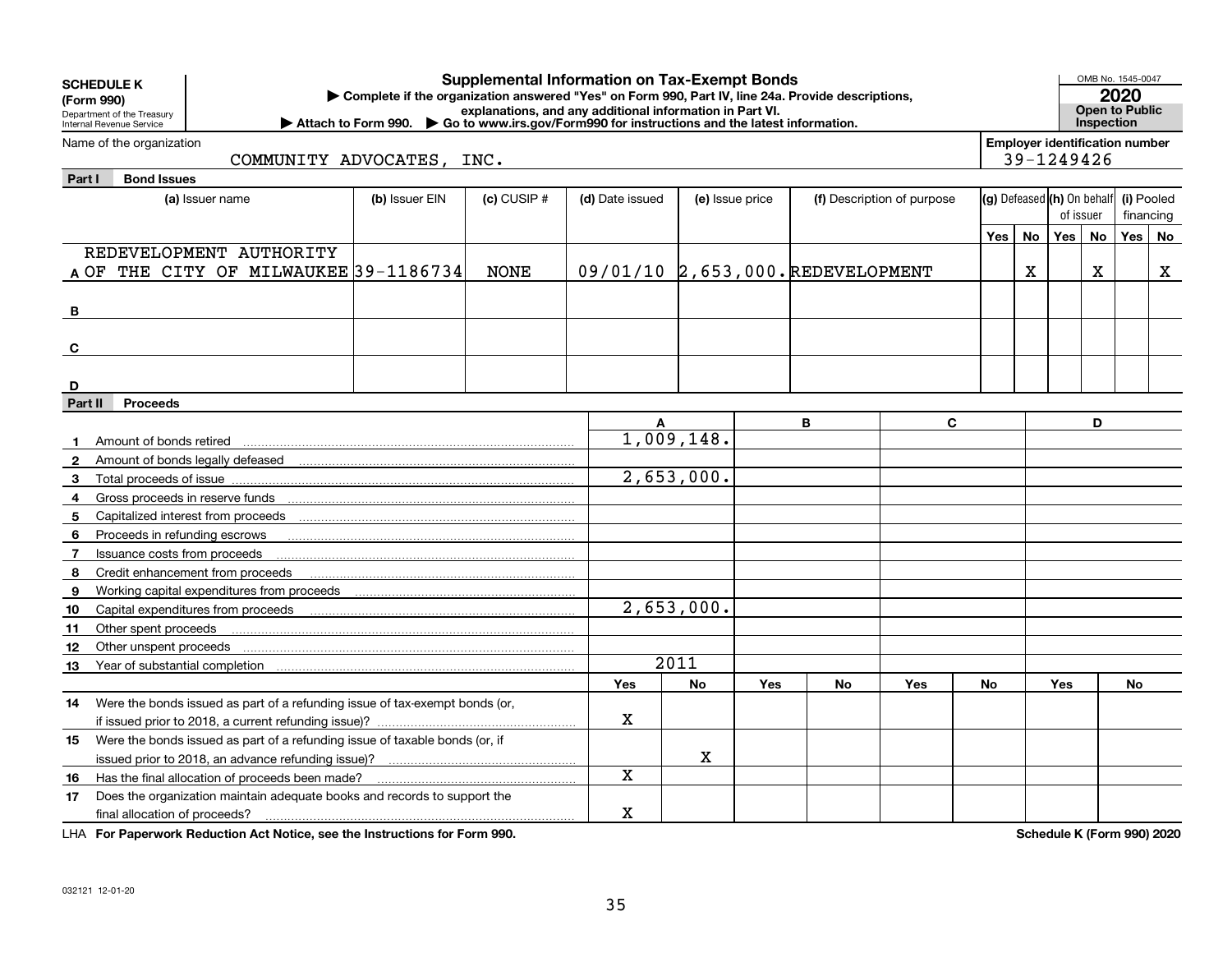|                | <b>Supplemental Information on Tax-Exempt Bonds</b><br><b>SCHEDULE K</b><br>Complete if the organization answered "Yes" on Form 990, Part IV, line 24a. Provide descriptions,<br>(Form 990)<br>explanations, and any additional information in Part VI.<br>Department of the Treasury<br>Attach to Form 990. Go to www.irs.gov/Form990 for instructions and the latest information.<br>Internal Revenue Service |                |                 |                                   |                                                                             |     |    |     |            |                                                     |     | OMB No. 1545-0047<br>2020<br>Open to Public<br>Inspection |        |             |
|----------------|-----------------------------------------------------------------------------------------------------------------------------------------------------------------------------------------------------------------------------------------------------------------------------------------------------------------------------------------------------------------------------------------------------------------|----------------|-----------------|-----------------------------------|-----------------------------------------------------------------------------|-----|----|-----|------------|-----------------------------------------------------|-----|-----------------------------------------------------------|--------|-------------|
|                | Name of the organization<br>COMMUNITY ADVOCATES, INC.                                                                                                                                                                                                                                                                                                                                                           |                |                 |                                   |                                                                             |     |    |     |            | <b>Employer identification number</b><br>39-1249426 |     |                                                           |        |             |
| Part I         | <b>Bond Issues</b>                                                                                                                                                                                                                                                                                                                                                                                              |                |                 |                                   |                                                                             |     |    |     |            |                                                     |     |                                                           |        |             |
|                | (a) Issuer name                                                                                                                                                                                                                                                                                                                                                                                                 | (b) Issuer EIN | $(c)$ CUSIP $#$ | (d) Date issued                   | (g) Defeased (h) On behalf<br>(f) Description of purpose<br>(e) Issue price |     |    |     | (i) Pooled |                                                     |     |                                                           |        |             |
|                |                                                                                                                                                                                                                                                                                                                                                                                                                 |                |                 |                                   |                                                                             |     |    |     |            | of issuer                                           |     | financing                                                 |        |             |
|                |                                                                                                                                                                                                                                                                                                                                                                                                                 |                |                 |                                   |                                                                             |     |    |     |            | No<br>Yes                                           | Yes | No                                                        | Yes No |             |
|                | REDEVELOPMENT AUTHORITY                                                                                                                                                                                                                                                                                                                                                                                         |                |                 |                                   |                                                                             |     |    |     |            |                                                     |     |                                                           |        |             |
|                | A OF THE CITY OF MILWAUKEE 39-1186734                                                                                                                                                                                                                                                                                                                                                                           |                | <b>NONE</b>     | 09/01/10 2,653,000. REDEVELOPMENT |                                                                             |     |    |     |            | Χ                                                   |     | $\mathbf X$                                               |        | $\mathbf X$ |
|                |                                                                                                                                                                                                                                                                                                                                                                                                                 |                |                 |                                   |                                                                             |     |    |     |            |                                                     |     |                                                           |        |             |
| В              |                                                                                                                                                                                                                                                                                                                                                                                                                 |                |                 |                                   |                                                                             |     |    |     |            |                                                     |     |                                                           |        |             |
|                |                                                                                                                                                                                                                                                                                                                                                                                                                 |                |                 |                                   |                                                                             |     |    |     |            |                                                     |     |                                                           |        |             |
| C              |                                                                                                                                                                                                                                                                                                                                                                                                                 |                |                 |                                   |                                                                             |     |    |     |            |                                                     |     |                                                           |        |             |
|                |                                                                                                                                                                                                                                                                                                                                                                                                                 |                |                 |                                   |                                                                             |     |    |     |            |                                                     |     |                                                           |        |             |
| D              |                                                                                                                                                                                                                                                                                                                                                                                                                 |                |                 |                                   |                                                                             |     |    |     |            |                                                     |     |                                                           |        |             |
| Part II        | <b>Proceeds</b>                                                                                                                                                                                                                                                                                                                                                                                                 |                |                 |                                   |                                                                             |     |    |     |            |                                                     |     |                                                           |        |             |
|                |                                                                                                                                                                                                                                                                                                                                                                                                                 |                |                 | A                                 |                                                                             |     | B  | C   |            |                                                     |     | D                                                         |        |             |
|                | Amount of bonds retired                                                                                                                                                                                                                                                                                                                                                                                         |                |                 |                                   | 1,009,148.                                                                  |     |    |     |            |                                                     |     |                                                           |        |             |
| 2              |                                                                                                                                                                                                                                                                                                                                                                                                                 |                |                 |                                   |                                                                             |     |    |     |            |                                                     |     |                                                           |        |             |
| 3              |                                                                                                                                                                                                                                                                                                                                                                                                                 |                |                 |                                   | 2,653,000.                                                                  |     |    |     |            |                                                     |     |                                                           |        |             |
| 4              | Gross proceeds in reserve funds<br>metals and continuum continuum continuum contracts in reserve funds                                                                                                                                                                                                                                                                                                          |                |                 |                                   |                                                                             |     |    |     |            |                                                     |     |                                                           |        |             |
| 5.             | Capitalized interest from proceeds                                                                                                                                                                                                                                                                                                                                                                              |                |                 |                                   |                                                                             |     |    |     |            |                                                     |     |                                                           |        |             |
| 6              | Proceeds in refunding escrows                                                                                                                                                                                                                                                                                                                                                                                   |                |                 |                                   |                                                                             |     |    |     |            |                                                     |     |                                                           |        |             |
| $\overline{7}$ | Issuance costs from proceeds                                                                                                                                                                                                                                                                                                                                                                                    |                |                 |                                   |                                                                             |     |    |     |            |                                                     |     |                                                           |        |             |
| 8              | Credit enhancement from proceeds                                                                                                                                                                                                                                                                                                                                                                                |                |                 |                                   |                                                                             |     |    |     |            |                                                     |     |                                                           |        |             |
| 9              | Working capital expenditures from proceeds                                                                                                                                                                                                                                                                                                                                                                      |                |                 |                                   |                                                                             |     |    |     |            |                                                     |     |                                                           |        |             |
| 10             | Capital expenditures from proceeds                                                                                                                                                                                                                                                                                                                                                                              |                |                 |                                   | 2,653,000.                                                                  |     |    |     |            |                                                     |     |                                                           |        |             |
| 11             | Other spent proceeds                                                                                                                                                                                                                                                                                                                                                                                            |                |                 |                                   |                                                                             |     |    |     |            |                                                     |     |                                                           |        |             |
| 12             | Other unspent proceeds                                                                                                                                                                                                                                                                                                                                                                                          |                |                 |                                   |                                                                             |     |    |     |            |                                                     |     |                                                           |        |             |
| 13             |                                                                                                                                                                                                                                                                                                                                                                                                                 |                |                 |                                   | 2011                                                                        |     |    |     |            |                                                     |     |                                                           |        |             |
|                |                                                                                                                                                                                                                                                                                                                                                                                                                 |                |                 | Yes                               | <b>No</b>                                                                   | Yes | No | Yes | No         |                                                     | Yes |                                                           | No     |             |
| 14             | Were the bonds issued as part of a refunding issue of tax-exempt bonds (or,                                                                                                                                                                                                                                                                                                                                     |                |                 |                                   |                                                                             |     |    |     |            |                                                     |     |                                                           |        |             |
|                |                                                                                                                                                                                                                                                                                                                                                                                                                 |                |                 | $\mathbf X$                       |                                                                             |     |    |     |            |                                                     |     |                                                           |        |             |
| 15             | Were the bonds issued as part of a refunding issue of taxable bonds (or, if                                                                                                                                                                                                                                                                                                                                     |                |                 |                                   |                                                                             |     |    |     |            |                                                     |     |                                                           |        |             |
|                |                                                                                                                                                                                                                                                                                                                                                                                                                 |                |                 |                                   | X                                                                           |     |    |     |            |                                                     |     |                                                           |        |             |
| 16             | Has the final allocation of proceeds been made?                                                                                                                                                                                                                                                                                                                                                                 |                |                 | X                                 |                                                                             |     |    |     |            |                                                     |     |                                                           |        |             |
| 17             | Does the organization maintain adequate books and records to support the                                                                                                                                                                                                                                                                                                                                        |                |                 |                                   |                                                                             |     |    |     |            |                                                     |     |                                                           |        |             |
|                | final allocation of proceeds?                                                                                                                                                                                                                                                                                                                                                                                   | x              |                 |                                   |                                                                             |     |    |     |            |                                                     |     |                                                           |        |             |

**For Paperwork Reduction Act Notice, see the Instructions for Form 990. Schedule K (Form 990) 2020** LHA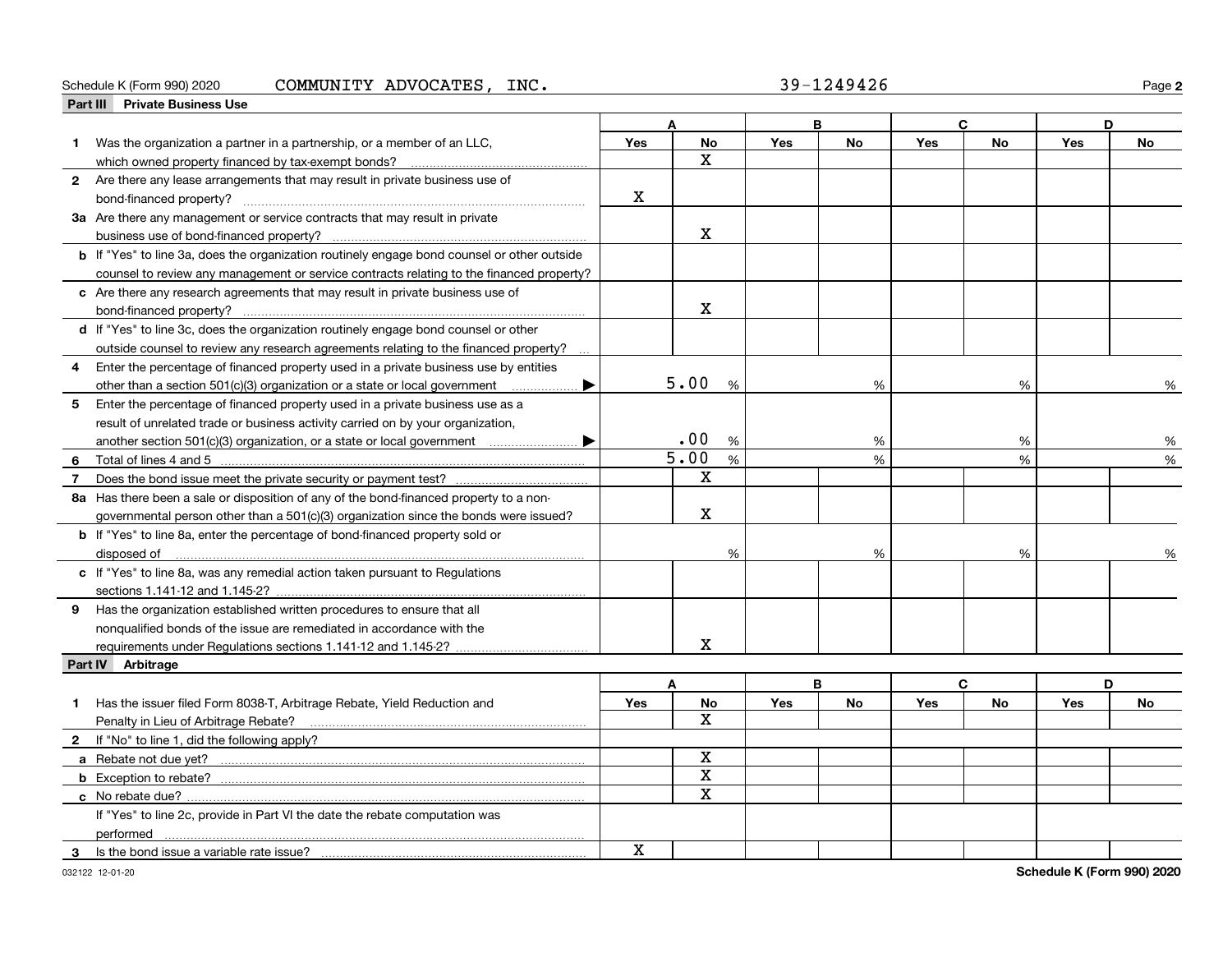#### Schedule K (Form 990) 2020 Page COMMUNITY ADVOCATES, INC. 39-1249426

|                | Part III Private Business Use                                                                      |             |                         |               |            |           |            |           |            |           |  |  |  |  |  |  |  |  |  |  |  |  |  |   |  |
|----------------|----------------------------------------------------------------------------------------------------|-------------|-------------------------|---------------|------------|-----------|------------|-----------|------------|-----------|--|--|--|--|--|--|--|--|--|--|--|--|--|---|--|
|                |                                                                                                    |             |                         |               | B          |           |            | C         |            | D         |  |  |  |  |  |  |  |  |  |  |  |  |  |   |  |
| 1.             | Was the organization a partner in a partnership, or a member of an LLC,                            | Yes         | <b>No</b>               |               | Yes        | <b>No</b> | Yes        | <b>No</b> | Yes        | <b>No</b> |  |  |  |  |  |  |  |  |  |  |  |  |  |   |  |
|                |                                                                                                    |             | x                       |               |            |           |            |           |            |           |  |  |  |  |  |  |  |  |  |  |  |  |  |   |  |
|                | 2 Are there any lease arrangements that may result in private business use of                      |             |                         |               |            |           |            |           |            |           |  |  |  |  |  |  |  |  |  |  |  |  |  |   |  |
|                |                                                                                                    | X           |                         |               |            |           |            |           |            |           |  |  |  |  |  |  |  |  |  |  |  |  |  |   |  |
|                | 3a Are there any management or service contracts that may result in private                        |             |                         |               |            |           |            |           |            |           |  |  |  |  |  |  |  |  |  |  |  |  |  |   |  |
|                |                                                                                                    |             | X                       |               |            |           |            |           |            |           |  |  |  |  |  |  |  |  |  |  |  |  |  |   |  |
|                | <b>b</b> If "Yes" to line 3a, does the organization routinely engage bond counsel or other outside |             |                         |               |            |           |            |           |            |           |  |  |  |  |  |  |  |  |  |  |  |  |  |   |  |
|                | counsel to review any management or service contracts relating to the financed property?           |             |                         |               |            |           |            |           |            |           |  |  |  |  |  |  |  |  |  |  |  |  |  |   |  |
|                | c Are there any research agreements that may result in private business use of                     |             |                         |               |            |           |            |           |            |           |  |  |  |  |  |  |  |  |  |  |  |  |  |   |  |
|                |                                                                                                    |             | X                       |               |            |           |            |           |            |           |  |  |  |  |  |  |  |  |  |  |  |  |  |   |  |
|                | d If "Yes" to line 3c, does the organization routinely engage bond counsel or other                |             |                         |               |            |           |            |           |            |           |  |  |  |  |  |  |  |  |  |  |  |  |  |   |  |
|                | outside counsel to review any research agreements relating to the financed property?               |             |                         |               |            |           |            |           |            |           |  |  |  |  |  |  |  |  |  |  |  |  |  |   |  |
|                | Enter the percentage of financed property used in a private business use by entities               |             |                         |               |            |           |            |           |            |           |  |  |  |  |  |  |  |  |  |  |  |  |  |   |  |
|                | other than a section 501(c)(3) organization or a state or local government<br>▶                    |             | 5.00                    | %             |            | %         |            | %         |            |           |  |  |  |  |  |  |  |  |  |  |  |  |  |   |  |
|                | 5 Enter the percentage of financed property used in a private business use as a                    |             |                         |               |            |           |            |           |            |           |  |  |  |  |  |  |  |  |  |  |  |  |  |   |  |
|                | result of unrelated trade or business activity carried on by your organization,                    |             |                         |               |            |           |            |           |            |           |  |  |  |  |  |  |  |  |  |  |  |  |  |   |  |
|                | another section 501(c)(3) organization, or a state or local government<br>▶                        | .00<br>%    |                         |               |            | %         |            | %         |            | %         |  |  |  |  |  |  |  |  |  |  |  |  |  |   |  |
| 6              |                                                                                                    | 5.00        |                         | $\frac{0}{6}$ |            | %         |            | %         |            | %         |  |  |  |  |  |  |  |  |  |  |  |  |  |   |  |
| $\overline{7}$ |                                                                                                    |             | $\mathbf X$             |               |            |           |            |           |            |           |  |  |  |  |  |  |  |  |  |  |  |  |  |   |  |
|                | 8a Has there been a sale or disposition of any of the bond-financed property to a non-             |             |                         |               |            |           |            |           |            |           |  |  |  |  |  |  |  |  |  |  |  |  |  |   |  |
|                | governmental person other than a 501(c)(3) organization since the bonds were issued?               |             | $\mathbf X$             |               |            |           |            |           |            |           |  |  |  |  |  |  |  |  |  |  |  |  |  |   |  |
|                | <b>b</b> If "Yes" to line 8a, enter the percentage of bond-financed property sold or               |             |                         |               |            |           |            |           |            |           |  |  |  |  |  |  |  |  |  |  |  |  |  |   |  |
|                | disposed of                                                                                        |             |                         | %             |            | %         |            | %         |            | %         |  |  |  |  |  |  |  |  |  |  |  |  |  |   |  |
|                | c If "Yes" to line 8a, was any remedial action taken pursuant to Regulations                       |             |                         |               |            |           |            |           |            |           |  |  |  |  |  |  |  |  |  |  |  |  |  |   |  |
|                |                                                                                                    |             |                         |               |            |           |            |           |            |           |  |  |  |  |  |  |  |  |  |  |  |  |  |   |  |
|                | 9 Has the organization established written procedures to ensure that all                           |             |                         |               |            |           |            |           |            |           |  |  |  |  |  |  |  |  |  |  |  |  |  |   |  |
|                | nonqualified bonds of the issue are remediated in accordance with the                              |             |                         |               |            |           |            |           |            |           |  |  |  |  |  |  |  |  |  |  |  |  |  |   |  |
|                |                                                                                                    |             | X                       |               |            |           |            |           |            |           |  |  |  |  |  |  |  |  |  |  |  |  |  |   |  |
|                | Part IV Arbitrage                                                                                  |             |                         |               |            |           |            |           |            |           |  |  |  |  |  |  |  |  |  |  |  |  |  |   |  |
|                |                                                                                                    |             | A                       |               | B          |           |            | C         |            |           |  |  |  |  |  |  |  |  |  |  |  |  |  | D |  |
| 1              | Has the issuer filed Form 8038-T, Arbitrage Rebate, Yield Reduction and                            | <b>Yes</b>  | <b>No</b>               |               | <b>Yes</b> | No        | <b>Yes</b> | <b>No</b> | <b>Yes</b> | No        |  |  |  |  |  |  |  |  |  |  |  |  |  |   |  |
|                | Penalty in Lieu of Arbitrage Rebate?                                                               |             | X                       |               |            |           |            |           |            |           |  |  |  |  |  |  |  |  |  |  |  |  |  |   |  |
|                | 2 If "No" to line 1, did the following apply?                                                      |             |                         |               |            |           |            |           |            |           |  |  |  |  |  |  |  |  |  |  |  |  |  |   |  |
|                |                                                                                                    |             | $\overline{\mathbf{x}}$ |               |            |           |            |           |            |           |  |  |  |  |  |  |  |  |  |  |  |  |  |   |  |
|                |                                                                                                    |             | $\overline{\mathbf{x}}$ |               |            |           |            |           |            |           |  |  |  |  |  |  |  |  |  |  |  |  |  |   |  |
|                |                                                                                                    |             | $\mathbf X$             |               |            |           |            |           |            |           |  |  |  |  |  |  |  |  |  |  |  |  |  |   |  |
|                | If "Yes" to line 2c, provide in Part VI the date the rebate computation was                        |             |                         |               |            |           |            |           |            |           |  |  |  |  |  |  |  |  |  |  |  |  |  |   |  |
|                | performed                                                                                          |             |                         |               |            |           |            |           |            |           |  |  |  |  |  |  |  |  |  |  |  |  |  |   |  |
| 3              | Is the bond issue a variable rate issue?                                                           | $\mathbf X$ |                         |               |            |           |            |           |            |           |  |  |  |  |  |  |  |  |  |  |  |  |  |   |  |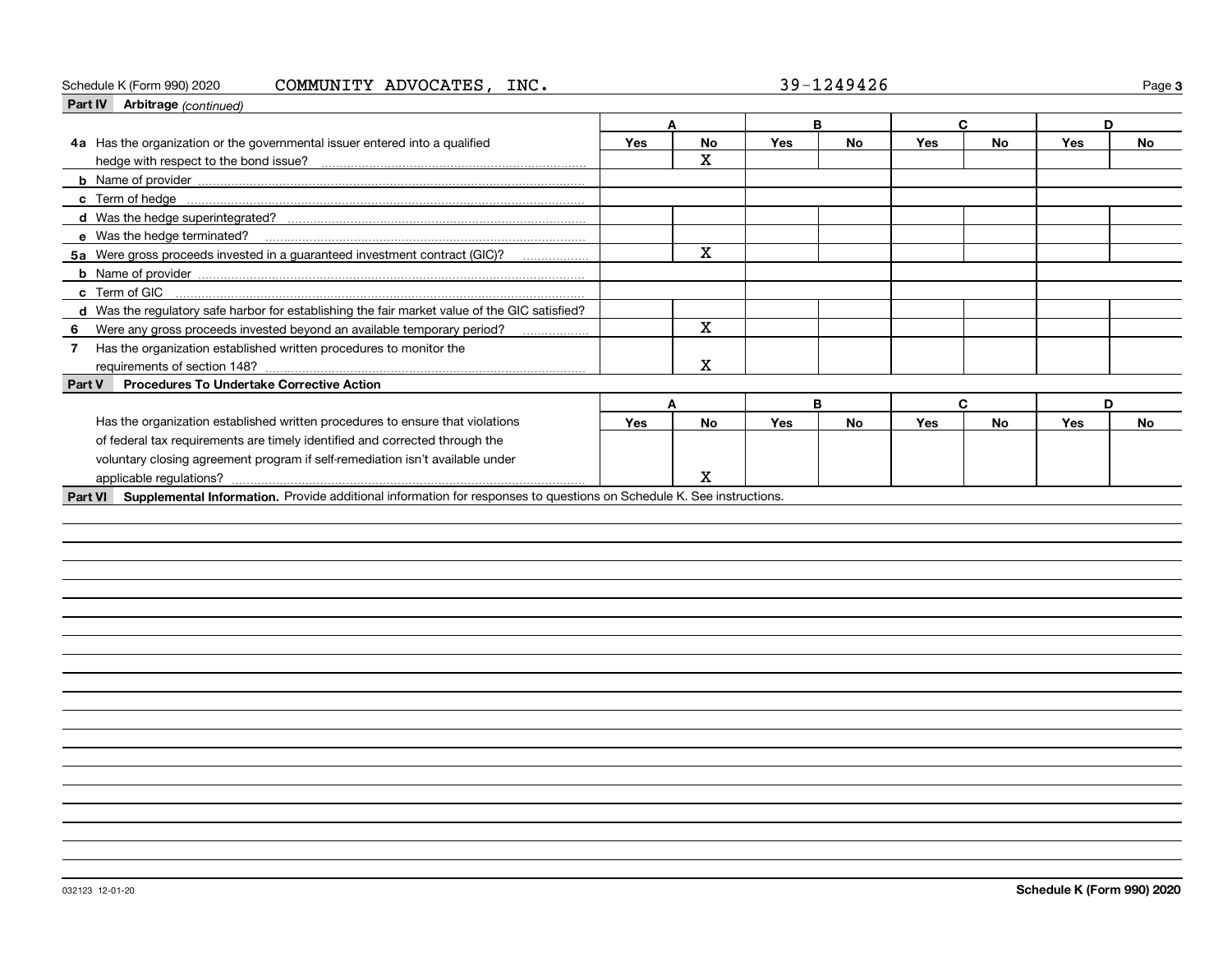#### Schedule K (Form 990) 2020 Page COMMUNITY ADVOCATES, INC. 39-1249426

| Part IV Arbitrage (continued)                                                                                                |            |                         |     |           |     |           |     |           |
|------------------------------------------------------------------------------------------------------------------------------|------------|-------------------------|-----|-----------|-----|-----------|-----|-----------|
|                                                                                                                              | A          |                         | B   |           | C   |           | D   |           |
| 4a Has the organization or the governmental issuer entered into a qualified                                                  | Yes        | No                      | Yes | No        | Yes | No        | Yes | <b>No</b> |
| hedge with respect to the bond issue?                                                                                        |            | x                       |     |           |     |           |     |           |
|                                                                                                                              |            |                         |     |           |     |           |     |           |
|                                                                                                                              |            |                         |     |           |     |           |     |           |
|                                                                                                                              |            |                         |     |           |     |           |     |           |
| e Was the hedge terminated?                                                                                                  |            |                         |     |           |     |           |     |           |
| 5a Were gross proceeds invested in a guaranteed investment contract (GIC)?                                                   |            | $\mathbf X$             |     |           |     |           |     |           |
|                                                                                                                              |            |                         |     |           |     |           |     |           |
| c Term of GIC                                                                                                                |            |                         |     |           |     |           |     |           |
| d Was the regulatory safe harbor for establishing the fair market value of the GIC satisfied?                                |            |                         |     |           |     |           |     |           |
| Were any gross proceeds invested beyond an available temporary period?<br>6                                                  |            | $\overline{\mathbf{x}}$ |     |           |     |           |     |           |
| Has the organization established written procedures to monitor the<br>$\mathbf{7}$                                           |            |                         |     |           |     |           |     |           |
| requirements of section 148?                                                                                                 |            | x                       |     |           |     |           |     |           |
| Procedures To Undertake Corrective Action<br>Part V                                                                          |            |                         |     |           |     |           |     |           |
|                                                                                                                              | A          |                         | B   |           |     | C         | D   |           |
| Has the organization established written procedures to ensure that violations                                                | <b>Yes</b> | <b>No</b>               | Yes | <b>No</b> | Yes | <b>No</b> | Yes | No        |
| of federal tax requirements are timely identified and corrected through the                                                  |            |                         |     |           |     |           |     |           |
| voluntary closing agreement program if self-remediation isn't available under                                                |            |                         |     |           |     |           |     |           |
| applicable regulations?                                                                                                      |            | x                       |     |           |     |           |     |           |
| Part VI Supplemental Information. Provide additional information for responses to questions on Schedule K. See instructions. |            |                         |     |           |     |           |     |           |
|                                                                                                                              |            |                         |     |           |     |           |     |           |
|                                                                                                                              |            |                         |     |           |     |           |     |           |
|                                                                                                                              |            |                         |     |           |     |           |     |           |
|                                                                                                                              |            |                         |     |           |     |           |     |           |
|                                                                                                                              |            |                         |     |           |     |           |     |           |
|                                                                                                                              |            |                         |     |           |     |           |     |           |
|                                                                                                                              |            |                         |     |           |     |           |     |           |
|                                                                                                                              |            |                         |     |           |     |           |     |           |
|                                                                                                                              |            |                         |     |           |     |           |     |           |
|                                                                                                                              |            |                         |     |           |     |           |     |           |
|                                                                                                                              |            |                         |     |           |     |           |     |           |
|                                                                                                                              |            |                         |     |           |     |           |     |           |
|                                                                                                                              |            |                         |     |           |     |           |     |           |
|                                                                                                                              |            |                         |     |           |     |           |     |           |
|                                                                                                                              |            |                         |     |           |     |           |     |           |
|                                                                                                                              |            |                         |     |           |     |           |     |           |
|                                                                                                                              |            |                         |     |           |     |           |     |           |
|                                                                                                                              |            |                         |     |           |     |           |     |           |
|                                                                                                                              |            |                         |     |           |     |           |     |           |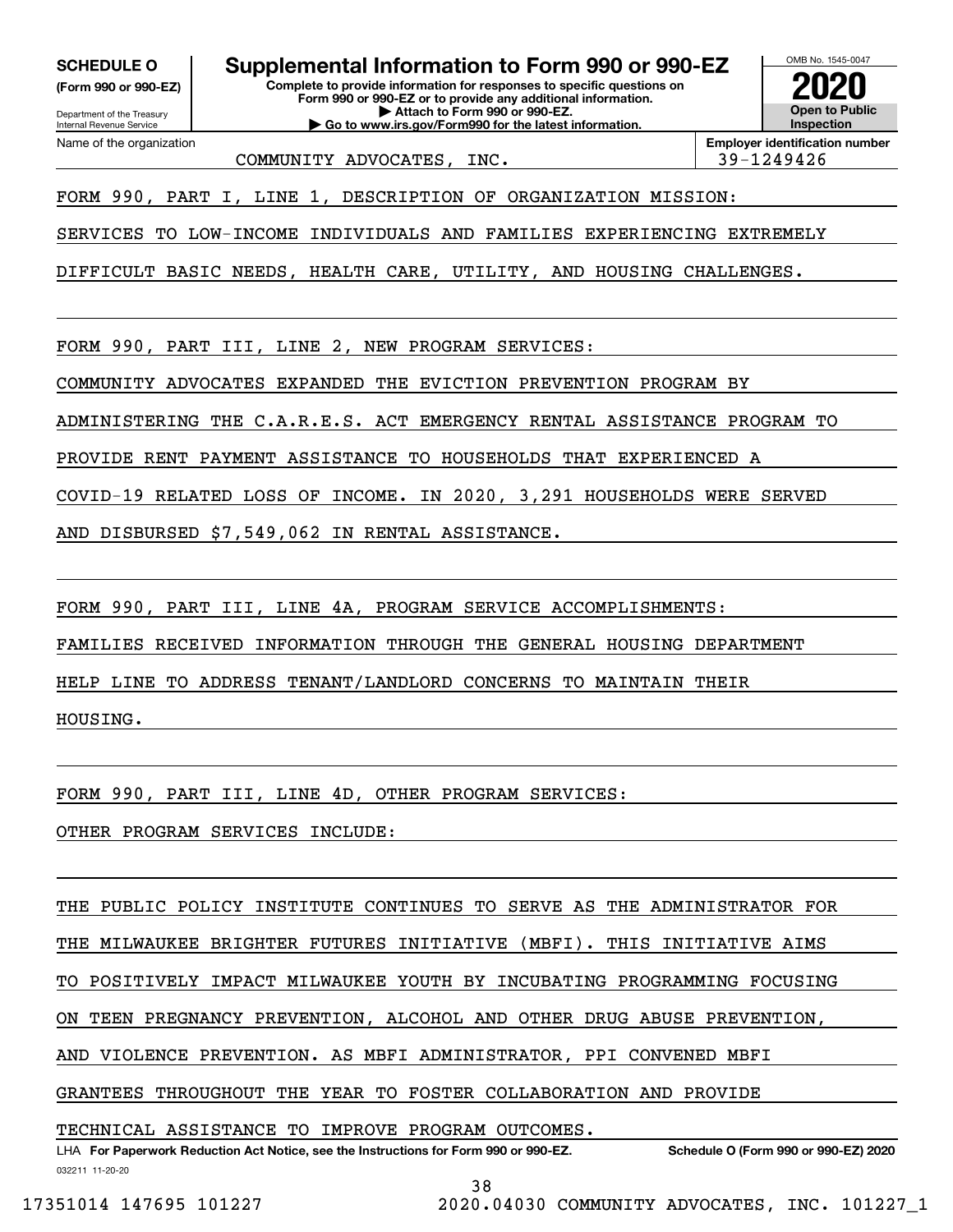**(Form 990 or 990-EZ)**

Department of the Treasury Internal Revenue Service Name of the organization

**SCHEDULE O Supplemental Information to Form 990 or 990-EZ**

**Complete to provide information for responses to specific questions on Form 990 or 990-EZ or to provide any additional information. | Attach to Form 990 or 990-EZ. | Go to www.irs.gov/Form990 for the latest information.**



COMMUNITY ADVOCATES, INC. 39-1249426

FORM 990, PART I, LINE 1, DESCRIPTION OF ORGANIZATION MISSION:

SERVICES TO LOW-INCOME INDIVIDUALS AND FAMILIES EXPERIENCING EXTREMELY

DIFFICULT BASIC NEEDS, HEALTH CARE, UTILITY, AND HOUSING CHALLENGES.

FORM 990, PART III, LINE 2, NEW PROGRAM SERVICES:

COMMUNITY ADVOCATES EXPANDED THE EVICTION PREVENTION PROGRAM BY

ADMINISTERING THE C.A.R.E.S. ACT EMERGENCY RENTAL ASSISTANCE PROGRAM TO

PROVIDE RENT PAYMENT ASSISTANCE TO HOUSEHOLDS THAT EXPERIENCED A

COVID-19 RELATED LOSS OF INCOME. IN 2020, 3,291 HOUSEHOLDS WERE SERVED

AND DISBURSED \$7,549,062 IN RENTAL ASSISTANCE.

FORM 990, PART III, LINE 4A, PROGRAM SERVICE ACCOMPLISHMENTS:

FAMILIES RECEIVED INFORMATION THROUGH THE GENERAL HOUSING DEPARTMENT

HELP LINE TO ADDRESS TENANT/LANDLORD CONCERNS TO MAINTAIN THEIR

HOUSING.

FORM 990, PART III, LINE 4D, OTHER PROGRAM SERVICES:

OTHER PROGRAM SERVICES INCLUDE:

THE PUBLIC POLICY INSTITUTE CONTINUES TO SERVE AS THE ADMINISTRATOR FOR

THE MILWAUKEE BRIGHTER FUTURES INITIATIVE (MBFI). THIS INITIATIVE AIMS

TO POSITIVELY IMPACT MILWAUKEE YOUTH BY INCUBATING PROGRAMMING FOCUSING

ON TEEN PREGNANCY PREVENTION, ALCOHOL AND OTHER DRUG ABUSE PREVENTION,

AND VIOLENCE PREVENTION. AS MBFI ADMINISTRATOR, PPI CONVENED MBFI

GRANTEES THROUGHOUT THE YEAR TO FOSTER COLLABORATION AND PROVIDE

TECHNICAL ASSISTANCE TO IMPROVE PROGRAM OUTCOMES.

032211 11-20-20 LHA For Paperwork Reduction Act Notice, see the Instructions for Form 990 or 990-EZ. Schedule O (Form 990 or 990-EZ) 2020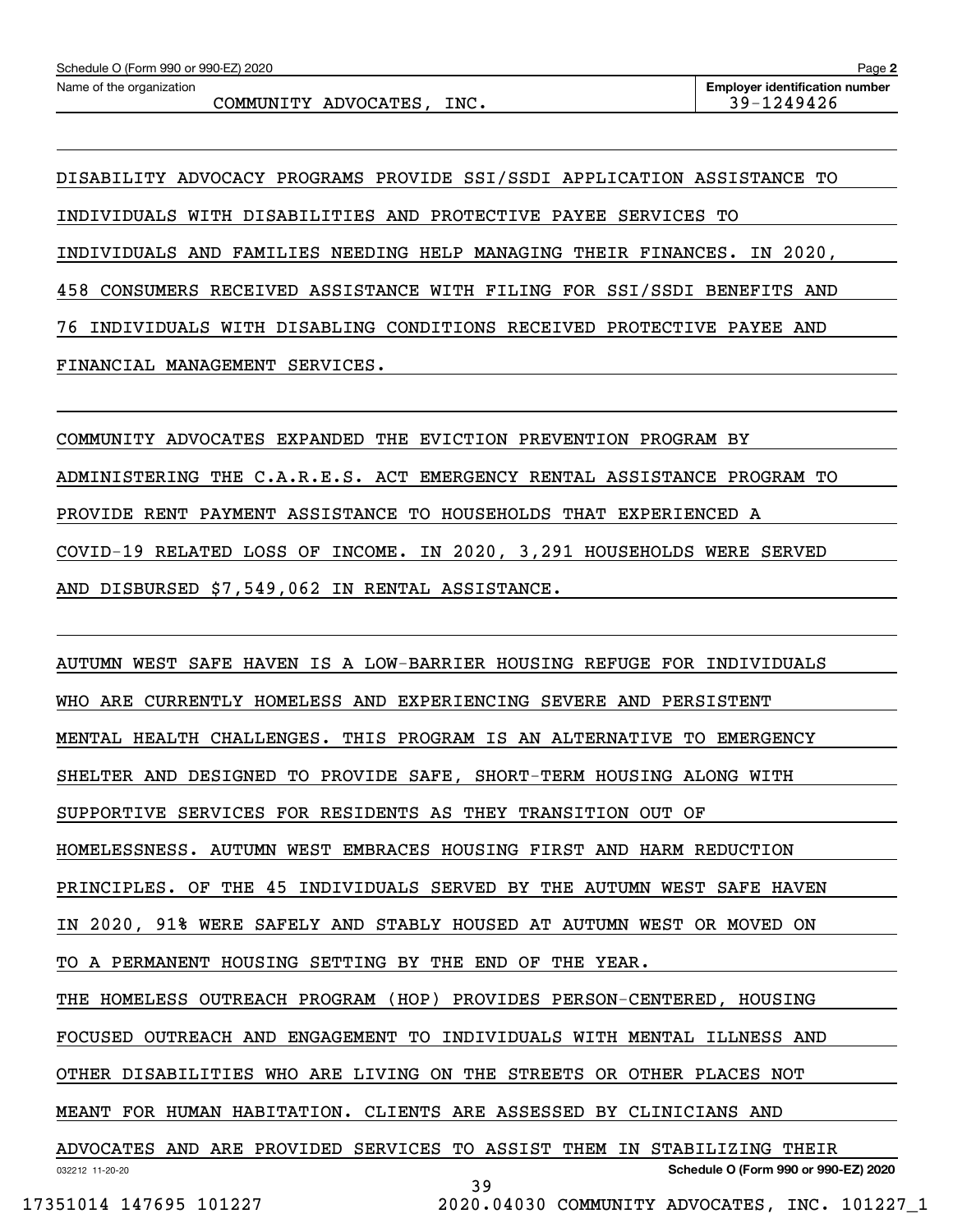COMMUNITY ADVOCATES, INC. 39-1249426

**2**

DISABILITY ADVOCACY PROGRAMS PROVIDE SSI/SSDI APPLICATION ASSISTANCE TO INDIVIDUALS WITH DISABILITIES AND PROTECTIVE PAYEE SERVICES TO INDIVIDUALS AND FAMILIES NEEDING HELP MANAGING THEIR FINANCES. IN 2020, 458 CONSUMERS RECEIVED ASSISTANCE WITH FILING FOR SSI/SSDI BENEFITS AND 76 INDIVIDUALS WITH DISABLING CONDITIONS RECEIVED PROTECTIVE PAYEE AND FINANCIAL MANAGEMENT SERVICES.

COMMUNITY ADVOCATES EXPANDED THE EVICTION PREVENTION PROGRAM BY ADMINISTERING THE C.A.R.E.S. ACT EMERGENCY RENTAL ASSISTANCE PROGRAM TO PROVIDE RENT PAYMENT ASSISTANCE TO HOUSEHOLDS THAT EXPERIENCED A COVID-19 RELATED LOSS OF INCOME. IN 2020, 3,291 HOUSEHOLDS WERE SERVED AND DISBURSED \$7,549,062 IN RENTAL ASSISTANCE.

032212 11-20-20 **Schedule O (Form 990 or 990-EZ) 2020** AUTUMN WEST SAFE HAVEN IS A LOW-BARRIER HOUSING REFUGE FOR INDIVIDUALS WHO ARE CURRENTLY HOMELESS AND EXPERIENCING SEVERE AND PERSISTENT MENTAL HEALTH CHALLENGES. THIS PROGRAM IS AN ALTERNATIVE TO EMERGENCY SHELTER AND DESIGNED TO PROVIDE SAFE, SHORT-TERM HOUSING ALONG WITH SUPPORTIVE SERVICES FOR RESIDENTS AS THEY TRANSITION OUT OF HOMELESSNESS. AUTUMN WEST EMBRACES HOUSING FIRST AND HARM REDUCTION PRINCIPLES. OF THE 45 INDIVIDUALS SERVED BY THE AUTUMN WEST SAFE HAVEN IN 2020, 91% WERE SAFELY AND STABLY HOUSED AT AUTUMN WEST OR MOVED ON TO A PERMANENT HOUSING SETTING BY THE END OF THE YEAR. THE HOMELESS OUTREACH PROGRAM (HOP) PROVIDES PERSON-CENTERED, HOUSING FOCUSED OUTREACH AND ENGAGEMENT TO INDIVIDUALS WITH MENTAL ILLNESS AND OTHER DISABILITIES WHO ARE LIVING ON THE STREETS OR OTHER PLACES NOT MEANT FOR HUMAN HABITATION. CLIENTS ARE ASSESSED BY CLINICIANS AND ADVOCATES AND ARE PROVIDED SERVICES TO ASSIST THEM IN STABILIZING THEIR

39

17351014 147695 101227 2020.04030 COMMUNITY ADVOCATES, INC. 101227\_1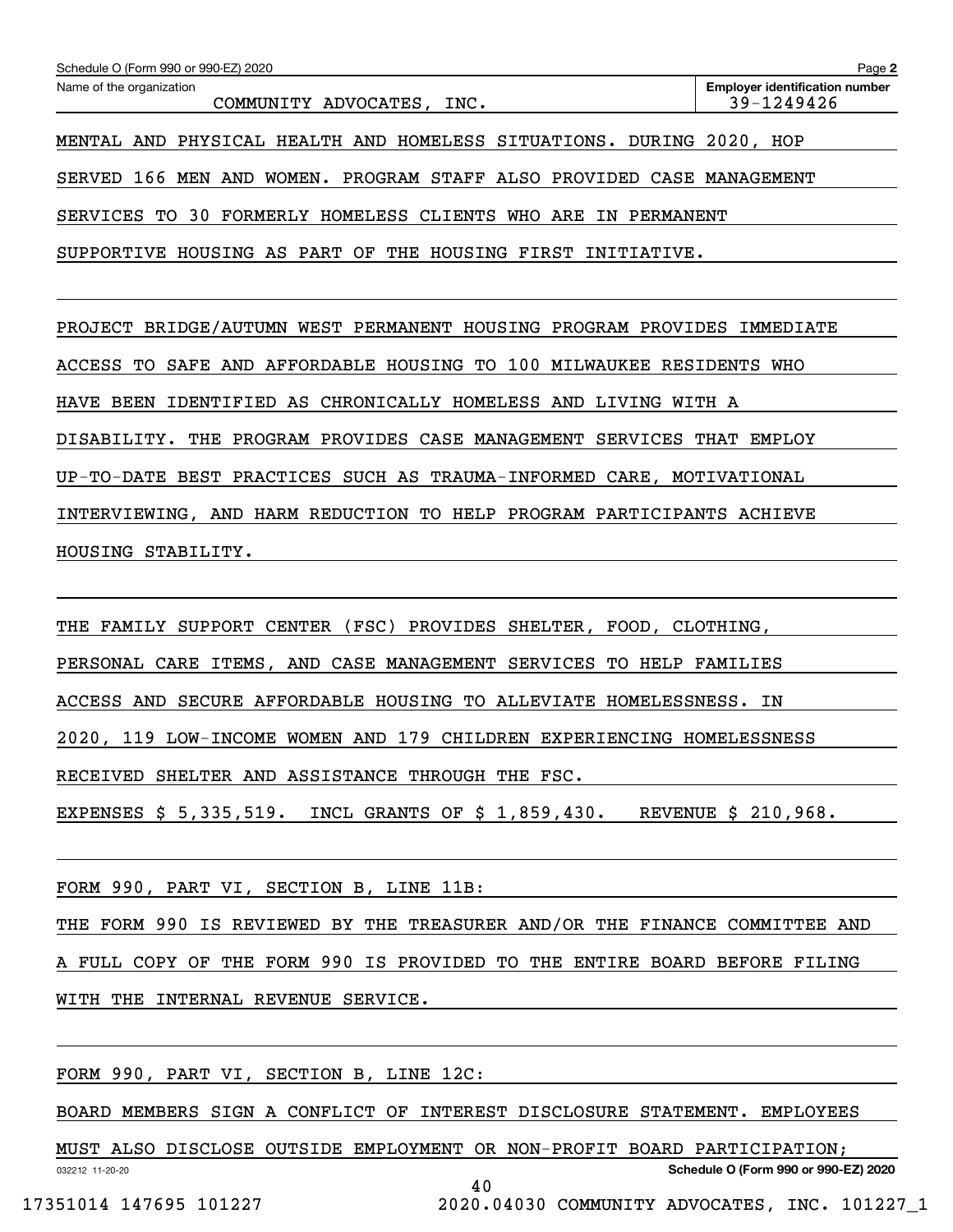|                                                                                          | Page 2                                              |
|------------------------------------------------------------------------------------------|-----------------------------------------------------|
| Name of the organization<br>COMMUNITY ADVOCATES, INC.                                    | <b>Employer identification number</b><br>39-1249426 |
|                                                                                          |                                                     |
| MENTAL AND PHYSICAL HEALTH AND HOMELESS SITUATIONS. DURING                               | 2020, HOP                                           |
| 166<br><b>SERVED</b><br>MEN AND<br>WOMEN.<br>PROGRAM STAFF ALSO PROVIDED CASE MANAGEMENT |                                                     |
| 30 FORMERLY HOMELESS CLIENTS WHO ARE<br>SERVICES<br>TО<br>IN PERMANENT                   |                                                     |
| SUPPORTIVE HOUSING AS PART OF THE HOUSING FIRST<br>INITIATIVE.                           |                                                     |
|                                                                                          |                                                     |
| PROJECT BRIDGE/AUTUMN WEST PERMANENT HOUSING PROGRAM PROVIDES IMMEDIATE                  |                                                     |
| SAFE AND AFFORDABLE HOUSING TO 100 MILWAUKEE RESIDENTS WHO<br>ACCESS<br>TO               |                                                     |
| IDENTIFIED AS CHRONICALLY HOMELESS AND LIVING WITH A<br>HAVE BEEN                        |                                                     |
| DISABILITY.<br>PROGRAM PROVIDES CASE MANAGEMENT<br>THE                                   | SERVICES THAT EMPLOY                                |
| PRACTICES SUCH AS<br>UP-TO-DATE BEST<br>TRAUMA-INFORMED CARE, MOTIVATIONAL               |                                                     |
| INTERVIEWING, AND HARM REDUCTION TO HELP PROGRAM PARTICIPANTS ACHIEVE                    |                                                     |
| HOUSING STABILITY.                                                                       |                                                     |

THE FAMILY SUPPORT CENTER (FSC) PROVIDES SHELTER, FOOD, CLOTHING, PERSONAL CARE ITEMS, AND CASE MANAGEMENT SERVICES TO HELP FAMILIES ACCESS AND SECURE AFFORDABLE HOUSING TO ALLEVIATE HOMELESSNESS. IN 2020, 119 LOW-INCOME WOMEN AND 179 CHILDREN EXPERIENCING HOMELESSNESS RECEIVED SHELTER AND ASSISTANCE THROUGH THE FSC. EXPENSES \$ 5,335,519. INCL GRANTS OF \$ 1,859,430. REVENUE \$ 210,968.

FORM 990, PART VI, SECTION B, LINE 11B:

THE FORM 990 IS REVIEWED BY THE TREASURER AND/OR THE FINANCE COMMITTEE AND A FULL COPY OF THE FORM 990 IS PROVIDED TO THE ENTIRE BOARD BEFORE FILING WITH THE INTERNAL REVENUE SERVICE.

FORM 990, PART VI, SECTION B, LINE 12C:

BOARD MEMBERS SIGN A CONFLICT OF INTEREST DISCLOSURE STATEMENT. EMPLOYEES

032212 11-20-20 **Schedule O (Form 990 or 990-EZ) 2020** MUST ALSO DISCLOSE OUTSIDE EMPLOYMENT OR NON-PROFIT BOARD PARTICIPATION; 40

17351014 147695 101227 2020.04030 COMMUNITY ADVOCATES, INC. 101227\_1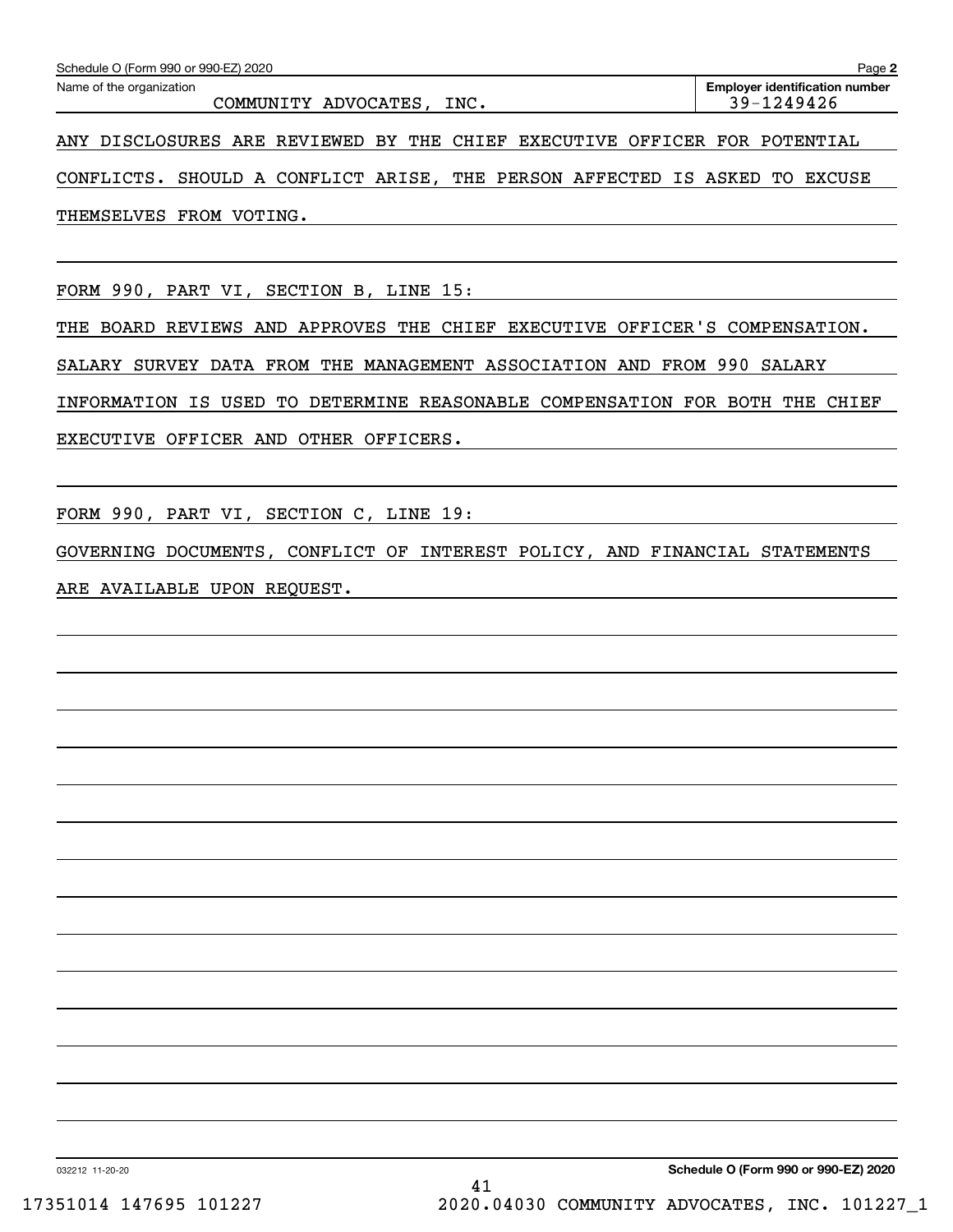| Schedule O (Form 990 or 990-EZ) 2020                                      | Page 2                                              |  |  |  |
|---------------------------------------------------------------------------|-----------------------------------------------------|--|--|--|
| Name of the organization<br>COMMUNITY ADVOCATES, INC.                     | <b>Employer identification number</b><br>39-1249426 |  |  |  |
|                                                                           |                                                     |  |  |  |
| ANY DISCLOSURES ARE REVIEWED BY THE CHIEF EXECUTIVE OFFICER FOR POTENTIAL |                                                     |  |  |  |

CONFLICTS. SHOULD A CONFLICT ARISE, THE PERSON AFFECTED IS ASKED TO EXCUSE THEMSELVES FROM VOTING.

FORM 990, PART VI, SECTION B, LINE 15:

THE BOARD REVIEWS AND APPROVES THE CHIEF EXECUTIVE OFFICER'S COMPENSATION.

SALARY SURVEY DATA FROM THE MANAGEMENT ASSOCIATION AND FROM 990 SALARY

INFORMATION IS USED TO DETERMINE REASONABLE COMPENSATION FOR BOTH THE CHIEF

EXECUTIVE OFFICER AND OTHER OFFICERS.

FORM 990, PART VI, SECTION C, LINE 19:

GOVERNING DOCUMENTS, CONFLICT OF INTEREST POLICY, AND FINANCIAL STATEMENTS ARE AVAILABLE UPON REQUEST.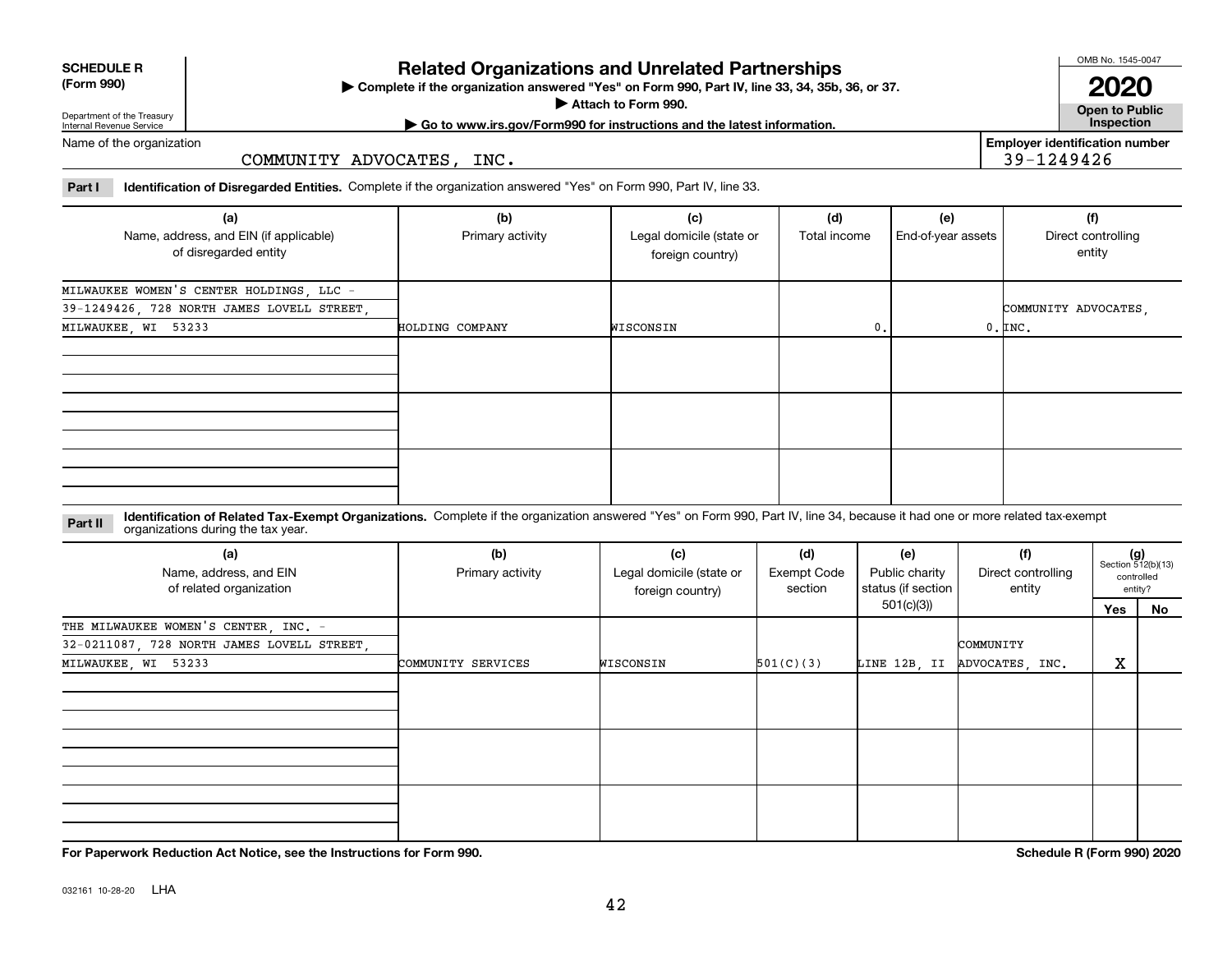| <b>SCHEDULE R</b> |  |
|-------------------|--|
| $(T - 0.00)$      |  |

#### **(Form 990)**

### **Related Organizations and Unrelated Partnerships**

**Complete if the organization answered "Yes" on Form 990, Part IV, line 33, 34, 35b, 36, or 37.** |

**Attach to Form 990.**  |

OMB No. 1545-0047

**Open to Public 2020**

**Employer identification number**

39-1249426

Department of the Treasury Internal Revenue Service

**| Go to www.irs.gov/Form990 for instructions and the latest information. Inspection**

Name of the organization

#### COMMUNITY ADVOCATES, INC.

**Part I Identification of Disregarded Entities.**  Complete if the organization answered "Yes" on Form 990, Part IV, line 33.

| (a)<br>Name, address, and EIN (if applicable)<br>of disregarded entity | (b)<br>Primary activity | (c)<br>Legal domicile (state or<br>foreign country) | (d)<br>Total income | (e)<br>End-of-year assets | (f)<br>Direct controlling<br>entity |
|------------------------------------------------------------------------|-------------------------|-----------------------------------------------------|---------------------|---------------------------|-------------------------------------|
| MILWAUKEE WOMEN'S CENTER HOLDINGS, LLC -                               |                         |                                                     |                     |                           |                                     |
| 39-1249426, 728 NORTH JAMES LOVELL STREET,                             |                         |                                                     |                     |                           | COMMUNITY ADVOCATES,                |
| MILWAUKEE, WI 53233                                                    | HOLDING COMPANY         | WISCONSIN                                           | 0.                  |                           | $0.$ $\texttt{INC.}$                |
|                                                                        |                         |                                                     |                     |                           |                                     |
|                                                                        |                         |                                                     |                     |                           |                                     |
|                                                                        |                         |                                                     |                     |                           |                                     |

**Identification of Related Tax-Exempt Organizations.** Complete if the organization answered "Yes" on Form 990, Part IV, line 34, because it had one or more related tax-exempt **Part II** organizations during the tax year.

| (a)<br>Name, address, and EIN<br>of related organization | (b)<br>Primary activity |           | (d)<br><b>Exempt Code</b><br>section | (e)<br>Public charity<br>status (if section | (f)<br>Direct controlling<br>entity | $(g)$<br>Section 512(b)(13)<br>controlled<br>entity? |    |
|----------------------------------------------------------|-------------------------|-----------|--------------------------------------|---------------------------------------------|-------------------------------------|------------------------------------------------------|----|
|                                                          |                         |           |                                      | 501(c)(3)                                   |                                     | Yes                                                  | No |
| THE MILWAUKEE WOMEN'S CENTER, INC. -                     |                         |           |                                      |                                             |                                     |                                                      |    |
| 32-0211087, 728 NORTH JAMES LOVELL STREET,               |                         |           |                                      |                                             | COMMUNITY                           |                                                      |    |
| MILWAUKEE, WI 53233                                      | COMMUNITY SERVICES      | WISCONSIN | 501(C)(3)                            | LINE 12B, II                                | ADVOCATES, INC.                     | X                                                    |    |
|                                                          |                         |           |                                      |                                             |                                     |                                                      |    |
|                                                          |                         |           |                                      |                                             |                                     |                                                      |    |
|                                                          |                         |           |                                      |                                             |                                     |                                                      |    |

**For Paperwork Reduction Act Notice, see the Instructions for Form 990. Schedule R (Form 990) 2020**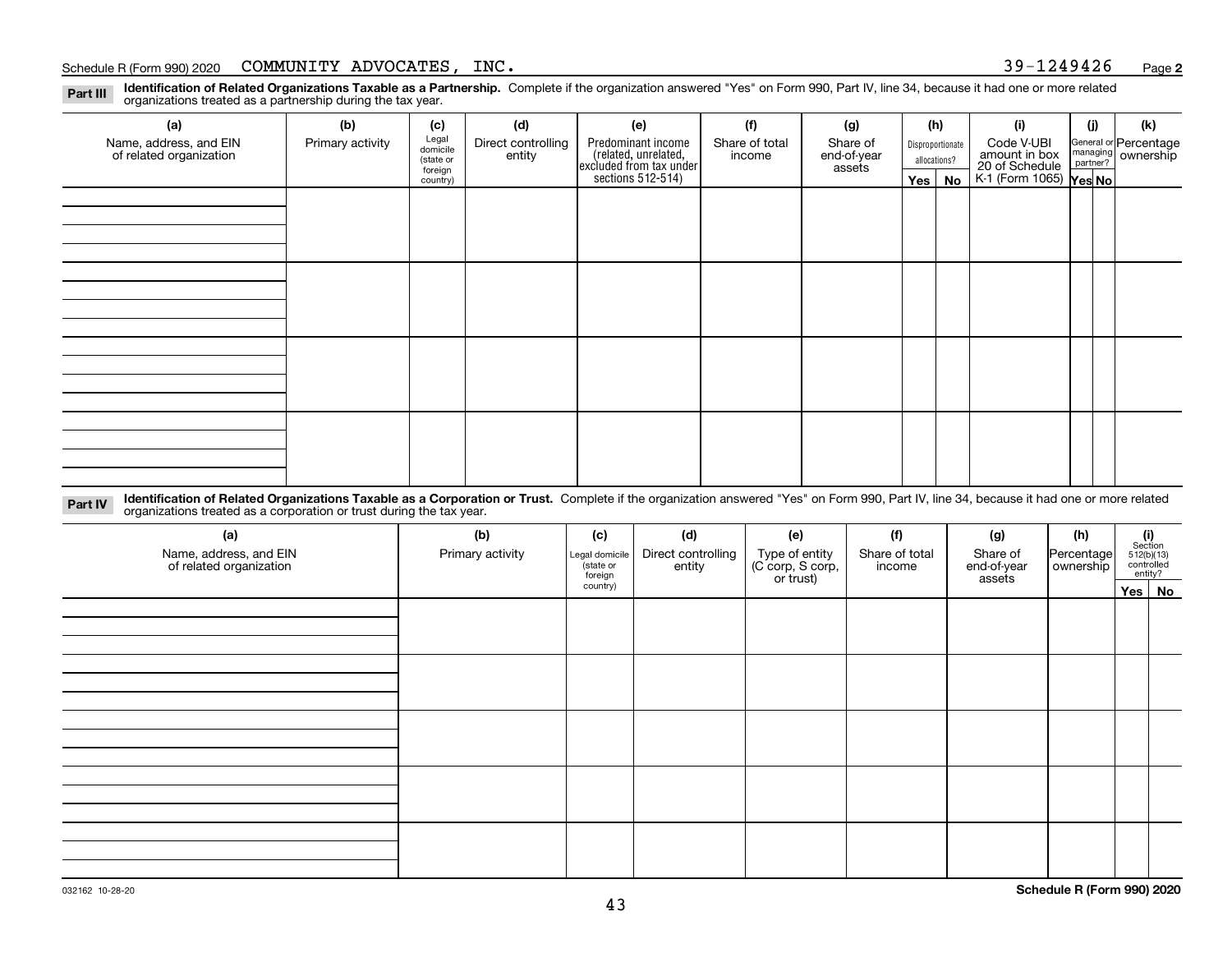#### Schedule R (Form 990) 2020 Page COMMUNITY ADVOCATES, INC. 39-1249426

**2**

**Identification of Related Organizations Taxable as a Partnership.** Complete if the organization answered "Yes" on Form 990, Part IV, line 34, because it had one or more related **Part III** organizations treated as a partnership during the tax year.

| (a)                                               | (b)              | (c)                  | (d)                          | (e)                                                                 | (f)            | (g)                   |         | (h)              | (i)                                      | (i) | (k)                                                     |
|---------------------------------------------------|------------------|----------------------|------------------------------|---------------------------------------------------------------------|----------------|-----------------------|---------|------------------|------------------------------------------|-----|---------------------------------------------------------|
| Name, address, and EIN<br>of related organization | Primary activity | Legal<br>domicile    | Direct controlling<br>entity | Predominant income                                                  | Share of total | Share of              |         | Disproportionate | Code V-UBI<br>amount in box              |     | General or Percentage<br>managing ownership<br>partner? |
|                                                   |                  | (state or<br>foreign |                              | related, unrelated,<br>excluded from tax under<br>sections 512-514) | income         | end-of-year<br>assets |         | allocations?     |                                          |     |                                                         |
|                                                   |                  | country)             |                              |                                                                     |                |                       | Yes $ $ | No               | 20 of Schedule<br>K-1 (Form 1065) Yes No |     |                                                         |
|                                                   |                  |                      |                              |                                                                     |                |                       |         |                  |                                          |     |                                                         |
|                                                   |                  |                      |                              |                                                                     |                |                       |         |                  |                                          |     |                                                         |
|                                                   |                  |                      |                              |                                                                     |                |                       |         |                  |                                          |     |                                                         |
|                                                   |                  |                      |                              |                                                                     |                |                       |         |                  |                                          |     |                                                         |
|                                                   |                  |                      |                              |                                                                     |                |                       |         |                  |                                          |     |                                                         |
|                                                   |                  |                      |                              |                                                                     |                |                       |         |                  |                                          |     |                                                         |
|                                                   |                  |                      |                              |                                                                     |                |                       |         |                  |                                          |     |                                                         |
|                                                   |                  |                      |                              |                                                                     |                |                       |         |                  |                                          |     |                                                         |
|                                                   |                  |                      |                              |                                                                     |                |                       |         |                  |                                          |     |                                                         |
|                                                   |                  |                      |                              |                                                                     |                |                       |         |                  |                                          |     |                                                         |
|                                                   |                  |                      |                              |                                                                     |                |                       |         |                  |                                          |     |                                                         |
|                                                   |                  |                      |                              |                                                                     |                |                       |         |                  |                                          |     |                                                         |
|                                                   |                  |                      |                              |                                                                     |                |                       |         |                  |                                          |     |                                                         |
|                                                   |                  |                      |                              |                                                                     |                |                       |         |                  |                                          |     |                                                         |
|                                                   |                  |                      |                              |                                                                     |                |                       |         |                  |                                          |     |                                                         |
|                                                   |                  |                      |                              |                                                                     |                |                       |         |                  |                                          |     |                                                         |
|                                                   |                  |                      |                              |                                                                     |                |                       |         |                  |                                          |     |                                                         |

**Identification of Related Organizations Taxable as a Corporation or Trust.** Complete if the organization answered "Yes" on Form 990, Part IV, line 34, because it had one or more related **Part IV** organizations treated as a corporation or trust during the tax year.

| (a)<br>Name, address, and EIN<br>of related organization | (b)<br>Primary activity | (c)<br>Legal domicile<br>(state or<br>foreign | (d)<br>Direct controlling<br>entity | (e)<br>Type of entity<br>(C corp, S corp,<br>or trust) | (f)<br>Share of total<br>income | (g)<br>Share of<br>end-of-year<br>assets | (h)<br>Percentage<br>ownership | $\begin{array}{c} \textbf{(i)}\\ \text{Section}\\ 512 \text{(b)} \text{(13)}\\ \text{controlled}\\ \text{entity?} \end{array}$ |  |  |  |  |  |
|----------------------------------------------------------|-------------------------|-----------------------------------------------|-------------------------------------|--------------------------------------------------------|---------------------------------|------------------------------------------|--------------------------------|--------------------------------------------------------------------------------------------------------------------------------|--|--|--|--|--|
|                                                          |                         | country)                                      |                                     |                                                        |                                 |                                          |                                | Yes No                                                                                                                         |  |  |  |  |  |
|                                                          |                         |                                               |                                     |                                                        |                                 |                                          |                                |                                                                                                                                |  |  |  |  |  |
|                                                          |                         |                                               |                                     |                                                        |                                 |                                          |                                |                                                                                                                                |  |  |  |  |  |
|                                                          |                         |                                               |                                     |                                                        |                                 |                                          |                                |                                                                                                                                |  |  |  |  |  |
|                                                          |                         |                                               |                                     |                                                        |                                 |                                          |                                |                                                                                                                                |  |  |  |  |  |
|                                                          |                         |                                               |                                     |                                                        |                                 |                                          |                                |                                                                                                                                |  |  |  |  |  |
|                                                          |                         |                                               |                                     |                                                        |                                 |                                          |                                |                                                                                                                                |  |  |  |  |  |
|                                                          |                         |                                               |                                     |                                                        |                                 |                                          |                                |                                                                                                                                |  |  |  |  |  |
|                                                          |                         |                                               |                                     |                                                        |                                 |                                          |                                |                                                                                                                                |  |  |  |  |  |
|                                                          |                         |                                               |                                     |                                                        |                                 |                                          |                                |                                                                                                                                |  |  |  |  |  |
|                                                          |                         |                                               |                                     |                                                        |                                 |                                          |                                |                                                                                                                                |  |  |  |  |  |
|                                                          |                         |                                               |                                     |                                                        |                                 |                                          |                                |                                                                                                                                |  |  |  |  |  |
|                                                          |                         |                                               |                                     |                                                        |                                 |                                          |                                |                                                                                                                                |  |  |  |  |  |
|                                                          |                         |                                               |                                     |                                                        |                                 |                                          |                                |                                                                                                                                |  |  |  |  |  |
|                                                          |                         |                                               |                                     |                                                        |                                 |                                          |                                |                                                                                                                                |  |  |  |  |  |
|                                                          |                         |                                               |                                     |                                                        |                                 |                                          |                                |                                                                                                                                |  |  |  |  |  |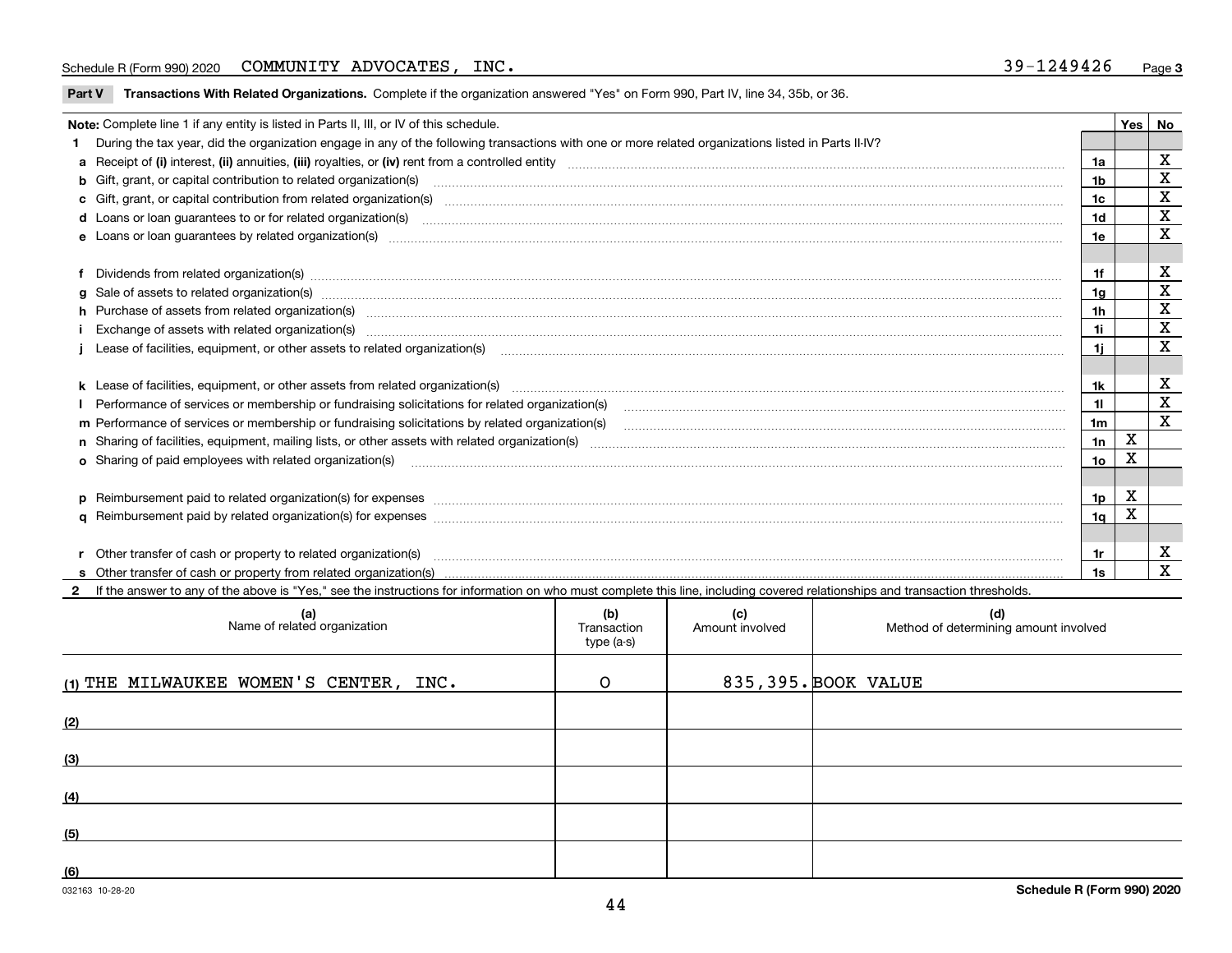#### Schedule R (Form 990) 2020 Page COMMUNITY ADVOCATES, INC. 39-1249426

**Part V** T**ransactions With Related Organizations.** Complete if the organization answered "Yes" on Form 990, Part IV, line 34, 35b, or 36.

| Note: Complete line 1 if any entity is listed in Parts II, III, or IV of this schedule. |                                                                                                                                                                                                                                |                |   |              |  |  |  |  |
|-----------------------------------------------------------------------------------------|--------------------------------------------------------------------------------------------------------------------------------------------------------------------------------------------------------------------------------|----------------|---|--------------|--|--|--|--|
|                                                                                         | 1 During the tax year, did the organization engage in any of the following transactions with one or more related organizations listed in Parts II-IV?                                                                          |                |   |              |  |  |  |  |
|                                                                                         |                                                                                                                                                                                                                                | 1a             |   | х            |  |  |  |  |
|                                                                                         | b Gift, grant, or capital contribution to related organization(s) material contracts and contribution to related organization(s)                                                                                               | 1b             |   | X            |  |  |  |  |
|                                                                                         | c Gift, grant, or capital contribution from related organization(s) manufaction contribution from related organization(s) manufaction contribution from related organization(s) manufaction contribution from related organiza | 1c             |   | X            |  |  |  |  |
|                                                                                         |                                                                                                                                                                                                                                | 1 <sub>d</sub> |   | X            |  |  |  |  |
|                                                                                         |                                                                                                                                                                                                                                | 1e             |   | X            |  |  |  |  |
|                                                                                         |                                                                                                                                                                                                                                |                |   |              |  |  |  |  |
|                                                                                         | f Dividends from related organization(s) manufactured contains and contained a state of the contact of the contact of the contact of the contact of the contact of the contact of the contact of the contact of the contact of | 1f             |   | х            |  |  |  |  |
|                                                                                         |                                                                                                                                                                                                                                | 1a             |   | X            |  |  |  |  |
|                                                                                         | h Purchase of assets from related organization(s) manufactured and content and content and content and content and content and content and content and content and content and content and content and content and content and | 1 <sub>h</sub> |   | $\mathbf x$  |  |  |  |  |
|                                                                                         |                                                                                                                                                                                                                                | 1i.            |   | X            |  |  |  |  |
|                                                                                         | Lease of facilities, equipment, or other assets to related organization(s) communication controlled and a set of facilities, equipment, or other assets to related organization(s) communication controlled and a set of the s | 1i.            |   | X            |  |  |  |  |
|                                                                                         |                                                                                                                                                                                                                                |                |   |              |  |  |  |  |
|                                                                                         |                                                                                                                                                                                                                                | 1k             |   | х            |  |  |  |  |
|                                                                                         |                                                                                                                                                                                                                                | 11             |   | X            |  |  |  |  |
|                                                                                         | m Performance of services or membership or fundraising solicitations by related organization(s)                                                                                                                                | 1m             |   | X            |  |  |  |  |
|                                                                                         |                                                                                                                                                                                                                                | 1n             | X |              |  |  |  |  |
|                                                                                         | <b>o</b> Sharing of paid employees with related organization(s)                                                                                                                                                                | 1о             | X |              |  |  |  |  |
|                                                                                         |                                                                                                                                                                                                                                |                |   |              |  |  |  |  |
|                                                                                         | p Reimbursement paid to related organization(s) for expenses [11111] [12] reasonal content of the separation (s) for expenses [11111] [12] reasonal content in the separation (s) for expenses [1111] [12] reasonal content in | 1p             | X |              |  |  |  |  |
|                                                                                         |                                                                                                                                                                                                                                | 1 <sub>q</sub> | X |              |  |  |  |  |
|                                                                                         |                                                                                                                                                                                                                                |                |   |              |  |  |  |  |
|                                                                                         | r Other transfer of cash or property to related organization(s)                                                                                                                                                                | 1r             |   | х            |  |  |  |  |
|                                                                                         |                                                                                                                                                                                                                                | 1s             |   | $\mathbf{x}$ |  |  |  |  |
|                                                                                         | 2 If the answer to any of the above is "Yes," see the instructions for information on who must complete this line, including covered relationships and transaction thresholds.                                                 |                |   |              |  |  |  |  |

| (a)<br>Name of related organization    | (b)<br>(c)<br>Amount involved<br>Transaction<br>type (a-s) |  | (d)<br>Method of determining amount involved |  |  |  |  |  |
|----------------------------------------|------------------------------------------------------------|--|----------------------------------------------|--|--|--|--|--|
| (1) THE MILWAUKEE WOMEN'S CENTER, INC. | $\Omega$                                                   |  | 835,395. BOOK VALUE                          |  |  |  |  |  |
| (2)                                    |                                                            |  |                                              |  |  |  |  |  |
| (3)                                    |                                                            |  |                                              |  |  |  |  |  |
| (4)                                    |                                                            |  |                                              |  |  |  |  |  |
| (5)                                    |                                                            |  |                                              |  |  |  |  |  |
| (6)                                    |                                                            |  |                                              |  |  |  |  |  |

 $\overline{\phantom{a}}$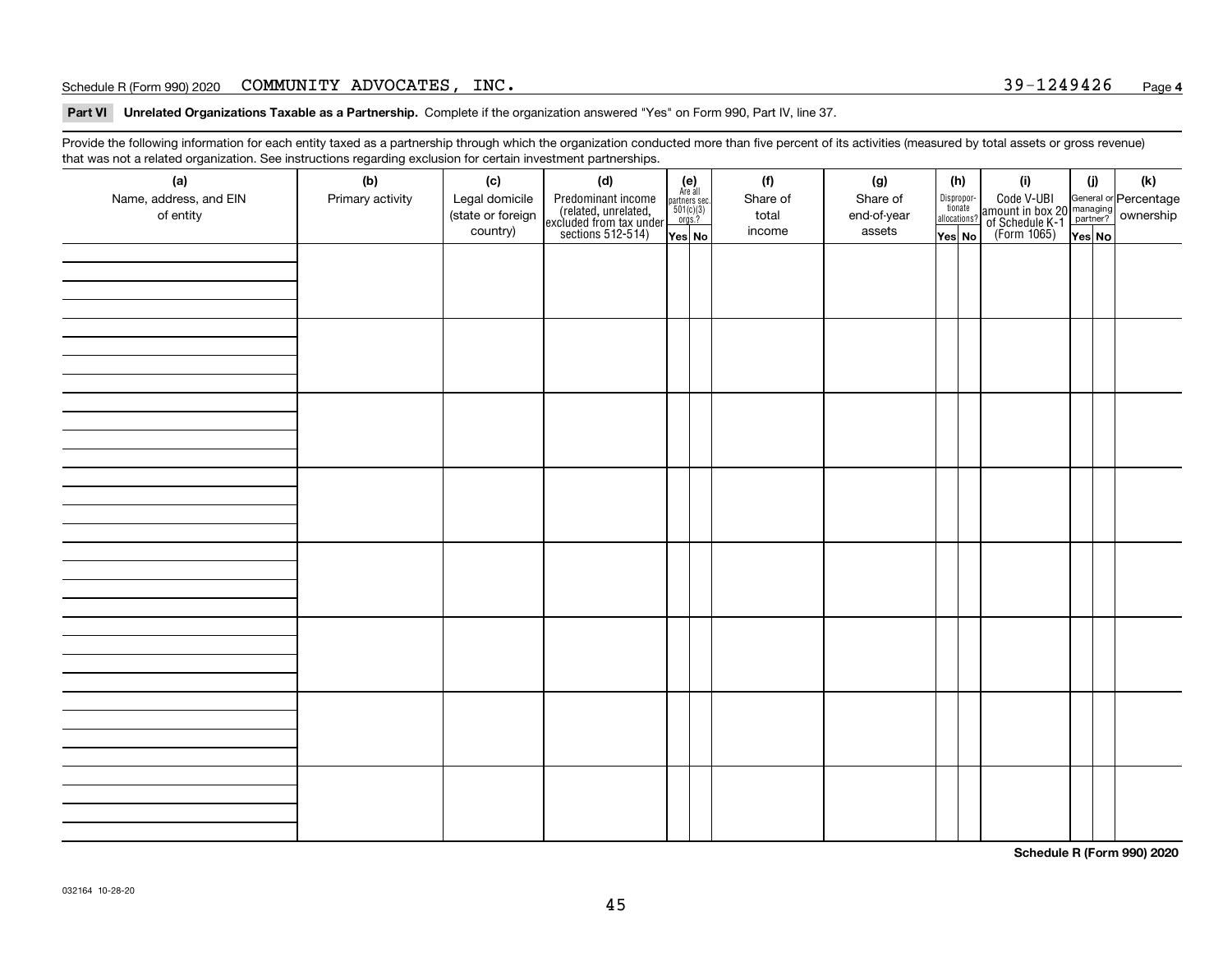#### Schedule R (Form 990) 2020 Page COMMUNITY ADVOCATES, INC. 39-1249426

**Part VI Unrelated Organizations Taxable as a Partnership. Complete if the organization answered "Yes" on Form 990, Part IV, line 37.** 

Provide the following information for each entity taxed as a partnership through which the organization conducted more than five percent of its activities (measured by total assets or gross revenue) that was not a related organization. See instructions regarding exclusion for certain investment partnerships.

| (a)<br>Name, address, and EIN<br>of entity | ັ<br>(b)<br>Primary activity | (c)<br>Legal domicile<br>(state or foreign<br>country) | (d)<br>Predominant income<br>(related, unrelated,<br>excluded from tax under<br>sections 512-514) | $(e)$<br>Are all<br>partners sec.<br>501(c)(3)<br>orgs.?<br>Yes No | (f)<br>Share of<br>total<br>income | (g)<br>Share of<br>end-of-year<br>assets | (h)<br>Dispropor-<br>tionate<br>allocations?<br>Yes No | (i)<br>Code V-UBI<br>  amount in box 20 managing<br>  of Schedule K-1 partner? ownership<br>  of Schedule K-1 partner? ownership<br>  Yes No | (i)<br>Yes No | $(\mathsf{k})$ |  |  |  |
|--------------------------------------------|------------------------------|--------------------------------------------------------|---------------------------------------------------------------------------------------------------|--------------------------------------------------------------------|------------------------------------|------------------------------------------|--------------------------------------------------------|----------------------------------------------------------------------------------------------------------------------------------------------|---------------|----------------|--|--|--|
|                                            |                              |                                                        |                                                                                                   |                                                                    |                                    |                                          |                                                        |                                                                                                                                              |               |                |  |  |  |
|                                            |                              |                                                        |                                                                                                   |                                                                    |                                    |                                          |                                                        |                                                                                                                                              |               |                |  |  |  |
|                                            |                              |                                                        |                                                                                                   |                                                                    |                                    |                                          |                                                        |                                                                                                                                              |               |                |  |  |  |
|                                            |                              |                                                        |                                                                                                   |                                                                    |                                    |                                          |                                                        |                                                                                                                                              |               |                |  |  |  |
|                                            |                              |                                                        |                                                                                                   |                                                                    |                                    |                                          |                                                        |                                                                                                                                              |               |                |  |  |  |
|                                            |                              |                                                        |                                                                                                   |                                                                    |                                    |                                          |                                                        |                                                                                                                                              |               |                |  |  |  |
|                                            |                              |                                                        |                                                                                                   |                                                                    |                                    |                                          |                                                        |                                                                                                                                              |               |                |  |  |  |
|                                            |                              |                                                        |                                                                                                   |                                                                    |                                    |                                          |                                                        |                                                                                                                                              |               |                |  |  |  |
|                                            |                              |                                                        |                                                                                                   |                                                                    |                                    |                                          |                                                        |                                                                                                                                              |               |                |  |  |  |

**Schedule R (Form 990) 2020**